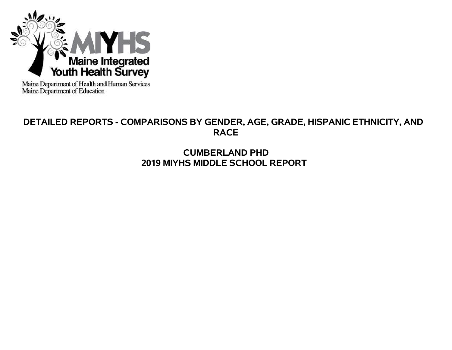

Maine Department of Health and Human Services<br>Maine Department of Education

# **DETAILED REPORTS - COMPARISONS BY GENDER, AGE, GRADE, HISPANIC ETHNICITY, AND RACE**

# **CUMBERLAND PHD 2019 MIYHS MIDDLE SCHOOL REPORT**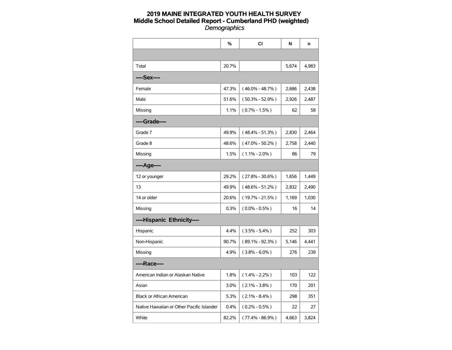|                                           | %     | <b>CI</b>           | N     | n     |
|-------------------------------------------|-------|---------------------|-------|-------|
|                                           |       |                     |       |       |
| Total                                     | 20.7% |                     | 5.674 | 4.983 |
| ----Sex----                               |       |                     |       |       |
| Female                                    | 47.3% | $(46.0\% - 48.7\%)$ | 2,686 | 2,438 |
| Male                                      | 51.6% | $(50.3\% - 52.9\%)$ | 2,926 | 2,487 |
| Missing                                   | 1.1%  | $(0.7\% - 1.5\%)$   | 62    | 58    |
| ----Grade----                             |       |                     |       |       |
| Grade 7                                   | 49.9% | $(48.4\% - 51.3\%)$ | 2,830 | 2,464 |
| Grade 8                                   | 48.6% | $(47.0\% - 50.2\%)$ | 2,758 | 2,440 |
| Missing                                   | 1.5%  | $(1.1\% - 2.0\%)$   | 86    | 79    |
| ----Age----                               |       |                     |       |       |
| 12 or younger                             | 29.2% | $(27.8\% - 30.6\%)$ | 1,656 | 1,449 |
| 13                                        | 49.9% | $(48.6\% - 51.2\%)$ | 2,832 | 2,490 |
| 14 or older                               | 20.6% | $(19.7\% - 21.5\%)$ | 1,169 | 1,030 |
| Missing                                   | 0.3%  | $(0.0\% - 0.5\%)$   | 16    | 14    |
| ----Hispanic Ethnicity----                |       |                     |       |       |
| Hispanic                                  | 4.4%  | $(3.5\% - 5.4\%)$   | 252   | 303   |
| Non-Hispanic                              | 90.7% | $(89.1\% - 92.3\%)$ | 5,146 | 4,441 |
| Missing                                   | 4.9%  | $(3.8\% - 6.0\%)$   | 276   | 239   |
| ----Race----                              |       |                     |       |       |
| American Indian or Alaskan Native         | 1.8%  | $(1.4\% - 2.2\%)$   | 103   | 122   |
| Asian                                     | 3.0%  | $(2.1\% - 3.8\%)$   | 170   | 201   |
| <b>Black or African American</b>          | 5.3%  | $(2.1\% - 8.4\%)$   | 298   | 351   |
| Native Hawaiian or Other Pacific Islander | 0.4%  | $(0.2\% - 0.5\%)$   | 22    | 27    |
| White                                     | 82.2% | $(77.4\% - 86.9\%)$ | 4,663 | 3,824 |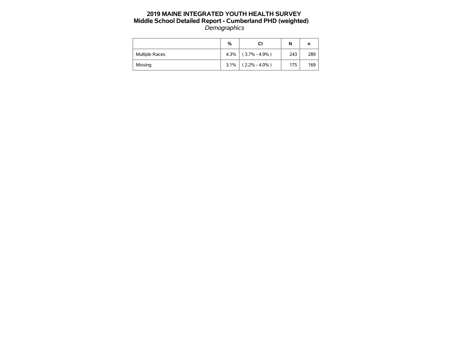|                       | %       | СI                | N   | n   |
|-----------------------|---------|-------------------|-----|-----|
| <b>Multiple Races</b> | 4.3%    | $(3.7\% - 4.9\%)$ | 243 | 289 |
| Missing               | $3.1\%$ | $(2.2\% - 4.0\%)$ | 175 | 169 |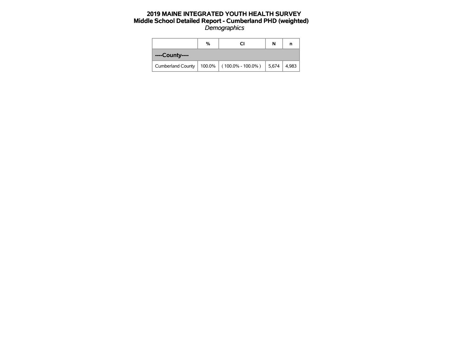|                          | % | CI                                     | N | n     |
|--------------------------|---|----------------------------------------|---|-------|
| ----County----           |   |                                        |   |       |
| <b>Cumberland County</b> |   | 100.0%   $(100.0\% - 100.0\%)$   5,674 |   | 4,983 |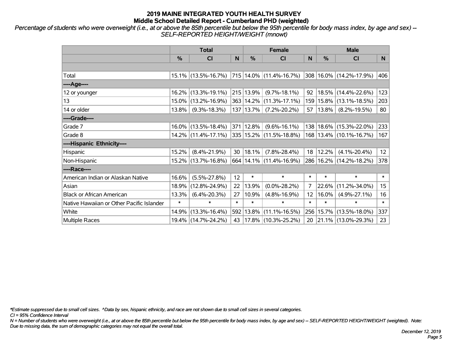*Percentage of students who were overweight (i.e., at or above the 85th percentile but below the 95th percentile for body mass index, by age and sex) -- SELF-REPORTED HEIGHT/WEIGHT (mnowt)*

|                                           |        | <b>Total</b>                                         |        |           | <b>Female</b>                    |                   | <b>Male</b> |                             |        |  |
|-------------------------------------------|--------|------------------------------------------------------|--------|-----------|----------------------------------|-------------------|-------------|-----------------------------|--------|--|
|                                           | %      | <b>CI</b>                                            | N      | $\%$      | <b>CI</b>                        | N                 | %           | <b>CI</b>                   | N.     |  |
|                                           |        |                                                      |        |           |                                  |                   |             |                             |        |  |
| Total                                     |        | $15.1\%$ (13.5%-16.7%)   715   14.0%   (11.4%-16.7%) |        |           |                                  |                   |             | 308 16.0% (14.2%-17.9%)     | 406    |  |
| ----Age----                               |        |                                                      |        |           |                                  |                   |             |                             |        |  |
| 12 or younger                             |        | 16.2% (13.3%-19.1%)                                  |        | 215 13.9% | $(9.7\% - 18.1\%)$               | 92                | 18.5%       | $(14.4\% - 22.6\%)$         | 123    |  |
| 13                                        |        | 15.0% (13.2%-16.9%)                                  |        |           | 363   14.2%   (11.3%-17.1%)      |                   | 159 15.8%   | $(13.1\% - 18.5\%)$         | 203    |  |
| 14 or older                               | 13.8%  | $(9.3\% - 18.3\%)$                                   |        | 137 13.7% | $(7.2\% - 20.2\%)$               | 57                | 13.8%       | $(8.2\% - 19.5\%)$          | 80     |  |
| ----Grade----                             |        |                                                      |        |           |                                  |                   |             |                             |        |  |
| Grade 7                                   |        | $16.0\%$ (13.5%-18.4%)                               |        | 371 12.8% | $(9.6\% - 16.1\%)$               |                   |             | 138 18.6% (15.3%-22.0%)     | 233    |  |
| Grade 8                                   |        | $14.2\%$ (11.4%-17.1%)                               |        |           | $ 335 15.2\%  (11.5\% - 18.8\%)$ |                   |             | 168   13.4%   (10.1%-16.7%) | 167    |  |
| ----Hispanic Ethnicity----                |        |                                                      |        |           |                                  |                   |             |                             |        |  |
| Hispanic                                  | 15.2%  | $(8.4\% - 21.9\%)$                                   | 30     | 18.1%     | $(7.8\% - 28.4\%)$               | 18                | 12.2%       | $(4.1\% - 20.4\%)$          | 12     |  |
| Non-Hispanic                              |        | 15.2% (13.7%-16.8%)                                  |        |           | 664   14.1%   (11.4%-16.9%)      |                   |             | 286 16.2% (14.2%-18.2%)     | 378    |  |
| ----Race----                              |        |                                                      |        |           |                                  |                   |             |                             |        |  |
| American Indian or Alaskan Native         | 16.6%  | $(5.5\% - 27.8\%)$                                   | 12     | $\ast$    | $\ast$                           | $\ast$            | $\ast$      | $\ast$                      | $\ast$ |  |
| Asian                                     | 18.9%  | $(12.8\% - 24.9\%)$                                  | 22     | 13.9%     | $(0.0\% - 28.2\%)$               | 7                 | 22.6%       | $(11.2\% - 34.0\%)$         | 15     |  |
| <b>Black or African American</b>          | 13.3%  | $(6.4\% - 20.3\%)$                                   | 27     | 10.9%     | $(4.8\% - 16.9\%)$               | $12 \overline{ }$ | 16.0%       | $(4.9\% - 27.1\%)$          | 16     |  |
| Native Hawaiian or Other Pacific Islander | $\ast$ | $\ast$                                               | $\ast$ | $\ast$    | $\ast$                           | $\ast$            | $\ast$      | $\ast$                      | $\ast$ |  |
| White                                     | 14.9%  | $(13.3\% - 16.4\%)$                                  | 592    | $13.8\%$  | $(11.1\% - 16.5\%)$              |                   | 256 15.7%   | $(13.5\% - 18.0\%)$         | 337    |  |
| <b>Multiple Races</b>                     |        | 19.4% (14.7%-24.2%)                                  | 43     |           | $17.8\%$ (10.3%-25.2%)           | 20                |             | $ 21.1\% $ (13.0%-29.3%)    | 23     |  |

*\*Estimate suppressed due to small cell sizes. ^Data by sex, hispanic ethnicity, and race are not shown due to small cell sizes in several categories.*

*CI = 95% Confidence Interval*

*N = Number of students who were overweight (i.e., at or above the 85th percentile but below the 95th percentile for body mass index, by age and sex) -- SELF-REPORTED HEIGHT/WEIGHT (weighted). Note: Due to missing data, the sum of demographic categories may not equal the overall total.*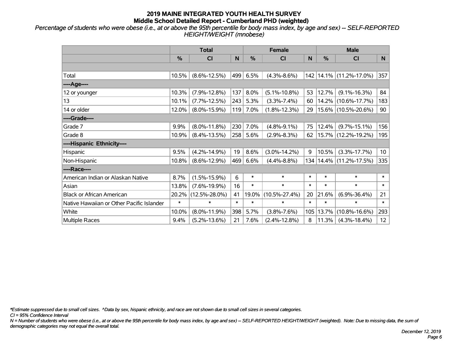*Percentage of students who were obese (i.e., at or above the 95th percentile for body mass index, by age and sex) -- SELF-REPORTED HEIGHT/WEIGHT (mnobese)*

|                                           |               | <b>Total</b>        |        |        | <b>Female</b>       |        |        | <b>Male</b>            |                 |
|-------------------------------------------|---------------|---------------------|--------|--------|---------------------|--------|--------|------------------------|-----------------|
|                                           | $\frac{0}{0}$ | CI                  | N      | %      | <b>CI</b>           | N      | %      | <b>CI</b>              | N               |
|                                           |               |                     |        |        |                     |        |        |                        |                 |
| Total                                     | 10.5%         | $(8.6\% - 12.5\%)$  | 499    | 6.5%   | $(4.3\% - 8.6\%)$   | 142    |        | $14.1\%$ (11.2%-17.0%) | 357             |
| ----Age----                               |               |                     |        |        |                     |        |        |                        |                 |
| 12 or younger                             | 10.3%         | $(7.9\% - 12.8\%)$  | 137    | 8.0%   | $(5.1\% - 10.8\%)$  | 53     | 12.7%  | $(9.1\% - 16.3\%)$     | 84              |
| 13                                        | 10.1%         | $(7.7\% - 12.5\%)$  | 243    | 5.3%   | $(3.3\% - 7.4\%)$   | 60     | 14.2%  | $(10.6\% - 17.7\%)$    | 183             |
| 14 or older                               | 12.0%         | $(8.0\% - 15.9\%)$  | 119    | 7.0%   | $(1.8\% - 12.3\%)$  | 29     |        | 15.6% (10.5%-20.6%)    | 90              |
| ----Grade----                             |               |                     |        |        |                     |        |        |                        |                 |
| Grade 7                                   | 9.9%          | $(8.0\% - 11.8\%)$  | 230    | 7.0%   | $(4.8\% - 9.1\%)$   | 75     | 12.4%  | $(9.7\% - 15.1\%)$     | 156             |
| Grade 8                                   | 10.9%         | $(8.4\% - 13.5\%)$  | 258    | 5.6%   | $(2.9\% - 8.3\%)$   | 62     |        | 15.7% (12.2%-19.2%)    | 195             |
| ----Hispanic Ethnicity----                |               |                     |        |        |                     |        |        |                        |                 |
| Hispanic                                  | 9.5%          | $(4.2\% - 14.9\%)$  | 19     | 8.6%   | $(3.0\% - 14.2\%)$  | 9      | 10.5%  | $(3.3\% - 17.7\%)$     | 10 <sup>°</sup> |
| Non-Hispanic                              | 10.8%         | $(8.6\% - 12.9\%)$  | 469    | 6.6%   | $(4.4\% - 8.8\%)$   | 134    |        | 14.4% (11.2%-17.5%)    | 335             |
| ----Race----                              |               |                     |        |        |                     |        |        |                        |                 |
| American Indian or Alaskan Native         | 8.7%          | $(1.5\% - 15.9\%)$  | 6      | $\ast$ | $\ast$              | $\ast$ | $\ast$ | $\ast$                 | $\ast$          |
| Asian                                     | 13.8%         | $(7.6\% - 19.9\%)$  | 16     | $\ast$ | $\ast$              | $\ast$ | $\ast$ | $\ast$                 | $\ast$          |
| <b>Black or African American</b>          | 20.2%         | $(12.5\% - 28.0\%)$ | 41     | 19.0%  | $(10.5\% - 27.4\%)$ | 20     | 21.6%  | $(6.9\% - 36.4\%)$     | 21              |
| Native Hawaiian or Other Pacific Islander | $\ast$        | $\ast$              | $\ast$ | $\ast$ | $\ast$              | $\ast$ | $\ast$ | $\ast$                 | $\ast$          |
| White                                     | 10.0%         | $(8.0\% - 11.9\%)$  | 398    | 5.7%   | $(3.8\% - 7.6\%)$   | 105    | 13.7%  | $(10.8\% - 16.6\%)$    | 293             |
| Multiple Races                            | 9.4%          | $(5.2\% - 13.6\%)$  | 21     | 7.6%   | $(2.4\% - 12.8\%)$  | 8      | 11.3%  | $(4.3\% - 18.4\%)$     | 12 <sup>°</sup> |

*\*Estimate suppressed due to small cell sizes. ^Data by sex, hispanic ethnicity, and race are not shown due to small cell sizes in several categories.*

*CI = 95% Confidence Interval*

*N = Number of students who were obese (i.e., at or above the 95th percentile for body mass index, by age and sex) -- SELF-REPORTED HEIGHT/WEIGHT (weighted). Note: Due to missing data, the sum of demographic categories may not equal the overall total.*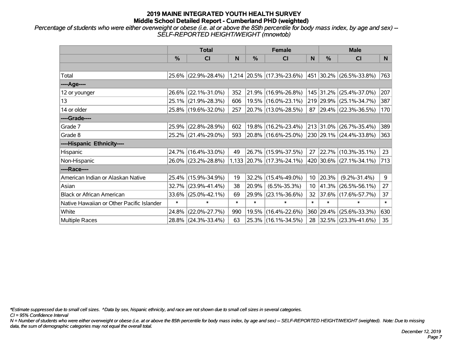*Percentage of students who were either overweight or obese (i.e. at or above the 85th percentile for body mass index, by age and sex) -- SELF-REPORTED HEIGHT/WEIGHT (mnowtob)*

|                                           |               | <b>Total</b>        |        |        | <b>Female</b>               |                 |            | <b>Male</b>                  |        |
|-------------------------------------------|---------------|---------------------|--------|--------|-----------------------------|-----------------|------------|------------------------------|--------|
|                                           | $\frac{0}{0}$ | <b>CI</b>           | N      | %      | <b>CI</b>                   | N               | %          | <b>CI</b>                    | N.     |
|                                           |               |                     |        |        |                             |                 |            |                              |        |
| Total                                     |               | 25.6% (22.9%-28.4%) |        |        | $1,214$ 20.5% (17.3%-23.6%) |                 |            | $ 451 30.2\% $ (26.5%-33.8%) | 763    |
| ----Age----                               |               |                     |        |        |                             |                 |            |                              |        |
| 12 or younger                             | 26.6%         | $(22.1\% - 31.0\%)$ | 352    |        | $21.9\%$ (16.9%-26.8%)      |                 | 145 31.2%  | $(25.4\% - 37.0\%)$          | 207    |
| 13                                        |               | 25.1% (21.9%-28.3%) | 606    |        | 19.5% (16.0%-23.1%)         |                 |            | 219 29.9% (25.1%-34.7%)      | 387    |
| 14 or older                               |               | 25.8% (19.6%-32.0%) | 257    |        | 20.7% (13.0%-28.5%)         |                 |            | 87 29.4% (22.3%-36.5%)       | 170    |
| ----Grade----                             |               |                     |        |        |                             |                 |            |                              |        |
| Grade 7                                   |               | 25.9% (22.8%-28.9%) | 602    |        | 19.8% (16.2%-23.4%)         |                 |            | 213 31.0% (26.7%-35.4%)      | 389    |
| Grade 8                                   |               | 25.2% (21.4%-29.0%) | 593    |        | $20.8\%$ (16.6%-25.0%)      |                 |            | 230 29.1% (24.4%-33.8%)      | 363    |
| ----Hispanic Ethnicity----                |               |                     |        |        |                             |                 |            |                              |        |
| Hispanic                                  | 24.7%         | $(16.4\% - 33.0\%)$ | 49     |        | 26.7% (15.9%-37.5%)         | 27              |            | 22.7% (10.3%-35.1%)          | 23     |
| Non-Hispanic                              |               | 26.0% (23.2%-28.8%) |        |        | 1,133 20.7% (17.3%-24.1%)   |                 |            | 420 30.6% (27.1%-34.1%)      | 713    |
| ----Race----                              |               |                     |        |        |                             |                 |            |                              |        |
| American Indian or Alaskan Native         |               | 25.4% (15.9%-34.9%) | 19     | 32.2%  | $(15.4\% - 49.0\%)$         | 10 <sup>°</sup> | 20.3%      | $(9.2\% - 31.4\%)$           | 9      |
| Asian                                     | 32.7%         | $(23.9\% - 41.4\%)$ | 38     | 20.9%  | $(6.5\% - 35.3\%)$          | 10 <sup>°</sup> | $ 41.3\% $ | $(26.5\% - 56.1\%)$          | 27     |
| <b>Black or African American</b>          | 33.6%         | $(25.0\% - 42.1\%)$ | 69     | 29.9%  | $(23.1\% - 36.6\%)$         | 32              |            | $ 37.6\% $ (17.6%-57.7%)     | 37     |
| Native Hawaiian or Other Pacific Islander | $\ast$        | $\ast$              | $\ast$ | $\ast$ | $\ast$                      | $\ast$          | $\ast$     | $\ast$                       | $\ast$ |
| White                                     | 24.8%         | $(22.0\% - 27.7\%)$ | 990    | 19.5%  | $(16.4\% - 22.6\%)$         |                 | 360 29.4%  | $(25.6\% - 33.3\%)$          | 630    |
| Multiple Races                            |               | 28.8% (24.3%-33.4%) | 63     |        | 25.3% (16.1%-34.5%)         | 28              |            | $ 32.5\% $ (23.3%-41.6%)     | 35     |

*\*Estimate suppressed due to small cell sizes. ^Data by sex, hispanic ethnicity, and race are not shown due to small cell sizes in several categories.*

*CI = 95% Confidence Interval*

*N = Number of students who were either overweight or obese (i.e. at or above the 85th percentile for body mass index, by age and sex) -- SELF-REPORTED HEIGHT/WEIGHT (weighted). Note: Due to missing data, the sum of demographic categories may not equal the overall total.*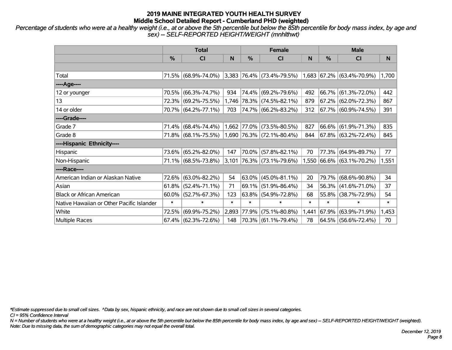*Percentage of students who were at a healthy weight (i.e., at or above the 5th percentile but below the 85th percentile for body mass index, by age and sex) -- SELF-REPORTED HEIGHT/WEIGHT (mnhlthwt)*

|                                           |          | <b>Total</b>           |        |               | <b>Female</b>                                                 |        | <b>Male</b> |                           |        |  |
|-------------------------------------------|----------|------------------------|--------|---------------|---------------------------------------------------------------|--------|-------------|---------------------------|--------|--|
|                                           | $\%$     | <b>CI</b>              | N      | %             | <b>CI</b>                                                     | N      | %           | <b>CI</b>                 | N.     |  |
|                                           |          |                        |        |               |                                                               |        |             |                           |        |  |
| Total                                     |          | 71.5% (68.9%-74.0%)    |        |               | $ 3,383 76.4\% $ (73.4%-79.5%) $ 1,683 67.2\% $ (63.4%-70.9%) |        |             |                           | 1,700  |  |
| ----Age----                               |          |                        |        |               |                                                               |        |             |                           |        |  |
| 12 or younger                             | 70.5%    | $(66.3\% - 74.7\%)$    | 934    |               | 74.4% (69.2%-79.6%)                                           | 492    |             | 66.7% (61.3%-72.0%)       | 442    |  |
| 13                                        |          | 72.3% (69.2%-75.5%)    |        |               | 1,746 78.3% (74.5%-82.1%)                                     | 879    |             | 67.2% (62.0%-72.3%)       | 867    |  |
| 14 or older                               |          | 70.7% (64.2%-77.1%)    | 703    |               | 74.7% (66.2%-83.2%)                                           | 312    |             | 67.7% (60.9%-74.5%)       | 391    |  |
| ----Grade----                             |          |                        |        |               |                                                               |        |             |                           |        |  |
| Grade 7                                   |          | 71.4% (68.4%-74.4%)    |        | $1,662$ 77.0% | $(73.5\% - 80.5\%)$                                           | 827    |             | 66.6% (61.9%-71.3%)       | 835    |  |
| Grade 8                                   |          | 71.8% (68.1%-75.5%)    |        |               | $1,690$ 76.3% (72.1%-80.4%)                                   | 844    |             | 67.8% (63.2%-72.4%)       | 845    |  |
| ----Hispanic Ethnicity----                |          |                        |        |               |                                                               |        |             |                           |        |  |
| Hispanic                                  | 73.6%    | $(65.2\% - 82.0\%)$    | 147    | 70.0%         | $(57.8\% - 82.1\%)$                                           | 70     | 77.3%       | $(64.9\% - 89.7\%)$       | 77     |  |
| Non-Hispanic                              |          | 71.1% (68.5%-73.8%)    | 3,101  |               | $ 76.3\% $ (73.1%-79.6%)                                      |        |             | 1,550 66.6% (63.1%-70.2%) | 1,551  |  |
| ----Race----                              |          |                        |        |               |                                                               |        |             |                           |        |  |
| American Indian or Alaskan Native         | 72.6%    | $(63.0\% - 82.2\%)$    | 54     |               | $ 63.0\% $ (45.0%-81.1%)                                      | 20     | 79.7%       | $(68.6\% - 90.8\%)$       | 34     |  |
| Asian                                     | 61.8%    | $(52.4\% - 71.1\%)$    | 71     | 69.1%         | $(51.9\% - 86.4\%)$                                           | 34     | $ 56.3\% $  | $(41.6\% - 71.0\%)$       | 37     |  |
| <b>Black or African American</b>          | $60.0\%$ | $(52.7\% - 67.3\%)$    | 123    |               | $63.8\%$ (54.9%-72.8%)                                        | 68     | 55.8%       | $(38.7\% - 72.9\%)$       | 54     |  |
| Native Hawaiian or Other Pacific Islander | $\ast$   | $\ast$                 | $\ast$ | $\ast$        | $\ast$                                                        | $\ast$ | $\ast$      | $\ast$                    | $\ast$ |  |
| White                                     | 72.5%    | $(69.9\% - 75.2\%)$    | 2,893  | 77.9%         | $(75.1\% - 80.8\%)$                                           | 1,441  | $ 67.9\% $  | $(63.9\% - 71.9\%)$       | 1,453  |  |
| Multiple Races                            |          | $67.4\%$ (62.3%-72.6%) | 148    |               | 70.3% (61.1%-79.4%)                                           | 78     |             | 64.5% (56.6%-72.4%)       | 70     |  |

*\*Estimate suppressed due to small cell sizes. ^Data by sex, hispanic ethnicity, and race are not shown due to small cell sizes in several categories.*

*CI = 95% Confidence Interval*

*N = Number of students who were at a healthy weight (i.e., at or above the 5th percentile but below the 85th percentile for body mass index, by age and sex) -- SELF-REPORTED HEIGHT/WEIGHT (weighted). Note: Due to missing data, the sum of demographic categories may not equal the overall total.*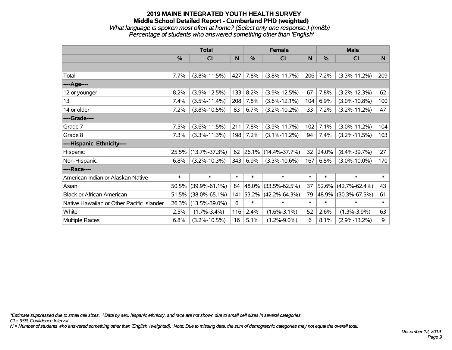#### **2019 MAINE INTEGRATED YOUTH HEALTH SURVEY Middle School Detailed Report - Cumberland PHD (weighted)** *What language is spoken most often at home? (Select only one response.) (mn8b) Percentage of students who answered something other than 'English'*

|                                           |               | <b>Total</b>        |        |               | <b>Female</b>       |        |        | <b>Male</b>         |        |
|-------------------------------------------|---------------|---------------------|--------|---------------|---------------------|--------|--------|---------------------|--------|
|                                           | $\frac{0}{0}$ | CI                  | N      | $\frac{0}{0}$ | CI                  | N      | %      | CI                  | N      |
|                                           |               |                     |        |               |                     |        |        |                     |        |
| Total                                     | 7.7%          | $(3.8\% - 11.5\%)$  | 427    | 7.8%          | $(3.8\% - 11.7\%)$  | 206    | 7.2%   | $(3.3\% - 11.2\%)$  | 209    |
| ----Age----                               |               |                     |        |               |                     |        |        |                     |        |
| 12 or younger                             | 8.2%          | $(3.9\% - 12.5\%)$  | 133    | 8.2%          | $(3.9\% - 12.5\%)$  | 67     | 7.8%   | $(3.2\% - 12.3\%)$  | 62     |
| 13                                        | 7.4%          | $(3.5\% - 11.4\%)$  | 208    | 7.8%          | $(3.6\% - 12.1\%)$  | 104    | 6.9%   | $(3.0\% - 10.8\%)$  | 100    |
| 14 or older                               | 7.2%          | $(3.8\% - 10.5\%)$  | 83     | 6.7%          | $(3.2\% - 10.2\%)$  | 33     | 7.2%   | $(3.2\% - 11.2\%)$  | 47     |
| ----Grade----                             |               |                     |        |               |                     |        |        |                     |        |
| Grade 7                                   | 7.5%          | $(3.6\% - 11.5\%)$  | 211    | 7.8%          | $(3.9\% - 11.7\%)$  | 102    | 7.1%   | $(3.0\% - 11.2\%)$  | 104    |
| Grade 8                                   | 7.3%          | $(3.3\% - 11.3\%)$  | 198    | 7.2%          | $(3.1\% - 11.2\%)$  | 94     | 7.4%   | $(3.2\% - 11.5\%)$  | 103    |
| ----Hispanic Ethnicity----                |               |                     |        |               |                     |        |        |                     |        |
| Hispanic                                  | 25.5%         | $(13.7\% - 37.3\%)$ | 62     | 26.1%         | $(14.4\% - 37.7\%)$ | 32     | 24.0%  | $(8.4\% - 39.7\%)$  | 27     |
| Non-Hispanic                              | 6.8%          | $(3.2\% - 10.3\%)$  | 343    | 6.9%          | $(3.3\% - 10.6\%)$  | 167    | 6.5%   | $(3.0\% - 10.0\%)$  | 170    |
| ----Race----                              |               |                     |        |               |                     |        |        |                     |        |
| American Indian or Alaskan Native         | $\ast$        | $\ast$              | $\ast$ | $\ast$        | $\ast$              | $\ast$ | $\ast$ | $\ast$              | $\ast$ |
| Asian                                     | 50.5%         | $(39.9\% - 61.1\%)$ | 84     | 48.0%         | $(33.5\% - 62.5\%)$ | 37     | 52.6%  | $(42.7\% - 62.4\%)$ | 43     |
| <b>Black or African American</b>          | 51.5%         | $(38.0\% - 65.1\%)$ | 141    | 53.2%         | $(42.2\% - 64.3\%)$ | 79     | 48.9%  | $(30.3\% - 67.5\%)$ | 61     |
| Native Hawaiian or Other Pacific Islander | 26.3%         | $(13.5\% - 39.0\%)$ | 6      | $\ast$        | $\ast$              | $\ast$ | $\ast$ | $\ast$              | $\ast$ |
| White                                     | 2.5%          | $(1.7\% - 3.4\%)$   | 116    | 2.4%          | $(1.6\% - 3.1\%)$   | 52     | 2.6%   | $(1.3\% - 3.9\%)$   | 63     |
| <b>Multiple Races</b>                     | 6.8%          | $(3.2\% - 10.5\%)$  | 16     | 5.1%          | $(1.2\% - 9.0\%)$   | 6      | 8.1%   | $(2.9\% - 13.2\%)$  | 9      |

*\*Estimate suppressed due to small cell sizes. ^Data by sex, hispanic ethnicity, and race are not shown due to small cell sizes in several categories.*

*CI = 95% Confidence Interval*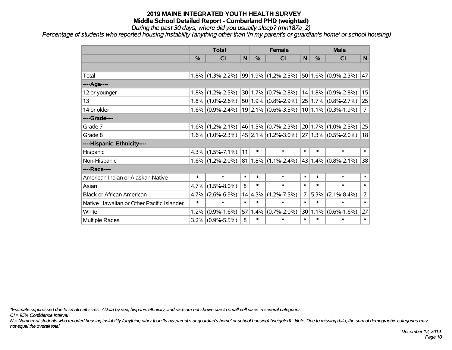*During the past 30 days, where did you usually sleep? (mn187a\_2)*

*Percentage of students who reported housing instability (anything other than 'In my parent's or guardian's home' or school housing)*

|                                           |         | <b>Total</b>                            |        |         | <b>Female</b>           |                | <b>Male</b> |                          |                |  |
|-------------------------------------------|---------|-----------------------------------------|--------|---------|-------------------------|----------------|-------------|--------------------------|----------------|--|
|                                           | %       | CI                                      | N      | %       | CI                      | N <sub>1</sub> | %           | <b>CI</b>                | N              |  |
|                                           |         |                                         |        |         |                         |                |             |                          |                |  |
| Total                                     | 1.8%    | $(1.3\% - 2.2\%)$                       |        |         | $99 1.9\% $ (1.2%-2.5%) |                |             | $50 1.6\% $ (0.9%-2.3%)  | 47             |  |
| ----Age----                               |         |                                         |        |         |                         |                |             |                          |                |  |
| 12 or younger                             | 1.8%    | $(1.2\% - 2.5\%)$                       |        |         | $30 1.7\% $ (0.7%-2.8%) |                | 14 1.8%     | $(0.9\% - 2.8\%)$        | 15             |  |
| 13                                        | 1.8%    | $(1.0\% - 2.6\%)$                       |        |         | $50 1.9\% $ (0.8%-2.9%) |                | 25 1.7%     | $(0.8\% - 2.7\%)$        | 25             |  |
| 14 or older                               | $1.6\%$ | $(0.9\% - 2.4\%)$                       |        |         | $19$ 2.1% (0.6%-3.5%)   |                |             | $10 1.1\% $ (0.3%-1.9%)  | $\overline{7}$ |  |
| ----Grade----                             |         |                                         |        |         |                         |                |             |                          |                |  |
| Grade 7                                   | 1.6%    | $(1.2\% - 2.1\%)$                       |        |         | $46 1.5\% $ (0.7%-2.3%) |                | 20 1.7%     | $(1.0\% - 2.5\%)$        | 25             |  |
| Grade 8                                   |         | $1.6\%$ (1.0%-2.3%) 45 2.1% (1.2%-3.0%) |        |         |                         |                |             | $ 27 1.3\% $ (0.5%-2.0%) | 18             |  |
| ----Hispanic Ethnicity----                |         |                                         |        |         |                         |                |             |                          |                |  |
| Hispanic                                  | 4.3%    | $(1.5\% - 7.1\%)$                       | 11     | $\ast$  | $\ast$                  | $\ast$         | $\ast$      | $\ast$                   | $\ast$         |  |
| Non-Hispanic                              | $1.6\%$ | $(1.2\% - 2.0\%)$                       | 81     |         | $1.8\%$ (1.1%-2.4%)     |                | 43 1.4%     | $(0.8\% - 2.1\%)$        | 38             |  |
| ----Race----                              |         |                                         |        |         |                         |                |             |                          |                |  |
| American Indian or Alaskan Native         | $\ast$  | $\ast$                                  | $\ast$ | $\ast$  | $\ast$                  | $\ast$         | $\ast$      | $\ast$                   | $\ast$         |  |
| Asian                                     | 4.7%    | $(1.5\% - 8.0\%)$                       | 8      | $\ast$  | $\ast$                  | $\ast$         | $\ast$      | $\ast$                   | $\ast$         |  |
| <b>Black or African American</b>          | 4.7%    | $(2.6\% - 6.9\%)$                       |        | 14 4.3% | $(1.2\% - 7.5\%)$       | $\overline{7}$ | 5.3%        | $(2.1\% - 8.4\%)$        | $\overline{7}$ |  |
| Native Hawaiian or Other Pacific Islander | $\ast$  | $\ast$                                  | $\ast$ | $\ast$  | $\ast$                  | $\ast$         | $\ast$      | $\ast$                   | $\ast$         |  |
| White                                     | 1.2%    | $(0.9\% - 1.6\%)$                       | 57     | 1.4%    | $(0.7\% - 2.0\%)$       |                | 30 1.1%     | $(0.6\% - 1.6\%)$        | 27             |  |
| Multiple Races                            | $3.2\%$ | $(0.9\% - 5.5\%)$                       | 8      | $\ast$  | $\ast$                  | $\ast$         | $\ast$      | $\ast$                   | $\ast$         |  |

*\*Estimate suppressed due to small cell sizes. ^Data by sex, hispanic ethnicity, and race are not shown due to small cell sizes in several categories.*

*CI = 95% Confidence Interval*

*N = Number of students who reported housing instability (anything other than 'In my parent's or guardian's home' or school housing) (weighted). Note: Due to missing data, the sum of demographic categories may not equal the overall total.*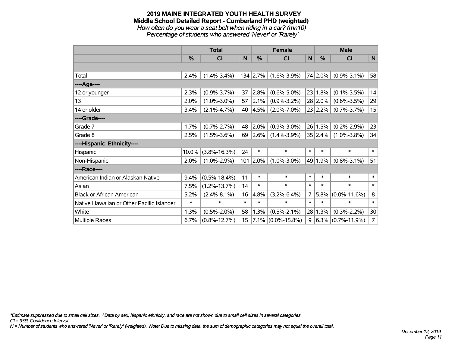#### **2019 MAINE INTEGRATED YOUTH HEALTH SURVEY Middle School Detailed Report - Cumberland PHD (weighted)** *How often do you wear a seat belt when riding in a car? (mn10)*

*Percentage of students who answered 'Never' or 'Rarely'*

|                                           |               | <b>Total</b>       |        |                  | <b>Female</b>      |                | <b>Male</b>     |                      |                |  |
|-------------------------------------------|---------------|--------------------|--------|------------------|--------------------|----------------|-----------------|----------------------|----------------|--|
|                                           | $\frac{9}{6}$ | C <sub>1</sub>     | N      | %                | <b>CI</b>          | N              | $\frac{0}{0}$   | <b>CI</b>            | N              |  |
|                                           |               |                    |        |                  |                    |                |                 |                      |                |  |
| Total                                     | 2.4%          | $(1.4\% - 3.4\%)$  |        | $134 \mid 2.7\%$ | $(1.6\% - 3.9\%)$  |                | 74 2.0%         | $(0.9\% - 3.1\%)$    | 58             |  |
| ----Age----                               |               |                    |        |                  |                    |                |                 |                      |                |  |
| 12 or younger                             | 2.3%          | $(0.9\% - 3.7\%)$  | 37     | 2.8%             | $(0.6\% - 5.0\%)$  | 23             | 1.8%            | $(0.1\% - 3.5\%)$    | 14             |  |
| 13                                        | 2.0%          | $(1.0\% - 3.0\%)$  | 57     | 2.1%             | $(0.9\% - 3.2\%)$  |                | 28 2.0%         | $(0.6\% - 3.5\%)$    | 29             |  |
| 14 or older                               | 3.4%          | $(2.1\% - 4.7\%)$  | 40     | 4.5%             | $(2.0\% - 7.0\%)$  |                | $23 \mid 2.2\%$ | $(0.7\% - 3.7\%)$    | 15             |  |
| ----Grade----                             |               |                    |        |                  |                    |                |                 |                      |                |  |
| Grade 7                                   | 1.7%          | $(0.7\% - 2.7\%)$  | 48     | 2.0%             | $(0.9\% - 3.0\%)$  | 26             | 1.5%            | $(0.2\% - 2.9\%)$    | 23             |  |
| Grade 8                                   | 2.5%          | $(1.5\% - 3.6\%)$  | 69     | 2.6%             | $(1.4\% - 3.9\%)$  |                | 35 2.4%         | $(1.0\% - 3.8\%)$    | 34             |  |
| ----Hispanic Ethnicity----                |               |                    |        |                  |                    |                |                 |                      |                |  |
| Hispanic                                  | 10.0%         | $(3.8\% - 16.3\%)$ | 24     | $\ast$           | $\ast$             | $\ast$         | $\ast$          | $\ast$               | $\ast$         |  |
| Non-Hispanic                              | 2.0%          | $(1.0\% - 2.9\%)$  | 101    | $ 2.0\%$         | $(1.0\% - 3.0\%)$  | 49             | 1.9%            | $(0.8\% - 3.1\%)$    | 51             |  |
| ----Race----                              |               |                    |        |                  |                    |                |                 |                      |                |  |
| American Indian or Alaskan Native         | 9.4%          | $(0.5\% - 18.4\%)$ | 11     | $\ast$           | $\ast$             | $\ast$         | $\ast$          | $\ast$               | $\ast$         |  |
| Asian                                     | 7.5%          | $(1.2\% - 13.7\%)$ | 14     | $\ast$           | $\ast$             | $\ast$         | $\ast$          | $\ast$               | $\ast$         |  |
| <b>Black or African American</b>          | 5.2%          | $(2.4\% - 8.1\%)$  | 16     | 4.8%             | $(3.2\% - 6.4\%)$  | $\overline{7}$ | 5.8%            | $(0.0\% - 11.6\%)$   | 8              |  |
| Native Hawaiian or Other Pacific Islander | $\ast$        | $\ast$             | $\ast$ | $\ast$           | $\ast$             | $\ast$         | $\ast$          | ∗                    | $\ast$         |  |
| White                                     | 1.3%          | $(0.5\% - 2.0\%)$  | 58     | 1.3%             | $(0.5\% - 2.1\%)$  | 28             | 1.3%            | $(0.3\% - 2.2\%)$    | 30             |  |
| Multiple Races                            | 6.7%          | $(0.8\% - 12.7\%)$ | 15     | $7.1\%$          | $(0.0\% - 15.8\%)$ | 9              |                 | $6.3\%$ (0.7%-11.9%) | $\overline{7}$ |  |

*\*Estimate suppressed due to small cell sizes. ^Data by sex, hispanic ethnicity, and race are not shown due to small cell sizes in several categories.*

*CI = 95% Confidence Interval*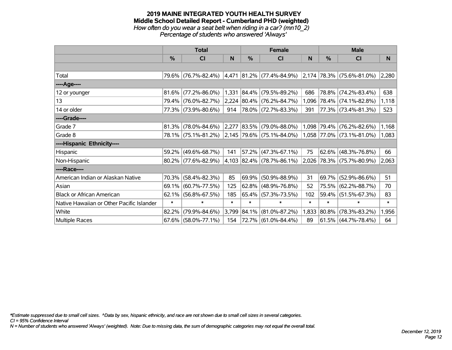#### **2019 MAINE INTEGRATED YOUTH HEALTH SURVEY Middle School Detailed Report - Cumberland PHD (weighted)** *How often do you wear a seat belt when riding in a car? (mn10\_2) Percentage of students who answered 'Always'*

|                                           |        | <b>Total</b>           |        |            | <b>Female</b>                      |        | <b>Male</b><br>%<br><b>CI</b><br>$ 2,174 78.3\% $ (75.6%-81.0%)<br>78.8%<br>$(74.2\% - 83.4\%)$<br>78.4% (74.1%-82.8%)<br>77.3% (73.4%-81.3%)<br>79.4% (76.2%-82.6%)<br>1,058 77.0% (73.1%-81.0%)<br>62.6%<br>$(48.3\% - 76.8\%)$<br>2,026 78.3% (75.7%-80.9%)<br>69.7%<br>$(52.9\% - 86.6\%)$<br>75.5%<br>$(62.2\% - 88.7\%)$<br>59.4% (51.5%-67.3%) |                       |        |  |  |
|-------------------------------------------|--------|------------------------|--------|------------|------------------------------------|--------|-------------------------------------------------------------------------------------------------------------------------------------------------------------------------------------------------------------------------------------------------------------------------------------------------------------------------------------------------------|-----------------------|--------|--|--|
|                                           | $\%$   | <b>CI</b>              | N      | %          | <b>CI</b>                          | N      |                                                                                                                                                                                                                                                                                                                                                       |                       | N      |  |  |
|                                           |        |                        |        |            |                                    |        |                                                                                                                                                                                                                                                                                                                                                       |                       |        |  |  |
| Total                                     |        | 79.6% (76.7%-82.4%)    | 4,471  |            | $ 81.2\% $ (77.4%-84.9%)           |        |                                                                                                                                                                                                                                                                                                                                                       |                       | 2,280  |  |  |
| ----Age----                               |        |                        |        |            |                                    |        |                                                                                                                                                                                                                                                                                                                                                       |                       |        |  |  |
| 12 or younger                             | 81.6%  | $(77.2\% - 86.0\%)$    | 1,331  | $ 84.4\% $ | $(79.5\% - 89.2\%)$                | 686    |                                                                                                                                                                                                                                                                                                                                                       |                       | 638    |  |  |
| 13                                        |        | 79.4% (76.0%-82.7%)    |        |            | 2,224 80.4% (76.2%-84.7%)          | 1,096  |                                                                                                                                                                                                                                                                                                                                                       |                       | 1,118  |  |  |
| 14 or older                               |        | 77.3% (73.9%-80.6%)    | 914    |            | 78.0% (72.7%-83.3%)                | 391    |                                                                                                                                                                                                                                                                                                                                                       |                       | 523    |  |  |
| ----Grade----                             |        |                        |        |            |                                    |        |                                                                                                                                                                                                                                                                                                                                                       |                       |        |  |  |
| Grade 7                                   | 81.3%  | $(78.0\% - 84.6\%)$    | 2,277  |            | $ 83.5\% $ (79.0%-88.0%)           | 1,098  |                                                                                                                                                                                                                                                                                                                                                       |                       | 1,168  |  |  |
| Grade 8                                   |        | 78.1% (75.1%-81.2%)    |        |            | $ 2,145 79.6\%  (75.1\% - 84.0\%)$ |        |                                                                                                                                                                                                                                                                                                                                                       |                       | 1,083  |  |  |
| ----Hispanic Ethnicity----                |        |                        |        |            |                                    |        |                                                                                                                                                                                                                                                                                                                                                       |                       |        |  |  |
| Hispanic                                  | 59.2%  | $(49.6\% - 68.7\%)$    | 141    | 57.2%      | $(47.3\% - 67.1\%)$                | 75     |                                                                                                                                                                                                                                                                                                                                                       |                       | 66     |  |  |
| Non-Hispanic                              |        | 80.2% (77.6%-82.9%)    |        |            | 4,103 82.4% (78.7%-86.1%)          |        |                                                                                                                                                                                                                                                                                                                                                       |                       | 2,063  |  |  |
| ----Race----                              |        |                        |        |            |                                    |        |                                                                                                                                                                                                                                                                                                                                                       |                       |        |  |  |
| American Indian or Alaskan Native         | 70.3%  | $(58.4\% - 82.3\%)$    | 85     | 69.9%      | $(50.9\% - 88.9\%)$                | 31     |                                                                                                                                                                                                                                                                                                                                                       |                       | 51     |  |  |
| Asian                                     | 69.1%  | $(60.7\% - 77.5\%)$    | 125    | 62.8%      | $(48.9\% - 76.8\%)$                | 52     |                                                                                                                                                                                                                                                                                                                                                       |                       | 70     |  |  |
| <b>Black or African American</b>          | 62.1%  | $(56.8\% - 67.5\%)$    | 185    |            | 65.4% (57.3%-73.5%)                | 102    |                                                                                                                                                                                                                                                                                                                                                       |                       | 83     |  |  |
| Native Hawaiian or Other Pacific Islander | $\ast$ | $\ast$                 | $\ast$ | $\ast$     | $\ast$                             | $\ast$ | $\ast$                                                                                                                                                                                                                                                                                                                                                | $\ast$                | $\ast$ |  |  |
| White                                     | 82.2%  | $(79.9\% - 84.6\%)$    | 3,799  | 84.1%      | $(81.0\% - 87.2\%)$                | 1,833  | $ 80.8\% $                                                                                                                                                                                                                                                                                                                                            | $(78.3\% - 83.2\%)$   | 1,956  |  |  |
| Multiple Races                            |        | $67.6\%$ (58.0%-77.1%) | 154    |            | 72.7%   (61.0%-84.4%)              | 89     |                                                                                                                                                                                                                                                                                                                                                       | 61.5%   (44.7%-78.4%) | 64     |  |  |

*\*Estimate suppressed due to small cell sizes. ^Data by sex, hispanic ethnicity, and race are not shown due to small cell sizes in several categories.*

*CI = 95% Confidence Interval*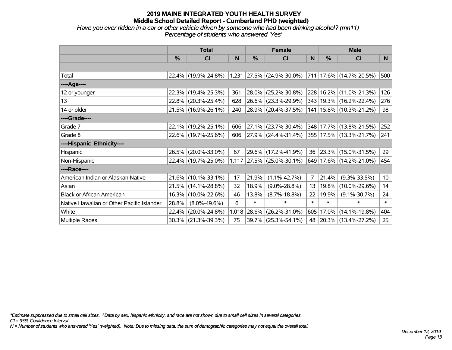#### **2019 MAINE INTEGRATED YOUTH HEALTH SURVEY Middle School Detailed Report - Cumberland PHD (weighted)** *Have you ever ridden in a car or other vehicle driven by someone who had been drinking alcohol? (mn11) Percentage of students who answered 'Yes'*

|                                           |               | <b>Total</b>        |       |               | <b>Female</b>             |                |               | <b>Male</b>                 |        |
|-------------------------------------------|---------------|---------------------|-------|---------------|---------------------------|----------------|---------------|-----------------------------|--------|
|                                           | $\frac{0}{0}$ | CI                  | N     | $\frac{0}{0}$ | <b>CI</b>                 | N              | $\frac{0}{0}$ | C <sub>l</sub>              | N      |
|                                           |               |                     |       |               |                           |                |               |                             |        |
| Total                                     |               | 22.4% (19.9%-24.8%) |       |               | 1,231 27.5% (24.9%-30.0%) |                |               | 711   17.6%   (14.7%-20.5%) | 500    |
| ----Age----                               |               |                     |       |               |                           |                |               |                             |        |
| 12 or younger                             |               | 22.3% (19.4%-25.3%) | 361   | 28.0%         | $(25.2\% - 30.8\%)$       |                |               | 228   16.2%   (11.0%-21.3%) | 126    |
| 13                                        |               | 22.8% (20.3%-25.4%) | 628   | 26.6%         | $(23.3\% - 29.9\%)$       |                |               | 343   19.3%   (16.2%-22.4%) | 276    |
| 14 or older                               |               | 21.5% (16.9%-26.1%) | 240   |               | 28.9% (20.4%-37.5%)       |                |               | 141   15.8%   (10.3%-21.2%) | 98     |
| ----Grade----                             |               |                     |       |               |                           |                |               |                             |        |
| Grade 7                                   |               | 22.1% (19.2%-25.1%) | 606   | 27.1%         | $(23.7\% - 30.4\%)$       |                |               | 348 17.7% (13.8%-21.5%)     | 252    |
| Grade 8                                   |               | 22.6% (19.7%-25.6%) | 606   | 27.9%         | $(24.4\% - 31.4\%)$       |                |               | 355   17.5%   (13.3%-21.7%) | 241    |
| ----Hispanic Ethnicity----                |               |                     |       |               |                           |                |               |                             |        |
| Hispanic                                  |               | 26.5% (20.0%-33.0%) | 67    | 29.6%         | $(17.2\% - 41.9\%)$       | 36             |               | $ 23.3\% $ (15.0%-31.5%)    | 29     |
| Non-Hispanic                              |               | 22.4% (19.7%-25.0%) |       |               | 1,117 27.5% (25.0%-30.1%) |                |               | 649 17.6% (14.2%-21.0%)     | 454    |
| ----Race----                              |               |                     |       |               |                           |                |               |                             |        |
| American Indian or Alaskan Native         | 21.6%         | $(10.1\% - 33.1\%)$ | 17    | 21.9%         | $(1.1\% - 42.7\%)$        | $\overline{7}$ | 21.4%         | $(9.3\% - 33.5\%)$          | 10     |
| Asian                                     | 21.5%         | $(14.1\% - 28.8\%)$ | 32    | 18.9%         | $(9.0\% - 28.8\%)$        | 13             | 19.8%         | $(10.0\% - 29.6\%)$         | 14     |
| <b>Black or African American</b>          | 16.3%         | $(10.0\% - 22.6\%)$ | 46    | 13.8%         | $(8.7\% - 18.8\%)$        | 22             | 19.9%         | $(9.1\% - 30.7\%)$          | 24     |
| Native Hawaiian or Other Pacific Islander | 28.8%         | $(8.0\% - 49.6\%)$  | 6     | $\ast$        | $\ast$                    | $\ast$         | $\ast$        | $\ast$                      | $\ast$ |
| White                                     | 22.4%         | $(20.0\% - 24.8\%)$ | 1,018 | 28.6%         | $(26.2\% - 31.0\%)$       | 605            | 17.0%         | $(14.1\% - 19.8\%)$         | 404    |
| <b>Multiple Races</b>                     |               | 30.3% (21.3%-39.3%) | 75    | 39.7%         | $(25.3\% - 54.1\%)$       | 48             |               | $ 20.3\% $ (13.4%-27.2%)    | 25     |

*\*Estimate suppressed due to small cell sizes. ^Data by sex, hispanic ethnicity, and race are not shown due to small cell sizes in several categories.*

*CI = 95% Confidence Interval*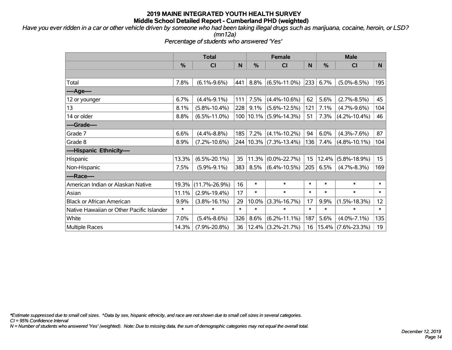*Have you ever ridden in a car or other vehicle driven by someone who had been taking illegal drugs such as marijuana, cocaine, heroin, or LSD?*

*(mn12a)*

*Percentage of students who answered 'Yes'*

|                                           | <b>Total</b>  |                     |        | <b>Female</b> |                            | <b>Male</b> |               |                    |                  |
|-------------------------------------------|---------------|---------------------|--------|---------------|----------------------------|-------------|---------------|--------------------|------------------|
|                                           | $\frac{0}{0}$ | CI                  | N      | $\frac{0}{0}$ | <b>CI</b>                  | N           | $\frac{0}{0}$ | CI                 | N                |
|                                           |               |                     |        |               |                            |             |               |                    |                  |
| Total                                     | 7.8%          | $(6.1\% - 9.6\%)$   | 441    | 8.8%          | $(6.5\% - 11.0\%)$         | 233         | 6.7%          | $(5.0\% - 8.5\%)$  | 195              |
| ----Age----                               |               |                     |        |               |                            |             |               |                    |                  |
| 12 or younger                             | 6.7%          | $(4.4\% - 9.1\%)$   | 111    | 7.5%          | $(4.4\% - 10.6\%)$         | 62          | 5.6%          | $(2.7\% - 8.5\%)$  | 45               |
| 13                                        | 8.1%          | $(5.8\% - 10.4\%)$  | 228    | 9.1%          | $(5.6\% - 12.5\%)$         | 121         | 7.1%          | $(4.7\% - 9.6\%)$  | 104              |
| 14 or older                               | 8.8%          | $(6.5\% - 11.0\%)$  |        |               | 100 10.1% (5.9%-14.3%)     | 51          | 7.3%          | $(4.2\% - 10.4\%)$ | 46               |
| ----Grade----                             |               |                     |        |               |                            |             |               |                    |                  |
| Grade 7                                   | 6.6%          | $(4.4\% - 8.8\%)$   | 185    | 7.2%          | $(4.1\% - 10.2\%)$         | 94          | 6.0%          | $(4.3\% - 7.6\%)$  | 87               |
| Grade 8                                   | 8.9%          | $(7.2\% - 10.6\%)$  |        |               | 244   10.3%   (7.3%-13.4%) | 136         | 7.4%          | $(4.8\% - 10.1\%)$ | 104              |
| ----Hispanic Ethnicity----                |               |                     |        |               |                            |             |               |                    |                  |
| Hispanic                                  | 13.3%         | $(6.5\% - 20.1\%)$  | 35     | 11.3%         | $(0.0\% - 22.7\%)$         | 15          | 12.4%         | $(5.8\% - 18.9\%)$ | 15 <sub>15</sub> |
| Non-Hispanic                              | 7.5%          | $(5.9\% - 9.1\%)$   | 383    | 8.5%          | $(6.4\% - 10.5\%)$         | 205         | 6.5%          | $(4.7\% - 8.3\%)$  | 169              |
| ----Race----                              |               |                     |        |               |                            |             |               |                    |                  |
| American Indian or Alaskan Native         | 19.3%         | $(11.7\% - 26.9\%)$ | 16     | $\ast$        | $\ast$                     | $\ast$      | $\ast$        | $\ast$             | $\ast$           |
| Asian                                     | 11.1%         | $(2.9\% - 19.4\%)$  | 17     | $\ast$        | $\ast$                     | $\ast$      | $\ast$        | $\ast$             | $\ast$           |
| <b>Black or African American</b>          | 9.9%          | $(3.8\% - 16.1\%)$  | 29     | 10.0%         | $(3.3\% - 16.7\%)$         | 17          | 9.9%          | $(1.5\% - 18.3\%)$ | 12 <sub>2</sub>  |
| Native Hawaiian or Other Pacific Islander | $\ast$        | $\ast$              | $\ast$ | $\ast$        | $\ast$                     | $\ast$      | $\ast$        | $\ast$             | $\ast$           |
| White                                     | 7.0%          | $(5.4\% - 8.6\%)$   | 326    | 8.6%          | $(6.2\% - 11.1\%)$         | 187         | 5.6%          | $(4.0\% - 7.1\%)$  | 135              |
| Multiple Races                            | 14.3%         | $(7.9\% - 20.8\%)$  | 36     |               | $ 12.4\% $ (3.2%-21.7%)    | 16          | 15.4%         | $(7.6\% - 23.3\%)$ | 19               |

*\*Estimate suppressed due to small cell sizes. ^Data by sex, hispanic ethnicity, and race are not shown due to small cell sizes in several categories.*

*CI = 95% Confidence Interval*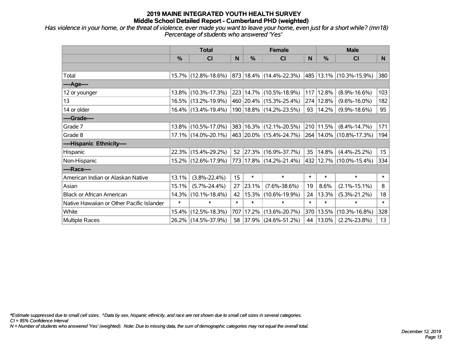*Has violence in your home, or the threat of violence, ever made you want to leave your home, even just for a short while? (mn18) Percentage of students who answered 'Yes'*

|                                           | <b>Total</b> |                        |        | <b>Female</b> | <b>Male</b>                      |              |           |                             |                  |
|-------------------------------------------|--------------|------------------------|--------|---------------|----------------------------------|--------------|-----------|-----------------------------|------------------|
|                                           | %            | <b>CI</b>              | N      | %             | <b>CI</b>                        | <sub>N</sub> | %         | <b>CI</b>                   | N.               |
|                                           |              |                        |        |               |                                  |              |           |                             |                  |
| Total                                     |              | 15.7% (12.8%-18.6%)    |        |               | $ 873 18.4\%  (14.4\% - 22.3\%)$ |              |           | 485 13.1% (10.3%-15.9%)     | 380              |
| ----Age----                               |              |                        |        |               |                                  |              |           |                             |                  |
| 12 or younger                             |              | $13.8\%$ (10.3%-17.3%) |        |               | 223 14.7% (10.5%-18.9%)          | 117          | 12.8%     | $(8.9\% - 16.6\%)$          | 103              |
| 13                                        |              | 16.5% (13.2%-19.9%)    |        |               | 460 20.4% (15.3%-25.4%)          |              | 274 12.8% | $(9.6\% - 16.0\%)$          | 182              |
| 14 or older                               |              | 16.4% (13.4%-19.4%)    |        |               | 190   18.8%   (14.2%-23.5%)      | 93           | 14.2%     | $(9.9\% - 18.6\%)$          | 95               |
| ----Grade----                             |              |                        |        |               |                                  |              |           |                             |                  |
| Grade 7                                   |              | 13.8% (10.5%-17.0%)    |        |               | 383 16.3% (12.1%-20.5%)          |              | 210 11.5% | $(8.4\% - 14.7\%)$          | 171              |
| Grade 8                                   |              | $17.1\%$ (14.0%-20.1%) |        |               | 463   20.0%   (15.4%-24.7%)      |              |           | 264   14.0%   (10.8%-17.3%) | 194              |
| ----Hispanic Ethnicity----                |              |                        |        |               |                                  |              |           |                             |                  |
| Hispanic                                  |              | 22.3% (15.4%-29.2%)    | 52     | $ 27.3\% $    | $(16.9\% - 37.7\%)$              | 35           | 14.8%     | $(4.4\% - 25.2\%)$          | 15 <sub>15</sub> |
| Non-Hispanic                              |              | 15.2% (12.6%-17.9%)    |        |               | 773 17.8% (14.2%-21.4%)          |              |           | 432 12.7% (10.0%-15.4%)     | 334              |
| ----Race----                              |              |                        |        |               |                                  |              |           |                             |                  |
| American Indian or Alaskan Native         | 13.1%        | $(3.8\% - 22.4\%)$     | 15     | $\ast$        | $\ast$                           | $\ast$       | $\ast$    | $\ast$                      | $\ast$           |
| Asian                                     | 15.1%        | $(5.7\% - 24.4\%)$     | 27     | 23.1%         | $(7.6\% - 38.6\%)$               | 19           | 8.6%      | $(2.1\% - 15.1\%)$          | 8                |
| <b>Black or African American</b>          | 14.3%        | $(10.1\% - 18.4\%)$    | 42     | 15.3%         | $(10.6\% - 19.9\%)$              | 24           | 13.3%     | $(5.3\% - 21.2\%)$          | 18               |
| Native Hawaiian or Other Pacific Islander | $\ast$       | $\ast$                 | $\ast$ | $\ast$        | $\ast$                           | $\ast$       | $\ast$    | $\ast$                      | $\ast$           |
| White                                     | 15.4%        | $(12.5\% - 18.3\%)$    | 707    | 17.2%         | $(13.6\% - 20.7\%)$              | 370          | 13.5%     | $(10.3\% - 16.8\%)$         | 328              |
| <b>Multiple Races</b>                     |              | 26.2% (14.5%-37.9%)    |        |               | 58 37.9% (24.6%-51.2%)           | 44           | 13.0%     | $(2.2\% - 23.8\%)$          | 13               |

*\*Estimate suppressed due to small cell sizes. ^Data by sex, hispanic ethnicity, and race are not shown due to small cell sizes in several categories.*

*CI = 95% Confidence Interval*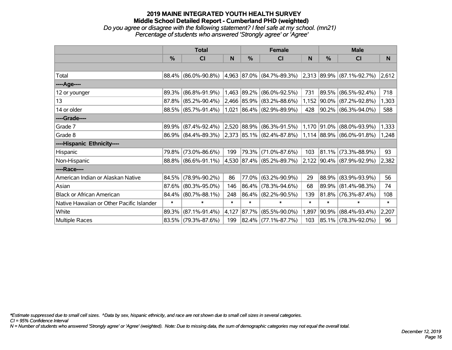#### **2019 MAINE INTEGRATED YOUTH HEALTH SURVEY Middle School Detailed Report - Cumberland PHD (weighted)** *Do you agree or disagree with the following statement? I feel safe at my school. (mn21) Percentage of students who answered 'Strongly agree' or 'Agree'*

|                                           | <b>Total</b>  |                     |        |            | <b>Female</b>                                            |              | <b>Male</b> |                                    |        |  |
|-------------------------------------------|---------------|---------------------|--------|------------|----------------------------------------------------------|--------------|-------------|------------------------------------|--------|--|
|                                           | $\frac{0}{0}$ | <b>CI</b>           | N      | %          | <b>CI</b>                                                | <sub>N</sub> | %           | <b>CI</b>                          | N      |  |
|                                           |               |                     |        |            |                                                          |              |             |                                    |        |  |
| Total                                     | 88.4%         | $(86.0\% - 90.8\%)$ |        |            | $4,963$ 87.0% (84.7%-89.3%)                              |              |             | $ 2,313 89.9\%  (87.1\% - 92.7\%)$ | 2,612  |  |
| ----Age----                               |               |                     |        |            |                                                          |              |             |                                    |        |  |
| 12 or younger                             | 89.3%         | $(86.8\% - 91.9\%)$ | 1,463  | $ 89.2\% $ | $(86.0\% - 92.5\%)$                                      | 731          | $ 89.5\% $  | $(86.5\% - 92.4\%)$                | 718    |  |
| 13                                        | 87.8%         | $(85.2\% - 90.4\%)$ |        |            | 2,466 85.9% (83.2%-88.6%)                                | 1,152        | $ 90.0\% $  | $(87.2\% - 92.8\%)$                | 1,303  |  |
| 14 or older                               |               | 88.5% (85.7%-91.4%) | 1,021  |            | $ 86.4\% $ (82.9%-89.9%)                                 | 428          |             | 90.2% (86.3%-94.0%)                | 588    |  |
| ----Grade----                             |               |                     |        |            |                                                          |              |             |                                    |        |  |
| Grade 7                                   | 89.9%         | $(87.4\% - 92.4\%)$ | 2,520  |            | $ 88.9\% $ (86.3%-91.5%)                                 | 1,170        | $ 91.0\% $  | $(88.0\% - 93.9\%)$                | 1,333  |  |
| Grade 8                                   |               | 86.9% (84.4%-89.3%) |        |            | $ 2,373 85.1\% $ (82.4%-87.8%) 1,114 88.9% (86.0%-91.8%) |              |             |                                    | 1,248  |  |
| ----Hispanic Ethnicity----                |               |                     |        |            |                                                          |              |             |                                    |        |  |
| Hispanic                                  | 79.8%         | $(73.0\% - 86.6\%)$ | 199    | 79.3%      | $(71.0\% - 87.6\%)$                                      | 103          | $ 81.1\% $  | $(73.3\% - 88.9\%)$                | 93     |  |
| Non-Hispanic                              |               | 88.8% (86.6%-91.1%) |        |            | 4,530 87.4% (85.2%-89.7%)                                |              |             | 2,122 90.4% (87.9%-92.9%)          | 2,382  |  |
| ----Race----                              |               |                     |        |            |                                                          |              |             |                                    |        |  |
| American Indian or Alaskan Native         | 84.5%         | $(78.9\% - 90.2\%)$ | 86     |            | 77.0% (63.2%-90.9%)                                      | 29           | $ 88.9\% $  | $(83.9\% - 93.9\%)$                | 56     |  |
| Asian                                     | 87.6%         | $(80.3\% - 95.0\%)$ | 146    | 86.4%      | $(78.3\% - 94.6\%)$                                      | 68           | 89.9%       | $(81.4\% - 98.3\%)$                | 74     |  |
| <b>Black or African American</b>          | 84.4%         | $(80.7\% - 88.1\%)$ | 248    |            | 86.4% (82.2%-90.5%)                                      | 139          | $81.8\%$    | $(76.3\% - 87.4\%)$                | 108    |  |
| Native Hawaiian or Other Pacific Islander | $\ast$        | $\ast$              | $\ast$ | $\ast$     | $\ast$                                                   | $\ast$       | $\ast$      | $\ast$                             | $\ast$ |  |
| White                                     | 89.3%         | $(87.1\% - 91.4\%)$ | 4,127  | $ 87.7\% $ | $(85.5\% - 90.0\%)$                                      | 1,897        | $ 90.9\% $  | $(88.4\% - 93.4\%)$                | 2,207  |  |
| Multiple Races                            |               | 83.5% (79.3%-87.6%) | 199    |            | 82.4% (77.1%-87.7%)                                      | 103          |             | 85.1% (78.3%-92.0%)                | 96     |  |

*\*Estimate suppressed due to small cell sizes. ^Data by sex, hispanic ethnicity, and race are not shown due to small cell sizes in several categories.*

*CI = 95% Confidence Interval*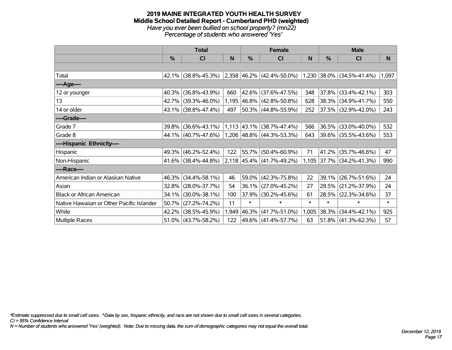#### **2019 MAINE INTEGRATED YOUTH HEALTH SURVEY Middle School Detailed Report - Cumberland PHD (weighted)** *Have you ever been bullied on school property? (mn22) Percentage of students who answered 'Yes'*

|                                           | <b>Total</b> |                        |       |        | <b>Female</b>                                 |        | <b>Male</b> |                             |        |  |
|-------------------------------------------|--------------|------------------------|-------|--------|-----------------------------------------------|--------|-------------|-----------------------------|--------|--|
|                                           | %            | <b>CI</b>              | N     | %      | <b>CI</b>                                     | N      | %           | <b>CI</b>                   | N.     |  |
|                                           |              |                        |       |        |                                               |        |             |                             |        |  |
| Total                                     |              |                        |       |        | 42.1% (38.8%-45.3%) 2,358 46.2% (42.4%-50.0%) |        |             | $1,230$ 38.0% (34.5%-41.4%) | 1,097  |  |
| ----Age----                               |              |                        |       |        |                                               |        |             |                             |        |  |
| 12 or younger                             | 40.3%        | $(36.8\% - 43.9\%)$    | 660   |        | 42.6% (37.6%-47.5%)                           | 348    | 37.8%       | $(33.4\% - 42.1\%)$         | 303    |  |
| 13                                        |              | 42.7% (39.3%-46.0%)    |       |        | 1,195 46.8% (42.8%-50.8%)                     | 628    |             | 38.3% (34.9%-41.7%)         | 550    |  |
| 14 or older                               |              | $43.1\%$ (38.8%-47.4%) | 497   |        | 50.3% (44.8%-55.9%)                           | 252    |             | 37.5% (32.9%-42.0%)         | 243    |  |
| ----Grade----                             |              |                        |       |        |                                               |        |             |                             |        |  |
| Grade 7                                   | 39.8%        | $(36.6\% - 43.1\%)$    |       |        | $1,113$ 43.1% (38.7%-47.4%)                   | 566    | 36.5%       | $(33.0\% - 40.0\%)$         | 532    |  |
| Grade 8                                   |              | 44.1% (40.7%-47.6%)    |       |        | $1,206$ $ 48.8\% $ (44.3%-53.3%)              | 643    |             | 39.6% (35.5%-43.6%)         | 553    |  |
| ----Hispanic Ethnicity----                |              |                        |       |        |                                               |        |             |                             |        |  |
| Hispanic                                  | 49.3%        | $(46.2\% - 52.4\%)$    | 122   | 55.7%  | $(50.4\% - 60.9\%)$                           | 71     | 41.2%       | $(35.7\% - 46.6\%)$         | 47     |  |
| Non-Hispanic                              |              | $41.6\%$ (38.4%-44.8%) |       |        | $2,118$ 45.4% (41.7%-49.2%)                   |        |             | 1,105 37.7% (34.2%-41.3%)   | 990    |  |
| ----Race----                              |              |                        |       |        |                                               |        |             |                             |        |  |
| American Indian or Alaskan Native         | 46.3%        | $(34.4\% - 58.1\%)$    | 46    |        | 59.0% (42.3%-75.8%)                           | 22     | 39.1%       | $(26.7\% - 51.6\%)$         | 24     |  |
| Asian                                     | 32.8%        | $(28.0\% - 37.7\%)$    | 54    |        | $36.1\%$ (27.0%-45.2%)                        | 27     | 29.5%       | $(21.2\% - 37.9\%)$         | 24     |  |
| <b>Black or African American</b>          | 34.1%        | $(30.0\% - 38.1\%)$    | 100   | 37.9%  | $(30.2\% - 45.6\%)$                           | 61     | 28.5%       | $(22.3\% - 34.6\%)$         | 37     |  |
| Native Hawaiian or Other Pacific Islander | 50.7%        | $(27.2\% - 74.2\%)$    | 11    | $\ast$ | $\ast$                                        | $\ast$ | $\ast$      | $\ast$                      | $\ast$ |  |
| White                                     | 42.2%        | $(38.5\% - 45.9\%)$    | 1,949 | 46.3%  | $(41.7\% - 51.0\%)$                           | 1,005  | 38.3%       | $(34.4\% - 42.1\%)$         | 925    |  |
| Multiple Races                            |              | $51.0\%$ (43.7%-58.2%) | 122   |        | 49.6% (41.4%-57.7%)                           | 63     |             | $51.8\%$ (41.3%-62.3%)      | 57     |  |

*\*Estimate suppressed due to small cell sizes. ^Data by sex, hispanic ethnicity, and race are not shown due to small cell sizes in several categories.*

*CI = 95% Confidence Interval*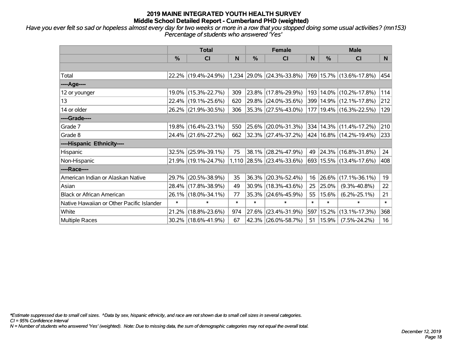*Have you ever felt so sad or hopeless almost every day for two weeks or more in a row that you stopped doing some usual activities? (mn153) Percentage of students who answered 'Yes'*

|                                           | <b>Total</b> |                     |        | <b>Female</b> |                             | <b>Male</b> |        |                             |        |
|-------------------------------------------|--------------|---------------------|--------|---------------|-----------------------------|-------------|--------|-----------------------------|--------|
|                                           | %            | CI                  | N      | %             | <b>CI</b>                   | N           | %      | <b>CI</b>                   | N.     |
|                                           |              |                     |        |               |                             |             |        |                             |        |
| Total                                     |              | 22.2% (19.4%-24.9%) |        |               | $1,234$ 29.0% (24.3%-33.8%) |             |        | 769 15.7% (13.6%-17.8%)     | 454    |
| ----Age----                               |              |                     |        |               |                             |             |        |                             |        |
| 12 or younger                             |              | 19.0% (15.3%-22.7%) | 309    | 23.8%         | $(17.8\% - 29.9\%)$         | 193         |        | 14.0% (10.2%-17.8%)         | 114    |
| 13                                        |              | 22.4% (19.1%-25.6%) | 620    |               | 29.8% (24.0%-35.6%)         | 399         |        | 14.9% (12.1%-17.8%)         | 212    |
| 14 or older                               |              | 26.2% (21.9%-30.5%) | 306    |               | 35.3% (27.5%-43.0%)         | 177         |        | 19.4% (16.3%-22.5%)         | 129    |
| ----Grade----                             |              |                     |        |               |                             |             |        |                             |        |
| Grade 7                                   |              | 19.8% (16.4%-23.1%) | 550    | 25.6%         | $(20.0\% - 31.3\%)$         |             |        | 334   14.3%   (11.4%-17.2%) | 210    |
| Grade 8                                   |              | 24.4% (21.6%-27.2%) | 662    |               | 32.3% (27.4%-37.2%)         |             |        | 424   16.8%   (14.2%-19.4%) | 233    |
| ----Hispanic Ethnicity----                |              |                     |        |               |                             |             |        |                             |        |
| Hispanic                                  | 32.5%        | $(25.9\% - 39.1\%)$ | 75     | 38.1%         | $(28.2\% - 47.9\%)$         | 49          |        | 24.3% (16.8%-31.8%)         | 24     |
| Non-Hispanic                              |              | 21.9% (19.1%-24.7%) |        |               | $1,110$ 28.5% (23.4%-33.6%) |             |        | 693   15.5%   (13.4%-17.6%) | 408    |
| ----Race----                              |              |                     |        |               |                             |             |        |                             |        |
| American Indian or Alaskan Native         |              | 29.7% (20.5%-38.9%) | 35     | 36.3%         | $(20.3\% - 52.4\%)$         | 16          | 26.6%  | $(17.1\% - 36.1\%)$         | 19     |
| Asian                                     |              | 28.4% (17.8%-38.9%) | 49     | 30.9%         | $(18.3\% - 43.6\%)$         | 25          | 25.0%  | $(9.3\% - 40.8\%)$          | 22     |
| <b>Black or African American</b>          | 26.1%        | $(18.0\% - 34.1\%)$ | 77     | 35.3%         | $(24.6\% - 45.9\%)$         | 55          | 15.6%  | $(6.2\% - 25.1\%)$          | 21     |
| Native Hawaiian or Other Pacific Islander | $\ast$       | $\ast$              | $\ast$ | $\ast$        | $\ast$                      | $\ast$      | $\ast$ | $\ast$                      | $\ast$ |
| White                                     | 21.2%        | $(18.8\% - 23.6\%)$ | 974    | 27.6%         | $(23.4\% - 31.9\%)$         | 597         | 15.2%  | $(13.1\% - 17.3\%)$         | 368    |
| Multiple Races                            |              | 30.2% (18.6%-41.9%) | 67     | 42.3%         | $(26.0\% - 58.7\%)$         | 51          | 15.9%  | $(7.5\% - 24.2\%)$          | 16     |

*\*Estimate suppressed due to small cell sizes. ^Data by sex, hispanic ethnicity, and race are not shown due to small cell sizes in several categories.*

*CI = 95% Confidence Interval*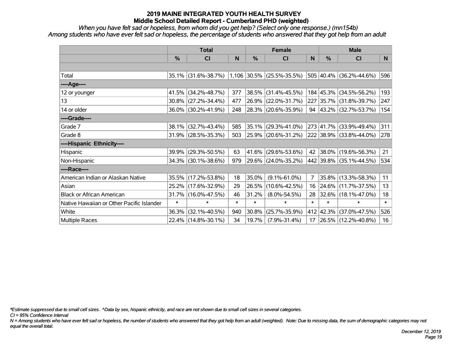*When you have felt sad or hopeless, from whom did you get help? (Select only one response.) (mn154b) Among students who have ever felt sad or hopeless, the percentage of students who answered that they got help from an adult*

|                                           | <b>Total</b>  |                                               |        | <b>Female</b> |                     | <b>Male</b>    |        |                             |        |
|-------------------------------------------|---------------|-----------------------------------------------|--------|---------------|---------------------|----------------|--------|-----------------------------|--------|
|                                           | $\frac{0}{0}$ | <b>CI</b>                                     | N      | $\%$          | <b>CI</b>           | N              | $\%$   | <b>CI</b>                   | N      |
|                                           |               |                                               |        |               |                     |                |        |                             |        |
| Total                                     |               | 35.1% (31.6%-38.7%) 1,106 30.5% (25.5%-35.5%) |        |               |                     |                |        | 505 40.4% (36.2%-44.6%)     | 596    |
| ----Age----                               |               |                                               |        |               |                     |                |        |                             |        |
| 12 or younger                             | 41.5%         | $(34.2\% - 48.7\%)$                           | 377    | 38.5%         | $(31.4\% - 45.5\%)$ |                |        | 184 45.3% (34.5%-56.2%)     | 193    |
| 13                                        |               | $30.8\%$ (27.2%-34.4%)                        | 477    | 26.9%         | $(22.0\% - 31.7\%)$ |                |        | 227 35.7% (31.8%-39.7%)     | 247    |
| 14 or older                               |               | 36.0% (30.2%-41.9%)                           | 248    |               | 28.3% (20.6%-35.9%) |                |        | 94 $ 43.2\% $ (32.7%-53.7%) | 154    |
| ----Grade----                             |               |                                               |        |               |                     |                |        |                             |        |
| Grade 7                                   | 38.1%         | $(32.7\% - 43.4\%)$                           | 585    | 35.1%         | $(29.3\% - 41.0\%)$ |                |        | 273 41.7% (33.9%-49.4%)     | 311    |
| Grade 8                                   |               | $31.9\%$ (28.5%-35.3%)                        | 503    |               | 25.9% (20.6%-31.2%) |                |        | 222 38.9% (33.8%-44.0%)     | 278    |
| ----Hispanic Ethnicity----                |               |                                               |        |               |                     |                |        |                             |        |
| Hispanic                                  | 39.9%         | $(29.3\% - 50.5\%)$                           | 63     | 41.6%         | $(29.6\% - 53.6\%)$ | 42             |        | $ 38.0\% $ (19.6%-56.3%)    | 21     |
| Non-Hispanic                              |               | 34.3% (30.1%-38.6%)                           | 979    |               | 29.6% (24.0%-35.2%) |                |        | 442 39.8% (35.1%-44.5%)     | 534    |
| ----Race----                              |               |                                               |        |               |                     |                |        |                             |        |
| American Indian or Alaskan Native         |               | 35.5% (17.2%-53.8%)                           | 18     | 35.0%         | $(9.1\% - 61.0\%)$  | $\overline{7}$ |        | 35.8% (13.3%-58.3%)         | 11     |
| Asian                                     |               | 25.2% (17.6%-32.9%)                           | 29     | 26.5%         | $(10.6\% - 42.5\%)$ | 16             |        | 24.6% (11.7%-37.5%)         | 13     |
| <b>Black or African American</b>          |               | 31.7% (16.0%-47.5%)                           | 46     | 31.2%         | $(8.0\% - 54.5\%)$  | 28             |        | 32.6% (18.1%-47.0%)         | 18     |
| Native Hawaiian or Other Pacific Islander | $\ast$        | $\ast$                                        | $\ast$ | $\ast$        | $\ast$              | $\ast$         | $\ast$ | $\ast$                      | $\ast$ |
| White                                     | 36.3%         | $(32.1\% - 40.5\%)$                           | 940    | 30.8%         | $(25.7\% - 35.9\%)$ |                |        | 412 42.3% (37.0%-47.5%)     | 526    |
| Multiple Races                            |               | 22.4% (14.8%-30.1%)                           | 34     | 19.7%         | $(7.9\% - 31.4\%)$  | 17             |        | 26.5% (12.2%-40.8%)         | 16     |

*\*Estimate suppressed due to small cell sizes. ^Data by sex, hispanic ethnicity, and race are not shown due to small cell sizes in several categories.*

*CI = 95% Confidence Interval*

*N = Among students who have ever felt sad or hopeless, the number of students who answered that they got help from an adult (weighted). Note: Due to missing data, the sum of demographic categories may not equal the overall total.*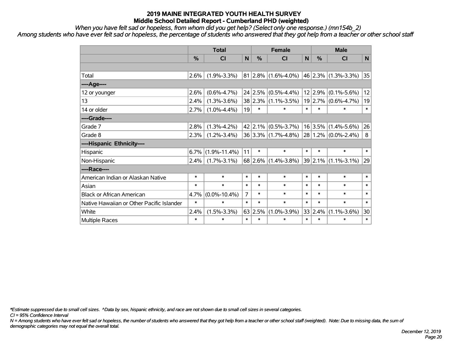*When you have felt sad or hopeless, from whom did you get help? (Select only one response.) (mn154b\_2)*

*Among students who have ever felt sad or hopeless, the percentage of students who answered that they got help from a teacher or other school staff*

|                                           | <b>Total</b>  |                    |                | <b>Female</b> |                         |              | <b>Male</b>   |                         |        |
|-------------------------------------------|---------------|--------------------|----------------|---------------|-------------------------|--------------|---------------|-------------------------|--------|
|                                           | $\frac{0}{0}$ | <b>CI</b>          | N              | %             | <b>CI</b>               | $\mathsf{N}$ | $\frac{0}{0}$ | <b>CI</b>               | N      |
|                                           |               |                    |                |               |                         |              |               |                         |        |
| Total                                     | 2.6%          | $(1.9\% - 3.3\%)$  |                | $81 2.8\% $   | $(1.6\% - 4.0\%)$       |              |               | 46 2.3% (1.3%-3.3%)     | 35     |
| ----Age----                               |               |                    |                |               |                         |              |               |                         |        |
| 12 or younger                             | 2.6%          | $(0.6\% - 4.7\%)$  |                | 24 2.5%       | $(0.5\% - 4.4\%)$       |              | 12 2.9%       | $(0.1\% - 5.6\%)$       | 12     |
| 13                                        | 2.4%          | $(1.3\% - 3.6\%)$  |                |               | $38 2.3\% $ (1.1%-3.5%) |              | 19 2.7%       | $(0.6\% - 4.7\%)$       | 19     |
| 14 or older                               | 2.7%          | $(1.0\% - 4.4\%)$  | 19             | $\ast$        | $\ast$                  | $\ast$       | $\ast$        | $\ast$                  | $\ast$ |
| ----Grade----                             |               |                    |                |               |                         |              |               |                         |        |
| Grade 7                                   | 2.8%          | $(1.3\% - 4.2\%)$  |                | $42$   2.1%   | $(0.5\% - 3.7\%)$       |              | 16 3.5%       | $(1.4\% - 5.6\%)$       | 26     |
| Grade 8                                   | 2.3%          | $(1.2\% - 3.4\%)$  |                |               | $36 3.3\% $ (1.7%-4.8%) |              |               | $28 1.2\% $ (0.0%-2.4%) | 8      |
| ----Hispanic Ethnicity----                |               |                    |                |               |                         |              |               |                         |        |
| Hispanic                                  | 6.7%          | $(1.9\% - 11.4\%)$ | 11             | $\ast$        | $\ast$                  | $\ast$       | $\ast$        | $\ast$                  | $\ast$ |
| Non-Hispanic                              | $2.4\%$       | $(1.7\% - 3.1\%)$  |                | 68 2.6%       | $(1.4\% - 3.8\%)$       |              | 39 2.1%       | $(1.1\% - 3.1\%)$       | 29     |
| ----Race----                              |               |                    |                |               |                         |              |               |                         |        |
| American Indian or Alaskan Native         | $\ast$        | $\ast$             | $\ast$         | $\ast$        | $\ast$                  | $\ast$       | $\ast$        | $\ast$                  | $\ast$ |
| Asian                                     | $\ast$        | $\ast$             | $\ast$         | $\ast$        | $\ast$                  | $\ast$       | $\ast$        | $\ast$                  | $\ast$ |
| <b>Black or African American</b>          | 4.7%          | $(0.0\% - 10.4\%)$ | $\overline{7}$ | $\ast$        | $\ast$                  | $\ast$       | $\ast$        | $\ast$                  | $\ast$ |
| Native Hawaiian or Other Pacific Islander | $\ast$        | $\ast$             | $\ast$         | $\ast$        | $\ast$                  | $\ast$       | $\ast$        | $\ast$                  | $\ast$ |
| White                                     | 2.4%          | $(1.5\% - 3.3\%)$  | 63             | 2.5%          | $(1.0\% - 3.9\%)$       |              | 33 2.4%       | $(1.1\% - 3.6\%)$       | 30     |
| <b>Multiple Races</b>                     | $\ast$        | $\ast$             | $\ast$         | $\ast$        | $\ast$                  | $\ast$       | $\ast$        | $\ast$                  | $\ast$ |

*\*Estimate suppressed due to small cell sizes. ^Data by sex, hispanic ethnicity, and race are not shown due to small cell sizes in several categories.*

*CI = 95% Confidence Interval*

*N = Among students who have ever felt sad or hopeless, the number of students who answered that they got help from a teacher or other school staff (weighted). Note: Due to missing data, the sum of demographic categories may not equal the overall total.*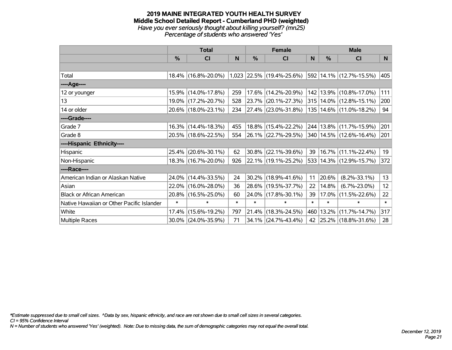#### **2019 MAINE INTEGRATED YOUTH HEALTH SURVEY Middle School Detailed Report - Cumberland PHD (weighted)** *Have you ever seriously thought about killing yourself? (mn25) Percentage of students who answered 'Yes'*

|                                           | <b>Total</b>  |                     |        |        | <b>Female</b>               | <b>Male</b> |               |                             |        |
|-------------------------------------------|---------------|---------------------|--------|--------|-----------------------------|-------------|---------------|-----------------------------|--------|
|                                           | $\frac{0}{0}$ | CI                  | N      | %      | <b>CI</b>                   | N           | $\frac{0}{0}$ | <b>CI</b>                   | N      |
|                                           |               |                     |        |        |                             |             |               |                             |        |
| Total                                     |               | 18.4% (16.8%-20.0%) |        |        | $1,023$ 22.5% (19.4%-25.6%) |             |               | 592 14.1% (12.7%-15.5%)     | 405    |
| ----Age----                               |               |                     |        |        |                             |             |               |                             |        |
| 12 or younger                             |               | 15.9% (14.0%-17.8%) | 259    |        | 17.6% (14.2%-20.9%)         |             |               | 142   13.9%   (10.8%-17.0%) | 111    |
| 13                                        |               | 19.0% (17.2%-20.7%) | 528    |        | $23.7\%$ (20.1%-27.3%)      |             |               | 315   14.0%   (12.8%-15.1%) | 200    |
| 14 or older                               |               | 20.6% (18.0%-23.1%) | 234    |        | $ 27.4\% $ (23.0%-31.8%)    |             |               | 135   14.6%   (11.0%-18.2%) | 94     |
| ----Grade----                             |               |                     |        |        |                             |             |               |                             |        |
| Grade 7                                   |               | 16.3% (14.4%-18.3%) | 455    |        | 18.8% (15.4%-22.2%)         |             |               | 244 13.8% (11.7%-15.9%)     | 201    |
| Grade 8                                   |               | 20.5% (18.6%-22.5%) | 554    |        | $ 26.1\% $ (22.7%-29.5%)    |             |               | 340   14.5%   (12.6%-16.4%) | 201    |
| ----Hispanic Ethnicity----                |               |                     |        |        |                             |             |               |                             |        |
| Hispanic                                  | 25.4%         | $(20.6\% - 30.1\%)$ | 62     | 30.8%  | $(22.1\% - 39.6\%)$         | 39          |               | 16.7% (11.1%-22.4%)         | 19     |
| Non-Hispanic                              |               | 18.3% (16.7%-20.0%) | 926    |        | 22.1% (19.1%-25.2%)         |             |               | 533 14.3% (12.9%-15.7%)     | 372    |
| ----Race----                              |               |                     |        |        |                             |             |               |                             |        |
| American Indian or Alaskan Native         |               | 24.0% (14.4%-33.5%) | 24     | 30.2%  | $(18.9\% - 41.6\%)$         | 11          | 20.6%         | $(8.2\% - 33.1\%)$          | 13     |
| Asian                                     | 22.0%         | $(16.0\% - 28.0\%)$ | 36     | 28.6%  | $(19.5\% - 37.7\%)$         | 22          | 14.8%         | $(6.7\% - 23.0\%)$          | 12     |
| <b>Black or African American</b>          | 20.8%         | $(16.5\% - 25.0\%)$ | 60     | 24.0%  | $(17.8\% - 30.1\%)$         | 39          | 17.0%         | $(11.5\% - 22.6\%)$         | 22     |
| Native Hawaiian or Other Pacific Islander | $\ast$        | $\ast$              | $\ast$ | $\ast$ | $\ast$                      | $\ast$      | $\ast$        | $\ast$                      | $\ast$ |
| White                                     |               | 17.4% (15.6%-19.2%) | 797    | 21.4%  | $(18.3\% - 24.5\%)$         | 460         |               | 13.2% (11.7%-14.7%)         | 317    |
| Multiple Races                            |               | 30.0% (24.0%-35.9%) | 71     |        | 34.1% (24.7%-43.4%)         | 42          |               | 25.2% (18.8%-31.6%)         | 28     |

*\*Estimate suppressed due to small cell sizes. ^Data by sex, hispanic ethnicity, and race are not shown due to small cell sizes in several categories.*

*CI = 95% Confidence Interval*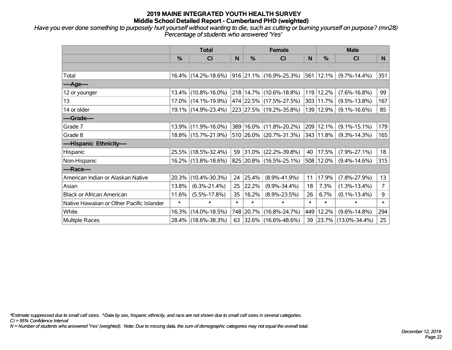*Have you ever done something to purposely hurt yourself without wanting to die, such as cutting or burning yourself on purpose? (mn28) Percentage of students who answered 'Yes'*

|                                           | <b>Total</b>  |                        |        | <b>Female</b> | <b>Male</b>              |        |           |                     |                |
|-------------------------------------------|---------------|------------------------|--------|---------------|--------------------------|--------|-----------|---------------------|----------------|
|                                           | $\frac{0}{0}$ | CI                     | N      | $\frac{9}{6}$ | <b>CI</b>                | N      | %         | <b>CI</b>           | N.             |
|                                           |               |                        |        |               |                          |        |           |                     |                |
| Total                                     |               | $16.4\%$ (14.2%-18.6%) |        |               | 916 21.1% (16.9%-25.3%)  | 561    | 12.1%     | $(9.7\% - 14.4\%)$  | 351            |
| ----Age----                               |               |                        |        |               |                          |        |           |                     |                |
| 12 or younger                             |               | 13.4% (10.8%-16.0%)    |        |               | 218 14.7% (10.6%-18.8%)  | 119    | 12.2%     | $(7.6\% - 16.8\%)$  | 99             |
| 13                                        |               | 17.0% (14.1%-19.9%)    |        |               | 474 22.5% (17.5%-27.5%)  | 303    | 11.7%     | $(9.5\% - 13.8\%)$  | 167            |
| 14 or older                               |               | 19.1% (14.9%-23.4%)    |        |               | 223 27.5% (19.2%-35.8%)  |        | 139 12.9% | $(9.1\% - 16.6\%)$  | 85             |
| ----Grade----                             |               |                        |        |               |                          |        |           |                     |                |
| Grade 7                                   | 13.9%         | $(11.9\% - 16.0\%)$    |        |               | 389 16.0% (11.8%-20.2%)  | 209    | 12.1%     | $(9.1\% - 15.1\%)$  | 179            |
| Grade 8                                   |               | 18.8% (15.7%-21.9%)    |        |               | 510 26.0% (20.7%-31.3%)  |        | 343 11.8% | $(9.3\% - 14.3\%)$  | 165            |
| ----Hispanic Ethnicity----                |               |                        |        |               |                          |        |           |                     |                |
| Hispanic                                  |               | 25.5% (18.5%-32.4%)    | 59     |               | $ 31.0\% $ (22.2%-39.8%) | 40     | 17.5%     | $(7.9\% - 27.1\%)$  | 18             |
| Non-Hispanic                              |               | 16.2% (13.8%-18.6%)    |        |               | 825 20.8% (16.5%-25.1%)  | 508    | 12.0%     | $(9.4\% - 14.6\%)$  | 315            |
| ----Race----                              |               |                        |        |               |                          |        |           |                     |                |
| American Indian or Alaskan Native         | 20.3%         | $(10.4\% - 30.3\%)$    | 24     | 25.4%         | $(8.9\% - 41.9\%)$       | 11     | 17.9%     | $(7.8\% - 27.9\%)$  | 13             |
| Asian                                     | 13.8%         | $(6.3\% - 21.4\%)$     | 25     | 22.2%         | $(9.9\% - 34.4\%)$       | 18     | 7.3%      | $(1.3\% - 13.4\%)$  | $\overline{7}$ |
| <b>Black or African American</b>          | 11.6%         | $(5.5\% - 17.8\%)$     | 35     | 16.2%         | $(8.9\% - 23.5\%)$       | 26     | 6.7%      | $(0.1\% - 13.4\%)$  | 9              |
| Native Hawaiian or Other Pacific Islander | $\ast$        | ∗                      | $\ast$ | $\ast$        | $\ast$                   | $\ast$ | $\ast$    | $\ast$              | $\ast$         |
| White                                     | 16.3%         | $(14.0\% - 18.5\%)$    |        | 748 20.7%     | $(16.8\% - 24.7\%)$      | 449    | 12.2%     | $(9.6\% - 14.8\%)$  | 294            |
| Multiple Races                            |               | 28.4% (18.6%-38.3%)    | 63     |               | $ 32.6\% $ (16.6%-48.6%) | 39     | 23.7%     | $(13.0\% - 34.4\%)$ | 25             |

*\*Estimate suppressed due to small cell sizes. ^Data by sex, hispanic ethnicity, and race are not shown due to small cell sizes in several categories.*

*CI = 95% Confidence Interval*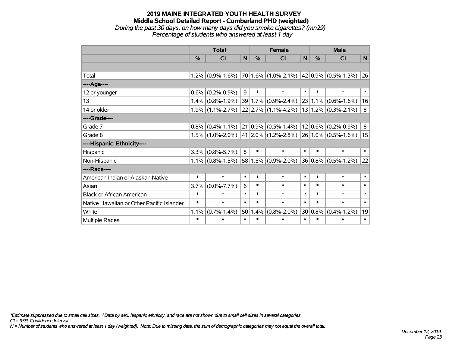#### **2019 MAINE INTEGRATED YOUTH HEALTH SURVEY Middle School Detailed Report - Cumberland PHD (weighted)** *During the past 30 days, on how many days did you smoke cigarettes? (mn29) Percentage of students who answered at least 1 day*

|                                           | <b>Total</b> |                     |        | <b>Female</b> |                                                      |        | <b>Male</b>   |                         |        |  |
|-------------------------------------------|--------------|---------------------|--------|---------------|------------------------------------------------------|--------|---------------|-------------------------|--------|--|
|                                           | $\%$         | <b>CI</b>           | N      | $\frac{0}{0}$ | <b>CI</b>                                            | N      | $\frac{0}{0}$ | <b>CI</b>               | N      |  |
|                                           |              |                     |        |               |                                                      |        |               |                         |        |  |
| Total                                     |              | $1.2\%$ (0.9%-1.6%) |        |               | $ 70 1.6\% $ (1.0%-2.1%) $ 42 0.9\% $ (0.5%-1.3%) 26 |        |               |                         |        |  |
| ----Age----                               |              |                     |        |               |                                                      |        |               |                         |        |  |
| 12 or younger                             | $0.6\%$      | $(0.2\% - 0.9\%)$   | 9      | $\ast$        | $\ast$                                               | $\ast$ | $\ast$        | $\ast$                  | $\ast$ |  |
| 13                                        |              | $1.4\%$ (0.8%-1.9%) |        | 39 1.7%       | $(0.9\% - 2.4\%)$                                    |        |               | $23 1.1\% $ (0.6%-1.6%) | 16     |  |
| 14 or older                               |              | $1.9\%$ (1.1%-2.7%) |        |               | 22 2.7% (1.1%-4.2%)                                  |        |               | $13 1.2\% $ (0.3%-2.1%) | 8      |  |
| ----Grade----                             |              |                     |        |               |                                                      |        |               |                         |        |  |
| Grade 7                                   | 0.8%         | $(0.4\% - 1.1\%)$   |        | $ 21 0.9\% $  | $(0.5\% - 1.4\%)$                                    |        |               | $12 0.6\% $ (0.2%-0.9%) | 8      |  |
| Grade 8                                   |              | $1.5\%$ (1.0%-2.0%) |        |               | $41 2.0\% $ (1.2%-2.8%)                              |        |               | $26 1.0\% $ (0.5%-1.6%) | 15     |  |
| ----Hispanic Ethnicity----                |              |                     |        |               |                                                      |        |               |                         |        |  |
| Hispanic                                  | 3.3%         | $(0.8\% - 5.7\%)$   | 8      | $\ast$        | $\ast$                                               | $\ast$ | $\ast$        | $\ast$                  | $\ast$ |  |
| Non-Hispanic                              |              | $1.1\%$ (0.8%-1.5%) |        |               | $58 1.5\% $ (0.9%-2.0%)                              |        |               | $36 0.8\% $ (0.5%-1.2%) | 22     |  |
| ----Race----                              |              |                     |        |               |                                                      |        |               |                         |        |  |
| American Indian or Alaskan Native         | $\ast$       | $\ast$              | $\ast$ | $\ast$        | *                                                    | $\ast$ | $\ast$        | $\ast$                  | $\ast$ |  |
| Asian                                     | 3.7%         | $(0.0\% - 7.7\%)$   | 6      | $\ast$        | *                                                    | $\ast$ | $\ast$        | $\ast$                  | $\ast$ |  |
| <b>Black or African American</b>          | $\ast$       | $\ast$              | $\ast$ | $\ast$        | $\ast$                                               | $\ast$ | $\ast$        | $\ast$                  | $\ast$ |  |
| Native Hawaiian or Other Pacific Islander | $\ast$       | $\ast$              | $\ast$ | $\ast$        | $\ast$                                               | $\ast$ | $\ast$        | $\ast$                  | $\ast$ |  |
| White                                     | 1.1%         | $(0.7\% - 1.4\%)$   | 50     | 1.4%          | $(0.8\% - 2.0\%)$                                    |        | $30 0.8\% $   | $(0.4\% - 1.2\%)$       | 19     |  |
| Multiple Races                            | $\ast$       | $\ast$              | $\ast$ | $\ast$        | *                                                    | $\ast$ | $\ast$        | $\ast$                  | $\ast$ |  |

*\*Estimate suppressed due to small cell sizes. ^Data by sex, hispanic ethnicity, and race are not shown due to small cell sizes in several categories.*

*CI = 95% Confidence Interval*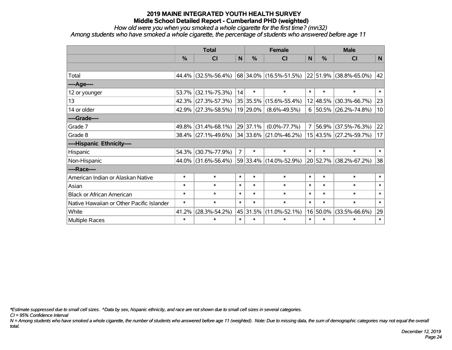*How old were you when you smoked a whole cigarette for the first time? (mn32)*

*Among students who have smoked a whole cigarette, the percentage of students who answered before age 11*

|                                           | <b>Total</b>  |                        |                | <b>Female</b> | <b>Male</b>                                        |              |               |                        |        |
|-------------------------------------------|---------------|------------------------|----------------|---------------|----------------------------------------------------|--------------|---------------|------------------------|--------|
|                                           | $\frac{0}{0}$ | CI                     | N              | %             | <b>CI</b>                                          | $\mathsf{N}$ | $\frac{0}{0}$ | CI                     | N      |
|                                           |               |                        |                |               |                                                    |              |               |                        |        |
| Total                                     |               | 44.4% (32.5%-56.4%)    |                |               | $ 68 34.0\% $ (16.5%-51.5%) 22 51.9% (38.8%-65.0%) |              |               |                        | 42     |
| ---- Age----                              |               |                        |                |               |                                                    |              |               |                        |        |
| 12 or younger                             | 53.7%         | $(32.1\% - 75.3\%)$    | 14             | $\ast$        | $\ast$                                             | $\ast$       | $\ast$        | $\ast$                 | $\ast$ |
| 13                                        |               | 42.3% (27.3%-57.3%)    |                | 35 35.5%      | $(15.6\% - 55.4\%)$                                |              | 12 48.5%      | $(30.3\% - 66.7\%)$    | 23     |
| 14 or older                               |               | 42.9% (27.3%-58.5%)    |                | 19 29.0%      | $(8.6\% - 49.5\%)$                                 | 6            |               | 50.5% (26.2%-74.8%)    | 10     |
| ----Grade----                             |               |                        |                |               |                                                    |              |               |                        |        |
| Grade 7                                   | 49.8%         | $(31.4\% - 68.1\%)$    |                | 29 37.1%      | $(0.0\% - 77.7\%)$                                 | 7            | 56.9%         | $(37.5\% - 76.3\%)$    | 22     |
| Grade 8                                   |               | $38.4\%$ (27.1%-49.6%) |                |               | 34 33.6% (21.0%-46.2%)                             |              |               | 15 43.5% (27.2%-59.7%) | 17     |
| ----Hispanic Ethnicity----                |               |                        |                |               |                                                    |              |               |                        |        |
| <b>Hispanic</b>                           | 54.3%         | $(30.7\% - 77.9\%)$    | $\overline{7}$ | $\ast$        | $\ast$                                             | $\ast$       | $\ast$        | $\ast$                 | $\ast$ |
| Non-Hispanic                              |               | 44.0% (31.6%-56.4%)    |                |               | 59 33.4% (14.0%-52.9%)                             |              | 20 52.7%      | $(38.2\% - 67.2\%)$    | 38     |
| ----Race----                              |               |                        |                |               |                                                    |              |               |                        |        |
| American Indian or Alaskan Native         | $\ast$        | $\ast$                 | $\ast$         | $\ast$        | $\ast$                                             | $\ast$       | $\ast$        | $\ast$                 | $\ast$ |
| Asian                                     | $\ast$        | $\ast$                 | $\ast$         | $\ast$        | $\ast$                                             | $\ast$       | $\ast$        | $\ast$                 | $\ast$ |
| <b>Black or African American</b>          | $\ast$        | $\ast$                 | $\ast$         | $\ast$        | $\ast$                                             | $\ast$       | $\ast$        | $\ast$                 | $\ast$ |
| Native Hawaiian or Other Pacific Islander | $\ast$        | $\ast$                 | $\ast$         | $\ast$        | $\ast$                                             | $\ast$       | $\ast$        | $\ast$                 | $\ast$ |
| White                                     | 41.2%         | $(28.3\% - 54.2\%)$    |                | 45 31.5%      | $(11.0\% - 52.1\%)$                                |              | 16 50.0%      | $(33.5\% - 66.6\%)$    | 29     |
| Multiple Races                            | $\ast$        | $\ast$                 | $\ast$         | $\ast$        | $\ast$                                             | $\ast$       | $\ast$        | $\ast$                 | $\ast$ |

*\*Estimate suppressed due to small cell sizes. ^Data by sex, hispanic ethnicity, and race are not shown due to small cell sizes in several categories.*

*CI = 95% Confidence Interval*

*N = Among students who have smoked a whole cigarette, the number of students who answered before age 11 (weighted). Note: Due to missing data, the sum of demographic categories may not equal the overall total.*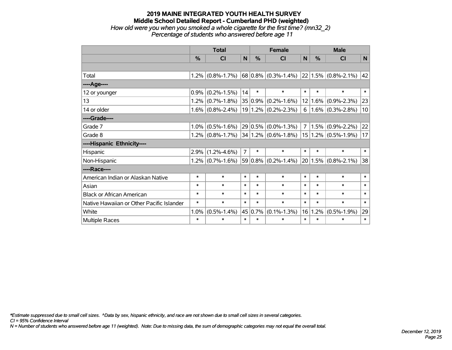#### **2019 MAINE INTEGRATED YOUTH HEALTH SURVEY Middle School Detailed Report - Cumberland PHD (weighted)** *How old were you when you smoked a whole cigarette for the first time? (mn32\_2) Percentage of students who answered before age 11*

|                                           | <b>Total</b> |                     |                | <b>Female</b> |                                              |                | <b>Male</b>   |                         |              |
|-------------------------------------------|--------------|---------------------|----------------|---------------|----------------------------------------------|----------------|---------------|-------------------------|--------------|
|                                           | $\%$         | <b>CI</b>           | N              | $\frac{0}{0}$ | <b>CI</b>                                    | N              | $\frac{0}{0}$ | <b>CI</b>               | N            |
|                                           |              |                     |                |               |                                              |                |               |                         |              |
| Total                                     |              | $1.2\%$ (0.8%-1.7%) |                |               | $ 68 0.8\% $ (0.3%-1.4%) 22 1.5% (0.8%-2.1%) |                |               |                         | $ 42\rangle$ |
| ----Age----                               |              |                     |                |               |                                              |                |               |                         |              |
| 12 or younger                             | 0.9%         | $(0.2\% - 1.5\%)$   | 14             | $\ast$        | $\ast$                                       | $\ast$         | $\ast$        | $\ast$                  | $\ast$       |
| 13                                        |              | $1.2\%$ (0.7%-1.8%) |                | $35 0.9\% $   | $(0.2\% - 1.6\%)$                            |                |               | $12 1.6\% $ (0.9%-2.3%) | 23           |
| 14 or older                               |              | $1.6\%$ (0.8%-2.4%) |                |               | $19 1.2\% $ (0.2%-2.3%)                      | 6              |               | $1.6\%$ (0.3%-2.8%)     | 10           |
| ----Grade----                             |              |                     |                |               |                                              |                |               |                         |              |
| Grade 7                                   | 1.0%         | $(0.5\% - 1.6\%)$   |                | $29 0.5\% $   | $(0.0\% - 1.3\%)$                            | 7 <sup>1</sup> |               | $1.5\%$ (0.9%-2.2%)     | 22           |
| Grade 8                                   |              | $1.2\%$ (0.8%-1.7%) |                |               | $ 34 1.2\% $ (0.6%-1.8%)                     |                |               | $15 1.2\% $ (0.5%-1.9%) | 17           |
| ----Hispanic Ethnicity----                |              |                     |                |               |                                              |                |               |                         |              |
| Hispanic                                  | 2.9%         | $(1.2\% - 4.6\%)$   | $\overline{7}$ | $\ast$        | $\ast$                                       | $\ast$         | $\ast$        | $\ast$                  | $\ast$       |
| Non-Hispanic                              |              | $1.2\%$ (0.7%-1.6%) |                |               | $59 0.8\% $ (0.2%-1.4%)                      |                |               | $20 1.5\% $ (0.8%-2.1%) | 38           |
| ----Race----                              |              |                     |                |               |                                              |                |               |                         |              |
| American Indian or Alaskan Native         | $\ast$       | $\ast$              | $\ast$         | $\ast$        | *                                            | $\ast$         | $\ast$        | $\ast$                  | $\ast$       |
| Asian                                     | $\ast$       | $\ast$              | $\ast$         | $\ast$        | *                                            | $\ast$         | $\ast$        | $\ast$                  | $\ast$       |
| <b>Black or African American</b>          | $\ast$       | $\ast$              | $\ast$         | $\ast$        | $\ast$                                       | $\ast$         | $\ast$        | $\ast$                  | $\ast$       |
| Native Hawaiian or Other Pacific Islander | $\ast$       | $\ast$              | $\ast$         | $\ast$        | $\ast$                                       | $\ast$         | $\ast$        | $\ast$                  | $\ast$       |
| White                                     | 1.0%         | $(0.5\% - 1.4\%)$   |                | 45 0.7%       | $(0.1\% - 1.3\%)$                            | 16             | 1.2%          | $(0.5\% - 1.9\%)$       | 29           |
| Multiple Races                            | $\ast$       | $\ast$              | $\ast$         | $\ast$        | *                                            | $\ast$         | $\ast$        | $\ast$                  | $\ast$       |

*\*Estimate suppressed due to small cell sizes. ^Data by sex, hispanic ethnicity, and race are not shown due to small cell sizes in several categories.*

*CI = 95% Confidence Interval*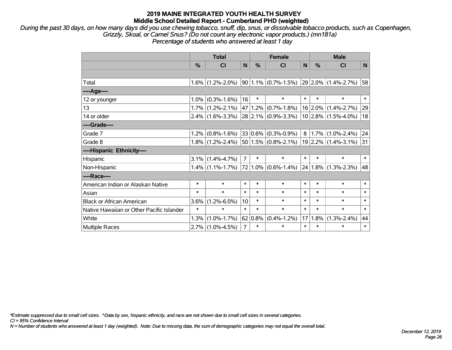*During the past 30 days, on how many days did you use chewing tobacco, snuff, dip, snus, or dissolvable tobacco products, such as Copenhagen, Grizzly, Skoal, or Camel Snus? (Do not count any electronic vapor products.) (mn181a) Percentage of students who answered at least 1 day*

|                                           | <b>Total</b> |                                         |                |               | <b>Female</b>                           |        | <b>Male</b> |                          |              |  |
|-------------------------------------------|--------------|-----------------------------------------|----------------|---------------|-----------------------------------------|--------|-------------|--------------------------|--------------|--|
|                                           | %            | CI                                      | N              | $\frac{0}{0}$ | CI                                      | N      | %           | CI                       | N            |  |
|                                           |              |                                         |                |               |                                         |        |             |                          |              |  |
| Total                                     | $1.6\%$      | $(1.2\% - 2.0\%)$                       |                |               | $ 90 1.1\% $ (0.7%-1.5%)                |        |             | $ 29 2.0\% $ (1.4%-2.7%) | 58           |  |
| ----Age----                               |              |                                         |                |               |                                         |        |             |                          |              |  |
| 12 or younger                             | $1.0\%$      | $(0.3\% - 1.6\%)$                       | 16             | $\ast$        | $\ast$                                  | $\ast$ | $\ast$      | $\ast$                   | $\ast$       |  |
| 13                                        |              | $1.7\%$ (1.2%-2.1%)                     |                | 47 1.2%       | $(0.7\% - 1.8\%)$                       |        |             | $16$ 2.0% (1.4%-2.7%)    | 29           |  |
| 14 or older                               |              | $2.4\%$ (1.6%-3.3%) 28 2.1% (0.9%-3.3%) |                |               |                                         |        |             | $10$ 2.8% (1.5%-4.0%)    | 18           |  |
| ----Grade----                             |              |                                         |                |               |                                         |        |             |                          |              |  |
| Grade 7                                   | $1.2\%$      | $(0.8\% - 1.6\%)$                       |                | $ 33 0.6\% $  | $(0.3\% - 0.9\%)$                       |        |             | $8 1.7\% $ (1.0%-2.4%)   | 24           |  |
| Grade 8                                   |              |                                         |                |               | $1.8\%$ (1.2%-2.4%) 50 1.5% (0.8%-2.1%) |        |             | 19 2.2% (1.4%-3.1%)      | 31           |  |
| ----Hispanic Ethnicity----                |              |                                         |                |               |                                         |        |             |                          |              |  |
| Hispanic                                  | 3.1%         | $(1.4\% - 4.7\%)$                       | $\overline{7}$ | $\ast$        | $\ast$                                  | $\ast$ | $\ast$      | $\ast$                   | $\ast$       |  |
| Non-Hispanic                              |              | $1.4\%$ (1.1%-1.7%)                     |                | 72 1.0%       | $(0.6\% - 1.4\%)$                       |        |             | $24 1.8\% $ (1.3%-2.3%)  | 48           |  |
| ----Race----                              |              |                                         |                |               |                                         |        |             |                          |              |  |
| American Indian or Alaskan Native         | $\ast$       | $\ast$                                  | $\ast$         | $\ast$        | $\ast$                                  | $\ast$ | $\ast$      | $\ast$                   | $\ast$       |  |
| Asian                                     | $\ast$       | $\ast$                                  | $\ast$         | $\ast$        | $\ast$                                  | $\ast$ | $\ast$      | $\ast$                   | $\ast$       |  |
| <b>Black or African American</b>          | 3.6%         | $(1.2\% - 6.0\%)$                       | 10             | $\ast$        | $\ast$                                  | $\ast$ | $\ast$      | $\ast$                   | $\ast$       |  |
| Native Hawaiian or Other Pacific Islander | $\ast$       | $\ast$                                  | $\ast$         | $\ast$        | $\ast$                                  | $\ast$ | $\ast$      | $\ast$                   | $\ast$       |  |
| White                                     | 1.3%         | $(1.0\% - 1.7\%)$                       |                | 62 0.8%       | $(0.4\% - 1.2\%)$                       | 17     | 1.8%        | $(1.3\% - 2.4\%)$        | 44           |  |
| <b>Multiple Races</b>                     | 2.7%         | $(1.0\% - 4.5\%)$                       | $\overline{7}$ | $\ast$        | *                                       | $\ast$ | $\ast$      | $\ast$                   | $\pmb{\ast}$ |  |

*\*Estimate suppressed due to small cell sizes. ^Data by sex, hispanic ethnicity, and race are not shown due to small cell sizes in several categories.*

*CI = 95% Confidence Interval*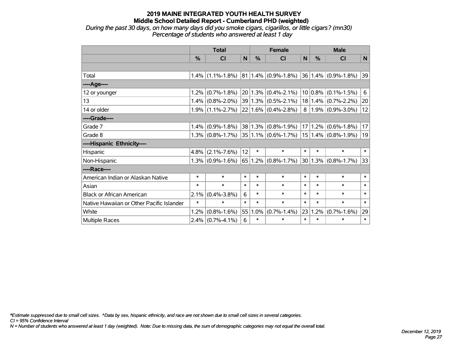*During the past 30 days, on how many days did you smoke cigars, cigarillos, or little cigars? (mn30) Percentage of students who answered at least 1 day*

|                                           |        | <b>Total</b>        |        | <b>Female</b> |                            | <b>Male</b> |         |                            |              |
|-------------------------------------------|--------|---------------------|--------|---------------|----------------------------|-------------|---------|----------------------------|--------------|
|                                           | $\%$   | <b>CI</b>           | N      | %             | <b>CI</b>                  | N           | $\%$    | <b>CI</b>                  | N            |
|                                           |        |                     |        |               |                            |             |         |                            |              |
| Total                                     |        | $1.4\%$ (1.1%-1.8%) |        |               | $ 81 1.4\%  (0.9\%$ -1.8%) |             |         | $ 36 1.4\%  (0.9\%$ -1.8%) | $ 39\rangle$ |
| ----Age----                               |        |                     |        |               |                            |             |         |                            |              |
| 12 or younger                             | 1.2%   | $(0.7\% - 1.8\%)$   |        |               | $20 1.3\% $ (0.4%-2.1%)    |             |         | $10 0.8\% $ (0.1%-1.5%)    | 6            |
| 13                                        | 1.4%   | $(0.8\% - 2.0\%)$   |        |               | 39 1.3% (0.5%-2.1%)        |             |         | $18 1.4\% $ (0.7%-2.2%)    | 20           |
| 14 or older                               |        | $1.9\%$ (1.1%-2.7%) |        |               | $22 1.6\% $ (0.4%-2.8%)    |             |         | $8 1.9\% $ (0.9%-3.0%)     | 12           |
| ----Grade----                             |        |                     |        |               |                            |             |         |                            |              |
| Grade 7                                   | 1.4%   | $(0.9\% - 1.8\%)$   |        |               | 38 1.3% (0.8%-1.9%)        |             | 17 1.2% | $(0.6\% - 1.8\%)$          | 17           |
| Grade 8                                   |        | $1.3\%$ (0.8%-1.7%) |        |               | $35 1.1\% $ (0.6%-1.7%)    |             |         | $15 1.4\% $ (0.8%-1.9%)    | 19           |
| ----Hispanic Ethnicity----                |        |                     |        |               |                            |             |         |                            |              |
| Hispanic                                  | 4.8%   | $(2.1\% - 7.6\%)$   | 12     | $\ast$        | $\ast$                     | $\ast$      | $\ast$  | $\ast$                     | $\ast$       |
| Non-Hispanic                              |        | $1.3\%$ (0.9%-1.6%) |        |               | $65 1.2\% $ (0.8%-1.7%)    |             |         | $ 30 1.3\% $ (0.8%-1.7%)   | 33           |
| ----Race----                              |        |                     |        |               |                            |             |         |                            |              |
| American Indian or Alaskan Native         | $\ast$ | $\ast$              | $\ast$ | $\ast$        | $\ast$                     | $\ast$      | $\ast$  | $\ast$                     | $\ast$       |
| Asian                                     | $\ast$ | $\ast$              | $\ast$ | $\ast$        | $\ast$                     | $\ast$      | $\ast$  | $\ast$                     | $\ast$       |
| <b>Black or African American</b>          | 2.1%   | $(0.4\% - 3.8\%)$   | 6      | $\ast$        | $\ast$                     | $\ast$      | $\ast$  | $\ast$                     | $\ast$       |
| Native Hawaiian or Other Pacific Islander | $\ast$ | $\ast$              | $\ast$ | $\ast$        | $\ast$                     | $\ast$      | $\ast$  | $\ast$                     | $\ast$       |
| White                                     | 1.2%   | $(0.8\% - 1.6\%)$   | 55     | 1.0%          | $(0.7\% - 1.4\%)$          | 23          | 1.2%    | $(0.7\% - 1.6\%)$          | 29           |
| Multiple Races                            | 2.4%   | $(0.7\% - 4.1\%)$   | 6      | $\ast$        | $\ast$                     | $\ast$      | $\ast$  | $\ast$                     | $\ast$       |

*\*Estimate suppressed due to small cell sizes. ^Data by sex, hispanic ethnicity, and race are not shown due to small cell sizes in several categories.*

*CI = 95% Confidence Interval*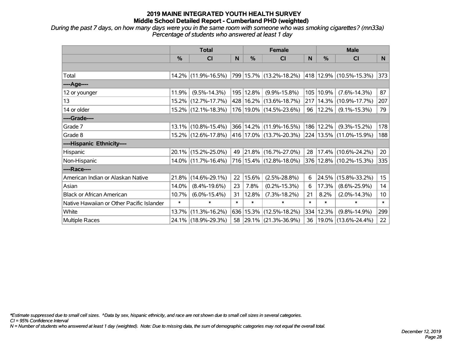*During the past 7 days, on how many days were you in the same room with someone who was smoking cigarettes? (mn33a) Percentage of students who answered at least 1 day*

|                                           | <b>Total</b> |                        |        |           | <b>Female</b>               |        | <b>Male</b> |                             |                 |  |
|-------------------------------------------|--------------|------------------------|--------|-----------|-----------------------------|--------|-------------|-----------------------------|-----------------|--|
|                                           | %            | CI                     | N      | %         | <b>CI</b>                   | N      | %           | CI                          | N               |  |
|                                           |              |                        |        |           |                             |        |             |                             |                 |  |
| Total                                     |              | 14.2% (11.9%-16.5%)    |        |           | 799   15.7%   (13.2%-18.2%) |        |             | 418   12.9%   (10.5%-15.3%) | 373             |  |
| ----Age----                               |              |                        |        |           |                             |        |             |                             |                 |  |
| 12 or younger                             | 11.9%        | $(9.5\% - 14.3\%)$     |        | 195 12.8% | $(9.9\% - 15.8\%)$          | 105    | 10.9%       | $(7.6\% - 14.3\%)$          | 87              |  |
| 13                                        |              | 15.2% (12.7%-17.7%)    |        |           | 428 16.2% (13.6%-18.7%)     | 217    |             | $14.3\%$ (10.9%-17.7%)      | 207             |  |
| 14 or older                               |              | 15.2% (12.1%-18.3%)    |        |           | 176 19.0% (14.5%-23.6%)     | 96     | 12.2%       | $(9.1\% - 15.3\%)$          | 79              |  |
| ----Grade----                             |              |                        |        |           |                             |        |             |                             |                 |  |
| Grade 7                                   |              | $13.1\%$ (10.8%-15.4%) |        |           | 366 14.2% (11.9%-16.5%)     | 186    | 12.2%       | $(9.3\% - 15.2\%)$          | 178             |  |
| Grade 8                                   |              | 15.2% (12.6%-17.8%)    |        |           | 416   17.0%   (13.7%-20.3%) |        |             | 224 13.5% (11.0%-15.9%)     | 188             |  |
| ----Hispanic Ethnicity----                |              |                        |        |           |                             |        |             |                             |                 |  |
| Hispanic                                  |              | 20.1% (15.2%-25.0%)    | 49     |           | $ 21.8\% $ (16.7%-27.0%)    | 28     | 17.4%       | $(10.6\% - 24.2\%)$         | 20              |  |
| Non-Hispanic                              |              | $14.0\%$ (11.7%-16.4%) |        |           | 716 15.4% (12.8%-18.0%)     |        |             | 376 12.8% (10.2%-15.3%)     | 335             |  |
| ----Race----                              |              |                        |        |           |                             |        |             |                             |                 |  |
| American Indian or Alaskan Native         | 21.8%        | $(14.6\% - 29.1\%)$    | 22     | 15.6%     | $(2.5\% - 28.8\%)$          | 6      | 24.5%       | $(15.8\% - 33.2\%)$         | 15              |  |
| Asian                                     | 14.0%        | $(8.4\% - 19.6\%)$     | 23     | 7.8%      | $(0.2\% - 15.3\%)$          | 6      | 17.3%       | $(8.6\% - 25.9\%)$          | 14              |  |
| <b>Black or African American</b>          | 10.7%        | $(6.0\% - 15.4\%)$     | 31     | 12.8%     | $(7.3\% - 18.2\%)$          | 21     | 8.2%        | $(2.0\% - 14.3\%)$          | 10 <sub>1</sub> |  |
| Native Hawaiian or Other Pacific Islander | $\ast$       | $\ast$                 | $\ast$ | $\ast$    | $\ast$                      | $\ast$ | $\ast$      | $\ast$                      | $\ast$          |  |
| White                                     | 13.7%        | $(11.3\% - 16.2\%)$    | 636    | 15.3%     | $(12.5\% - 18.2\%)$         | 334    | 12.3%       | $(9.8\% - 14.9\%)$          | 299             |  |
| Multiple Races                            |              | 24.1% (18.9%-29.3%)    |        |           | 58 29.1% (21.3%-36.9%)      | 36     |             | 19.0% (13.6%-24.4%)         | 22              |  |

*\*Estimate suppressed due to small cell sizes. ^Data by sex, hispanic ethnicity, and race are not shown due to small cell sizes in several categories.*

*CI = 95% Confidence Interval*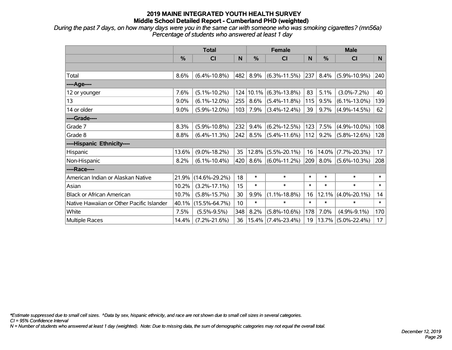*During the past 7 days, on how many days were you in the same car with someone who was smoking cigarettes? (mn56a) Percentage of students who answered at least 1 day*

|                                           | <b>Total</b> |                     |                 |          | <b>Female</b>         |        | <b>Male</b> |                    |          |  |
|-------------------------------------------|--------------|---------------------|-----------------|----------|-----------------------|--------|-------------|--------------------|----------|--|
|                                           | $\%$         | <b>CI</b>           | N               | %        | <b>CI</b>             | N      | $\%$        | <b>CI</b>          | <b>N</b> |  |
|                                           |              |                     |                 |          |                       |        |             |                    |          |  |
| Total                                     | 8.6%         | $(6.4\% - 10.8\%)$  | 482             | 8.9%     | $(6.3\% - 11.5\%)$    | 237    | 8.4%        | $(5.9\% - 10.9\%)$ | 240      |  |
| ----Age----                               |              |                     |                 |          |                       |        |             |                    |          |  |
| 12 or younger                             | 7.6%         | $(5.1\% - 10.2\%)$  | 124             | 10.1%    | $(6.3\% - 13.8\%)$    | 83     | 5.1%        | $(3.0\% - 7.2\%)$  | 40       |  |
| 13                                        | 9.0%         | $(6.1\% - 12.0\%)$  | 255             | 8.6%     | $(5.4\% - 11.8\%)$    | 115    | 9.5%        | $(6.1\% - 13.0\%)$ | 139      |  |
| 14 or older                               | 9.0%         | $(5.9\% - 12.0\%)$  | 103             | 7.9%     | $(3.4\% - 12.4\%)$    | 39     | 9.7%        | $(4.9\% - 14.5\%)$ | 62       |  |
| ----Grade----                             |              |                     |                 |          |                       |        |             |                    |          |  |
| Grade 7                                   | 8.3%         | $(5.9\% - 10.8\%)$  | 232             | 9.4%     | $(6.2\% - 12.5\%)$    | 123    | 7.5%        | $(4.9\% - 10.0\%)$ | 108      |  |
| Grade 8                                   | 8.8%         | $(6.4\% - 11.3\%)$  |                 | 242 8.5% | $(5.4\% - 11.6\%)$    | 112    | 9.2%        | $(5.8\% - 12.6\%)$ | 128      |  |
| ----Hispanic Ethnicity----                |              |                     |                 |          |                       |        |             |                    |          |  |
| <b>Hispanic</b>                           | 13.6%        | $(9.0\% - 18.2\%)$  | 35              | 12.8%    | $(5.5\% - 20.1\%)$    | 16     | 14.0%       | $(7.7\% - 20.3\%)$ | 17       |  |
| Non-Hispanic                              | 8.2%         | $(6.1\% - 10.4\%)$  | 420             | 8.6%     | $(6.0\% - 11.2\%)$    | 209    | $8.0\%$     | $(5.6\% - 10.3\%)$ | 208      |  |
| ----Race----                              |              |                     |                 |          |                       |        |             |                    |          |  |
| American Indian or Alaskan Native         | 21.9%        | $(14.6\% - 29.2\%)$ | 18              | $\ast$   | $\ast$                | $\ast$ | $\ast$      | $\ast$             | $\ast$   |  |
| Asian                                     | 10.2%        | $(3.2\% - 17.1\%)$  | 15              | $\ast$   | $\ast$                | $\ast$ | $\ast$      | $\ast$             | $\ast$   |  |
| <b>Black or African American</b>          | 10.7%        | $(5.8\% - 15.7\%)$  | 30              | 9.9%     | $(1.1\% - 18.8\%)$    | 16     | 12.1%       | $(4.0\% - 20.1\%)$ | 14       |  |
| Native Hawaiian or Other Pacific Islander | 40.1%        | $(15.5\% - 64.7\%)$ | 10 <sup>1</sup> | $\ast$   | $\ast$                | $\ast$ | $\ast$      | $\ast$             | $\ast$   |  |
| White                                     | 7.5%         | $(5.5\% - 9.5\%)$   | 348             | 8.2%     | $(5.8\% - 10.6\%)$    | 178    | 7.0%        | $(4.9\% - 9.1\%)$  | 170      |  |
| Multiple Races                            | 14.4%        | $(7.2\% - 21.6\%)$  | 36              |          | $15.4\%$ (7.4%-23.4%) | 19     | 13.7%       | $(5.0\% - 22.4\%)$ | 17       |  |

*\*Estimate suppressed due to small cell sizes. ^Data by sex, hispanic ethnicity, and race are not shown due to small cell sizes in several categories.*

*CI = 95% Confidence Interval*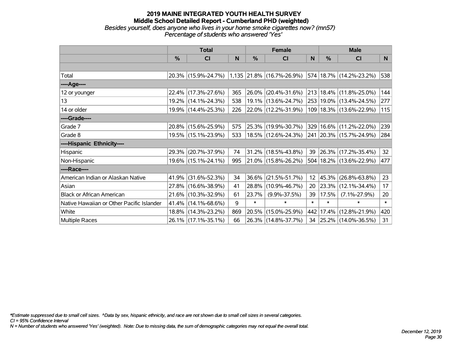#### **2019 MAINE INTEGRATED YOUTH HEALTH SURVEY Middle School Detailed Report - Cumberland PHD (weighted)** *Besides yourself, does anyone who lives in your home smoke cigarettes now? (mn57) Percentage of students who answered 'Yes'*

|                                           | <b>Total</b>  |                        |     |               | <b>Female</b>               |                 | <b>Male</b>   |                             |        |  |
|-------------------------------------------|---------------|------------------------|-----|---------------|-----------------------------|-----------------|---------------|-----------------------------|--------|--|
|                                           | $\frac{0}{0}$ | <b>CI</b>              | N   | $\frac{0}{0}$ | <b>CI</b>                   | N               | $\frac{0}{0}$ | <b>CI</b>                   | N      |  |
|                                           |               |                        |     |               |                             |                 |               |                             |        |  |
| Total                                     |               | 20.3% (15.9%-24.7%)    |     |               | $1,135$ 21.8% (16.7%-26.9%) |                 |               | 574 18.7% (14.2%-23.2%)     | 538    |  |
| ----Age----                               |               |                        |     |               |                             |                 |               |                             |        |  |
| 12 or younger                             |               | 22.4% (17.3%-27.6%)    | 365 | 26.0%         | $(20.4\% - 31.6\%)$         |                 |               | 213   18.4%   (11.8%-25.0%) | 144    |  |
| 13                                        |               | 19.2% (14.1%-24.3%)    | 538 |               | 19.1% (13.6%-24.7%)         |                 |               | 253 19.0% (13.4%-24.5%)     | 277    |  |
| 14 or older                               |               | 19.9% (14.4%-25.3%)    | 226 |               | $ 22.0\% $ (12.2%-31.9%)    |                 |               | 109   18.3%   (13.6%-22.9%) | 115    |  |
| ----Grade----                             |               |                        |     |               |                             |                 |               |                             |        |  |
| Grade 7                                   |               | 20.8% (15.6%-25.9%)    | 575 |               | 25.3% (19.9%-30.7%)         |                 |               | 329 16.6% (11.2%-22.0%)     | 239    |  |
| Grade 8                                   |               | 19.5% (15.1%-23.9%)    | 533 |               | 18.5% (12.6%-24.3%)         |                 |               | 241 20.3% (15.7%-24.9%)     | 284    |  |
| ----Hispanic Ethnicity----                |               |                        |     |               |                             |                 |               |                             |        |  |
| Hispanic                                  |               | 29.3% (20.7%-37.9%)    | 74  | 31.2%         | $(18.5\% - 43.8\%)$         | 39              |               | $ 26.3\% $ (17.2%-35.4%)    | 32     |  |
| Non-Hispanic                              |               | 19.6% (15.1%-24.1%)    | 995 |               | 21.0% (15.8%-26.2%)         |                 |               | 504   18.2%   (13.6%-22.9%) | 477    |  |
| ----Race----                              |               |                        |     |               |                             |                 |               |                             |        |  |
| American Indian or Alaskan Native         |               | 41.9% (31.6%-52.3%)    | 34  | 36.6%         | $(21.5\% - 51.7\%)$         | 12 <sup>2</sup> |               | 45.3% (26.8%-63.8%)         | 23     |  |
| Asian                                     |               | 27.8% (16.6%-38.9%)    | 41  | 28.8%         | $(10.9\% - 46.7\%)$         | 20              |               | $ 23.3\% $ (12.1%-34.4%)    | 17     |  |
| <b>Black or African American</b>          |               | 21.6% (10.3%-32.9%)    | 61  | 23.7%         | $(9.9\% - 37.5\%)$          | 39              | 17.5%         | $(7.1\% - 27.9\%)$          | 20     |  |
| Native Hawaiian or Other Pacific Islander |               | $41.4\%$ (14.1%-68.6%) | 9   | $\ast$        | $\ast$                      | $\ast$          | $\ast$        | $\ast$                      | $\ast$ |  |
| White                                     |               | 18.8% (14.3%-23.2%)    | 869 | 20.5%         | $(15.0\% - 25.9\%)$         |                 |               | 442   17.4%   (12.8%-21.9%) | 420    |  |
| <b>Multiple Races</b>                     |               | 26.1% (17.1%-35.1%)    | 66  |               | 26.3% (14.8%-37.7%)         | 34              |               | $ 25.2\% $ (14.0%-36.5%)    | 31     |  |

*\*Estimate suppressed due to small cell sizes. ^Data by sex, hispanic ethnicity, and race are not shown due to small cell sizes in several categories.*

*CI = 95% Confidence Interval*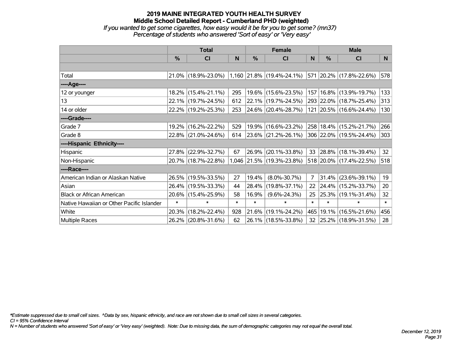# **2019 MAINE INTEGRATED YOUTH HEALTH SURVEY Middle School Detailed Report - Cumberland PHD (weighted)** *If you wanted to get some cigarettes, how easy would it be for you to get some? (mn37) Percentage of students who answered 'Sort of easy' or 'Very easy'*

|                                           | <b>Total</b>  |                     |        |        | <b>Female</b>                                                         |                 | <b>Male</b>   |                             |          |  |
|-------------------------------------------|---------------|---------------------|--------|--------|-----------------------------------------------------------------------|-----------------|---------------|-----------------------------|----------|--|
|                                           | $\frac{0}{0}$ | CI                  | N      | $\%$   | CI                                                                    | N               | $\frac{0}{0}$ | <b>CI</b>                   | <b>N</b> |  |
|                                           |               |                     |        |        |                                                                       |                 |               |                             |          |  |
| Total                                     |               |                     |        |        | 21.0% (18.9%-23.0%) 1,160 21.8% (19.4%-24.1%) 571 20.2% (17.8%-22.6%) |                 |               |                             | 578      |  |
| ----Age----                               |               |                     |        |        |                                                                       |                 |               |                             |          |  |
| 12 or younger                             |               | 18.2% (15.4%-21.1%) | 295    |        | 19.6% (15.6%-23.5%)                                                   |                 |               | 157   16.8%   (13.9%-19.7%) | 133      |  |
| 13                                        |               | 22.1% (19.7%-24.5%) | 612    |        | $22.1\%$ (19.7%-24.5%)                                                |                 |               | 293 22.0% (18.7%-25.4%)     | 313      |  |
| 14 or older                               |               | 22.2% (19.2%-25.3%) | 253    |        | $ 24.6\% $ (20.4%-28.7%)                                              |                 |               | 121 20.5% (16.6%-24.4%)     | 130      |  |
| ----Grade----                             |               |                     |        |        |                                                                       |                 |               |                             |          |  |
| Grade 7                                   | 19.2%         | $(16.2\% - 22.2\%)$ | 529    |        | 19.9% (16.6%-23.2%)                                                   |                 |               | 258   18.4%   (15.2%-21.7%) | 266      |  |
| Grade 8                                   |               | 22.8% (21.0%-24.6%) | 614    |        | 23.6% (21.2%-26.1%)                                                   |                 |               | 306 22.0% (19.5%-24.4%)     | 303      |  |
| ----Hispanic Ethnicity----                |               |                     |        |        |                                                                       |                 |               |                             |          |  |
| Hispanic                                  | 27.8%         | $(22.9\% - 32.7\%)$ | 67     | 26.9%  | $(20.1\% - 33.8\%)$                                                   | 33              |               | $ 28.8\% $ (18.1%-39.4%)    | 32       |  |
| Non-Hispanic                              |               | 20.7% (18.7%-22.8%) |        |        | 1,046 21.5% (19.3%-23.8%)                                             |                 |               | 518 20.0% (17.4%-22.5%)     | 518      |  |
| ----Race----                              |               |                     |        |        |                                                                       |                 |               |                             |          |  |
| American Indian or Alaskan Native         |               | 26.5% (19.5%-33.5%) | 27     | 19.4%  | $(8.0\% - 30.7\%)$                                                    | $\overline{7}$  |               | $31.4\%$ (23.6%-39.1%)      | 19       |  |
| Asian                                     |               | 26.4% (19.5%-33.3%) | 44     | 28.4%  | $(19.8\% - 37.1\%)$                                                   | 22              |               | 24.4% (15.2%-33.7%)         | 20       |  |
| <b>Black or African American</b>          |               | 20.6% (15.4%-25.9%) | 58     | 16.9%  | $(9.6\% - 24.3\%)$                                                    | 25              |               | 25.3% (19.1%-31.4%)         | 32       |  |
| Native Hawaiian or Other Pacific Islander | $\ast$        | $\ast$              | $\ast$ | $\ast$ | $\ast$                                                                | $\ast$          | $\ast$        | $\ast$                      | $\ast$   |  |
| White                                     | 20.3%         | $(18.2\% - 22.4\%)$ | 928    | 21.6%  | $(19.1\% - 24.2\%)$                                                   | 465             |               | 19.1% (16.5%-21.6%)         | 456      |  |
| Multiple Races                            |               | 26.2% (20.8%-31.6%) | 62     |        | 26.1% (18.5%-33.8%)                                                   | 32 <sub>2</sub> |               | 25.2% (18.9%-31.5%)         | 28       |  |

*\*Estimate suppressed due to small cell sizes. ^Data by sex, hispanic ethnicity, and race are not shown due to small cell sizes in several categories.*

*CI = 95% Confidence Interval*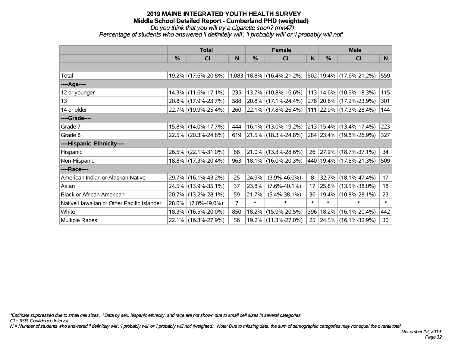# *Do you think that you will try a cigarette soon? (mn47)*

*Percentage of students who answered 'I definitely will', 'I probably will' or 'I probably will not'*

|                                           | <b>Total</b> |                     |                | <b>Female</b> |                                 |        | <b>Male</b> |                             |        |  |
|-------------------------------------------|--------------|---------------------|----------------|---------------|---------------------------------|--------|-------------|-----------------------------|--------|--|
|                                           | %            | CI                  | N              | %             | <b>CI</b>                       | N      | %           | <b>CI</b>                   | N.     |  |
|                                           |              |                     |                |               |                                 |        |             |                             |        |  |
| Total                                     |              | 19.2% (17.6%-20.8%) |                |               | $1,083$   18.8%   (16.4%-21.2%) |        |             | 502 19.4% (17.6%-21.2%)     | 559    |  |
| ----Age----                               |              |                     |                |               |                                 |        |             |                             |        |  |
| 12 or younger                             |              | 14.3% (11.6%-17.1%) | 235            |               | 13.7% (10.8%-16.6%)             | 113    |             | 14.6% (10.9%-18.3%)         | 115    |  |
| 13                                        |              | 20.8% (17.9%-23.7%) | 588            |               | 20.8% (17.1%-24.4%)             |        |             | 278 20.6% (17.2%-23.9%)     | 301    |  |
| 14 or older                               |              | 22.7% (19.9%-25.4%) | 260            |               | 22.1% (17.8%-26.4%)             |        |             | 111 22.9% (17.3%-28.4%)     | 144    |  |
| ----Grade----                             |              |                     |                |               |                                 |        |             |                             |        |  |
| Grade 7                                   |              | 15.8% (14.0%-17.7%) | 444            |               | 16.1% (13.0%-19.2%)             |        |             | 213 15.4% (13.4%-17.4%)     | 223    |  |
| Grade 8                                   |              | 22.5% (20.3%-24.8%) | 619            |               | 21.5% (18.3%-24.8%)             |        |             | 284 23.4% (19.8%-26.9%)     | 327    |  |
| ----Hispanic Ethnicity----                |              |                     |                |               |                                 |        |             |                             |        |  |
| Hispanic                                  |              | 26.5% (22.1%-31.0%) | 68             | 21.0%         | $(13.3\% - 28.6\%)$             | 26     |             | 27.9% (18.7%-37.1%)         | 34     |  |
| Non-Hispanic                              |              | 18.8% (17.3%-20.4%) | 963            |               | 18.1% (16.0%-20.3%)             |        |             | 440   19.4%   (17.5%-21.3%) | 509    |  |
| ----Race----                              |              |                     |                |               |                                 |        |             |                             |        |  |
| American Indian or Alaskan Native         |              | 29.7% (16.1%-43.2%) | 25             | 24.9%         | $(3.9\% - 46.0\%)$              | 8      | 32.7%       | $(18.1\% - 47.4\%)$         | 17     |  |
| Asian                                     |              | 24.5% (13.9%-35.1%) | 37             | 23.8%         | $(7.6\% - 40.1\%)$              | 17     | 25.8%       | $(13.5\% - 38.0\%)$         | 18     |  |
| <b>Black or African American</b>          | 20.7%        | $(13.2\% - 28.1\%)$ | 59             | 21.7%         | $(5.4\% - 38.1\%)$              | 36     |             | 19.4% (10.8%-28.1%)         | 23     |  |
| Native Hawaiian or Other Pacific Islander | 28.0%        | $(7.0\% - 49.0\%)$  | $\overline{7}$ | $\ast$        | $\ast$                          | $\ast$ | $\ast$      | $\ast$                      | $\ast$ |  |
| White                                     | 18.3%        | $(16.5\% - 20.0\%)$ | 850            | 18.2%         | $(15.9\% - 20.5\%)$             | 396    | 18.2%       | $(16.1\% - 20.4\%)$         | 442    |  |
| Multiple Races                            |              | 22.1% (16.3%-27.9%) | 56             |               | 19.2% (11.3%-27.0%)             | 25     |             | 24.5% (16.1%-32.9%)         | 30     |  |

*\*Estimate suppressed due to small cell sizes. ^Data by sex, hispanic ethnicity, and race are not shown due to small cell sizes in several categories.*

*CI = 95% Confidence Interval*

*N = Number of students who answered 'I definitely will', 'I probably will' or 'I probably will not' (weighted). Note: Due to missing data, the sum of demographic categories may not equal the overall total.*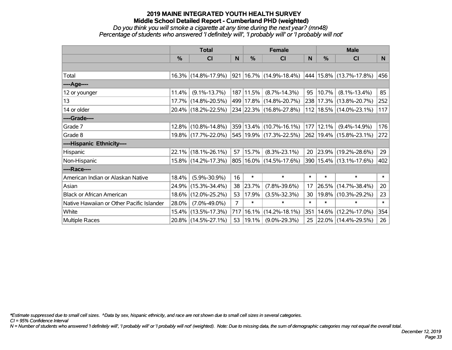#### *Do you think you will smoke a cigarette at any time during the next year? (mn48) Percentage of students who answered 'I definitely will', 'I probably will' or 'I probably will not'*

|                                           | <b>Total</b> |                     |                | <b>Female</b> |                                 |        | <b>Male</b>   |                             |        |  |
|-------------------------------------------|--------------|---------------------|----------------|---------------|---------------------------------|--------|---------------|-----------------------------|--------|--|
|                                           | %            | C <sub>l</sub>      | N              | $\%$          | <b>CI</b>                       | N      | $\frac{0}{0}$ | <b>CI</b>                   | N.     |  |
|                                           |              |                     |                |               |                                 |        |               |                             |        |  |
| Total                                     |              | 16.3% (14.8%-17.9%) |                |               | $921 16.7\%  (14.9\% - 18.4\%)$ |        |               | 444 15.8% (13.7%-17.8%)     | 456    |  |
| ----Age----                               |              |                     |                |               |                                 |        |               |                             |        |  |
| 12 or younger                             | 11.4%        | $(9.1\% - 13.7\%)$  |                | 187 11.5%     | $(8.7\% - 14.3\%)$              | 95     | 10.7%         | $(8.1\% - 13.4\%)$          | 85     |  |
| 13                                        |              | 17.7% (14.8%-20.5%) |                |               | 499 17.8% (14.8%-20.7%)         |        |               | 238 17.3% (13.8%-20.7%)     | 252    |  |
| 14 or older                               |              | 20.4% (18.2%-22.5%) |                |               | 234 22.3% (16.8%-27.8%)         |        |               | 112   18.5%   (14.0%-23.1%) | 117    |  |
| ----Grade----                             |              |                     |                |               |                                 |        |               |                             |        |  |
| Grade 7                                   |              | 12.8% (10.8%-14.8%) |                |               | 359 13.4% (10.7%-16.1%)         | 177    | 12.1%         | $(9.4\% - 14.9\%)$          | 176    |  |
| Grade 8                                   |              | 19.8% (17.7%-22.0%) |                |               | 545 19.9% (17.3%-22.5%)         |        |               | 262 19.4% (15.8%-23.1%)     | 272    |  |
| ----Hispanic Ethnicity----                |              |                     |                |               |                                 |        |               |                             |        |  |
| Hispanic                                  |              | 22.1% (18.1%-26.1%) | 57             | 15.7%         | $(8.3\% - 23.1\%)$              | 20     | 23.9%         | $(19.2\% - 28.6\%)$         | 29     |  |
| Non-Hispanic                              |              | 15.8% (14.2%-17.3%) |                |               | 805   16.0%   (14.5%-17.6%)     | 390    |               | 15.4% (13.1%-17.6%)         | 402    |  |
| ----Race----                              |              |                     |                |               |                                 |        |               |                             |        |  |
| American Indian or Alaskan Native         | 18.4%        | $(5.9\% - 30.9\%)$  | 16             | $\ast$        | $\ast$                          | $\ast$ | $\ast$        | $\ast$                      | $\ast$ |  |
| Asian                                     | 24.9%        | $(15.3\% - 34.4\%)$ | 38             | 23.7%         | $(7.8\% - 39.6\%)$              | 17     | 26.5%         | $(14.7\% - 38.4\%)$         | 20     |  |
| <b>Black or African American</b>          |              | 18.6% (12.0%-25.2%) | 53             | 17.9%         | $(3.5\% - 32.3\%)$              | 30     | 19.8%         | $(10.3\% - 29.2\%)$         | 23     |  |
| Native Hawaiian or Other Pacific Islander | 28.0%        | $(7.0\% - 49.0\%)$  | $\overline{7}$ | $\ast$        | $\ast$                          | $\ast$ | $\ast$        | $\ast$                      | $\ast$ |  |
| White                                     |              | 15.4% (13.5%-17.3%) | 717            | 16.1%         | $(14.2\% - 18.1\%)$             | 351    | 14.6%         | $(12.2\% - 17.0\%)$         | 354    |  |
| <b>Multiple Races</b>                     |              | 20.8% (14.5%-27.1%) | 53             | $ 19.1\% $    | $(9.0\% - 29.3\%)$              | 25     |               | 22.0% (14.4%-29.5%)         | 26     |  |

*\*Estimate suppressed due to small cell sizes. ^Data by sex, hispanic ethnicity, and race are not shown due to small cell sizes in several categories.*

*CI = 95% Confidence Interval*

*N = Number of students who answered 'I definitely will', 'I probably will' or 'I probably will not' (weighted). Note: Due to missing data, the sum of demographic categories may not equal the overall total.*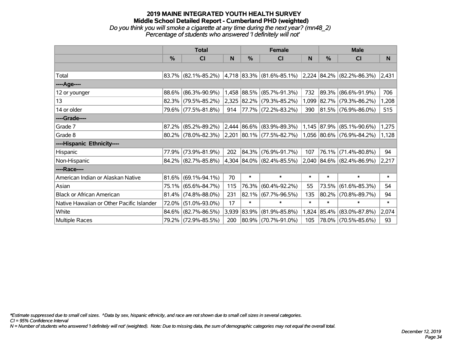# **2019 MAINE INTEGRATED YOUTH HEALTH SURVEY Middle School Detailed Report - Cumberland PHD (weighted)** *Do you think you will smoke a cigarette at any time during the next year? (mn48\_2) Percentage of students who answered 'I definitely will not'*

|                                           | <b>Total</b>  |                     |       |        | <b>Female</b>                  |        | <b>Male</b> |                                |        |  |
|-------------------------------------------|---------------|---------------------|-------|--------|--------------------------------|--------|-------------|--------------------------------|--------|--|
|                                           | $\frac{0}{0}$ | <b>CI</b>           | N     | %      | <b>CI</b>                      | N      | %           | <b>CI</b>                      | N      |  |
|                                           |               |                     |       |        |                                |        |             |                                |        |  |
| Total                                     |               | 83.7% (82.1%-85.2%) |       |        | $ 4,718 83.3\% $ (81.6%-85.1%) |        |             | $ 2,224 84.2\% $ (82.2%-86.3%) | 2,431  |  |
| ----Age----                               |               |                     |       |        |                                |        |             |                                |        |  |
| 12 or younger                             | 88.6%         | $(86.3\% - 90.9\%)$ |       |        | 1,458 88.5% (85.7%-91.3%)      | 732    | $ 89.3\% $  | $(86.6\% - 91.9\%)$            | 706    |  |
| 13                                        | 82.3%         | $(79.5\% - 85.2\%)$ |       |        | 2,325 82.2% (79.3%-85.2%)      | 1,099  |             | 82.7% (79.3%-86.2%)            | 1,208  |  |
| 14 or older                               |               | 79.6% (77.5%-81.8%) | 914   |        | 77.7% (72.2%-83.2%)            | 390    |             | 81.5% (76.9%-86.0%)            | 515    |  |
| ----Grade----                             |               |                     |       |        |                                |        |             |                                |        |  |
| Grade 7                                   | 87.2%         | $(85.2\% - 89.2\%)$ |       |        | $2,444$ 86.6% (83.9%-89.3%)    |        | 1,145 87.9% | $(85.1\% - 90.6\%)$            | 1,275  |  |
| Grade 8                                   |               | 80.2% (78.0%-82.3%) |       |        | $ 2,201 80.1\% $ (77.5%-82.7%) |        |             | $ 1,056 80.6\% $ (76.9%-84.2%) | 1,128  |  |
| ----Hispanic Ethnicity----                |               |                     |       |        |                                |        |             |                                |        |  |
| Hispanic                                  | 77.9%         | $(73.9\% - 81.9\%)$ | 202   | 84.3%  | $(76.9\% - 91.7\%)$            | 107    | 76.1%       | $(71.4\% - 80.8\%)$            | 94     |  |
| Non-Hispanic                              |               | 84.2% (82.7%-85.8%) |       |        | 4,304 84.0% (82.4%-85.5%)      |        |             | 2,040 84.6% (82.4%-86.9%)      | 2,217  |  |
| ----Race----                              |               |                     |       |        |                                |        |             |                                |        |  |
| American Indian or Alaskan Native         | 81.6%         | $(69.1\% - 94.1\%)$ | 70    | $\ast$ | $\ast$                         | $\ast$ | $\ast$      | $\ast$                         | $\ast$ |  |
| Asian                                     | 75.1%         | $(65.6\% - 84.7\%)$ | 115   | 76.3%  | $(60.4\% - 92.2\%)$            | 55     | 73.5%       | $(61.6\% - 85.3\%)$            | 54     |  |
| <b>Black or African American</b>          | 81.4%         | $(74.8\% - 88.0\%)$ | 231   |        | 82.1% (67.7%-96.5%)            | 135    | $80.2\%$    | $(70.8\% - 89.7\%)$            | 94     |  |
| Native Hawaiian or Other Pacific Islander | 72.0%         | $(51.0\% - 93.0\%)$ | 17    | $\ast$ | $\ast$                         | $\ast$ | $\ast$      | $\ast$                         | $\ast$ |  |
| White                                     | 84.6%         | $(82.7\% - 86.5\%)$ | 3,939 | 83.9%  | $(81.9\% - 85.8\%)$            | 1,824  | $ 85.4\% $  | $(83.0\% - 87.8\%)$            | 2,074  |  |
| Multiple Races                            |               | 79.2% (72.9%-85.5%) | 200   |        | 80.9% (70.7%-91.0%)            | 105    |             | 78.0% (70.5%-85.6%)            | 93     |  |

*\*Estimate suppressed due to small cell sizes. ^Data by sex, hispanic ethnicity, and race are not shown due to small cell sizes in several categories.*

*CI = 95% Confidence Interval*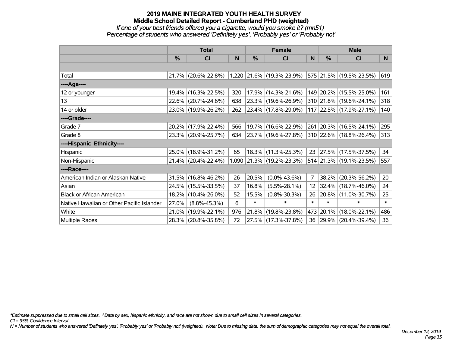# **2019 MAINE INTEGRATED YOUTH HEALTH SURVEY Middle School Detailed Report - Cumberland PHD (weighted)** *If one of your best friends offered you a cigarette, would you smoke it? (mn51) Percentage of students who answered 'Definitely yes', 'Probably yes' or 'Probably not'*

|                                           | <b>Total</b>  |                        |     |        | <b>Female</b>             |                 |        | <b>Male</b>              |        |  |
|-------------------------------------------|---------------|------------------------|-----|--------|---------------------------|-----------------|--------|--------------------------|--------|--|
|                                           | $\frac{0}{0}$ | CI                     | N   | %      | <b>CI</b>                 | N               | %      | <b>CI</b>                | N      |  |
|                                           |               |                        |     |        |                           |                 |        |                          |        |  |
| Total                                     |               | 21.7% (20.6%-22.8%)    |     |        | 1,220 21.6% (19.3%-23.9%) |                 |        | 575 21.5% (19.5%-23.5%)  | 619    |  |
| ----Age----                               |               |                        |     |        |                           |                 |        |                          |        |  |
| 12 or younger                             | 19.4%         | $(16.3\% - 22.5\%)$    | 320 |        | 17.9% (14.3%-21.6%)       |                 |        | 149 20.2% (15.5%-25.0%)  | 161    |  |
| 13                                        |               | 22.6% (20.7%-24.6%)    | 638 |        | 23.3% (19.6%-26.9%)       |                 |        | 310 21.8% (19.6%-24.1%)  | 318    |  |
| 14 or older                               |               | 23.0% (19.9%-26.2%)    | 262 |        | $ 23.4\% $ (17.8%-29.0%)  |                 |        | 117 22.5% (17.9%-27.1%)  | 140    |  |
| ----Grade----                             |               |                        |     |        |                           |                 |        |                          |        |  |
| Grade 7                                   |               | 20.2% (17.9%-22.4%)    | 566 |        | 19.7% (16.6%-22.9%)       |                 |        | 261 20.3% (16.5%-24.1%)  | 295    |  |
| Grade 8                                   |               | 23.3% (20.9%-25.7%)    | 634 |        | $ 23.7\% $ (19.6%-27.8%)  |                 |        | 310 22.6% (18.8%-26.4%)  | 313    |  |
| ----Hispanic Ethnicity----                |               |                        |     |        |                           |                 |        |                          |        |  |
| Hispanic                                  | 25.0%         | $(18.9\% - 31.2\%)$    | 65  | 18.3%  | $(11.3\% - 25.3\%)$       | 23              |        | $ 27.5\% $ (17.5%-37.5%) | 34     |  |
| Non-Hispanic                              |               | $21.4\%$ (20.4%-22.4%) |     |        | 1,090 21.3% (19.2%-23.3%) |                 |        | 514 21.3% (19.1%-23.5%)  | 557    |  |
| ----Race----                              |               |                        |     |        |                           |                 |        |                          |        |  |
| American Indian or Alaskan Native         |               | 31.5% (16.8%-46.2%)    | 26  | 20.5%  | $(0.0\% - 43.6\%)$        | $\overline{7}$  |        | 38.2% (20.3%-56.2%)      | 20     |  |
| Asian                                     | 24.5%         | $(15.5\% - 33.5\%)$    | 37  | 16.8%  | $(5.5\% - 28.1\%)$        | 12 <sup>2</sup> |        | $ 32.4\% $ (18.7%-46.0%) | 24     |  |
| <b>Black or African American</b>          | 18.2%         | $(10.4\% - 26.0\%)$    | 52  | 15.5%  | $(0.8\% - 30.3\%)$        | 26              |        | 20.8% (11.0%-30.7%)      | 25     |  |
| Native Hawaiian or Other Pacific Islander | 27.0%         | $(8.8\% - 45.3\%)$     | 6   | $\ast$ | $\ast$                    | $\ast$          | $\ast$ | $\ast$                   | $\ast$ |  |
| White                                     | 21.0%         | $(19.9\% - 22.1\%)$    | 976 | 21.8%  | $(19.8\% - 23.8\%)$       |                 |        | 473 20.1% (18.0%-22.1%)  | 486    |  |
| Multiple Races                            |               | 28.3% (20.8%-35.8%)    | 72  |        | 27.5% (17.3%-37.8%)       |                 |        | 36 29.9% (20.4%-39.4%)   | 36     |  |

*\*Estimate suppressed due to small cell sizes. ^Data by sex, hispanic ethnicity, and race are not shown due to small cell sizes in several categories.*

*CI = 95% Confidence Interval*

*N = Number of students who answered 'Definitely yes', 'Probably yes' or 'Probably not' (weighted). Note: Due to missing data, the sum of demographic categories may not equal the overall total.*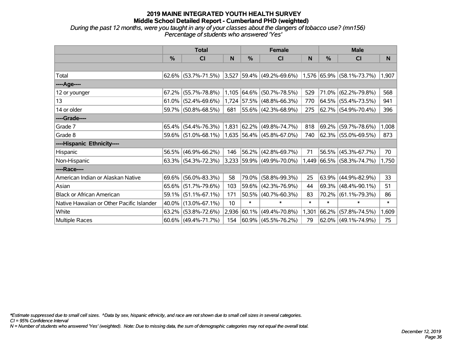# **2019 MAINE INTEGRATED YOUTH HEALTH SURVEY Middle School Detailed Report - Cumberland PHD (weighted)** *During the past 12 months, were you taught in any of your classes about the dangers of tobacco use? (mn156)*

*Percentage of students who answered 'Yes'*

|                                           | <b>Total</b> |                        |       |             | <b>Female</b>                                      |        | <b>Male</b> |                           |        |  |
|-------------------------------------------|--------------|------------------------|-------|-------------|----------------------------------------------------|--------|-------------|---------------------------|--------|--|
|                                           | %            | <b>CI</b>              | N     | %           | <b>CI</b>                                          | N      | %           | <b>CI</b>                 | N.     |  |
|                                           |              |                        |       |             |                                                    |        |             |                           |        |  |
| Total                                     |              | $62.6\%$ (53.7%-71.5%) | 3,527 |             | $ 59.4\% $ (49.2%-69.6%) 1,576 65.9% (58.1%-73.7%) |        |             |                           | 1,907  |  |
| ----Age----                               |              |                        |       |             |                                                    |        |             |                           |        |  |
| 12 or younger                             | 67.2%        | $(55.7\% - 78.8\%)$    |       | 1,105 64.6% | $(50.7\% - 78.5\%)$                                | 529    | $71.0\%$    | $(62.2\% - 79.8\%)$       | 568    |  |
| 13                                        |              | $61.0\%$ (52.4%-69.6%) |       |             | 1,724 57.5% (48.8%-66.3%)                          | 770    |             | 64.5% (55.4%-73.5%)       | 941    |  |
| 14 or older                               |              | 59.7% (50.8%-68.5%)    | 681   |             | 55.6% (42.3%-68.9%)                                | 275    |             | 62.7% (54.9%-70.4%)       | 396    |  |
| ----Grade----                             |              |                        |       |             |                                                    |        |             |                           |        |  |
| Grade 7                                   | 65.4%        | $(54.4\% - 76.3\%)$    | 1,831 |             | $ 62.2\% $ (49.8%-74.7%)                           | 818    | 69.2%       | $(59.7\% - 78.6\%)$       | 1,008  |  |
| Grade 8                                   |              | 59.6% (51.0%-68.1%)    |       |             | 1,635 56.4% (45.8%-67.0%)                          | 740    |             | 62.3% (55.0%-69.5%)       | 873    |  |
| ----Hispanic Ethnicity----                |              |                        |       |             |                                                    |        |             |                           |        |  |
| Hispanic                                  | 56.5%        | $(46.9\% - 66.2\%)$    | 146   |             | 56.2% (42.8%-69.7%)                                | 71     | 56.5%       | $(45.3\% - 67.7\%)$       | 70     |  |
| Non-Hispanic                              |              | 63.3% (54.3%-72.3%)    |       |             | 3,233 59.9% (49.9%-70.0%)                          |        |             | 1,449 66.5% (58.3%-74.7%) | 1,750  |  |
| ----Race----                              |              |                        |       |             |                                                    |        |             |                           |        |  |
| American Indian or Alaskan Native         | 69.6%        | $(56.0\% - 83.3\%)$    | 58    | 79.0%       | $(58.8\% - 99.3\%)$                                | 25     | 63.9%       | $(44.9\% - 82.9\%)$       | 33     |  |
| Asian                                     | $65.6\%$     | $(51.7\% - 79.6\%)$    | 103   |             | 59.6% (42.3%-76.9%)                                | 44     | $ 69.3\% $  | $(48.4\% - 90.1\%)$       | 51     |  |
| <b>Black or African American</b>          | 59.1%        | $(51.1\% - 67.1\%)$    | 171   |             | 50.5% (40.7%-60.3%)                                | 83     | $70.2\%$    | $(61.1\% - 79.3\%)$       | 86     |  |
| Native Hawaiian or Other Pacific Islander | 40.0%        | $(13.0\% - 67.1\%)$    | 10    | $\ast$      | $\ast$                                             | $\ast$ | $\ast$      | $\ast$                    | $\ast$ |  |
| White                                     | 63.2%        | $(53.8\% - 72.6\%)$    | 2,936 | $ 60.1\% $  | $(49.4\% - 70.8\%)$                                | 1,301  | 66.2%       | $(57.8\% - 74.5\%)$       | 1,609  |  |
| Multiple Races                            |              | $60.6\%$ (49.4%-71.7%) | 154   |             | 60.9%   (45.5%-76.2%)                              | 79     |             | $62.0\%$ (49.1%-74.9%)    | 75     |  |

*\*Estimate suppressed due to small cell sizes. ^Data by sex, hispanic ethnicity, and race are not shown due to small cell sizes in several categories.*

*CI = 95% Confidence Interval*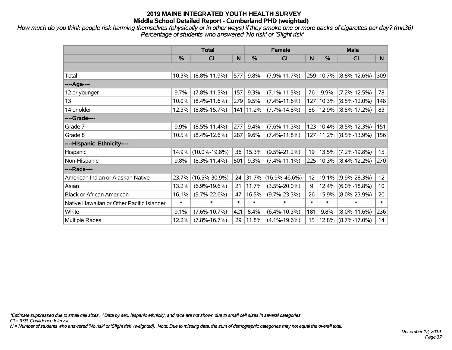*How much do you think people risk harming themselves (physically or in other ways) if they smoke one or more packs of cigarettes per day? (mn36) Percentage of students who answered 'No risk' or 'Slight risk'*

|                                           | <b>Total</b> |                     |        | <b>Female</b> | <b>Male</b>         |                 |        |                            |                 |
|-------------------------------------------|--------------|---------------------|--------|---------------|---------------------|-----------------|--------|----------------------------|-----------------|
|                                           | %            | <b>CI</b>           | N      | %             | <b>CI</b>           | N.              | %      | <b>CI</b>                  | N.              |
|                                           |              |                     |        |               |                     |                 |        |                            |                 |
| Total                                     | 10.3%        | $(8.8\% - 11.9\%)$  | 577    | 9.8%          | $(7.9\% - 11.7\%)$  |                 |        | 259 10.7% (8.8%-12.6%)     | 309             |
| ----Age----                               |              |                     |        |               |                     |                 |        |                            |                 |
| 12 or younger                             | 9.7%         | $(7.8\% - 11.5\%)$  | 157    | 9.3%          | $(7.1\% - 11.5\%)$  | 76              | 9.9%   | $(7.2\% - 12.5\%)$         | 78              |
| 13                                        | 10.0%        | $(8.4\% - 11.6\%)$  | 279    | 9.5%          | $(7.4\% - 11.6\%)$  | 127             |        | $10.3\%$ (8.5%-12.0%)      | 148             |
| 14 or older                               | 12.3%        | $(8.8\% - 15.7\%)$  | 141    | 11.2%         | $(7.7\% - 14.8\%)$  | 56              |        | $12.9\%$ (8.5%-17.2%)      | 83              |
| ----Grade----                             |              |                     |        |               |                     |                 |        |                            |                 |
| Grade 7                                   | 9.9%         | $(8.5\% - 11.4\%)$  | 277    | 9.4%          | $(7.6\% - 11.3\%)$  | 123             |        | $10.4\%$ (8.5%-12.3%)      | 151             |
| Grade 8                                   | 10.5%        | $(8.4\% - 12.6\%)$  | 287    | 9.6%          | $(7.4\% - 11.8\%)$  |                 |        | 127   11.2%   (8.5%-13.9%) | 156             |
| ----Hispanic Ethnicity----                |              |                     |        |               |                     |                 |        |                            |                 |
| Hispanic                                  | 14.9%        | $(10.0\% - 19.8\%)$ | 36     | 15.3%         | $(9.5\% - 21.2\%)$  | 19              |        | $13.5\%$ (7.2%-19.8%)      | 15              |
| Non-Hispanic                              | 9.8%         | $(8.3\% - 11.4\%)$  | 501    | 9.3%          | $(7.4\% - 11.1\%)$  |                 |        | 225 10.3% (8.4%-12.2%)     | 270             |
| ----Race----                              |              |                     |        |               |                     |                 |        |                            |                 |
| American Indian or Alaskan Native         | 23.7%        | $(16.5\% - 30.9\%)$ | 24     | 31.7%         | $(16.9\% - 46.6\%)$ | 12 <sup>2</sup> |        | 19.1% (9.9%-28.3%)         | 12              |
| Asian                                     | 13.2%        | $(6.9\% - 19.6\%)$  | 21     | 11.7%         | $(3.5\% - 20.0\%)$  | 9               |        | $12.4\%$ (6.0%-18.8%)      | 10 <sup>°</sup> |
| <b>Black or African American</b>          | 16.1%        | $(9.7\% - 22.6\%)$  | 47     | 16.5%         | $(9.7\% - 23.3\%)$  | 26              |        | 15.9% (8.0%-23.9%)         | 20              |
| Native Hawaiian or Other Pacific Islander | $\ast$       | $\ast$              | $\ast$ | $\ast$        | $\ast$              | $\ast$          | $\ast$ | $\ast$                     | $\ast$          |
| White                                     | 9.1%         | $(7.6\% - 10.7\%)$  | 421    | 8.4%          | $(6.4\% - 10.3\%)$  | 181             | 9.8%   | $(8.0\% - 11.6\%)$         | 236             |
| <b>Multiple Races</b>                     | 12.2%        | $(7.8\% - 16.7\%)$  | 29     | 11.8%         | $(4.1\% - 19.6\%)$  | 15              |        | $12.8\%$ (8.7%-17.0%)      | 14              |

*\*Estimate suppressed due to small cell sizes. ^Data by sex, hispanic ethnicity, and race are not shown due to small cell sizes in several categories.*

*CI = 95% Confidence Interval*

*N = Number of students who answered 'No risk' or 'Slight risk' (weighted). Note: Due to missing data, the sum of demographic categories may not equal the overall total.*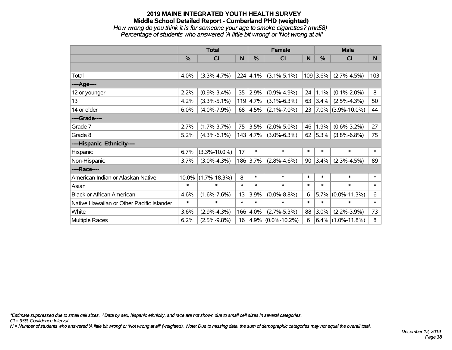## **2019 MAINE INTEGRATED YOUTH HEALTH SURVEY Middle School Detailed Report - Cumberland PHD (weighted)** *How wrong do you think it is for someone your age to smoke cigarettes? (mn58) Percentage of students who answered 'A little bit wrong' or 'Not wrong at all'*

|                                           | <b>Total</b> |                    |        |                  | <b>Female</b>          |        | <b>Male</b> |                        |        |
|-------------------------------------------|--------------|--------------------|--------|------------------|------------------------|--------|-------------|------------------------|--------|
|                                           | $\%$         | CI                 | N      | %                | <b>CI</b>              | N      | %           | <b>CI</b>              | N      |
|                                           |              |                    |        |                  |                        |        |             |                        |        |
| Total                                     | 4.0%         | $(3.3\% - 4.7\%)$  |        | $224 \mid 4.1\%$ | $(3.1\% - 5.1\%)$      |        | $109$ 3.6%  | $(2.7\% - 4.5\%)$      | 103    |
| ----Age----                               |              |                    |        |                  |                        |        |             |                        |        |
| 12 or younger                             | 2.2%         | $(0.9\% - 3.4\%)$  | 35     | 2.9%             | $(0.9\% - 4.9\%)$      | 24     | 1.1%        | $(0.1\% - 2.0\%)$      | 8      |
| 13                                        | 4.2%         | $(3.3\% - 5.1\%)$  |        | $119 \mid 4.7\%$ | $(3.1\% - 6.3\%)$      | 63     | $3.4\%$     | $(2.5\% - 4.3\%)$      | 50     |
| 14 or older                               | 6.0%         | $(4.0\% - 7.9\%)$  | 68     | $ 4.5\% $        | $(2.1\% - 7.0\%)$      | 23     |             | $ 7.0\% $ (3.9%-10.0%) | 44     |
| ----Grade----                             |              |                    |        |                  |                        |        |             |                        |        |
| Grade 7                                   | 2.7%         | $(1.7\% - 3.7\%)$  | 75     | 3.5%             | $(2.0\% - 5.0\%)$      | 46     | 1.9%        | $(0.6\% - 3.2\%)$      | 27     |
| Grade 8                                   | 5.2%         | $(4.3\% - 6.1\%)$  |        | 143 4.7%         | $(3.0\% - 6.3\%)$      | 62     | $ 5.3\% $   | $(3.8\% - 6.8\%)$      | 75     |
| ----Hispanic Ethnicity----                |              |                    |        |                  |                        |        |             |                        |        |
| Hispanic                                  | 6.7%         | $(3.3\% - 10.0\%)$ | 17     | $\ast$           | $\ast$                 | $\ast$ | $\ast$      | $\ast$                 | $\ast$ |
| Non-Hispanic                              | 3.7%         | $(3.0\% - 4.3\%)$  |        | 186 3.7%         | $(2.8\% - 4.6\%)$      | 90     | $3.4\%$     | $(2.3\% - 4.5\%)$      | 89     |
| ----Race----                              |              |                    |        |                  |                        |        |             |                        |        |
| American Indian or Alaskan Native         | 10.0%        | $(1.7\% - 18.3\%)$ | 8      | $\ast$           | $\ast$                 | $\ast$ | $\ast$      | $\ast$                 | $\ast$ |
| Asian                                     | $\ast$       | $\ast$             | $\ast$ | $\ast$           | $\ast$                 | $\ast$ | $\ast$      | $\ast$                 | $\ast$ |
| <b>Black or African American</b>          | 4.6%         | $(1.6\% - 7.6\%)$  | 13     | 3.9%             | $(0.0\% - 8.8\%)$      | 6      | 5.7%        | $(0.0\% - 11.3\%)$     | 6      |
| Native Hawaiian or Other Pacific Islander | $\ast$       | $\ast$             | $\ast$ | $\ast$           | $\ast$                 | $\ast$ | $\ast$      | $\ast$                 | $\ast$ |
| White                                     | 3.6%         | $(2.9\% - 4.3\%)$  |        | 166 4.0%         | $(2.7\% - 5.3\%)$      | 88     | 3.0%        | $(2.2\% - 3.9\%)$      | 73     |
| <b>Multiple Races</b>                     | 6.2%         | $(2.5\% - 9.8\%)$  | 16     |                  | $ 4.9\% $ (0.0%-10.2%) | 6      |             | $6.4\%$ (1.0%-11.8%)   | 8      |

*\*Estimate suppressed due to small cell sizes. ^Data by sex, hispanic ethnicity, and race are not shown due to small cell sizes in several categories.*

*CI = 95% Confidence Interval*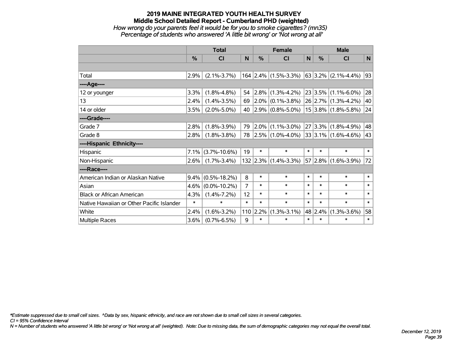# **2019 MAINE INTEGRATED YOUTH HEALTH SURVEY Middle School Detailed Report - Cumberland PHD (weighted)** *How wrong do your parents feel it would be for you to smoke cigarettes? (mn35) Percentage of students who answered 'A little bit wrong' or 'Not wrong at all'*

|                                           | <b>Total</b>  |                    |        | <b>Female</b> |                        |        | <b>Male</b>   |                              |        |
|-------------------------------------------|---------------|--------------------|--------|---------------|------------------------|--------|---------------|------------------------------|--------|
|                                           | $\frac{0}{0}$ | <b>CI</b>          | N      | $\%$          | <b>CI</b>              | N      | $\frac{0}{0}$ | <b>CI</b>                    | N      |
|                                           |               |                    |        |               |                        |        |               |                              |        |
| Total                                     | 2.9%          | $(2.1\% - 3.7\%)$  |        |               | $164$ 2.4% (1.5%-3.3%) |        |               | $ 63 3.2\% $ (2.1%-4.4%)     | 93     |
| ---- Age----                              |               |                    |        |               |                        |        |               |                              |        |
| 12 or younger                             | 3.3%          | $(1.8\% - 4.8\%)$  | 54     | 2.8%          | $(1.3\% - 4.2\%)$      |        | 23 3.5%       | $(1.1\% - 6.0\%)$            | 28     |
| 13                                        | 2.4%          | $(1.4\% - 3.5\%)$  | 69     | $ 2.0\% $     | $(0.1\% - 3.8\%)$      |        |               | 26 2.7% (1.3%-4.2%)          | 40     |
| 14 or older                               | 3.5%          | $(2.0\% - 5.0\%)$  | 40     |               | $2.9\%$ (0.8%-5.0%)    |        |               | $15 3.8\% $ (1.8%-5.8%)      | 24     |
| ----Grade----                             |               |                    |        |               |                        |        |               |                              |        |
| Grade 7                                   | 2.8%          | $(1.8\% - 3.9\%)$  | 79     | $ 2.0\% $     | $(1.1\% - 3.0\%)$      |        | 27 3.3%       | $(1.8\% - 4.9\%)$            | 48     |
| Grade 8                                   | 2.8%          | $(1.8\% - 3.8\%)$  | 78     |               | $ 2.5\% $ (1.0%-4.0%)  |        |               | $ 33 3.1\%  (1.6\% - 4.6\%)$ | 43     |
| ----Hispanic Ethnicity----                |               |                    |        |               |                        |        |               |                              |        |
| Hispanic                                  | 7.1%          | $(3.7\% - 10.6\%)$ | 19     | $\ast$        | $\ast$                 | $\ast$ | $\ast$        | $\ast$                       | $\ast$ |
| Non-Hispanic                              | 2.6%          | $(1.7\% - 3.4\%)$  |        | $132$ 2.3%    | $(1.4\% - 3.3\%)$      |        | 57 2.8%       | $(1.6\% - 3.9\%)$            | 72     |
| ----Race----                              |               |                    |        |               |                        |        |               |                              |        |
| American Indian or Alaskan Native         | $9.4\%$       | $(0.5\% - 18.2\%)$ | 8      | $\ast$        | $\ast$                 | $\ast$ | $\ast$        | $\ast$                       | $\ast$ |
| Asian                                     | 4.6%          | $(0.0\% - 10.2\%)$ | 7      | $\ast$        | $\ast$                 | $\ast$ | $\ast$        | $\ast$                       | $\ast$ |
| <b>Black or African American</b>          | 4.3%          | $(1.4\% - 7.2\%)$  | 12     | $\ast$        | $\ast$                 | $\ast$ | $\ast$        | $\ast$                       | $\ast$ |
| Native Hawaiian or Other Pacific Islander | $\ast$        | *                  | $\ast$ | $\ast$        | $\ast$                 | $\ast$ | $\ast$        | $\ast$                       | $\ast$ |
| White                                     | 2.4%          | $(1.6\% - 3.2\%)$  |        | $110$ 2.2%    | $(1.3\% - 3.1\%)$      |        | 48 2.4%       | $(1.3\% - 3.6\%)$            | 58     |
| Multiple Races                            | 3.6%          | $(0.7\% - 6.5\%)$  | 9      | $\ast$        | $\ast$                 | $\ast$ | $\ast$        | $\ast$                       | $\ast$ |

*\*Estimate suppressed due to small cell sizes. ^Data by sex, hispanic ethnicity, and race are not shown due to small cell sizes in several categories.*

*CI = 95% Confidence Interval*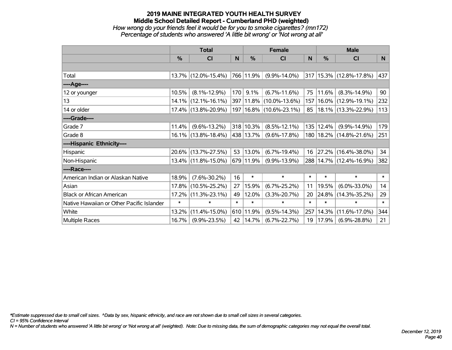# **2019 MAINE INTEGRATED YOUTH HEALTH SURVEY Middle School Detailed Report - Cumberland PHD (weighted)** *How wrong do your friends feel it would be for you to smoke cigarettes? (mn172) Percentage of students who answered 'A little bit wrong' or 'Not wrong at all'*

|                                           | <b>Total</b>  |                        |        |             | <b>Female</b>               |        | <b>Male</b> |                             |        |  |
|-------------------------------------------|---------------|------------------------|--------|-------------|-----------------------------|--------|-------------|-----------------------------|--------|--|
|                                           | $\frac{0}{0}$ | CI                     | N      | $\%$        | <b>CI</b>                   | N      | %           | <b>CI</b>                   | N      |  |
|                                           |               |                        |        |             |                             |        |             |                             |        |  |
| Total                                     |               | 13.7% (12.0%-15.4%)    |        | 766   11.9% | $(9.9\% - 14.0\%)$          |        |             | 317 15.3% (12.8%-17.8%)     | 437    |  |
| ----Age----                               |               |                        |        |             |                             |        |             |                             |        |  |
| 12 or younger                             | 10.5%         | $(8.1\% - 12.9\%)$     | 170    | 9.1%        | $(6.7\% - 11.6\%)$          | 75     | 11.6%       | $(8.3\% - 14.9\%)$          | 90     |  |
| 13                                        | $14.1\%$      | $(12.1\% - 16.1\%)$    |        |             | 397 11.8% (10.0%-13.6%)     | 157    |             | 16.0% (12.9%-19.1%)         | 232    |  |
| 14 or older                               |               | 17.4% (13.8%-20.9%)    |        |             | 197   16.8%   (10.6%-23.1%) | 85     |             | 18.1% (13.3%-22.9%)         | 113    |  |
| ----Grade----                             |               |                        |        |             |                             |        |             |                             |        |  |
| Grade 7                                   | 11.4%         | $(9.6\% - 13.2\%)$     |        | 318 10.3%   | $(8.5\% - 12.1\%)$          | 135    | 12.4%       | $(9.9\% - 14.9\%)$          | 179    |  |
| Grade 8                                   |               | $16.1\%$ (13.8%-18.4%) |        | 438 13.7%   | $(9.6\% - 17.8\%)$          |        |             | 180   18.2%   (14.8%-21.6%) | 251    |  |
| ----Hispanic Ethnicity----                |               |                        |        |             |                             |        |             |                             |        |  |
| Hispanic                                  |               | 20.6% (13.7%-27.5%)    | 53     | 13.0%       | $(6.7\% - 19.4\%)$          | 16     | 27.2%       | $(16.4\% - 38.0\%)$         | 34     |  |
| Non-Hispanic                              |               | 13.4% (11.8%-15.0%)    |        | 679 11.9%   | $(9.9\% - 13.9\%)$          |        |             | 288 14.7% (12.4%-16.9%)     | 382    |  |
| ----Race----                              |               |                        |        |             |                             |        |             |                             |        |  |
| American Indian or Alaskan Native         | 18.9%         | $(7.6\% - 30.2\%)$     | 16     | $\ast$      | $\ast$                      | $\ast$ | $\ast$      | $\ast$                      | $\ast$ |  |
| Asian                                     | 17.8%         | $(10.5\% - 25.2\%)$    | 27     | 15.9%       | $(6.7\% - 25.2\%)$          | 11     | 19.5%       | $(6.0\% - 33.0\%)$          | 14     |  |
| <b>Black or African American</b>          | 17.2%         | $(11.3\% - 23.1\%)$    | 49     | 12.0%       | $(3.3\% - 20.7\%)$          | 20     | 24.8%       | $(14.3\% - 35.2\%)$         | 29     |  |
| Native Hawaiian or Other Pacific Islander | $\ast$        | $\ast$                 | $\ast$ | $\ast$      | $\ast$                      | $\ast$ | $\ast$      | $\ast$                      | $\ast$ |  |
| White                                     | 13.2%         | $(11.4\% - 15.0\%)$    |        | 610 11.9%   | $(9.5\% - 14.3\%)$          | 257    | 14.3%       | $(11.6\% - 17.0\%)$         | 344    |  |
| <b>Multiple Races</b>                     | 16.7%         | $(9.9\% - 23.5\%)$     | 42     | 14.7%       | $(6.7\% - 22.7\%)$          | 19     | 17.9%       | $(6.9\% - 28.8\%)$          | 21     |  |

*\*Estimate suppressed due to small cell sizes. ^Data by sex, hispanic ethnicity, and race are not shown due to small cell sizes in several categories.*

*CI = 95% Confidence Interval*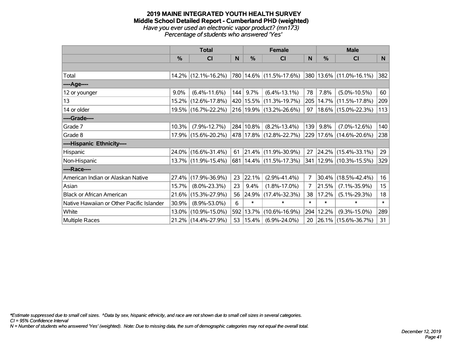#### **2019 MAINE INTEGRATED YOUTH HEALTH SURVEY Middle School Detailed Report - Cumberland PHD (weighted)** *Have you ever used an electronic vapor product? (mn173) Percentage of students who answered 'Yes'*

|                                           | <b>Total</b>  |                     |     | <b>Female</b> | <b>Male</b>                 |                |        |                             |              |
|-------------------------------------------|---------------|---------------------|-----|---------------|-----------------------------|----------------|--------|-----------------------------|--------------|
|                                           | $\frac{0}{0}$ | CI                  | N   | %             | <b>CI</b>                   | N              | $\%$   | <b>CI</b>                   | <sub>N</sub> |
|                                           |               |                     |     |               |                             |                |        |                             |              |
| Total                                     |               | 14.2% (12.1%-16.2%) |     |               | 780 14.6% (11.5%-17.6%)     |                |        | 380   13.6%   (11.0%-16.1%) | 382          |
| ----Age----                               |               |                     |     |               |                             |                |        |                             |              |
| 12 or younger                             | $9.0\%$       | $(6.4\% - 11.6\%)$  | 144 | 9.7%          | $(6.4\% - 13.1\%)$          | 78             | 7.8%   | $(5.0\% - 10.5\%)$          | 60           |
| 13                                        |               | 15.2% (12.6%-17.8%) |     |               | 420   15.5%   (11.3%-19.7%) | 205            |        | 14.7% (11.5%-17.8%)         | 209          |
| 14 or older                               |               | 19.5% (16.7%-22.2%) |     |               | 216 19.9% (13.2%-26.6%)     | 97             |        | 18.6% (15.0%-22.3%)         | 113          |
| ----Grade----                             |               |                     |     |               |                             |                |        |                             |              |
| Grade 7                                   | 10.3%         | $(7.9\% - 12.7\%)$  |     | 284 10.8%     | $(8.2\% - 13.4\%)$          | 139            | 9.8%   | $(7.0\% - 12.6\%)$          | 140          |
| Grade 8                                   |               | 17.9% (15.6%-20.2%) |     |               | 478 17.8% (12.8%-22.7%)     |                |        | 229 17.6% (14.6%-20.6%)     | 238          |
| ----Hispanic Ethnicity----                |               |                     |     |               |                             |                |        |                             |              |
| Hispanic                                  |               | 24.0% (16.6%-31.4%) | 61  |               | 21.4% (11.9%-30.9%)         | 27             |        | $24.2\%$ (15.4%-33.1%)      | 29           |
| Non-Hispanic                              |               | 13.7% (11.9%-15.4%) |     |               | 681   14.4%   (11.5%-17.3%) | 341            |        | $12.9\%$ (10.3%-15.5%)      | 329          |
| ----Race----                              |               |                     |     |               |                             |                |        |                             |              |
| American Indian or Alaskan Native         | 27.4%         | $(17.9\% - 36.9\%)$ | 23  | 22.1%         | $(2.9\% - 41.4\%)$          | $\overline{7}$ | 30.4%  | $(18.5\% - 42.4\%)$         | 16           |
| Asian                                     | 15.7%         | $(8.0\% - 23.3\%)$  | 23  | 9.4%          | $(1.8\% - 17.0\%)$          | 7              | 21.5%  | $(7.1\% - 35.9\%)$          | 15           |
| <b>Black or African American</b>          | 21.6%         | $(15.3\% - 27.9\%)$ | 56  | 24.9%         | $(17.4\% - 32.3\%)$         | 38             | 17.2%  | $(5.1\% - 29.3\%)$          | 18           |
| Native Hawaiian or Other Pacific Islander | 30.9%         | $(8.9\% - 53.0\%)$  | 6   | $\ast$        | $\ast$                      | $\ast$         | $\ast$ | $\ast$                      | $\ast$       |
| White                                     | $13.0\%$      | $(10.9\% - 15.0\%)$ |     | 592 13.7%     | $(10.6\% - 16.9\%)$         | 294            | 12.2%  | $(9.3\% - 15.0\%)$          | 289          |
| <b>Multiple Races</b>                     |               | 21.2% (14.4%-27.9%) | 53  | $ 15.4\% $    | $(6.9\% - 24.0\%)$          | 20             |        | 26.1% (15.6%-36.7%)         | 31           |

*\*Estimate suppressed due to small cell sizes. ^Data by sex, hispanic ethnicity, and race are not shown due to small cell sizes in several categories.*

*CI = 95% Confidence Interval*

*N = Number of students who answered 'Yes' (weighted). Note: Due to missing data, the sum of demographic categories may not equal the overall total.*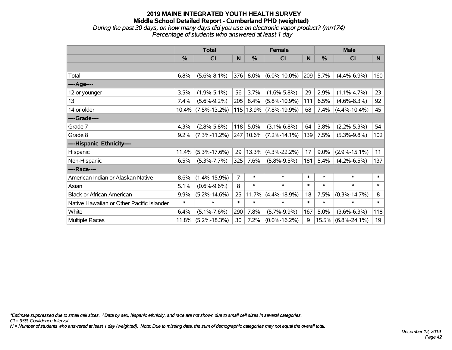### **2019 MAINE INTEGRATED YOUTH HEALTH SURVEY Middle School Detailed Report - Cumberland PHD (weighted)** *During the past 30 days, on how many days did you use an electronic vapor product? (mn174) Percentage of students who answered at least 1 day*

|                                           | <b>Total</b> |                    |        |               | <b>Female</b>      |        | <b>Male</b>   |                    |        |  |
|-------------------------------------------|--------------|--------------------|--------|---------------|--------------------|--------|---------------|--------------------|--------|--|
|                                           | %            | <b>CI</b>          | N      | $\frac{0}{0}$ | <b>CI</b>          | N      | $\frac{0}{0}$ | <b>CI</b>          | N.     |  |
|                                           |              |                    |        |               |                    |        |               |                    |        |  |
| Total                                     | 6.8%         | $(5.6\% - 8.1\%)$  | 376    | 8.0%          | $(6.0\% - 10.0\%)$ | 209    | 5.7%          | $(4.4\% - 6.9\%)$  | 160    |  |
| ----Age----                               |              |                    |        |               |                    |        |               |                    |        |  |
| 12 or younger                             | 3.5%         | $(1.9\% - 5.1\%)$  | 56     | 3.7%          | $(1.6\% - 5.8\%)$  | 29     | 2.9%          | $(1.1\% - 4.7\%)$  | 23     |  |
| 13                                        | 7.4%         | $(5.6\% - 9.2\%)$  | 205    | 8.4%          | $(5.8\% - 10.9\%)$ | 111    | 6.5%          | $(4.6\% - 8.3\%)$  | 92     |  |
| 14 or older                               | $10.4\%$     | $(7.5\% - 13.2\%)$ |        | 115 13.9%     | $(7.8\% - 19.9\%)$ | 68     | 7.4%          | $(4.4\% - 10.4\%)$ | 45     |  |
| ----Grade----                             |              |                    |        |               |                    |        |               |                    |        |  |
| Grade 7                                   | 4.3%         | $(2.8\% - 5.8\%)$  | 118    | 5.0%          | $(3.1\% - 6.8\%)$  | 64     | 3.8%          | $(2.2\% - 5.3\%)$  | 54     |  |
| Grade 8                                   | 9.2%         | $(7.3\% - 11.2\%)$ | 247    | 10.6%         | $(7.2\% - 14.1\%)$ | 139    | 7.5%          | $(5.3\% - 9.8\%)$  | 102    |  |
| ----Hispanic Ethnicity----                |              |                    |        |               |                    |        |               |                    |        |  |
| Hispanic                                  | 11.4%        | $(5.3\% - 17.6\%)$ | 29     | 13.3%         | $(4.3\% - 22.2\%)$ | 17     | 9.0%          | $(2.9\% - 15.1\%)$ | 11     |  |
| Non-Hispanic                              | 6.5%         | $(5.3\% - 7.7\%)$  | 325    | 7.6%          | $(5.8\% - 9.5\%)$  | 181    | 5.4%          | $(4.2\% - 6.5\%)$  | 137    |  |
| ----Race----                              |              |                    |        |               |                    |        |               |                    |        |  |
| American Indian or Alaskan Native         | 8.6%         | $(1.4\% - 15.9\%)$ | 7      | $\ast$        | $\ast$             | $\ast$ | $\ast$        | $\ast$             | $\ast$ |  |
| Asian                                     | 5.1%         | $(0.6\% - 9.6\%)$  | 8      | $\ast$        | $\ast$             | $\ast$ | $\ast$        | $\ast$             | $\ast$ |  |
| <b>Black or African American</b>          | 9.9%         | $(5.2\% - 14.6\%)$ | 25     | 11.7%         | $(4.4\% - 18.9\%)$ | 18     | 7.5%          | $(0.3\% - 14.7\%)$ | 8      |  |
| Native Hawaiian or Other Pacific Islander | $\ast$       | $\ast$             | $\ast$ | $\ast$        | $\ast$             | $\ast$ | $\ast$        | $\ast$             | $\ast$ |  |
| White                                     | 6.4%         | $(5.1\% - 7.6\%)$  | 290    | 7.8%          | $(5.7\% - 9.9\%)$  | 167    | 5.0%          | $(3.6\% - 6.3\%)$  | 118    |  |
| Multiple Races                            | 11.8%        | $(5.2\% - 18.3\%)$ | 30     | 7.2%          | $(0.0\% - 16.2\%)$ | 9      | 15.5%         | $(6.8\% - 24.1\%)$ | 19     |  |

*\*Estimate suppressed due to small cell sizes. ^Data by sex, hispanic ethnicity, and race are not shown due to small cell sizes in several categories.*

*CI = 95% Confidence Interval*

*N = Number of students who answered at least 1 day (weighted). Note: Due to missing data, the sum of demographic categories may not equal the overall total.*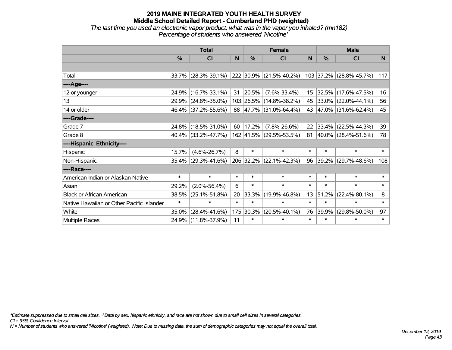### **2019 MAINE INTEGRATED YOUTH HEALTH SURVEY Middle School Detailed Report - Cumberland PHD (weighted)** *The last time you used an electronic vapor product, what was in the vapor you inhaled? (mn182) Percentage of students who answered 'Nicotine'*

|                                           | <b>Total</b>  |                        |        |        | <b>Female</b>           |              |        | <b>Male</b>              |        |
|-------------------------------------------|---------------|------------------------|--------|--------|-------------------------|--------------|--------|--------------------------|--------|
|                                           | $\frac{0}{0}$ | <b>CI</b>              | N      | %      | <b>CI</b>               | <sub>N</sub> | %      | <b>CI</b>                | N      |
|                                           |               |                        |        |        |                         |              |        |                          |        |
| Total                                     |               | 33.7% (28.3%-39.1%)    |        |        | 222 30.9% (21.5%-40.2%) |              |        | 103 37.2% (28.8%-45.7%)  | 117    |
| ----Age----                               |               |                        |        |        |                         |              |        |                          |        |
| 12 or younger                             | 24.9%         | $(16.7\% - 33.1\%)$    | 31     | 20.5%  | $(7.6\% - 33.4\%)$      | 15           | 32.5%  | $(17.6\% - 47.5\%)$      | 16     |
| 13                                        |               | 29.9% (24.8%-35.0%)    |        |        | 103 26.5% (14.8%-38.2%) |              |        | 45 33.0% (22.0%-44.1%)   | 56     |
| 14 or older                               |               | 46.4% (37.2%-55.6%)    |        |        | 88 47.7% (31.0%-64.4%)  |              |        | 43 47.0% (31.6%-62.4%)   | 45     |
| ----Grade----                             |               |                        |        |        |                         |              |        |                          |        |
| Grade 7                                   | 24.8%         | $(18.5\% - 31.0\%)$    | 60     | 17.2%  | $(7.8\% - 26.6\%)$      | 22           | 33.4%  | $(22.5\% - 44.3\%)$      | 39     |
| Grade 8                                   |               | $40.4\%$ (33.2%-47.7%) |        |        | 162 41.5% (29.5%-53.5%) | 81           |        | $ 40.0\% $ (28.4%-51.6%) | 78     |
| ----Hispanic Ethnicity----                |               |                        |        |        |                         |              |        |                          |        |
| Hispanic                                  | 15.7%         | $(4.6\% - 26.7\%)$     | 8      | $\ast$ | $\ast$                  | $\ast$       | $\ast$ | $\ast$                   | $\ast$ |
| Non-Hispanic                              |               | 35.4% (29.3%-41.6%)    |        |        | 206 32.2% (22.1%-42.3%) | 96           | 39.2%  | $(29.7\% - 48.6\%)$      | 108    |
| ----Race----                              |               |                        |        |        |                         |              |        |                          |        |
| American Indian or Alaskan Native         | $\ast$        | $\ast$                 | $\ast$ | $\ast$ | $\ast$                  | $\ast$       | $\ast$ | $\ast$                   | $\ast$ |
| Asian                                     | 29.2%         | $(2.0\% - 56.4\%)$     | 6      | $\ast$ | $\ast$                  | $\ast$       | $\ast$ | $\ast$                   | $\ast$ |
| <b>Black or African American</b>          | 38.5%         | $(25.1\% - 51.8\%)$    | 20     | 33.3%  | $(19.9\% - 46.8\%)$     | 13           | 51.2%  | $(22.4\% - 80.1\%)$      | 8      |
| Native Hawaiian or Other Pacific Islander | $\ast$        | $\ast$                 | $\ast$ | $\ast$ | $\ast$                  | $\ast$       | $\ast$ | $\ast$                   | $\ast$ |
| White                                     | 35.0%         | $(28.4\% - 41.6\%)$    | 175    | 30.3%  | $(20.5\% - 40.1\%)$     | 76           | 39.9%  | $(29.8\% - 50.0\%)$      | 97     |
| <b>Multiple Races</b>                     |               | 24.9% (11.8%-37.9%)    | 11     | $\ast$ | $\ast$                  | $\ast$       | $\ast$ | $\ast$                   | $\ast$ |

*\*Estimate suppressed due to small cell sizes. ^Data by sex, hispanic ethnicity, and race are not shown due to small cell sizes in several categories.*

*CI = 95% Confidence Interval*

*N = Number of students who answered 'Nicotine' (weighted). Note: Due to missing data, the sum of demographic categories may not equal the overall total.*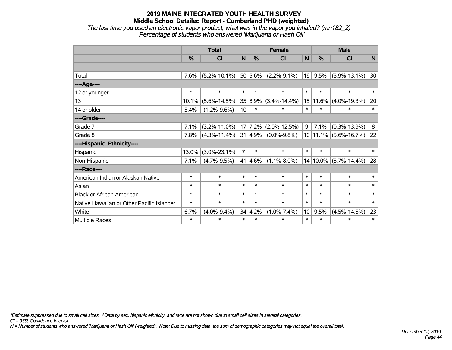### **2019 MAINE INTEGRATED YOUTH HEALTH SURVEY Middle School Detailed Report - Cumberland PHD (weighted)** *The last time you used an electronic vapor product, what was in the vapor you inhaled? (mn182\_2) Percentage of students who answered 'Marijuana or Hash Oil'*

|                                           | <b>Total</b>  |                    |                 |               | <b>Female</b>                 |                 | <b>Male</b> |                           |              |
|-------------------------------------------|---------------|--------------------|-----------------|---------------|-------------------------------|-----------------|-------------|---------------------------|--------------|
|                                           | $\frac{0}{0}$ | CI                 | N               | $\frac{0}{0}$ | <b>CI</b>                     | N               | %           | CI                        | $\mathsf{N}$ |
|                                           |               |                    |                 |               |                               |                 |             |                           |              |
| Total                                     | 7.6%          | $(5.2\% - 10.1\%)$ |                 | $ 50 5.6\% $  | $(2.2\% - 9.1\%)$             | 19              |             | $9.5\%$ (5.9%-13.1%)      | 30           |
| ---- Age----                              |               |                    |                 |               |                               |                 |             |                           |              |
| 12 or younger                             | $\ast$        | $\ast$             | $\ast$          | $\ast$        | $\ast$                        | $\ast$          | $\ast$      | $\ast$                    | $\ast$       |
| 13                                        | 10.1%         | $(5.6\% - 14.5\%)$ |                 | 35 8.9%       | $(3.4\% - 14.4\%)$            | 15              |             | $11.6\%$ (4.0%-19.3%)     | 20           |
| 14 or older                               | 5.4%          | $(1.2\% - 9.6\%)$  | 10 <sup>1</sup> | $\ast$        | $\ast$                        | $\ast$          | $\ast$      | $\ast$                    | $\ast$       |
| ----Grade----                             |               |                    |                 |               |                               |                 |             |                           |              |
| Grade 7                                   | 7.1%          | $(3.2\% - 11.0\%)$ |                 |               | $17$   $7.2\%$   (2.0%-12.5%) | 9               | 7.1%        | $(0.3\% - 13.9\%)$        | 8            |
| Grade 8                                   | 7.8%          | $(4.3\% - 11.4\%)$ |                 | $ 31 4.9\% $  | $(0.0\% - 9.8\%)$             |                 |             | $10 11.1\% $ (5.6%-16.7%) | 22           |
| ----Hispanic Ethnicity----                |               |                    |                 |               |                               |                 |             |                           |              |
| Hispanic                                  | 13.0%         | $(3.0\% - 23.1\%)$ | $\overline{7}$  | $\ast$        | $\ast$                        | $\ast$          | $\ast$      | $\ast$                    | $\ast$       |
| Non-Hispanic                              | 7.1%          | $(4.7\% - 9.5\%)$  |                 | $41 4.6\% $   | $(1.1\% - 8.0\%)$             |                 |             | $14 10.0\% $ (5.7%-14.4%) | 28           |
| ----Race----                              |               |                    |                 |               |                               |                 |             |                           |              |
| American Indian or Alaskan Native         | $\ast$        | $\ast$             | $\ast$          | $\ast$        | $\ast$                        | $\ast$          | $\ast$      | $\ast$                    | $\ast$       |
| Asian                                     | $\ast$        | $\ast$             | $\ast$          | $\ast$        | $\ast$                        | $\ast$          | $\ast$      | $\ast$                    | $\ast$       |
| <b>Black or African American</b>          | $\ast$        | $\ast$             | $\ast$          | $\ast$        | $\ast$                        | $\ast$          | $\ast$      | $\ast$                    | $\ast$       |
| Native Hawaiian or Other Pacific Islander | $\ast$        | $\ast$             | $\ast$          | $\ast$        | $\ast$                        | $\ast$          | $\ast$      | $\ast$                    | $\ast$       |
| White                                     | 6.7%          | $(4.0\% - 9.4\%)$  |                 | 34 4.2%       | $(1.0\% - 7.4\%)$             | 10 <sup>1</sup> | 9.5%        | $(4.5\% - 14.5\%)$        | 23           |
| <b>Multiple Races</b>                     | $\ast$        | $\ast$             | $\ast$          | $\ast$        | $\ast$                        | $\ast$          | $\ast$      | $\ast$                    | $\ast$       |

*\*Estimate suppressed due to small cell sizes. ^Data by sex, hispanic ethnicity, and race are not shown due to small cell sizes in several categories.*

*CI = 95% Confidence Interval*

*N = Number of students who answered 'Marijuana or Hash Oil' (weighted). Note: Due to missing data, the sum of demographic categories may not equal the overall total.*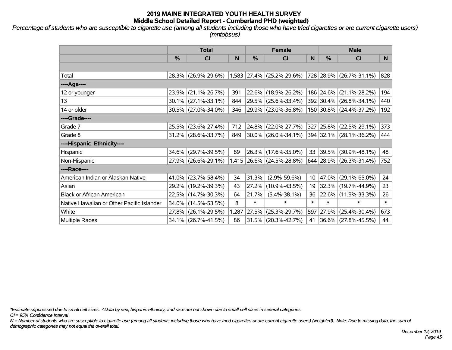*Percentage of students who are susceptible to cigarette use (among all students including those who have tried cigarettes or are current cigarette users) (mntobsus)*

|                                           | <b>Total</b> |                     |              |        | <b>Female</b>             |        | <b>Male</b> |                         |        |  |
|-------------------------------------------|--------------|---------------------|--------------|--------|---------------------------|--------|-------------|-------------------------|--------|--|
|                                           | %            | C <sub>l</sub>      | $\mathsf{N}$ | %      | <b>CI</b>                 | N      | %           | <b>CI</b>               | N      |  |
|                                           |              |                     |              |        |                           |        |             |                         |        |  |
| Total                                     | 28.3%        | $(26.9\% - 29.6\%)$ |              |        | 1,583 27.4% (25.2%-29.6%) |        |             | 728 28.9% (26.7%-31.1%) | 828    |  |
| ----Age----                               |              |                     |              |        |                           |        |             |                         |        |  |
| 12 or younger                             | 23.9%        | $(21.1\% - 26.7\%)$ | 391          |        | 22.6% (18.9%-26.2%)       |        | 186 24.6%   | $(21.1\% - 28.2\%)$     | 194    |  |
| 13                                        | 30.1%        | $(27.1\% - 33.1\%)$ | 844          |        | 29.5% (25.6%-33.4%)       |        |             | 392 30.4% (26.8%-34.1%) | 440    |  |
| 14 or older                               |              | 30.5% (27.0%-34.0%) | 346          |        | 29.9% (23.0%-36.8%)       |        |             | 150 30.8% (24.4%-37.2%) | 192    |  |
| ----Grade----                             |              |                     |              |        |                           |        |             |                         |        |  |
| Grade 7                                   | 25.5%        | $(23.6\% - 27.4\%)$ | 712          | 24.8%  | $(22.0\% - 27.7\%)$       | 327    | 25.8%       | $(22.5\% - 29.1\%)$     | 373    |  |
| Grade 8                                   |              | 31.2% (28.6%-33.7%) | 849          |        | $30.0\%$ (26.0%-34.1%)    |        |             | 394 32.1% (28.1%-36.2%) | 444    |  |
| ----Hispanic Ethnicity----                |              |                     |              |        |                           |        |             |                         |        |  |
| Hispanic                                  | 34.6%        | $(29.7\% - 39.5\%)$ | 89           | 26.3%  | $(17.6\% - 35.0\%)$       | 33     | 39.5%       | $(30.9\% - 48.1\%)$     | 48     |  |
| Non-Hispanic                              |              | 27.9% (26.6%-29.1%) |              |        | 1,415 26.6% (24.5%-28.8%) |        |             | 644 28.9% (26.3%-31.4%) | 752    |  |
| ----Race----                              |              |                     |              |        |                           |        |             |                         |        |  |
| American Indian or Alaskan Native         | 41.0%        | $(23.7\% - 58.4\%)$ | 34           | 31.3%  | $(2.9\% - 59.6\%)$        | 10     | 47.0%       | $(29.1\% - 65.0\%)$     | 24     |  |
| Asian                                     | 29.2%        | $(19.2\% - 39.3\%)$ | 43           | 27.2%  | $(10.9\% - 43.5\%)$       | 19     | 32.3%       | $(19.7\% - 44.9\%)$     | 23     |  |
| <b>Black or African American</b>          | 22.5%        | $(14.7\% - 30.3\%)$ | 64           | 21.7%  | $(5.4\% - 38.1\%)$        | 36     |             | 22.6% (11.9%-33.3%)     | 26     |  |
| Native Hawaiian or Other Pacific Islander | 34.0%        | $(14.5\% - 53.5\%)$ | 8            | $\ast$ | $\ast$                    | $\ast$ | $\ast$      | $\ast$                  | $\ast$ |  |
| White                                     | 27.8%        | $(26.1\% - 29.5\%)$ | 1,287        | 27.5%  | $(25.3\% - 29.7\%)$       | 597    | 27.9%       | $(25.4\% - 30.4\%)$     | 673    |  |
| Multiple Races                            |              | 34.1% (26.7%-41.5%) | 86           |        | $31.5\%$ (20.3%-42.7%)    | 41     |             | 36.6% (27.8%-45.5%)     | 44     |  |

*\*Estimate suppressed due to small cell sizes. ^Data by sex, hispanic ethnicity, and race are not shown due to small cell sizes in several categories.*

*CI = 95% Confidence Interval*

*N = Number of students who are susceptible to cigarette use (among all students including those who have tried cigarettes or are current cigarette users) (weighted). Note: Due to missing data, the sum of demographic categories may not equal the overall total.*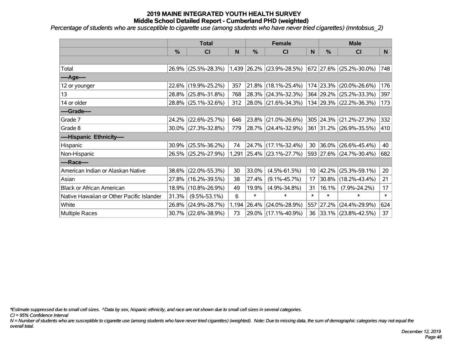*Percentage of students who are susceptible to cigarette use (among students who have never tried cigarettes) (mntobsus\_2)*

|                                           | <b>Total</b>  |                        |       |        | <b>Female</b>             |                 | <b>Male</b> |                          |                 |  |
|-------------------------------------------|---------------|------------------------|-------|--------|---------------------------|-----------------|-------------|--------------------------|-----------------|--|
|                                           | $\frac{0}{0}$ | C <sub>l</sub>         | N     | %      | <b>CI</b>                 | N               | %           | <b>CI</b>                | N               |  |
|                                           |               |                        |       |        |                           |                 |             |                          |                 |  |
| Total                                     |               | 26.9% (25.5%-28.3%)    |       |        | 1,439 26.2% (23.9%-28.5%) |                 |             | 672 27.6% (25.2%-30.0%)  | 748             |  |
| ----Age----                               |               |                        |       |        |                           |                 |             |                          |                 |  |
| 12 or younger                             | 22.6%         | $(19.9\% - 25.2\%)$    | 357   | 21.8%  | $(18.1\% - 25.4\%)$       |                 | 174 23.3%   | $(20.0\% - 26.6\%)$      | 176             |  |
| 13                                        |               | 28.8% (25.8%-31.8%)    | 768   |        | $28.3\%$ (24.3%-32.3%)    |                 |             | 364 29.2% (25.2%-33.3%)  | 397             |  |
| 14 or older                               |               | 28.8% (25.1%-32.6%)    | 312   |        | 28.0% (21.6%-34.3%)       |                 |             | 134 29.3% (22.2%-36.3%)  | 173             |  |
| ----Grade----                             |               |                        |       |        |                           |                 |             |                          |                 |  |
| Grade 7                                   | 24.2%         | $(22.6\% - 25.7\%)$    | 646   | 23.8%  | $(21.0\% - 26.6\%)$       |                 | 305 24.3%   | $(21.2\% - 27.3\%)$      | 332             |  |
| Grade 8                                   |               | $30.0\%$ (27.3%-32.8%) | 779   |        | 28.7% (24.4%-32.9%)       |                 |             | 361 31.2% (26.9%-35.5%)  | 410             |  |
| ----Hispanic Ethnicity----                |               |                        |       |        |                           |                 |             |                          |                 |  |
| Hispanic                                  | 30.9%         | $(25.5\% - 36.2\%)$    | 74    | 24.7%  | $(17.1\% - 32.4\%)$       | 30              | 36.0%       | $(26.6\% - 45.4\%)$      | 40              |  |
| Non-Hispanic                              |               | 26.5% (25.2%-27.9%)    |       |        | 1,291 25.4% (23.1%-27.7%) |                 |             | 593 27.6% (24.7%-30.4%)  | 682             |  |
| ----Race----                              |               |                        |       |        |                           |                 |             |                          |                 |  |
| American Indian or Alaskan Native         |               | 38.6% (22.0%-55.3%)    | 30    | 33.0%  | $(4.5\% - 61.5\%)$        | 10 <sup>°</sup> | $ 42.2\% $  | $(25.3\% - 59.1\%)$      | 20              |  |
| Asian                                     | 27.8%         | $(16.2\% - 39.5\%)$    | 38    | 27.4%  | $(9.1\% - 45.7\%)$        | 17              | $30.8\%$    | $(18.2\% - 43.4\%)$      | 21              |  |
| <b>Black or African American</b>          | 18.9%         | $(10.8\% - 26.9\%)$    | 49    | 19.9%  | $(4.9\% - 34.8\%)$        | 31              | 16.1%       | $(7.9\% - 24.2\%)$       | 17 <sub>2</sub> |  |
| Native Hawaiian or Other Pacific Islander | 31.3%         | $(9.5\% - 53.1\%)$     | 6     | $\ast$ | $\ast$                    | $\ast$          | $\ast$      | $\ast$                   | $\ast$          |  |
| White                                     | 26.8%         | $(24.9\% - 28.7\%)$    | 1,194 | 26.4%  | $(24.0\% - 28.9\%)$       |                 | 557 27.2%   | $(24.4\% - 29.9\%)$      | 624             |  |
| Multiple Races                            |               | 30.7% (22.6%-38.9%)    | 73    |        | 29.0% (17.1%-40.9%)       | 36              |             | $ 33.1\% $ (23.8%-42.5%) | 37              |  |

*\*Estimate suppressed due to small cell sizes. ^Data by sex, hispanic ethnicity, and race are not shown due to small cell sizes in several categories.*

*CI = 95% Confidence Interval*

*N = Number of students who are susceptible to cigarette use (among students who have never tried cigarettes) (weighted). Note: Due to missing data, the sum of demographic categories may not equal the overall total.*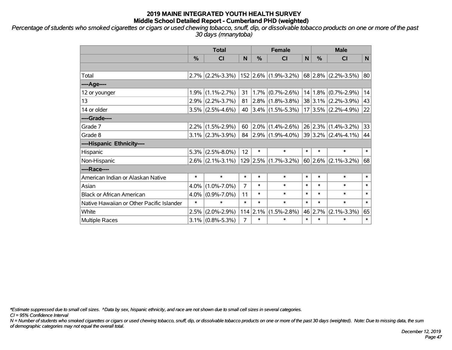*Percentage of students who smoked cigarettes or cigars or used chewing tobacco, snuff, dip, or dissolvable tobacco products on one or more of the past 30 days (mnanytoba)*

|                                           | <b>Total</b> |                     |                | <b>Female</b> |                           |        | <b>Male</b> |                         |              |  |
|-------------------------------------------|--------------|---------------------|----------------|---------------|---------------------------|--------|-------------|-------------------------|--------------|--|
|                                           | %            | CI                  | N              | $\frac{0}{0}$ | <b>CI</b>                 | N      | %           | <b>CI</b>               | N            |  |
|                                           |              |                     |                |               |                           |        |             |                         |              |  |
| Total                                     |              | $2.7\%$ (2.2%-3.3%) |                |               | $152$ 2.6% (1.9%-3.2%)    |        | $68$ 2.8%   | $(2.2\% - 3.5\%)$       | 80           |  |
| ----Age----                               |              |                     |                |               |                           |        |             |                         |              |  |
| 12 or younger                             | 1.9%         | $(1.1\% - 2.7\%)$   | 31             |               | $1.7\%$ (0.7%-2.6%)       |        | 14 1.8%     | $(0.7\% - 2.9\%)$       | 14           |  |
| 13                                        |              | $2.9\%$ (2.2%-3.7%) | 81             |               | $2.8\%$ (1.8%-3.8%)       |        |             | $38 3.1\% $ (2.2%-3.9%) | 43           |  |
| 14 or older                               |              | $3.5\%$ (2.5%-4.6%) | 40             |               | $3.4\%$ (1.5%-5.3%)       |        |             | $17 3.5\% $ (2.2%-4.9%) | 22           |  |
| ----Grade----                             |              |                     |                |               |                           |        |             |                         |              |  |
| Grade 7                                   |              | $2.2\%$ (1.5%-2.9%) | 60             | $2.0\%$       | $(1.4\% - 2.6\%)$         |        | 26 2.3%     | $(1.4\% - 3.2\%)$       | 33           |  |
| Grade 8                                   |              | $3.1\%$ (2.3%-3.9%) |                |               | 84 2.9% $(1.9\% - 4.0\%)$ |        |             | $39 3.2\% $ (2.4%-4.1%) | 44           |  |
| ----Hispanic Ethnicity----                |              |                     |                |               |                           |        |             |                         |              |  |
| Hispanic                                  | 5.3%         | $(2.5\% - 8.0\%)$   | 12             | $\ast$        | $\ast$                    | $\ast$ | $\ast$      | $\ast$                  | $\ast$       |  |
| Non-Hispanic                              |              | $2.6\%$ (2.1%-3.1%) |                |               | $129$ 2.5% (1.7%-3.2%)    |        | 60 2.6%     | $(2.1\% - 3.2\%)$       | 68           |  |
| ----Race----                              |              |                     |                |               |                           |        |             |                         |              |  |
| American Indian or Alaskan Native         | $\ast$       | $\ast$              | $\ast$         | $\ast$        | $\ast$                    | $\ast$ | $\ast$      | $\ast$                  | $\ast$       |  |
| Asian                                     | 4.0%         | $(1.0\% - 7.0\%)$   | 7              | $\ast$        | $\ast$                    | $\ast$ | $\ast$      | $\ast$                  | $\ast$       |  |
| <b>Black or African American</b>          | 4.0%         | $(0.9\% - 7.0\%)$   | 11             | $\ast$        | $\ast$                    | $\ast$ | $\ast$      | $\ast$                  | $\ast$       |  |
| Native Hawaiian or Other Pacific Islander | $\ast$       | $\ast$              | $\ast$         | $\ast$        | $\ast$                    | $\ast$ | $\ast$      | $\ast$                  | $\ast$       |  |
| White                                     | 2.5%         | $(2.0\% - 2.9\%)$   |                | $114$ 2.1%    | $(1.5\% - 2.8\%)$         |        | 46 2.7%     | $(2.1\% - 3.3\%)$       | 65           |  |
| Multiple Races                            |              | $3.1\%$ (0.8%-5.3%) | $\overline{7}$ | $\ast$        | $\ast$                    | $\ast$ | $\ast$      | $\ast$                  | $\pmb{\ast}$ |  |

*\*Estimate suppressed due to small cell sizes. ^Data by sex, hispanic ethnicity, and race are not shown due to small cell sizes in several categories.*

*CI = 95% Confidence Interval*

*N = Number of students who smoked cigarettes or cigars or used chewing tobacco, snuff, dip, or dissolvable tobacco products on one or more of the past 30 days (weighted). Note: Due to missing data, the sum of demographic categories may not equal the overall total.*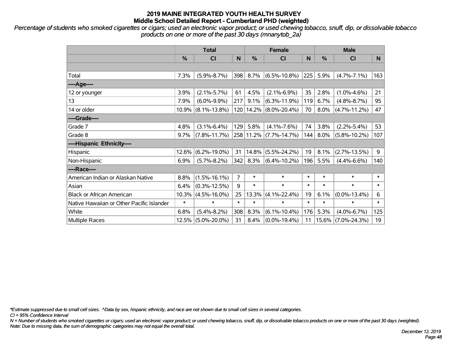*Percentage of students who smoked cigarettes or cigars; used an electronic vapor product; or used chewing tobacco, snuff, dip, or dissolvable tobacco products on one or more of the past 30 days (mnanytob\_2a)*

|                                           | <b>Total</b> |                    |        |        | <b>Female</b>              |        | <b>Male</b> |                    |        |  |
|-------------------------------------------|--------------|--------------------|--------|--------|----------------------------|--------|-------------|--------------------|--------|--|
|                                           | %            | <b>CI</b>          | N      | %      | CI                         | N      | %           | <b>CI</b>          | N.     |  |
|                                           |              |                    |        |        |                            |        |             |                    |        |  |
| Total                                     | 7.3%         | $(5.9\% - 8.7\%)$  | 398    | 8.7%   | $(6.5\% - 10.8\%)$         | 225    | 5.9%        | $(4.7\% - 7.1\%)$  | 163    |  |
| ----Age----                               |              |                    |        |        |                            |        |             |                    |        |  |
| 12 or younger                             | 3.9%         | $(2.1\% - 5.7\%)$  | 61     | 4.5%   | $(2.1\% - 6.9\%)$          | 35     | 2.8%        | $(1.0\% - 4.6\%)$  | 21     |  |
| 13                                        | 7.9%         | $(6.0\% - 9.9\%)$  | 217    | 9.1%   | $(6.3\% - 11.9\%)$         | 119    | 6.7%        | $(4.8\% - 8.7\%)$  | 95     |  |
| 14 or older                               | $10.9\%$     | $(8.1\% - 13.8\%)$ |        |        | 120   14.2%   (8.0%-20.4%) | 70     | 8.0%        | $(4.7\% - 11.2\%)$ | 47     |  |
| ----Grade----                             |              |                    |        |        |                            |        |             |                    |        |  |
| Grade 7                                   | 4.8%         | $(3.1\% - 6.4\%)$  | 129    | 5.8%   | $(4.1\% - 7.6\%)$          | 74     | 3.8%        | $(2.2\% - 5.4\%)$  | 53     |  |
| Grade 8                                   | 9.7%         | $(7.8\% - 11.7\%)$ |        |        | 258 11.2% (7.7%-14.7%)     | 144    | 8.0%        | $(5.8\% - 10.2\%)$ | 107    |  |
| ----Hispanic Ethnicity----                |              |                    |        |        |                            |        |             |                    |        |  |
| <b>Hispanic</b>                           | 12.6%        | $(6.2\% - 19.0\%)$ | 31     | 14.8%  | $(5.5\% - 24.2\%)$         | 19     | 8.1%        | $(2.7\% - 13.5\%)$ | 9      |  |
| Non-Hispanic                              | 6.9%         | $(5.7\% - 8.2\%)$  | 342    | 8.3%   | $(6.4\% - 10.2\%)$         | 196    | 5.5%        | $(4.4\% - 6.6\%)$  | 140    |  |
| ----Race----                              |              |                    |        |        |                            |        |             |                    |        |  |
| American Indian or Alaskan Native         | 8.8%         | $(1.5\% - 16.1\%)$ | 7      | $\ast$ | $\ast$                     | *      | $\ast$      | $\ast$             | $\ast$ |  |
| Asian                                     | 6.4%         | $(0.3\% - 12.5\%)$ | 9      | $\ast$ | $\ast$                     | $\ast$ | $\ast$      | $\ast$             | $\ast$ |  |
| <b>Black or African American</b>          | 10.3%        | $(4.5\% - 16.0\%)$ | 25     | 13.3%  | $(4.1\% - 22.4\%)$         | 19     | 6.1%        | $(0.0\% - 13.4\%)$ | 6      |  |
| Native Hawaiian or Other Pacific Islander | $\ast$       | $\ast$             | $\ast$ | $\ast$ | $\ast$                     | $\ast$ | $\ast$      | $\ast$             | $\ast$ |  |
| White                                     | 6.8%         | $(5.4\% - 8.2\%)$  | 308    | 8.3%   | $(6.1\% - 10.4\%)$         | 176    | 5.3%        | $(4.0\% - 6.7\%)$  | 125    |  |
| Multiple Races                            | 12.5%        | $(5.0\% - 20.0\%)$ | 31     | 8.4%   | $(0.0\% - 19.4\%)$         | 11     |             | 15.6% (7.0%-24.3%) | 19     |  |

*\*Estimate suppressed due to small cell sizes. ^Data by sex, hispanic ethnicity, and race are not shown due to small cell sizes in several categories.*

*CI = 95% Confidence Interval*

*N = Number of students who smoked cigarettes or cigars; used an electronic vapor product; or used chewing tobacco, snuff, dip, or dissolvable tobacco products on one or more of the past 30 days (weighted). Note: Due to missing data, the sum of demographic categories may not equal the overall total.*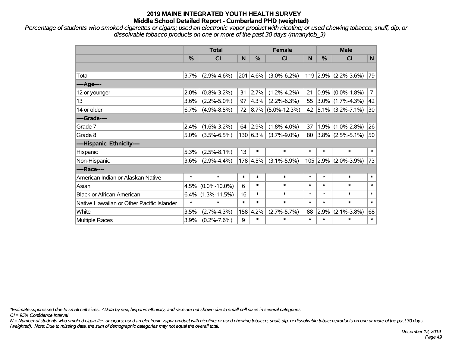*Percentage of students who smoked cigarettes or cigars; used an electronic vapor product with nicotine; or used chewing tobacco, snuff, dip, or dissolvable tobacco products on one or more of the past 30 days (mnanytob\_3)*

|                                           | <b>Total</b>  |                    | <b>Female</b> |               |                        | <b>Male</b> |            |                        |        |
|-------------------------------------------|---------------|--------------------|---------------|---------------|------------------------|-------------|------------|------------------------|--------|
|                                           | $\frac{0}{0}$ | CI                 | N             | $\frac{0}{0}$ | <b>CI</b>              | N           | $\%$       | <b>CI</b>              | N      |
|                                           |               |                    |               |               |                        |             |            |                        |        |
| Total                                     | 3.7%          | $(2.9\% - 4.6\%)$  |               | 201 4.6%      | $(3.0\% - 6.2\%)$      |             |            | $119$ 2.9% (2.2%-3.6%) | 79     |
| ----Age----                               |               |                    |               |               |                        |             |            |                        |        |
| 12 or younger                             | 2.0%          | $(0.8\% - 3.2\%)$  | 31            | 2.7%          | $(1.2\% - 4.2\%)$      | 21          |            | $0.9\%$ (0.0%-1.8%)    | 7      |
| 13                                        | 3.6%          | $(2.2\% - 5.0\%)$  | 97            | 4.3%          | $(2.2\% - 6.3\%)$      | 55          |            | $3.0\%$ (1.7%-4.3%)    | 42     |
| 14 or older                               | 6.7%          | $(4.9\% - 8.5\%)$  | 72            |               | $ 8.7\% $ (5.0%-12.3%) | 42          |            | $ 5.1\% $ (3.2%-7.1%)  | 30     |
| ----Grade----                             |               |                    |               |               |                        |             |            |                        |        |
| Grade 7                                   | 2.4%          | $(1.6\% - 3.2\%)$  | 64            | 2.9%          | $(1.8\% - 4.0\%)$      | 37          | 1.9%       | $(1.0\% - 2.8\%)$      | 26     |
| Grade 8                                   | $5.0\%$       | $(3.5\% - 6.5\%)$  |               | 130 6.3%      | $(3.7\% - 9.0\%)$      | 80          |            | $3.8\%$ (2.5%-5.1%)    | 50     |
| ----Hispanic Ethnicity----                |               |                    |               |               |                        |             |            |                        |        |
| Hispanic                                  | 5.3%          | $(2.5\% - 8.1\%)$  | 13            | $\ast$        | $\ast$                 | $\ast$      | $\ast$     | $\ast$                 | $\ast$ |
| Non-Hispanic                              | $3.6\%$       | $(2.9\% - 4.4\%)$  |               | 178 4.5%      | $(3.1\% - 5.9\%)$      |             | $105$ 2.9% | $(2.0\% - 3.9\%)$      | 73     |
| ----Race----                              |               |                    |               |               |                        |             |            |                        |        |
| American Indian or Alaskan Native         | $\ast$        | $\ast$             | $\ast$        | $\ast$        | $\ast$                 | $\ast$      | $\ast$     | $\ast$                 | $\ast$ |
| Asian                                     | 4.5%          | $(0.0\% - 10.0\%)$ | 6             | $\ast$        | $\ast$                 | $\ast$      | $\ast$     | $\ast$                 | $\ast$ |
| <b>Black or African American</b>          | 6.4%          | $(1.3\% - 11.5\%)$ | 16            | $\ast$        | $\ast$                 | $\ast$      | $\ast$     | $\ast$                 | $\ast$ |
| Native Hawaiian or Other Pacific Islander | $\ast$        | $\ast$             | $\ast$        | $\ast$        | $\ast$                 | $\ast$      | $\ast$     | $\ast$                 | $\ast$ |
| White                                     | 3.5%          | $(2.7\% - 4.3\%)$  | 158           | 4.2%          | $(2.7\% - 5.7\%)$      | 88          | 2.9%       | $(2.1\% - 3.8\%)$      | 68     |
| Multiple Races                            | 3.9%          | $(0.2\% - 7.6\%)$  | 9             | $\ast$        | $\ast$                 | $\ast$      | $\ast$     | $\ast$                 | $\ast$ |

*\*Estimate suppressed due to small cell sizes. ^Data by sex, hispanic ethnicity, and race are not shown due to small cell sizes in several categories.*

*CI = 95% Confidence Interval*

*N = Number of students who smoked cigarettes or cigars; used an electronic vapor product with nicotine; or used chewing tobacco, snuff, dip, or dissolvable tobacco products on one or more of the past 30 days (weighted). Note: Due to missing data, the sum of demographic categories may not equal the overall total.*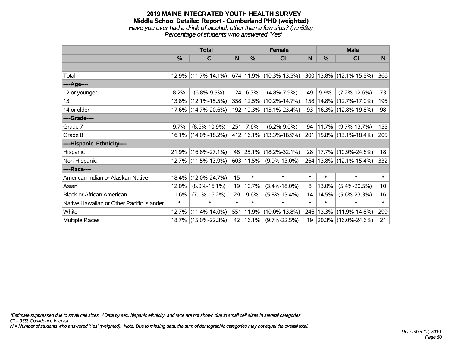#### **2019 MAINE INTEGRATED YOUTH HEALTH SURVEY Middle School Detailed Report - Cumberland PHD (weighted)** *Have you ever had a drink of alcohol, other than a few sips? (mn59a) Percentage of students who answered 'Yes'*

|                                           | <b>Total</b>  |                        | <b>Female</b> |             |                             | <b>Male</b> |               |                              |                 |
|-------------------------------------------|---------------|------------------------|---------------|-------------|-----------------------------|-------------|---------------|------------------------------|-----------------|
|                                           | $\frac{0}{0}$ | CI                     | N             | $\%$        | <b>CI</b>                   | N           | $\frac{0}{0}$ | <b>CI</b>                    | <sub>N</sub>    |
|                                           |               |                        |               |             |                             |             |               |                              |                 |
| Total                                     |               | $12.9\%$ (11.7%-14.1%) |               |             | 674  11.9%  (10.3%-13.5%)   |             |               | $ 300 13.8\% $ (12.1%-15.5%) | 366             |
| ----Age----                               |               |                        |               |             |                             |             |               |                              |                 |
| 12 or younger                             | 8.2%          | $(6.8\% - 9.5\%)$      | 124           | 6.3%        | $(4.8\% - 7.9\%)$           | 49          | 9.9%          | $(7.2\% - 12.6\%)$           | 73              |
| 13                                        |               | 13.8% (12.1%-15.5%)    |               |             | 358 12.5% (10.2%-14.7%)     | 158         |               | 14.8% (12.7%-17.0%)          | 195             |
| 14 or older                               |               | 17.6% (14.7%-20.6%)    |               |             | 192   19.3%   (15.1%-23.4%) | 93          |               | 16.3% (12.8%-19.8%)          | 98              |
| ----Grade----                             |               |                        |               |             |                             |             |               |                              |                 |
| Grade 7                                   | 9.7%          | $(8.6\% - 10.9\%)$     | 251           | 7.6%        | $(6.2\% - 9.0\%)$           | 94          | 11.7%         | $(9.7\% - 13.7\%)$           | 155             |
| Grade 8                                   |               | 16.1% (14.0%-18.2%)    |               |             | 412 16.1% (13.3%-18.9%)     |             |               | 201   15.8%   (13.1%-18.4%)  | 205             |
| ----Hispanic Ethnicity----                |               |                        |               |             |                             |             |               |                              |                 |
| Hispanic                                  |               | 21.9% (16.8%-27.1%)    | 48            | $ 25.1\% $  | $(18.2\% - 32.1\%)$         | 28          |               | 17.7% (10.9%-24.6%)          | 18              |
| Non-Hispanic                              |               | 12.7% (11.5%-13.9%)    |               | $603$ 11.5% | $(9.9\% - 13.0\%)$          |             |               | 264   13.8%   (12.1%-15.4%)  | 332             |
| ----Race----                              |               |                        |               |             |                             |             |               |                              |                 |
| American Indian or Alaskan Native         | 18.4%         | $(12.0\% - 24.7\%)$    | 15            | $\ast$      | $\ast$                      | $\ast$      | $\ast$        | $\ast$                       | $\ast$          |
| Asian                                     | 12.0%         | $(8.0\% - 16.1\%)$     | 19            | 10.7%       | $(3.4\% - 18.0\%)$          | 8           | 13.0%         | $(5.4\% - 20.5\%)$           | 10 <sup>°</sup> |
| <b>Black or African American</b>          | 11.6%         | $(7.1\% - 16.2\%)$     | 29            | 9.6%        | $(5.8\% - 13.4\%)$          | 14          | 14.5%         | $(5.6\% - 23.3\%)$           | 16              |
| Native Hawaiian or Other Pacific Islander | $\ast$        | $\ast$                 | $\ast$        | $\ast$      | $\ast$                      | $\ast$      | $\ast$        | $\ast$                       | $\ast$          |
| White                                     | 12.7%         | $(11.4\% - 14.0\%)$    | 551           | 11.9%       | $(10.0\% - 13.8\%)$         | 246         | 13.3%         | $(11.9\% - 14.8\%)$          | 299             |
| <b>Multiple Races</b>                     |               | 18.7% (15.0%-22.3%)    | 42            | $ 16.1\% $  | $(9.7\% - 22.5\%)$          | 19          |               | 20.3% (16.0%-24.6%)          | 21              |

*\*Estimate suppressed due to small cell sizes. ^Data by sex, hispanic ethnicity, and race are not shown due to small cell sizes in several categories.*

*CI = 95% Confidence Interval*

*N = Number of students who answered 'Yes' (weighted). Note: Due to missing data, the sum of demographic categories may not equal the overall total.*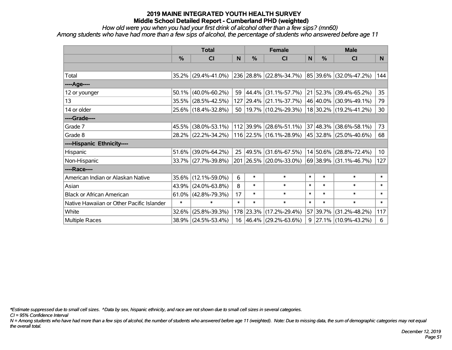*How old were you when you had your first drink of alcohol other than a few sips? (mn60)*

*Among students who have had more than a few sips of alcohol, the percentage of students who answered before age 11*

|                                           | <b>Total</b> |                     |        |               | <b>Female</b>                                  | <b>Male</b> |          |                             |                 |
|-------------------------------------------|--------------|---------------------|--------|---------------|------------------------------------------------|-------------|----------|-----------------------------|-----------------|
|                                           | %            | <b>CI</b>           | N      | $\frac{0}{0}$ | <b>CI</b>                                      | N           | %        | <b>CI</b>                   | N               |
|                                           |              |                     |        |               |                                                |             |          |                             |                 |
| Total                                     |              | 35.2% (29.4%-41.0%) |        |               | 236 28.8% (22.8%-34.7%)                        |             |          | $ 85 39.6\% $ (32.0%-47.2%) | 144             |
| ----Age----                               |              |                     |        |               |                                                |             |          |                             |                 |
| 12 or younger                             | 50.1%        | $(40.0\% - 60.2\%)$ | 59     | 44.4%         | $(31.1\% - 57.7\%)$                            |             | 21 52.3% | $(39.4\% - 65.2\%)$         | 35              |
| 13                                        | 35.5%        | $(28.5\% - 42.5\%)$ |        |               | 127 29.4% (21.1%-37.7%)                        |             | 46 40.0% | $(30.9\% - 49.1\%)$         | 79              |
| 14 or older                               |              | 25.6% (18.4%-32.8%) |        |               | 50   19.7%   (10.2%-29.3%)                     |             |          | 18 30.2% (19.2%-41.2%)      | 30              |
| ----Grade----                             |              |                     |        |               |                                                |             |          |                             |                 |
| Grade 7                                   | 45.5%        | $(38.0\% - 53.1\%)$ |        | 112 39.9%     | $(28.6\% - 51.1\%)$                            |             | 37 48.3% | $(38.6\% - 58.1\%)$         | 73              |
| Grade 8                                   |              | 28.2% (22.2%-34.2%) |        |               | 116 22.5% (16.1%-28.9%) 45 32.8% (25.0%-40.6%) |             |          |                             | 68              |
| ----Hispanic Ethnicity----                |              |                     |        |               |                                                |             |          |                             |                 |
| Hispanic                                  | 51.6%        | $(39.0\% - 64.2\%)$ | 25     | 49.5%         | $(31.6\% - 67.5\%)$                            |             | 14 50.6% | $(28.8\% - 72.4\%)$         | 10 <sup>1</sup> |
| Non-Hispanic                              |              | 33.7% (27.7%-39.8%) |        |               | 201 26.5% (20.0%-33.0%)                        |             | 69 38.9% | $(31.1\% - 46.7\%)$         | 127             |
| ----Race----                              |              |                     |        |               |                                                |             |          |                             |                 |
| American Indian or Alaskan Native         | 35.6%        | $(12.1\% - 59.0\%)$ | 6      | $\ast$        | $\ast$                                         | $\ast$      | $\ast$   | $\ast$                      | $\ast$          |
| Asian                                     | 43.9%        | $(24.0\% - 63.8\%)$ | 8      | $\ast$        | $\ast$                                         | $\ast$      | $\ast$   | $\ast$                      | $\ast$          |
| <b>Black or African American</b>          | 61.0%        | $(42.8\% - 79.3\%)$ | 17     | $\ast$        | $\ast$                                         | $\ast$      | $\ast$   | $\ast$                      | $\ast$          |
| Native Hawaiian or Other Pacific Islander | $\ast$       | $\ast$              | $\ast$ | $\ast$        | $\ast$                                         | $\ast$      | $\ast$   | $\ast$                      | $\ast$          |
| White                                     | 32.6%        | $(25.8\% - 39.3\%)$ |        | 178 23.3%     | $(17.2\% - 29.4\%)$                            |             | 57 39.7% | $(31.2\% - 48.2\%)$         | 117             |
| Multiple Races                            |              | 38.9% (24.5%-53.4%) |        |               | 16 $ 46.4\% $ (29.2%-63.6%)                    |             |          | $9$   27.1%   (10.9%-43.2%) | 6               |

*\*Estimate suppressed due to small cell sizes. ^Data by sex, hispanic ethnicity, and race are not shown due to small cell sizes in several categories.*

*CI = 95% Confidence Interval*

*N = Among students who have had more than a few sips of alcohol, the number of students who answered before age 11 (weighted). Note: Due to missing data, the sum of demographic categories may not equal the overall total.*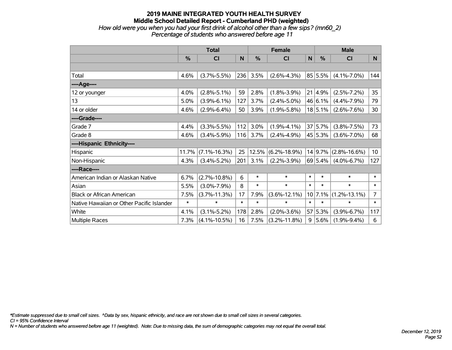### **2019 MAINE INTEGRATED YOUTH HEALTH SURVEY Middle School Detailed Report - Cumberland PHD (weighted)** *How old were you when you had your first drink of alcohol other than a few sips? (mn60\_2) Percentage of students who answered before age 11*

|                                           | <b>Total</b>  |                    | <b>Female</b> |        |                    | <b>Male</b> |         |                    |                 |
|-------------------------------------------|---------------|--------------------|---------------|--------|--------------------|-------------|---------|--------------------|-----------------|
|                                           | $\frac{0}{0}$ | <b>CI</b>          | N             | $\%$   | C <sub>1</sub>     | N           | %       | <b>CI</b>          | N.              |
|                                           |               |                    |               |        |                    |             |         |                    |                 |
| Total                                     | 4.6%          | $(3.7\% - 5.5\%)$  | 236           | 3.5%   | $(2.6\% - 4.3\%)$  |             | 85 5.5% | $(4.1\% - 7.0\%)$  | 144             |
| ----Age----                               |               |                    |               |        |                    |             |         |                    |                 |
| 12 or younger                             | 4.0%          | $(2.8\% - 5.1\%)$  | 59            | 2.8%   | $(1.8\% - 3.9\%)$  | 21          | 4.9%    | $(2.5\% - 7.2\%)$  | 35              |
| 13                                        | 5.0%          | $(3.9\% - 6.1\%)$  | 127           | 3.7%   | $(2.4\% - 5.0\%)$  |             | 46 6.1% | $(4.4\% - 7.9\%)$  | 79              |
| 14 or older                               | 4.6%          | $(2.9\% - 6.4\%)$  | 50            | 3.9%   | $(1.9\% - 5.8\%)$  |             | 18 5.1% | $(2.6\% - 7.6\%)$  | 30              |
| ----Grade----                             |               |                    |               |        |                    |             |         |                    |                 |
| Grade 7                                   | 4.4%          | $(3.3\% - 5.5\%)$  | 112           | 3.0%   | $(1.9\% - 4.1\%)$  |             | 37 5.7% | $(3.8\% - 7.5\%)$  | 73              |
| Grade 8                                   | 4.6%          | $(3.4\% - 5.9\%)$  | 116           | 3.7%   | $(2.4\% - 4.9\%)$  |             | 45 5.3% | $(3.6\% - 7.0\%)$  | 68              |
| ----Hispanic Ethnicity----                |               |                    |               |        |                    |             |         |                    |                 |
| Hispanic                                  | 11.7%         | $(7.1\% - 16.3\%)$ | 25            | 12.5%  | $(6.2\% - 18.9\%)$ |             | 14 9.7% | $(2.8\% - 16.6\%)$ | 10 <sup>1</sup> |
| Non-Hispanic                              | 4.3%          | $(3.4\% - 5.2\%)$  | 201           | 3.1%   | $(2.2\% - 3.9\%)$  |             | 69 5.4% | $(4.0\% - 6.7\%)$  | 127             |
| ----Race----                              |               |                    |               |        |                    |             |         |                    |                 |
| American Indian or Alaskan Native         | 6.7%          | $(2.7\% - 10.8\%)$ | 6             | $\ast$ | $\ast$             | $\ast$      | $\ast$  | $\ast$             | $\ast$          |
| Asian                                     | 5.5%          | $(3.0\% - 7.9\%)$  | 8             | $\ast$ | $\ast$             | $\ast$      | $\ast$  | $\ast$             | $\ast$          |
| <b>Black or African American</b>          | 7.5%          | $(3.7\% - 11.3\%)$ | 17            | 7.9%   | $(3.6\% - 12.1\%)$ |             | 10 7.1% | $(1.2\% - 13.1\%)$ | $\overline{7}$  |
| Native Hawaiian or Other Pacific Islander | $\ast$        | $\ast$             | $\ast$        | $\ast$ | $\ast$             | $\ast$      | $\ast$  | $\ast$             | $\ast$          |
| White                                     | 4.1%          | $(3.1\% - 5.2\%)$  | 178           | 2.8%   | $(2.0\% - 3.6\%)$  | 57          | 5.3%    | $(3.9\% - 6.7\%)$  | 117             |
| <b>Multiple Races</b>                     | 7.3%          | $(4.1\% - 10.5\%)$ | 16            | 7.5%   | $(3.2\% - 11.8\%)$ | 9           | 5.6%    | $(1.9\% - 9.4\%)$  | 6               |

*\*Estimate suppressed due to small cell sizes. ^Data by sex, hispanic ethnicity, and race are not shown due to small cell sizes in several categories.*

*CI = 95% Confidence Interval*

*N = Number of students who answered before age 11 (weighted). Note: Due to missing data, the sum of demographic categories may not equal the overall total.*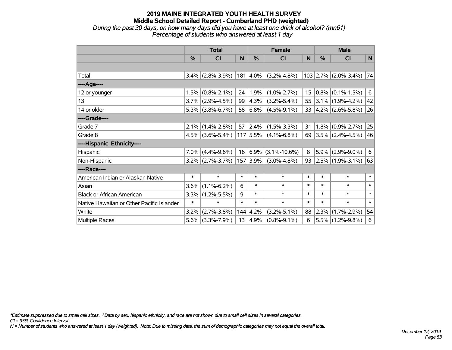### **2019 MAINE INTEGRATED YOUTH HEALTH SURVEY Middle School Detailed Report - Cumberland PHD (weighted)** *During the past 30 days, on how many days did you have at least one drink of alcohol? (mn61) Percentage of students who answered at least 1 day*

|                                           | <b>Total</b>  |                              | <b>Female</b> |                  |                          | <b>Male</b> |        |                        |        |
|-------------------------------------------|---------------|------------------------------|---------------|------------------|--------------------------|-------------|--------|------------------------|--------|
|                                           | $\frac{0}{0}$ | <b>CI</b>                    | N             | $\%$             | <b>CI</b>                | N           | $\%$   | <b>CI</b>              | N      |
|                                           |               |                              |               |                  |                          |             |        |                        |        |
| Total                                     |               | $3.4\%$ (2.8%-3.9%)          |               | $ 181 4.0\% $    | $(3.2\% - 4.8\%)$        |             |        | $103$ 2.7% (2.0%-3.4%) | 74     |
| ----Age----                               |               |                              |               |                  |                          |             |        |                        |        |
| 12 or younger                             |               | $1.5\%$ (0.8%-2.1%)          | 24            | 1.9%             | $(1.0\% - 2.7\%)$        | 15          |        | $0.8\%$ (0.1%-1.5%)    | 6      |
| 13                                        |               | $3.7\%$ (2.9%-4.5%)          | 99            | $ 4.3\%$         | $(3.2\% - 5.4\%)$        | 55          |        | $3.1\%$ (1.9%-4.2%)    | 42     |
| 14 or older                               |               | $5.3\%$ (3.8%-6.7%)          |               | 58 6.8%          | $(4.5\% - 9.1\%)$        | 33          |        | $4.2\%$ (2.6%-5.8%)    | 26     |
| ----Grade----                             |               |                              |               |                  |                          |             |        |                        |        |
| Grade 7                                   |               | $2.1\%$ (1.4%-2.8%)          | 57            | 2.4%             | $(1.5\% - 3.3\%)$        | 31          |        | $1.8\%$ (0.9%-2.7%)    | 25     |
| Grade 8                                   |               | $4.5\%$ (3.6%-5.4%) 117 5.5% |               |                  | $(4.1\% - 6.8\%)$        | 69          |        | $3.5\%$ (2.4%-4.5%)    | 46     |
| ----Hispanic Ethnicity----                |               |                              |               |                  |                          |             |        |                        |        |
| Hispanic                                  |               | $7.0\%$ (4.4%-9.6%)          |               |                  | $16 6.9\% $ (3.1%-10.6%) | 8           |        | $5.9\%$ (2.9%-9.0%)    | 6      |
| Non-Hispanic                              |               | $3.2\%$ (2.7%-3.7%)          |               | 157 3.9%         | $(3.0\% - 4.8\%)$        | 93          |        | $2.5\%$ (1.9%-3.1%)    | 63     |
| ----Race----                              |               |                              |               |                  |                          |             |        |                        |        |
| American Indian or Alaskan Native         | $\ast$        | $\ast$                       | $\ast$        | $\ast$           | $\ast$                   | $\ast$      | $\ast$ | $\ast$                 | $\ast$ |
| Asian                                     | 3.6%          | $(1.1\% - 6.2\%)$            | 6             | $\ast$           | $\ast$                   | $\ast$      | $\ast$ | $\ast$                 | $\ast$ |
| <b>Black or African American</b>          |               | $3.3\%$ (1.2%-5.5%)          | 9             | $\ast$           | $\ast$                   | $\ast$      | $\ast$ | $\ast$                 | $\ast$ |
| Native Hawaiian or Other Pacific Islander | $\ast$        | $\ast$                       | $\ast$        | $\ast$           | $\ast$                   | $\ast$      | $\ast$ | $\ast$                 | $\ast$ |
| White                                     | 3.2%          | $(2.7\% - 3.8\%)$            |               | $144 \mid 4.2\%$ | $(3.2\% - 5.1\%)$        | 88          | 2.3%   | $(1.7\% - 2.9\%)$      | 54     |
| Multiple Races                            |               | $5.6\%$ (3.3%-7.9%)          | 13            | 4.9%             | $(0.8\% - 9.1\%)$        | 6           |        | $5.5\%$ (1.2%-9.8%)    | 6      |

*\*Estimate suppressed due to small cell sizes. ^Data by sex, hispanic ethnicity, and race are not shown due to small cell sizes in several categories.*

*CI = 95% Confidence Interval*

*N = Number of students who answered at least 1 day (weighted). Note: Due to missing data, the sum of demographic categories may not equal the overall total.*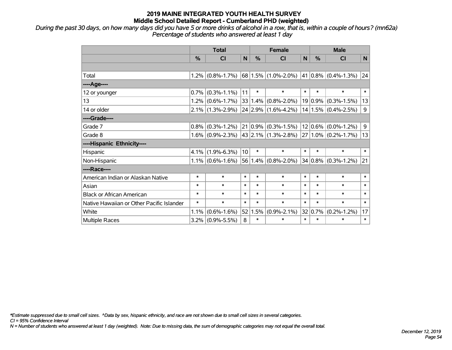*During the past 30 days, on how many days did you have 5 or more drinks of alcohol in a row, that is, within a couple of hours? (mn62a) Percentage of students who answered at least 1 day*

|                                           | <b>Total</b>  |                     |                 | <b>Female</b> |                                                 |        | <b>Male</b>   |                             |        |  |
|-------------------------------------------|---------------|---------------------|-----------------|---------------|-------------------------------------------------|--------|---------------|-----------------------------|--------|--|
|                                           | $\frac{0}{0}$ | <b>CI</b>           | N               | $\frac{0}{0}$ | <b>CI</b>                                       | N      | $\frac{0}{0}$ | <b>CI</b>                   | N.     |  |
|                                           |               |                     |                 |               |                                                 |        |               |                             |        |  |
| Total                                     | 1.2%          | $(0.8\% - 1.7\%)$   |                 |               | $ 68 1.5\% $ (1.0%-2.0%)                        |        |               | $ 41 0.8\% $ (0.4%-1.3%) 24 |        |  |
| ----Age----                               |               |                     |                 |               |                                                 |        |               |                             |        |  |
| 12 or younger                             | 0.7%          | $(0.3\% - 1.1\%)$   | 11              | $\ast$        | $\ast$                                          | $\ast$ | $\ast$        | $\ast$                      | $\ast$ |  |
| 13                                        | 1.2%          | $(0.6\% - 1.7\%)$   |                 | 33 1.4%       | $(0.8\% - 2.0\%)$                               |        | $19 0.9\% $   | $(0.3\% - 1.5\%)$           | 13     |  |
| 14 or older                               |               | $2.1\%$ (1.3%-2.9%) |                 |               | $24 2.9\% $ (1.6%-4.2%)                         |        |               | $14 1.5\% $ (0.4%-2.5%)     | 9      |  |
| ----Grade----                             |               |                     |                 |               |                                                 |        |               |                             |        |  |
| Grade 7                                   | 0.8%          | $(0.3\% - 1.2\%)$   |                 | $21 0.9\% $   | $(0.3\text{\textdegree}-1.5\text{\textdegree})$ |        |               | $12 0.6\% $ (0.0%-1.2%)     | 9      |  |
| Grade 8                                   |               | $1.6\%$ (0.9%-2.3%) |                 |               | 43   2.1%   (1.3%-2.8%)                         |        |               | $27 1.0\% $ (0.2%-1.7%)     | 13     |  |
| ----Hispanic Ethnicity----                |               |                     |                 |               |                                                 |        |               |                             |        |  |
| Hispanic                                  | 4.1%          | $(1.9\% - 6.3\%)$   | 10 <sup>1</sup> | $\ast$        | $\ast$                                          | $\ast$ | $\ast$        | $\ast$                      | $\ast$ |  |
| Non-Hispanic                              |               | $1.1\%$ (0.6%-1.6%) |                 | 56 1.4%       | $(0.8\% - 2.0\%)$                               |        |               | $34 0.8\% $ (0.3%-1.2%)     | 21     |  |
| ----Race----                              |               |                     |                 |               |                                                 |        |               |                             |        |  |
| American Indian or Alaskan Native         | $\ast$        | $\ast$              | $\ast$          | $\ast$        | $\ast$                                          | $\ast$ | $\ast$        | $\ast$                      | $\ast$ |  |
| Asian                                     | $\ast$        | $\ast$              | $\ast$          | $\ast$        | $\ast$                                          | $\ast$ | $\ast$        | $\ast$                      | $\ast$ |  |
| <b>Black or African American</b>          | $\ast$        | $\ast$              | $\ast$          | $\ast$        | $\ast$                                          | $\ast$ | $\ast$        | $\ast$                      | $\ast$ |  |
| Native Hawaiian or Other Pacific Islander | $\ast$        | $\ast$              | $\ast$          | $\ast$        | $\ast$                                          | $\ast$ | $\ast$        | $\ast$                      | $\ast$ |  |
| White                                     | 1.1%          | $(0.6\% - 1.6\%)$   | 52              | 1.5%          | $(0.9\% - 2.1\%)$                               |        | 32 0.7%       | $(0.2\% - 1.2\%)$           | 17     |  |
| Multiple Races                            | 3.2%          | $(0.9\% - 5.5\%)$   | 8               | $\ast$        | *                                               | $\ast$ | $\ast$        | $\ast$                      | $\ast$ |  |

*\*Estimate suppressed due to small cell sizes. ^Data by sex, hispanic ethnicity, and race are not shown due to small cell sizes in several categories.*

*CI = 95% Confidence Interval*

*N = Number of students who answered at least 1 day (weighted). Note: Due to missing data, the sum of demographic categories may not equal the overall total.*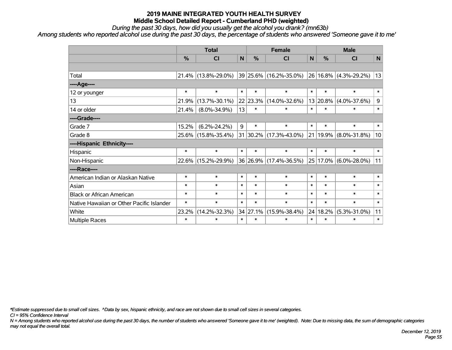*During the past 30 days, how did you usually get the alcohol you drank? (mn63b)*

*Among students who reported alcohol use during the past 30 days, the percentage of students who answered 'Someone gave it to me'*

|                                           | <b>Total</b> |                     |              | <b>Female</b> |                             |        | <b>Male</b>   |                            |              |
|-------------------------------------------|--------------|---------------------|--------------|---------------|-----------------------------|--------|---------------|----------------------------|--------------|
|                                           | %            | <b>CI</b>           | $\mathsf{N}$ | %             | <b>CI</b>                   | N      | %             | <b>CI</b>                  | $\mathsf{N}$ |
|                                           |              |                     |              |               |                             |        |               |                            |              |
| Total                                     | 21.4%        | $(13.8\% - 29.0\%)$ |              |               | $ 39 25.6\% $ (16.2%-35.0%) |        |               | $ 26 16.8\% $ (4.3%-29.2%) | 13           |
| ---- Age----                              |              |                     |              |               |                             |        |               |                            |              |
| 12 or younger                             | $\ast$       | $\ast$              | $\ast$       | $\ast$        | $\ast$                      | $\ast$ | $\ast$        | $\ast$                     | $\ast$       |
| 13                                        | 21.9%        | $(13.7\% - 30.1\%)$ |              | $22$ 23.3%    | $(14.0\% - 32.6\%)$         |        | 13 20.8%      | $(4.0\% - 37.6\%)$         | 9            |
| 14 or older                               | 21.4%        | $(8.0\% - 34.9\%)$  | 13           | $\ast$        | $\ast$                      | $\ast$ | $\ast$        | *                          | $\ast$       |
| ----Grade----                             |              |                     |              |               |                             |        |               |                            |              |
| Grade 7                                   | 15.2%        | $(6.2\% - 24.2\%)$  | 9            | $\ast$        | $\ast$                      | $\ast$ | $\ast$        | $\ast$                     | $\ast$       |
| Grade 8                                   | $25.6\%$     | $(15.8\% - 35.4\%)$ |              |               | 31 30.2% (17.3%-43.0%)      |        | $ 21 19.9\% $ | $(8.0\% - 31.8\%)$         | 10           |
| ----Hispanic Ethnicity----                |              |                     |              |               |                             |        |               |                            |              |
| Hispanic                                  | $\ast$       | $\ast$              | $\ast$       | $\ast$        | $\ast$                      | $\ast$ | $\ast$        | $\ast$                     | $\ast$       |
| Non-Hispanic                              | $22.6\%$     | $(15.2\% - 29.9\%)$ |              |               | 36 26.9% (17.4%-36.5%)      |        | $25 17.0\% $  | $(6.0\% - 28.0\%)$         | 11           |
| ----Race----                              |              |                     |              |               |                             |        |               |                            |              |
| American Indian or Alaskan Native         | $\ast$       | $\ast$              | $\ast$       | $\ast$        | $\ast$                      | $\ast$ | $\ast$        | $\ast$                     | $\ast$       |
| Asian                                     | $\ast$       | $\ast$              | $\ast$       | $\ast$        | $\ast$                      | $\ast$ | $\ast$        | $\ast$                     | $\ast$       |
| <b>Black or African American</b>          | $\ast$       | $\ast$              | $\ast$       | $\ast$        | $\ast$                      | $\ast$ | $\ast$        | $\ast$                     | $\ast$       |
| Native Hawaiian or Other Pacific Islander | $\ast$       | $\ast$              | $\ast$       | $\ast$        | $\ast$                      | $\ast$ | $\ast$        | $\ast$                     | $\ast$       |
| White                                     | 23.2%        | $(14.2\% - 32.3\%)$ |              | 34 27.1%      | $(15.9\% - 38.4\%)$         |        | 24 18.2%      | $(5.3\% - 31.0\%)$         | 11           |
| Multiple Races                            | $\ast$       | $\ast$              | $\ast$       | $\ast$        | $\ast$                      | $\ast$ | $\ast$        | *                          | $\ast$       |

*\*Estimate suppressed due to small cell sizes. ^Data by sex, hispanic ethnicity, and race are not shown due to small cell sizes in several categories.*

*CI = 95% Confidence Interval*

*N = Among students who reported alcohol use during the past 30 days, the number of students who answered 'Someone gave it to me' (weighted). Note: Due to missing data, the sum of demographic categories may not equal the overall total.*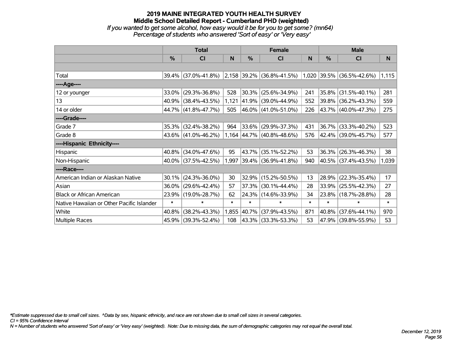# **2019 MAINE INTEGRATED YOUTH HEALTH SURVEY Middle School Detailed Report - Cumberland PHD (weighted)** *If you wanted to get some alcohol, how easy would it be for you to get some? (mn64) Percentage of students who answered 'Sort of easy' or 'Very easy'*

|                                           | <b>Total</b> |                     |        |               | <b>Female</b>                                                 |        | <b>Male</b> |                     |        |  |
|-------------------------------------------|--------------|---------------------|--------|---------------|---------------------------------------------------------------|--------|-------------|---------------------|--------|--|
|                                           | $\%$         | C <sub>l</sub>      | N      | $\frac{0}{0}$ | <b>CI</b>                                                     | N      | %           | CI                  | N      |  |
|                                           |              |                     |        |               |                                                               |        |             |                     |        |  |
| Total                                     |              | 39.4% (37.0%-41.8%) |        |               | $ 2,158 39.2\% $ (36.8%-41.5%) $ 1,020 39.5\% $ (36.5%-42.6%) |        |             |                     | 1,115  |  |
| ----Age----                               |              |                     |        |               |                                                               |        |             |                     |        |  |
| 12 or younger                             | 33.0%        | $(29.3\% - 36.8\%)$ | 528    | 30.3%         | $(25.6\% - 34.9\%)$                                           | 241    | 35.8%       | $(31.5\% - 40.1\%)$ | 281    |  |
| 13                                        |              | 40.9% (38.4%-43.5%) | 1,121  |               | 41.9% (39.0%-44.9%)                                           | 552    | $39.8\%$    | $(36.2\% - 43.3\%)$ | 559    |  |
| 14 or older                               |              | 44.7% (41.8%-47.7%) | 505    |               | 46.0% (41.0%-51.0%)                                           | 226    |             | 43.7% (40.0%-47.3%) | 275    |  |
| ----Grade----                             |              |                     |        |               |                                                               |        |             |                     |        |  |
| Grade 7                                   | 35.3%        | $(32.4\% - 38.2\%)$ | 964    |               | 33.6% (29.9%-37.3%)                                           | 431    | 36.7%       | $(33.3\% - 40.2\%)$ | 523    |  |
| Grade 8                                   |              | 43.6% (41.0%-46.2%) |        |               | 1,164 44.7% (40.8%-48.6%)                                     | 576    |             | 42.4% (39.0%-45.7%) | 577    |  |
| ----Hispanic Ethnicity----                |              |                     |        |               |                                                               |        |             |                     |        |  |
| Hispanic                                  | 40.8%        | $(34.0\% - 47.6\%)$ | 95     | 43.7%         | $(35.1\% - 52.2\%)$                                           | 53     | 36.3%       | $(26.3\% - 46.3\%)$ | 38     |  |
| Non-Hispanic                              |              | 40.0% (37.5%-42.5%) | 1,997  |               | 39.4% (36.9%-41.8%)                                           | 940    | $ 40.5\% $  | $(37.4\% - 43.5\%)$ | 1,039  |  |
| ----Race----                              |              |                     |        |               |                                                               |        |             |                     |        |  |
| American Indian or Alaskan Native         | 30.1%        | $(24.3\% - 36.0\%)$ | 30     |               | 32.9% (15.2%-50.5%)                                           | 13     | 28.9%       | $(22.3\% - 35.4\%)$ | 17     |  |
| Asian                                     | 36.0%        | $(29.6\% - 42.4\%)$ | 57     | 37.3%         | $(30.1\% - 44.4\%)$                                           | 28     | 33.9%       | $(25.5\% - 42.3\%)$ | 27     |  |
| <b>Black or African American</b>          | 23.9%        | $(19.0\% - 28.7\%)$ | 62     |               | 24.3% (14.6%-33.9%)                                           | 34     | $23.8\%$    | $(18.7\% - 28.8\%)$ | 28     |  |
| Native Hawaiian or Other Pacific Islander | $\ast$       | $\ast$              | $\ast$ | $\ast$        | $\ast$                                                        | $\ast$ | $\ast$      | $\ast$              | $\ast$ |  |
| White                                     | 40.8%        | $(38.2\% - 43.3\%)$ | 1,855  | $ 40.7\% $    | $(37.9\% - 43.5\%)$                                           | 871    | 40.8%       | $(37.6\% - 44.1\%)$ | 970    |  |
| Multiple Races                            |              | 45.9% (39.3%-52.4%) | 108    |               | 43.3% (33.3%-53.3%)                                           | 53     | $ 47.9\% $  | $(39.8\% - 55.9\%)$ | 53     |  |

*\*Estimate suppressed due to small cell sizes. ^Data by sex, hispanic ethnicity, and race are not shown due to small cell sizes in several categories.*

*CI = 95% Confidence Interval*

*N = Number of students who answered 'Sort of easy' or 'Very easy' (weighted). Note: Due to missing data, the sum of demographic categories may not equal the overall total.*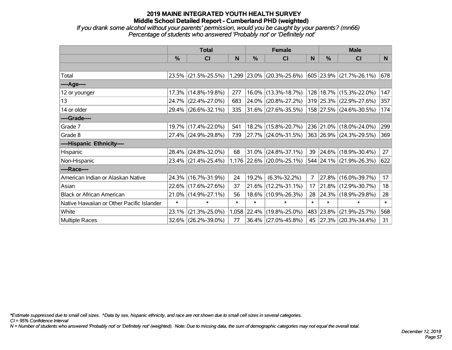*If you drank some alcohol without your parents' permission, would you be caught by your parents? (mn66) Percentage of students who answered 'Probably not' or 'Definitely not'*

|                                           | <b>Total</b>  |                     |        |        | <b>Female</b>               |                | <b>Male</b>   |                             |        |  |
|-------------------------------------------|---------------|---------------------|--------|--------|-----------------------------|----------------|---------------|-----------------------------|--------|--|
|                                           | $\frac{0}{0}$ | CI                  | N      | $\%$   | CI                          | N              | $\frac{0}{0}$ | <b>CI</b>                   | N      |  |
|                                           |               |                     |        |        |                             |                |               |                             |        |  |
| Total                                     |               | 23.5% (21.5%-25.5%) |        |        | $1,299$ 23.0% (20.3%-25.6%) |                |               | 605 23.9% (21.7%-26.1%)     | 678    |  |
| ----Age----                               |               |                     |        |        |                             |                |               |                             |        |  |
| 12 or younger                             | 17.3%         | $(14.8\% - 19.8\%)$ | 277    | 16.0%  | $(13.3\% - 18.7\%)$         |                |               | 128   18.7%   (15.3%-22.0%) | 147    |  |
| 13                                        |               | 24.7% (22.4%-27.0%) | 683    | 24.0%  | $(20.8\% - 27.2\%)$         |                |               | 319 25.3% (22.9%-27.6%)     | 357    |  |
| 14 or older                               |               | 29.4% (26.6%-32.1%) | 335    |        | $ 31.6\% $ (27.6%-35.5%)    |                |               | 158 27.5% (24.6%-30.5%)     | 174    |  |
| ----Grade----                             |               |                     |        |        |                             |                |               |                             |        |  |
| Grade 7                                   |               | 19.7% (17.4%-22.0%) | 541    |        | 18.2% (15.8%-20.7%)         |                |               | 236 21.0% (18.0%-24.0%)     | 299    |  |
| Grade 8                                   |               | 27.4% (24.9%-29.8%) | 739    |        | 27.7% (24.0%-31.5%)         |                |               | 363 26.9% (24.3%-29.5%)     | 369    |  |
| ----Hispanic Ethnicity----                |               |                     |        |        |                             |                |               |                             |        |  |
| Hispanic                                  | 28.4%         | $(24.8\% - 32.0\%)$ | 68     | 31.0%  | $(24.8\% - 37.1\%)$         | 39             |               | $ 24.6\% $ (18.9%-30.4%)    | 27     |  |
| Non-Hispanic                              |               | 23.4% (21.4%-25.4%) |        |        | 1,176 22.6% (20.0%-25.1%)   |                |               | 544 24.1% (21.9%-26.3%)     | 622    |  |
| ----Race----                              |               |                     |        |        |                             |                |               |                             |        |  |
| American Indian or Alaskan Native         |               | 24.3% (16.7%-31.9%) | 24     | 19.2%  | $(6.3\% - 32.2\%)$          | $\overline{7}$ |               | 27.8% (16.0%-39.7%)         | 17     |  |
| Asian                                     |               | 22.6% (17.6%-27.6%) | 37     | 21.6%  | $(12.2\% - 31.1\%)$         | 17             | $21.8\%$      | $(12.9\% - 30.7\%)$         | 18     |  |
| <b>Black or African American</b>          | 21.0%         | $(14.9\% - 27.1\%)$ | 56     | 18.6%  | $(10.9\% - 26.3\%)$         | 28             |               | 24.3% (18.9%-29.8%)         | 28     |  |
| Native Hawaiian or Other Pacific Islander | $\ast$        | $\ast$              | $\ast$ | $\ast$ | $\ast$                      | $\ast$         | $\ast$        | $\ast$                      | $\ast$ |  |
| White                                     | 23.1%         | $(21.3\% - 25.0\%)$ | 1,058  | 22.4%  | $(19.8\% - 25.0\%)$         |                | 483 23.8%     | $(21.9\% - 25.7\%)$         | 568    |  |
| Multiple Races                            |               | 32.6% (26.2%-39.0%) | 77     |        | 36.4% (27.0%-45.8%)         | 45             |               | $ 27.3\% $ (20.3%-34.4%)    | 31     |  |

*\*Estimate suppressed due to small cell sizes. ^Data by sex, hispanic ethnicity, and race are not shown due to small cell sizes in several categories.*

*CI = 95% Confidence Interval*

*N = Number of students who answered 'Probably not' or 'Definitely not' (weighted). Note: Due to missing data, the sum of demographic categories may not equal the overall total.*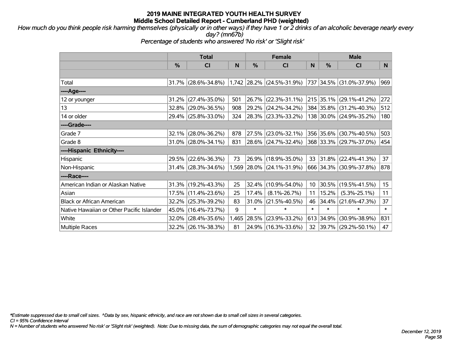*How much do you think people risk harming themselves (physically or in other ways) if they have 1 or 2 drinks of an alcoholic beverage nearly every day? (mn67b)*

*Percentage of students who answered 'No risk' or 'Slight risk'*

|                                           | <b>Total</b> |                        |       | <b>Female</b> |                           | <b>Male</b>     |           |                         |        |
|-------------------------------------------|--------------|------------------------|-------|---------------|---------------------------|-----------------|-----------|-------------------------|--------|
|                                           | %            | CI                     | N     | %             | <b>CI</b>                 | N               | %         | <b>CI</b>               | N      |
|                                           |              |                        |       |               |                           |                 |           |                         |        |
| Total                                     |              | $31.7\%$ (28.6%-34.8%) |       |               | 1,742 28.2% (24.5%-31.9%) |                 |           | 737 34.5% (31.0%-37.9%) | 969    |
| ----Age----                               |              |                        |       |               |                           |                 |           |                         |        |
| 12 or younger                             | 31.2%        | $(27.4\% - 35.0\%)$    | 501   | $26.7\%$      | $(22.3\% - 31.1\%)$       |                 | 215 35.1% | $(29.1\% - 41.2\%)$     | 272    |
| 13                                        |              | 32.8% (29.0%-36.5%)    | 908   |               | $29.2\%$ (24.2%-34.2%)    |                 |           | 384 35.8% (31.2%-40.3%) | 512    |
| 14 or older                               |              | 29.4% (25.8%-33.0%)    | 324   |               | 28.3% (23.3%-33.2%)       |                 |           | 138 30.0% (24.9%-35.2%) | 180    |
| ----Grade----                             |              |                        |       |               |                           |                 |           |                         |        |
| Grade 7                                   | 32.1%        | $(28.0\% - 36.2\%)$    | 878   | 27.5%         | $(23.0\% - 32.1\%)$       |                 | 356 35.6% | $(30.7\% - 40.5\%)$     | 503    |
| Grade 8                                   |              | $31.0\%$ (28.0%-34.1%) | 831   |               | 28.6% (24.7%-32.4%)       |                 |           | 368 33.3% (29.7%-37.0%) | 454    |
| ----Hispanic Ethnicity----                |              |                        |       |               |                           |                 |           |                         |        |
| Hispanic                                  | 29.5%        | $(22.6\% - 36.3\%)$    | 73    |               | 26.9% (18.9%-35.0%)       | 33              | 31.8%     | $(22.4\% - 41.3\%)$     | 37     |
| Non-Hispanic                              |              | 31.4% (28.3%-34.6%)    |       |               | 1,569 28.0% (24.1%-31.9%) |                 |           | 666 34.3% (30.9%-37.8%) | 878    |
| ----Race----                              |              |                        |       |               |                           |                 |           |                         |        |
| American Indian or Alaskan Native         |              | $31.3\%$ (19.2%-43.3%) | 25    | 32.4%         | $(10.9\% - 54.0\%)$       | 10 <sup>°</sup> | 30.5%     | $(19.5\% - 41.5\%)$     | 15     |
| Asian                                     |              | 17.5% (11.4%-23.6%)    | 25    | 17.4%         | $(8.1\% - 26.7\%)$        | 11              | 15.2%     | $(5.3\% - 25.1\%)$      | 11     |
| <b>Black or African American</b>          | 32.2%        | $(25.3\% - 39.2\%)$    | 83    | 31.0%         | $(21.5\% - 40.5\%)$       | 46              | 34.4%     | $(21.6\% - 47.3\%)$     | 37     |
| Native Hawaiian or Other Pacific Islander | 45.0%        | $(16.4\% - 73.7\%)$    | 9     | $\ast$        | $\ast$                    | $\ast$          | $\ast$    | $\ast$                  | $\ast$ |
| White                                     | 32.0%        | $(28.4\% - 35.6\%)$    | 1,465 | 28.5%         | $(23.9\% - 33.2\%)$       | 613             | 34.9%     | $(30.9\% - 38.9\%)$     | 831    |
| <b>Multiple Races</b>                     |              | 32.2% (26.1%-38.3%)    | 81    |               | 24.9% (16.3%-33.6%)       | 32              |           | 39.7% (29.2%-50.1%)     | 47     |

*\*Estimate suppressed due to small cell sizes. ^Data by sex, hispanic ethnicity, and race are not shown due to small cell sizes in several categories.*

*CI = 95% Confidence Interval*

*N = Number of students who answered 'No risk' or 'Slight risk' (weighted). Note: Due to missing data, the sum of demographic categories may not equal the overall total.*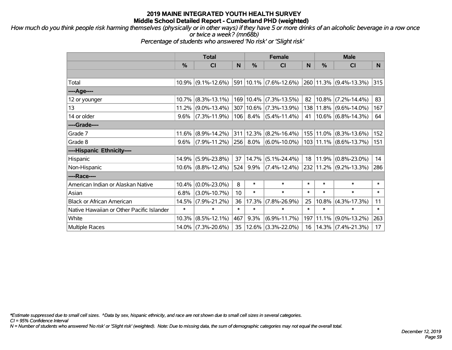*How much do you think people risk harming themselves (physically or in other ways) if they have 5 or more drinks of an alcoholic beverage in a row once or twice a week? (mn68b)*

*Percentage of students who answered 'No risk' or 'Slight risk'*

|                                           | <b>Total</b> |                       |        | <b>Female</b> |                        | <b>Male</b> |           |                        |        |
|-------------------------------------------|--------------|-----------------------|--------|---------------|------------------------|-------------|-----------|------------------------|--------|
|                                           | %            | <b>CI</b>             | N      | %             | <b>CI</b>              | N           | %         | <b>CI</b>              | N.     |
|                                           |              |                       |        |               |                        |             |           |                        |        |
| Total                                     |              | $10.9\%$ (9.1%-12.6%) |        |               | 591 10.1% (7.6%-12.6%) |             |           | 260 11.3% (9.4%-13.3%) | 315    |
| ----Age----                               |              |                       |        |               |                        |             |           |                        |        |
| 12 or younger                             | 10.7%        | $(8.3\% - 13.1\%)$    |        | 169 10.4%     | $(7.3\% - 13.5\%)$     | 82          | 10.8%     | $(7.2\% - 14.4\%)$     | 83     |
| 13                                        |              | $11.2\%$ (9.0%-13.4%) |        | 307 10.6%     | $(7.3\% - 13.9\%)$     | 138         |           | $11.8\%$ (9.6%-14.0%)  | 167    |
| 14 or older                               | $9.6\%$      | $(7.3\% - 11.9\%)$    |        | $106$ 8.4%    | $(5.4\% - 11.4\%)$     | 41          |           | $10.6\%$ (6.8%-14.3%)  | 64     |
| ----Grade----                             |              |                       |        |               |                        |             |           |                        |        |
| Grade 7                                   | 11.6%        | $(8.9\% - 14.2\%)$    |        | 311 12.3%     | $(8.2\% - 16.4\%)$     |             | 155 11.0% | $(8.3\% - 13.6\%)$     | 152    |
| Grade 8                                   | 9.6%         | $(7.9\% - 11.2\%)$    | 256    | $8.0\%$       | $(6.0\% - 10.0\%)$     |             |           | 103 11.1% (8.6%-13.7%) | 151    |
| ----Hispanic Ethnicity----                |              |                       |        |               |                        |             |           |                        |        |
| Hispanic                                  | 14.9%        | $(5.9\% - 23.8\%)$    | 37     | 14.7%         | $(5.1\% - 24.4\%)$     | 18          | 11.9%     | $(0.8\% - 23.0\%)$     | 14     |
| Non-Hispanic                              |              | $10.6\%$ (8.8%-12.4%) | 524    | 9.9%          | $(7.4\% - 12.4\%)$     |             |           | 232 11.2% (9.2%-13.3%) | 286    |
| ----Race----                              |              |                       |        |               |                        |             |           |                        |        |
| American Indian or Alaskan Native         | 10.4%        | $(0.0\% - 23.0\%)$    | 8      | $\ast$        | $\ast$                 | *           | $\ast$    | $\ast$                 | $\ast$ |
| Asian                                     | 6.8%         | $(3.0\% - 10.7\%)$    | 10     | $\ast$        | $\ast$                 | $\ast$      | $\ast$    | $\ast$                 | $\ast$ |
| <b>Black or African American</b>          | 14.5%        | $(7.9\% - 21.2\%)$    | 36     | 17.3%         | $(7.8\% - 26.9\%)$     | 25          | 10.8%     | $(4.3\% - 17.3\%)$     | 11     |
| Native Hawaiian or Other Pacific Islander | $\ast$       | $\ast$                | $\ast$ | $\ast$        | $\ast$                 | $\ast$      | $\ast$    | $\ast$                 | $\ast$ |
| White                                     | 10.3%        | $(8.5\% - 12.1\%)$    | 467    | 9.3%          | $(6.9\% - 11.7\%)$     | 197         | 11.1%     | $(9.0\% - 13.2\%)$     | 263    |
| <b>Multiple Races</b>                     |              | 14.0% (7.3%-20.6%)    | 35     | 12.6%         | $(3.3\% - 22.0\%)$     | 16          |           | $14.3\%$ (7.4%-21.3%)  | 17     |

*\*Estimate suppressed due to small cell sizes. ^Data by sex, hispanic ethnicity, and race are not shown due to small cell sizes in several categories.*

*CI = 95% Confidence Interval*

*N = Number of students who answered 'No risk' or 'Slight risk' (weighted). Note: Due to missing data, the sum of demographic categories may not equal the overall total.*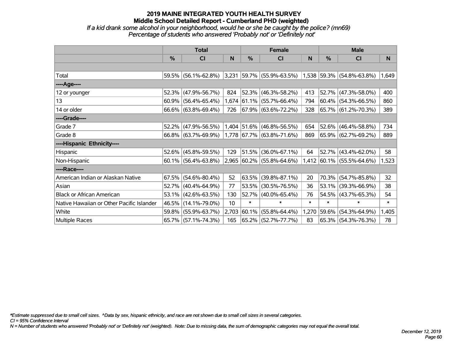# **2019 MAINE INTEGRATED YOUTH HEALTH SURVEY Middle School Detailed Report - Cumberland PHD (weighted)** *If a kid drank some alcohol in your neighborhood, would he or she be caught by the police? (mn69)*

*Percentage of students who answered 'Probably not' or 'Definitely not'*

|                                           | <b>Total</b> |                        |       |             | <b>Female</b>                |        | <b>Male</b>   |                             |        |  |
|-------------------------------------------|--------------|------------------------|-------|-------------|------------------------------|--------|---------------|-----------------------------|--------|--|
|                                           | $\%$         | CI                     | N     | %           | CI                           | N      | $\frac{0}{0}$ | CI                          | N      |  |
|                                           |              |                        |       |             |                              |        |               |                             |        |  |
| Total                                     | 59.5%        | $(56.1\% - 62.8\%)$    | 3,231 |             | $ 59.7\% $ (55.9%-63.5%)     |        |               | $1,538$ 59.3% (54.8%-63.8%) | 1,649  |  |
| ----Age----                               |              |                        |       |             |                              |        |               |                             |        |  |
| 12 or younger                             | 52.3%        | $(47.9\% - 56.7\%)$    | 824   | 52.3%       | $(46.3\% - 58.2\%)$          | 413    |               | 52.7% (47.3%-58.0%)         | 400    |  |
| 13                                        | 60.9%        | $(56.4\% - 65.4\%)$    |       |             | $1,674$ 61.1% (55.7%-66.4%)  | 794    |               | $60.4\%$ (54.3%-66.5%)      | 860    |  |
| 14 or older                               |              | $66.6\%$ (63.8%-69.4%) | 726   |             | $ 67.9\%  (63.6\% - 72.2\%)$ | 328    |               | 65.7% (61.2%-70.3%)         | 389    |  |
| ----Grade----                             |              |                        |       |             |                              |        |               |                             |        |  |
| Grade 7                                   | 52.2%        | $(47.9\% - 56.5\%)$    |       | 1,404 51.6% | $(46.8\% - 56.5\%)$          | 654    |               | $52.6\%$ (46.4%-58.8%)      | 734    |  |
| Grade 8                                   |              | 66.8% (63.7%-69.9%)    |       |             | 1,778 67.7% (63.8%-71.6%)    | 869    |               | $65.9\%$ (62.7%-69.2%)      | 889    |  |
| ----Hispanic Ethnicity----                |              |                        |       |             |                              |        |               |                             |        |  |
| Hispanic                                  | 52.6%        | $(45.8\% - 59.5\%)$    | 129   | 51.5%       | $(36.0\% - 67.1\%)$          | 64     |               | $52.7\%$ (43.4%-62.0%)      | 58     |  |
| Non-Hispanic                              |              | $60.1\%$ (56.4%-63.8%) |       |             | 2,965 60.2% (55.8%-64.6%)    |        |               | $1,412$ 60.1% (55.5%-64.6%) | 1,523  |  |
| ----Race----                              |              |                        |       |             |                              |        |               |                             |        |  |
| American Indian or Alaskan Native         | 67.5%        | $(54.6\% - 80.4\%)$    | 52    | 63.5%       | $(39.8\% - 87.1\%)$          | 20     |               | 70.3% (54.7%-85.8%)         | 32     |  |
| Asian                                     | 52.7%        | $(40.4\% - 64.9\%)$    | 77    | 53.5%       | $(30.5\% - 76.5\%)$          | 36     |               | $53.1\%$ (39.3%-66.9%)      | 38     |  |
| <b>Black or African American</b>          | 53.1%        | $(42.6\% - 63.5\%)$    | 130   | $ 52.7\% $  | $(40.0\% - 65.4\%)$          | 76     |               | $54.5\%$ (43.7%-65.3%)      | 54     |  |
| Native Hawaiian or Other Pacific Islander | 46.5%        | $(14.1\% - 79.0\%)$    | 10    | $\ast$      | $\ast$                       | $\ast$ | $\ast$        | $\ast$                      | $\ast$ |  |
| White                                     | 59.8%        | $(55.9\% - 63.7\%)$    | 2,703 | 60.1%       | $(55.8\% - 64.4\%)$          | 1,270  | $59.6\%$      | $(54.3\% - 64.9\%)$         | 1,405  |  |
| <b>Multiple Races</b>                     |              | 65.7% (57.1%-74.3%)    | 165   |             | 65.2% (52.7%-77.7%)          | 83     |               | $65.3\%$ (54.3%-76.3%)      | 78     |  |

*\*Estimate suppressed due to small cell sizes. ^Data by sex, hispanic ethnicity, and race are not shown due to small cell sizes in several categories.*

*CI = 95% Confidence Interval*

*N = Number of students who answered 'Probably not' or 'Definitely not' (weighted). Note: Due to missing data, the sum of demographic categories may not equal the overall total.*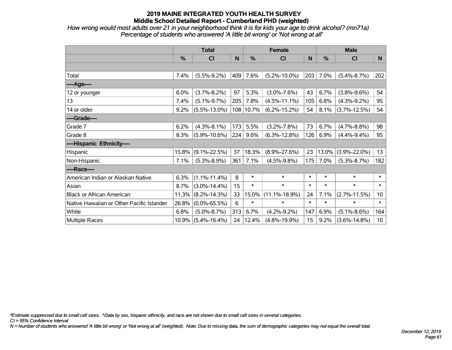*How wrong would most adults over 21 in your neighborhood think it is for kids your age to drink alcohol? (mn71a) Percentage of students who answered 'A little bit wrong' or 'Not wrong at all'*

|                                           | <b>Total</b> |                       |     |        | <b>Female</b>       |        | <b>Male</b> |                    |        |  |
|-------------------------------------------|--------------|-----------------------|-----|--------|---------------------|--------|-------------|--------------------|--------|--|
|                                           | %            | <b>CI</b>             | N   | %      | <b>CI</b>           | N      | %           | <b>CI</b>          | N      |  |
|                                           |              |                       |     |        |                     |        |             |                    |        |  |
| Total                                     | 7.4%         | $(5.5\% - 9.2\%)$     | 409 | 7.6%   | $(5.2\% - 10.0\%)$  | 203    | 7.0%        | $(5.4\% - 8.7\%)$  | 202    |  |
| ----Age----                               |              |                       |     |        |                     |        |             |                    |        |  |
| 12 or younger                             | 6.0%         | $(3.7\% - 8.2\%)$     | 97  | 5.3%   | $(3.0\% - 7.6\%)$   | 43     | 6.7%        | $(3.8\% - 9.6\%)$  | 54     |  |
| 13                                        | 7.4%         | $(5.1\% - 9.7\%)$     | 205 | 7.8%   | $(4.5\% - 11.1\%)$  | 105    | 6.8%        | $(4.3\% - 9.2\%)$  | 95     |  |
| 14 or older                               | 9.2%         | $(5.5\% - 13.0\%)$    | 108 | 10.7%  | $(6.2\% - 15.2\%)$  | 54     | 8.1%        | $(3.7\% - 12.5\%)$ | 54     |  |
| ----Grade----                             |              |                       |     |        |                     |        |             |                    |        |  |
| Grade 7                                   | 6.2%         | $(4.3\% - 8.1\%)$     | 173 | 5.5%   | $(3.2\% - 7.8\%)$   | 73     | 6.7%        | $(4.7\% - 8.8\%)$  | 98     |  |
| Grade 8                                   | 8.3%         | $(5.9\% - 10.6\%)$    | 224 | 9.6%   | $(6.3\% - 12.8\%)$  | 126    | 6.9%        | $(4.4\% - 9.4\%)$  | 95     |  |
| ----Hispanic Ethnicity----                |              |                       |     |        |                     |        |             |                    |        |  |
| Hispanic                                  | 15.8%        | $(9.1\% - 22.5\%)$    | 37  | 18.3%  | $(8.9\% - 27.6\%)$  | 23     | 13.0%       | $(3.9\% - 22.0\%)$ | 13     |  |
| Non-Hispanic                              | 7.1%         | $(5.3\% - 8.9\%)$     | 361 | 7.1%   | $(4.5\% - 9.8\%)$   | 175    | 7.0%        | $(5.3\% - 8.7\%)$  | 182    |  |
| ----Race----                              |              |                       |     |        |                     |        |             |                    |        |  |
| American Indian or Alaskan Native         | 6.3%         | $(1.1\% - 11.4\%)$    | 8   | $\ast$ | $\ast$              | $\ast$ | $\ast$      | $\ast$             | $\ast$ |  |
| Asian                                     | 8.7%         | $(3.0\% - 14.4\%)$    | 15  | $\ast$ | $\ast$              | $\ast$ | $\ast$      | $\ast$             | $\ast$ |  |
| <b>Black or African American</b>          | 11.3%        | $(8.2\% - 14.3\%)$    | 33  | 15.0%  | $(11.1\% - 18.9\%)$ | 24     | 7.1%        | $(2.7\% - 11.5\%)$ | 10     |  |
| Native Hawaiian or Other Pacific Islander | 26.8%        | $(0.0\% - 65.5\%)$    | 6   | $\ast$ | $\ast$              | $\ast$ | $\ast$      | $\ast$             | $\ast$ |  |
| White                                     | 6.8%         | $(5.0\% - 8.7\%)$     | 313 | 6.7%   | $(4.2\% - 9.2\%)$   | 147    | 6.9%        | $(5.1\% - 8.6\%)$  | 164    |  |
| Multiple Races                            |              | $10.9\%$ (5.4%-16.4%) | 24  | 12.4%  | $(4.8\% - 19.9\%)$  | 15     | 9.2%        | $(3.6\% - 14.8\%)$ | 10     |  |

*\*Estimate suppressed due to small cell sizes. ^Data by sex, hispanic ethnicity, and race are not shown due to small cell sizes in several categories.*

*CI = 95% Confidence Interval*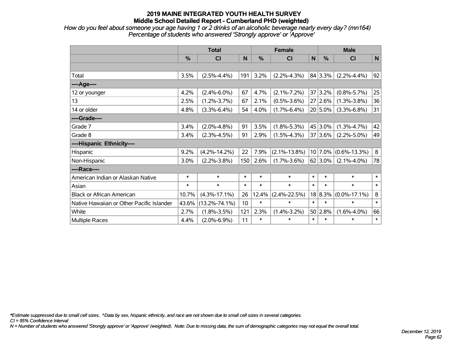*How do you feel about someone your age having 1 or 2 drinks of an alcoholic beverage nearly every day? (mn164) Percentage of students who answered 'Strongly approve' or 'Approve'*

|                                           | <b>Total</b>  |                     |                 |        | <b>Female</b>      |           | <b>Male</b>   |                    |              |  |
|-------------------------------------------|---------------|---------------------|-----------------|--------|--------------------|-----------|---------------|--------------------|--------------|--|
|                                           | $\frac{0}{0}$ | CI                  | N               | %      | <b>CI</b>          | ${\sf N}$ | $\frac{0}{0}$ | CI                 | N            |  |
|                                           |               |                     |                 |        |                    |           |               |                    |              |  |
| Total                                     | 3.5%          | $(2.5\% - 4.4\%)$   | 191             | 3.2%   | $(2.2\% - 4.3\%)$  |           | 84 3.3%       | $(2.2\% - 4.4\%)$  | 92           |  |
| ---- Age----                              |               |                     |                 |        |                    |           |               |                    |              |  |
| 12 or younger                             | 4.2%          | $(2.4\% - 6.0\%)$   | 67              | 4.7%   | $(2.1\% - 7.2\%)$  |           | 37 3.2%       | $(0.8\% - 5.7\%)$  | 25           |  |
| 13                                        | 2.5%          | $(1.2\% - 3.7\%)$   | 67              | 2.1%   | $(0.5\% - 3.6\%)$  |           | 27 2.6%       | $(1.3\% - 3.8\%)$  | 36           |  |
| 14 or older                               | 4.8%          | $(3.3\% - 6.4\%)$   | 54              | 4.0%   | $(1.7\% - 6.4\%)$  |           | $20 5.0\%$    | $(3.3\% - 6.8\%)$  | 31           |  |
| ----Grade----                             |               |                     |                 |        |                    |           |               |                    |              |  |
| Grade 7                                   | 3.4%          | $(2.0\% - 4.8\%)$   | 91              | 3.5%   | $(1.8\% - 5.3\%)$  |           | 45 3.0%       | $(1.3\% - 4.7\%)$  | 42           |  |
| Grade 8                                   | 3.4%          | $(2.3\% - 4.5\%)$   | 91              | 2.9%   | $(1.5\% - 4.3\%)$  |           | 37 3.6%       | $(2.2\% - 5.0\%)$  | 49           |  |
| ----Hispanic Ethnicity----                |               |                     |                 |        |                    |           |               |                    |              |  |
| Hispanic                                  | 9.2%          | $(4.2\% - 14.2\%)$  | 22              | 7.9%   | $(2.1\% - 13.8\%)$ | 10        | 7.0%          | $(0.6\% - 13.3\%)$ | 8            |  |
| Non-Hispanic                              | 3.0%          | $(2.2\% - 3.8\%)$   | 150             | 2.6%   | $(1.7\% - 3.6\%)$  |           | 62 3.0%       | $(2.1\% - 4.0\%)$  | 78           |  |
| ----Race----                              |               |                     |                 |        |                    |           |               |                    |              |  |
| American Indian or Alaskan Native         | $\ast$        | $\ast$              | $\ast$          | $\ast$ | $\ast$             | $\ast$    | $\ast$        | $\ast$             | $\ast$       |  |
| Asian                                     | $\ast$        | $\ast$              | $\ast$          | $\ast$ | $\ast$             | $\ast$    | $\ast$        | $\ast$             | $\ast$       |  |
| <b>Black or African American</b>          | 10.7%         | $(4.3\% - 17.1\%)$  | 26              | 12.4%  | $(2.4\% - 22.5\%)$ |           | 18 8.3%       | $(0.0\% - 17.1\%)$ | 8            |  |
| Native Hawaiian or Other Pacific Islander | 43.6%         | $(13.2\% - 74.1\%)$ | 10 <sup>1</sup> | $\ast$ | $\ast$             | $\ast$    | $\ast$        | $\ast$             | $\ast$       |  |
| White                                     | 2.7%          | $(1.8\% - 3.5\%)$   | 121             | 2.3%   | $(1.4\% - 3.2\%)$  | 50        | 2.8%          | $(1.6\% - 4.0\%)$  | 66           |  |
| Multiple Races                            | 4.4%          | $(2.0\% - 6.9\%)$   | 11              | $\ast$ | $\ast$             | $\ast$    | $\ast$        | $\ast$             | $\pmb{\ast}$ |  |

*\*Estimate suppressed due to small cell sizes. ^Data by sex, hispanic ethnicity, and race are not shown due to small cell sizes in several categories.*

*CI = 95% Confidence Interval*

*N = Number of students who answered 'Strongly approve' or 'Approve' (weighted). Note: Due to missing data, the sum of demographic categories may not equal the overall total.*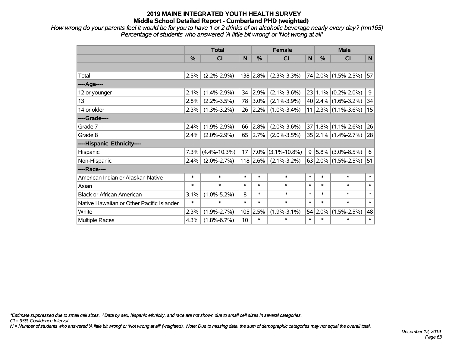*How wrong do your parents feel it would be for you to have 1 or 2 drinks of an alcoholic beverage nearly every day? (mn165) Percentage of students who answered 'A little bit wrong' or 'Not wrong at all'*

|                                           | <b>Total</b> |                    |        |            | <b>Female</b>      | <b>Male</b>  |         |                            |        |
|-------------------------------------------|--------------|--------------------|--------|------------|--------------------|--------------|---------|----------------------------|--------|
|                                           | %            | CI                 | N      | %          | CI                 | $\mathsf{N}$ | %       | <b>CI</b>                  | N      |
|                                           |              |                    |        |            |                    |              |         |                            |        |
| Total                                     | 2.5%         | $(2.2\% - 2.9\%)$  |        | 138 2.8%   | $(2.3\% - 3.3\%)$  |              |         | 74 2.0% (1.5%-2.5%)        | 57     |
| ----Age----                               |              |                    |        |            |                    |              |         |                            |        |
| 12 or younger                             | 2.1%         | $(1.4\% - 2.9\%)$  | 34     | 2.9%       | $(2.1\% - 3.6\%)$  | 23           |         | $1.1\%$ (0.2%-2.0%)        | 9      |
| 13                                        | 2.8%         | $(2.2\% - 3.5\%)$  | 78     | 3.0%       | $(2.1\% - 3.9\%)$  |              |         | $40 2.4\% $ (1.6%-3.2%)    | 34     |
| 14 or older                               | 2.3%         | $(1.3\% - 3.2\%)$  | 26     | 2.2%       | $(1.0\% - 3.4\%)$  |              |         | $11$   2.3%   (1.1%-3.6%)  | 15     |
| ----Grade----                             |              |                    |        |            |                    |              |         |                            |        |
| Grade 7                                   | 2.4%         | $(1.9\% - 2.9\%)$  | 66     | 2.8%       | $(2.0\% - 3.6\%)$  | 37           |         | $1.8\%$ (1.1%-2.6%)        | 26     |
| Grade 8                                   | 2.4%         | $(2.0\% - 2.9\%)$  | 65     | 2.7%       | $(2.0\% - 3.5\%)$  |              |         | $35 2.1\% (1.4\% - 2.7\%)$ | 28     |
| ----Hispanic Ethnicity----                |              |                    |        |            |                    |              |         |                            |        |
| Hispanic                                  | 7.3%         | $(4.4\% - 10.3\%)$ | 17     | 7.0%       | $(3.1\% - 10.8\%)$ | 9            | 5.8%    | $(3.0\% - 8.5\%)$          | 6      |
| Non-Hispanic                              | 2.4%         | $(2.0\% - 2.7\%)$  |        | $118$ 2.6% | $(2.1\% - 3.2\%)$  |              |         | 63 2.0% $(1.5\% - 2.5\%)$  | 51     |
| ----Race----                              |              |                    |        |            |                    |              |         |                            |        |
| American Indian or Alaskan Native         | $\ast$       | $\ast$             | $\ast$ | $\ast$     | $\ast$             | $\ast$       | $\ast$  | $\ast$                     | $\ast$ |
| Asian                                     | $\ast$       | $\ast$             | $\ast$ | $\ast$     | $\ast$             | $\ast$       | $\ast$  | $\ast$                     | $\ast$ |
| <b>Black or African American</b>          | 3.1%         | $(1.0\% - 5.2\%)$  | 8      | $\ast$     | $\ast$             | $\ast$       | $\ast$  | $\ast$                     | $\ast$ |
| Native Hawaiian or Other Pacific Islander | $\ast$       | $\ast$             | $\ast$ | $\ast$     | $\ast$             | $\ast$       | $\ast$  | $\ast$                     | $\ast$ |
| White                                     | 2.3%         | $(1.9\% - 2.7\%)$  | 105    | 2.5%       | $(1.9\% - 3.1\%)$  |              | 54 2.0% | $(1.5\% - 2.5\%)$          | 48     |
| Multiple Races                            | 4.3%         | $(1.8\% - 6.7\%)$  | 10     | $\ast$     | $\ast$             | $\ast$       | $\ast$  | $\ast$                     | $\ast$ |

*\*Estimate suppressed due to small cell sizes. ^Data by sex, hispanic ethnicity, and race are not shown due to small cell sizes in several categories.*

*CI = 95% Confidence Interval*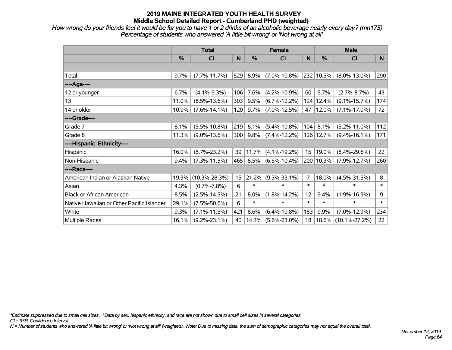*How wrong do your friends feel it would be for you to have 1 or 2 drinks of an alcoholic beverage nearly every day? (mn175) Percentage of students who answered 'A little bit wrong' or 'Not wrong at all'*

|                                           | <b>Total</b> |                     |     |        | <b>Female</b>      |        | <b>Male</b> |                     |        |  |
|-------------------------------------------|--------------|---------------------|-----|--------|--------------------|--------|-------------|---------------------|--------|--|
|                                           | %            | C <sub>l</sub>      | N   | %      | <b>CI</b>          | N      | %           | <b>CI</b>           | N      |  |
|                                           |              |                     |     |        |                    |        |             |                     |        |  |
| Total                                     | 9.7%         | $(7.7\% - 11.7\%)$  | 529 | 8.9%   | $(7.0\% - 10.8\%)$ |        | 232 10.5%   | $(8.0\% - 13.0\%)$  | 290    |  |
| ----Age----                               |              |                     |     |        |                    |        |             |                     |        |  |
| 12 or younger                             | 6.7%         | $(4.1\% - 9.3\%)$   | 106 | 7.6%   | $(4.2\% - 10.9\%)$ | 60     | 5.7%        | $(2.7\% - 8.7\%)$   | 43     |  |
| 13                                        | 11.0%        | $(8.5\% - 13.6\%)$  | 303 | 9.5%   | $(6.7\% - 12.2\%)$ |        | 124 12.4%   | $(9.1\% - 15.7\%)$  | 174    |  |
| 14 or older                               | 10.9%        | $(7.6\% - 14.1\%)$  | 120 | 9.7%   | $(7.0\% - 12.5\%)$ | 47     | 12.0%       | $(7.1\% - 17.0\%)$  | 72     |  |
| ----Grade----                             |              |                     |     |        |                    |        |             |                     |        |  |
| Grade 7                                   | 8.1%         | $(5.5\% - 10.8\%)$  | 219 | 8.1%   | $(5.4\% - 10.8\%)$ | 104    | 8.1%        | $(5.2\% - 11.0\%)$  | 112    |  |
| Grade 8                                   | 11.3%        | $(9.0\% - 13.6\%)$  | 300 | 9.8%   | $(7.4\% - 12.2\%)$ |        | 126 12.7%   | $(9.4\% - 16.1\%)$  | 171    |  |
| ----Hispanic Ethnicity----                |              |                     |     |        |                    |        |             |                     |        |  |
| Hispanic                                  | 16.0%        | $(8.7\% - 23.2\%)$  | 39  | 11.7%  | $(4.1\% - 19.2\%)$ | 15     | 19.0%       | $(8.4\% - 29.6\%)$  | 22     |  |
| Non-Hispanic                              | 9.4%         | $(7.3\% - 11.5\%)$  | 465 | 8.5%   | $(6.6\% - 10.4\%)$ |        | 200 10.3%   | $(7.9\% - 12.7\%)$  | 260    |  |
| ----Race----                              |              |                     |     |        |                    |        |             |                     |        |  |
| American Indian or Alaskan Native         | 19.3%        | $(10.3\% - 28.3\%)$ | 15  | 21.2%  | $(9.3\% - 33.1\%)$ | 7      | 18.0%       | $(4.5\% - 31.5\%)$  | 8      |  |
| Asian                                     | 4.3%         | $(0.7\% - 7.8\%)$   | 6   | $\ast$ | $\ast$             | $\ast$ | $\ast$      | $\ast$              | $\ast$ |  |
| <b>Black or African American</b>          | 8.5%         | $(2.5\% - 14.5\%)$  | 21  | 8.0%   | $(1.8\% - 14.2\%)$ | 12     | 9.4%        | $(1.9\% - 16.9\%)$  | 9      |  |
| Native Hawaiian or Other Pacific Islander | 29.1%        | $(7.5\% - 50.6\%)$  | 6   | $\ast$ | $\ast$             | $\ast$ | $\ast$      | $\ast$              | $\ast$ |  |
| White                                     | 9.3%         | $(7.1\% - 11.5\%)$  | 421 | 8.6%   | $(6.4\% - 10.8\%)$ | 183    | 9.9%        | $(7.0\% - 12.9\%)$  | 234    |  |
| <b>Multiple Races</b>                     | 16.1%        | $(9.2\% - 23.1\%)$  | 40  | 14.3%  | $(5.6\% - 23.0\%)$ | 18     | 18.6%       | $(10.1\% - 27.2\%)$ | 22     |  |

*\*Estimate suppressed due to small cell sizes. ^Data by sex, hispanic ethnicity, and race are not shown due to small cell sizes in several categories.*

*CI = 95% Confidence Interval*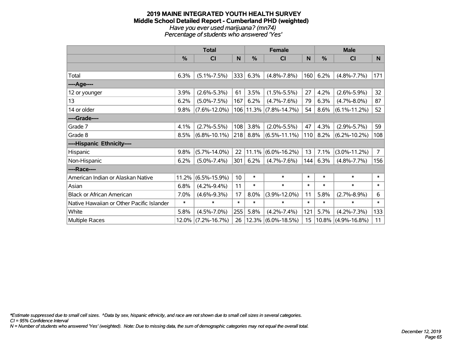#### **2019 MAINE INTEGRATED YOUTH HEALTH SURVEY Middle School Detailed Report - Cumberland PHD (weighted)** *Have you ever used marijuana? (mn74) Percentage of students who answered 'Yes'*

|                                           | <b>Total</b>  |                    |                 |               | <b>Female</b>         |        | <b>Male</b>   |                    |                |  |
|-------------------------------------------|---------------|--------------------|-----------------|---------------|-----------------------|--------|---------------|--------------------|----------------|--|
|                                           | $\frac{0}{0}$ | CI                 | N               | $\frac{0}{0}$ | CI                    | N      | $\frac{0}{0}$ | C <sub>1</sub>     | N              |  |
|                                           |               |                    |                 |               |                       |        |               |                    |                |  |
| Total                                     | 6.3%          | $(5.1\% - 7.5\%)$  | 333             | 6.3%          | $(4.8\% - 7.8\%)$     | 160    | 6.2%          | $(4.8\% - 7.7\%)$  | 171            |  |
| ----Age----                               |               |                    |                 |               |                       |        |               |                    |                |  |
| 12 or younger                             | 3.9%          | $(2.6\% - 5.3\%)$  | 61              | 3.5%          | $(1.5\% - 5.5\%)$     | 27     | 4.2%          | $(2.6\% - 5.9\%)$  | 32             |  |
| 13                                        | 6.2%          | $(5.0\% - 7.5\%)$  | 167             | 6.2%          | $(4.7\% - 7.6\%)$     | 79     | 6.3%          | $(4.7\% - 8.0\%)$  | 87             |  |
| 14 or older                               | 9.8%          | $(7.6\% - 12.0\%)$ | 106             |               | $11.3\%$ (7.8%-14.7%) | 54     | 8.6%          | $(6.1\% - 11.2\%)$ | 52             |  |
| ----Grade----                             |               |                    |                 |               |                       |        |               |                    |                |  |
| Grade 7                                   | 4.1%          | $(2.7\% - 5.5\%)$  | 108             | 3.8%          | $(2.0\% - 5.5\%)$     | 47     | 4.3%          | $(2.9\% - 5.7\%)$  | 59             |  |
| Grade 8                                   | 8.5%          | $(6.8\% - 10.1\%)$ | 218             | 8.8%          | $(6.5\% - 11.1\%)$    | 110    | 8.2%          | $(6.2\% - 10.2\%)$ | 108            |  |
| ----Hispanic Ethnicity----                |               |                    |                 |               |                       |        |               |                    |                |  |
| Hispanic                                  | 9.8%          | $(5.7\% - 14.0\%)$ | 22              | 11.1%         | $(6.0\% - 16.2\%)$    | 13     | 7.1%          | $(3.0\% - 11.2\%)$ | $\overline{7}$ |  |
| Non-Hispanic                              | 6.2%          | $(5.0\% - 7.4\%)$  | 301             | 6.2%          | $(4.7\% - 7.6\%)$     | 144    | 6.3%          | $(4.8\% - 7.7\%)$  | 156            |  |
| ----Race----                              |               |                    |                 |               |                       |        |               |                    |                |  |
| American Indian or Alaskan Native         | 11.2%         | $(6.5\% - 15.9\%)$ | 10 <sup>°</sup> | $\ast$        | $\ast$                | $\ast$ | $\ast$        | $\ast$             | $\ast$         |  |
| Asian                                     | 6.8%          | $(4.2\% - 9.4\%)$  | 11              | $\ast$        | $\ast$                | $\ast$ | $\ast$        | $\ast$             | $\ast$         |  |
| <b>Black or African American</b>          | 7.0%          | $(4.6\% - 9.3\%)$  | 17              | 8.0%          | $(3.9\% - 12.0\%)$    | 11     | 5.8%          | $(2.7\% - 8.9\%)$  | 6              |  |
| Native Hawaiian or Other Pacific Islander | $\ast$        | $\ast$             | $\ast$          | $\ast$        | $\ast$                | $\ast$ | $\ast$        | $\ast$             | $\ast$         |  |
| White                                     | 5.8%          | $(4.5\% - 7.0\%)$  | 255             | 5.8%          | $(4.2\% - 7.4\%)$     | 121    | 5.7%          | $(4.2\% - 7.3\%)$  | 133            |  |
| <b>Multiple Races</b>                     | 12.0%         | $(7.2\% - 16.7\%)$ | 26              |               | $12.3\%$ (6.0%-18.5%) | 15     | 10.8%         | $(4.9\% - 16.8\%)$ | 11             |  |

*\*Estimate suppressed due to small cell sizes. ^Data by sex, hispanic ethnicity, and race are not shown due to small cell sizes in several categories.*

*CI = 95% Confidence Interval*

*N = Number of students who answered 'Yes' (weighted). Note: Due to missing data, the sum of demographic categories may not equal the overall total.*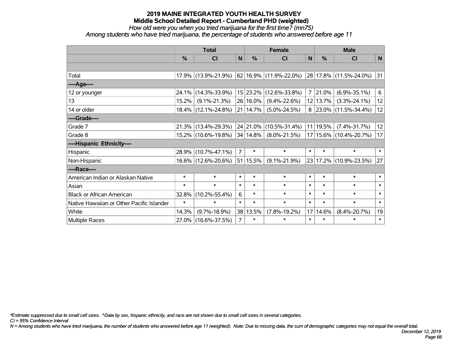### *How old were you when you tried marijuana for the first time? (mn75)*

*Among students who have tried marijuana, the percentage of students who answered before age 11*

|                                           | <b>Total</b> |                     |                |               | <b>Female</b>              | <b>Male</b>    |               |                             |              |
|-------------------------------------------|--------------|---------------------|----------------|---------------|----------------------------|----------------|---------------|-----------------------------|--------------|
|                                           | %            | CI                  | $\mathsf{N}$   | $\frac{0}{0}$ | <b>CI</b>                  | $\mathsf{N}$   | $\frac{0}{0}$ | <b>CI</b>                   | $\mathsf{N}$ |
|                                           |              |                     |                |               |                            |                |               |                             |              |
| Total                                     |              | 17.9% (13.9%-21.9%) |                |               | 62   16.9%   (11.9%-22.0%) |                |               | 28 17.8% (11.5%-24.0%)      | 31           |
| ----Age----                               |              |                     |                |               |                            |                |               |                             |              |
| 12 or younger                             | 24.1%        | $(14.3\% - 33.9\%)$ |                | 15 23.2%      | $(12.6\% - 33.8\%)$        | $\overline{7}$ | 21.0%         | $(6.9\% - 35.1\%)$          | 6            |
| 13                                        | 15.2%        | $(9.1\% - 21.3\%)$  |                | 26 16.0%      | $(9.4\% - 22.6\%)$         |                | 12 13.7%      | $(3.3\% - 24.1\%)$          | 12           |
| 14 or older                               |              | 18.4% (12.1%-24.8%) |                | 21 14.7%      | $(5.0\% - 24.5\%)$         |                |               | $8$   23.0%   (11.5%-34.4%) | 12           |
| ----Grade----                             |              |                     |                |               |                            |                |               |                             |              |
| Grade 7                                   | 21.3%        | $(13.4\% - 29.3\%)$ |                | 24 21.0%      | $(10.5\% - 31.4\%)$        |                | 11 19.5%      | $(7.4\% - 31.7\%)$          | 12           |
| Grade 8                                   |              | 15.2% (10.6%-19.8%) |                | $ 34 14.8\% $ | $(8.0\% - 21.5\%)$         |                |               | 17 15.6% (10.4%-20.7%)      | 17           |
| ----Hispanic Ethnicity----                |              |                     |                |               |                            |                |               |                             |              |
| Hispanic                                  | 28.9%        | $(10.7\% - 47.1\%)$ | $\overline{7}$ | $\ast$        | $\ast$                     | $\ast$         | $\ast$        | $\ast$                      | $\ast$       |
| Non-Hispanic                              |              | 16.6% (12.6%-20.6%) |                | 51 15.5%      | $(9.1\% - 21.9\%)$         |                |               | 23 17.2% (10.9%-23.5%)      | 27           |
| ----Race----                              |              |                     |                |               |                            |                |               |                             |              |
| American Indian or Alaskan Native         | $\ast$       | $\ast$              | $\ast$         | $\ast$        | $\ast$                     | $\ast$         | $\ast$        | $\ast$                      | $\ast$       |
| Asian                                     | $\ast$       | $\ast$              | $\ast$         | $\ast$        | $\ast$                     | $\ast$         | $\ast$        | $\ast$                      | $\ast$       |
| <b>Black or African American</b>          | 32.8%        | $(10.2\% - 55.4\%)$ | 6              | $\ast$        | $\ast$                     | $\ast$         | $\ast$        | $\ast$                      | $\ast$       |
| Native Hawaiian or Other Pacific Islander | $\ast$       | $\ast$              | $\ast$         | $\ast$        | $\ast$                     | $\ast$         | $\ast$        | $\ast$                      | $\ast$       |
| White                                     | 14.3%        | $(9.7\% - 18.9\%)$  |                | 38 13.5%      | $(7.8\% - 19.2\%)$         | 17             | 14.6%         | $(8.4\% - 20.7\%)$          | 19           |
| Multiple Races                            |              | 27.0% (16.6%-37.5%) | 7              | $\ast$        | $\ast$                     | $\ast$         | $\ast$        | $\ast$                      | $\ast$       |

*\*Estimate suppressed due to small cell sizes. ^Data by sex, hispanic ethnicity, and race are not shown due to small cell sizes in several categories.*

*CI = 95% Confidence Interval*

*N = Among students who have tried marijuana, the number of students who answered before age 11 (weighted). Note: Due to missing data, the sum of demographic categories may not equal the overall total.*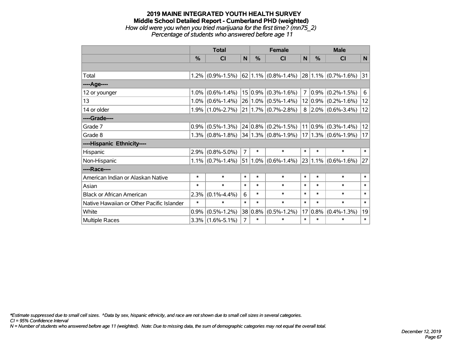#### **2019 MAINE INTEGRATED YOUTH HEALTH SURVEY Middle School Detailed Report - Cumberland PHD (weighted)** *How old were you when you tried marijuana for the first time? (mn75\_2) Percentage of students who answered before age 11*

|                                           | <b>Total</b> |                     |                |            | <b>Female</b>             | <b>Male</b>     |             |                          |        |
|-------------------------------------------|--------------|---------------------|----------------|------------|---------------------------|-----------------|-------------|--------------------------|--------|
|                                           | %            | <b>CI</b>           | N              | %          | <b>CI</b>                 | N               | %           | <b>CI</b>                | N      |
|                                           |              |                     |                |            |                           |                 |             |                          |        |
| Total                                     |              | $1.2\%$ (0.9%-1.5%) |                |            | $62$   1.1%   (0.8%-1.4%) |                 |             | $28 1.1\% $ (0.7%-1.6%)  | 31     |
| ----Age----                               |              |                     |                |            |                           |                 |             |                          |        |
| 12 or younger                             | 1.0%         | $(0.6\% - 1.4\%)$   |                | $15 0.9\%$ | $(0.3\% - 1.6\%)$         | 7               | $0.9\%$     | $(0.2\% - 1.5\%)$        | 6      |
| 13                                        | 1.0%         | $(0.6\% - 1.4\%)$   |                |            | 26 1.0% (0.5%-1.4%)       |                 |             | $12 0.9\% $ (0.2%-1.6%)  | 12     |
| 14 or older                               |              | $1.9\%$ (1.0%-2.7%) |                |            | $21 1.7\% $ (0.7%-2.8%)   |                 |             | $8$   2.0%   (0.6%-3.4%) | 12     |
| ----Grade----                             |              |                     |                |            |                           |                 |             |                          |        |
| Grade 7                                   | 0.9%         | $(0.5\% - 1.3\%)$   |                |            | $24 0.8\% $ (0.2%-1.5%)   |                 | $11 0.9\% $ | $(0.3\% - 1.4\%)$        | 12     |
| Grade 8                                   |              | $1.3\%$ (0.8%-1.8%) |                |            | $ 34 1.3\% $ (0.8%-1.9%)  |                 |             | $ 17 1.3\% $ (0.6%-1.9%) | 17     |
| ----Hispanic Ethnicity----                |              |                     |                |            |                           |                 |             |                          |        |
| Hispanic                                  | 2.9%         | $(0.8\% - 5.0\%)$   | $\overline{7}$ | $\ast$     | $\ast$                    | $\ast$          | $\ast$      | $\ast$                   | $\ast$ |
| Non-Hispanic                              |              | $1.1\%$ (0.7%-1.4%) |                |            | $51 1.0\% $ (0.6%-1.4%)   |                 |             | $23 1.1\% $ (0.6%-1.6%)  | 27     |
| ----Race----                              |              |                     |                |            |                           |                 |             |                          |        |
| American Indian or Alaskan Native         | $\ast$       | $\ast$              | $\ast$         | $\ast$     | $\ast$                    | $\ast$          | $\ast$      | $\ast$                   | $\ast$ |
| Asian                                     | $\ast$       | $\ast$              | $\ast$         | $\ast$     | $\ast$                    | $\ast$          | $\ast$      | $\ast$                   | $\ast$ |
| <b>Black or African American</b>          | 2.3%         | $(0.1\% - 4.4\%)$   | 6              | $\ast$     | $\ast$                    | $\ast$          | $\ast$      | $\ast$                   | $\ast$ |
| Native Hawaiian or Other Pacific Islander | $\ast$       | $\ast$              | $\ast$         | $\ast$     | $\ast$                    | $\ast$          | $\ast$      | $\ast$                   | $\ast$ |
| White                                     | 0.9%         | $(0.5\% - 1.2\%)$   | 38             | $ 0.8\%$   | $(0.5\% - 1.2\%)$         | 17 <sup>2</sup> | 0.8%        | $(0.4\% - 1.3\%)$        | 19     |
| <b>Multiple Races</b>                     |              | $3.3\%$ (1.6%-5.1%) | $\overline{7}$ | $\ast$     | $\ast$                    | $\ast$          | $\ast$      | $\ast$                   | $\ast$ |

*\*Estimate suppressed due to small cell sizes. ^Data by sex, hispanic ethnicity, and race are not shown due to small cell sizes in several categories.*

*CI = 95% Confidence Interval*

*N = Number of students who answered before age 11 (weighted). Note: Due to missing data, the sum of demographic categories may not equal the overall total.*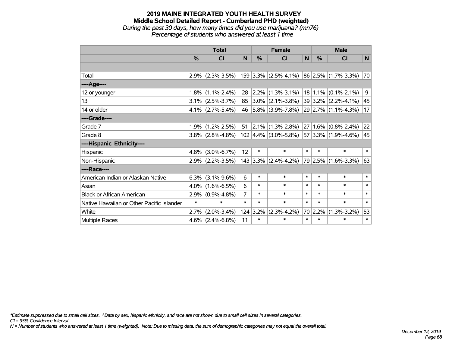#### **2019 MAINE INTEGRATED YOUTH HEALTH SURVEY Middle School Detailed Report - Cumberland PHD (weighted)** *During the past 30 days, how many times did you use marijuana? (mn76) Percentage of students who answered at least 1 time*

|                                           | <b>Total</b>  |                     |        | <b>Female</b>    |                                                                        |        | <b>Male</b>   |                         |        |  |
|-------------------------------------------|---------------|---------------------|--------|------------------|------------------------------------------------------------------------|--------|---------------|-------------------------|--------|--|
|                                           | $\frac{0}{0}$ | <b>CI</b>           | N      | $\%$             | <b>CI</b>                                                              | N      | $\frac{0}{0}$ | <b>CI</b>               | N      |  |
|                                           |               |                     |        |                  |                                                                        |        |               |                         |        |  |
| Total                                     | 2.9%          |                     |        |                  | $(2.3\% - 3.5\%)$   159   3.3%   (2.5%-4.1%)   86   2.5%   (1.7%-3.3%) |        |               |                         | 70     |  |
| ----Age----                               |               |                     |        |                  |                                                                        |        |               |                         |        |  |
| 12 or younger                             | $1.8\%$       | $(1.1\% - 2.4\%)$   | 28     |                  | $ 2.2\% $ (1.3%-3.1%)                                                  |        | 18 1.1%       | $(0.1\% - 2.1\%)$       | 9      |  |
| 13                                        | $3.1\%$       | $(2.5\% - 3.7\%)$   | 85     |                  | $ 3.0\% $ (2.1%-3.8%)                                                  |        |               | $39 3.2\% $ (2.2%-4.1%) | 45     |  |
| 14 or older                               |               | $4.1\%$ (2.7%-5.4%) | 46     |                  | $ 5.8\% $ (3.9%-7.8%)                                                  |        |               | 29 2.7% (1.1%-4.3%)     | 17     |  |
| ----Grade----                             |               |                     |        |                  |                                                                        |        |               |                         |        |  |
| Grade 7                                   | 1.9%          | $(1.2\% - 2.5\%)$   | 51     |                  | $ 2.1\% $ (1.3%-2.8%)                                                  |        | $27 1.6\% $   | $(0.8\% - 2.4\%)$       | 22     |  |
| Grade 8                                   |               | $3.8\%$ (2.8%-4.8%) |        |                  | $102 \mid 4.4\% \mid (3.0\% - 5.8\%)$                                  |        |               | $57 3.3\% $ (1.9%-4.6%) | 45     |  |
| ----Hispanic Ethnicity----                |               |                     |        |                  |                                                                        |        |               |                         |        |  |
| Hispanic                                  | $4.8\%$       | $(3.0\% - 6.7\%)$   | 12     | $\ast$           | $\ast$                                                                 | $\ast$ | $\ast$        | $\ast$                  | $\ast$ |  |
| Non-Hispanic                              | $2.9\%$       | $(2.2\% - 3.5\%)$   |        |                  | $143$ 3.3% (2.4%-4.2%)                                                 |        | 79 2.5%       | $(1.6\% - 3.3\%)$       | 63     |  |
| ----Race----                              |               |                     |        |                  |                                                                        |        |               |                         |        |  |
| American Indian or Alaskan Native         | 6.3%          | $(3.1\% - 9.6\%)$   | 6      | $\ast$           | $\ast$                                                                 | $\ast$ | $\ast$        | $\ast$                  | $\ast$ |  |
| Asian                                     | $4.0\%$       | $(1.6\% - 6.5\%)$   | 6      | $\ast$           | $\ast$                                                                 | $\ast$ | $\ast$        | $\ast$                  | $\ast$ |  |
| <b>Black or African American</b>          | 2.9%          | $(0.9\% - 4.8\%)$   | 7      | $\ast$           | $\ast$                                                                 | $\ast$ | $\ast$        | $\ast$                  | $\ast$ |  |
| Native Hawaiian or Other Pacific Islander | $\ast$        | $\ast$              | $\ast$ | $\ast$           | $\ast$                                                                 | $\ast$ | $\ast$        | $\ast$                  | $\ast$ |  |
| White                                     | 2.7%          | $(2.0\% - 3.4\%)$   |        | $124 \mid 3.2\%$ | $(2.3\% - 4.2\%)$                                                      |        | 70 2.2%       | $(1.3\% - 3.2\%)$       | 53     |  |
| Multiple Races                            | $4.6\%$       | $(2.4\% - 6.8\%)$   | 11     | $\ast$           | $\ast$                                                                 | $\ast$ | $\ast$        | $\ast$                  | $\ast$ |  |

*\*Estimate suppressed due to small cell sizes. ^Data by sex, hispanic ethnicity, and race are not shown due to small cell sizes in several categories.*

*CI = 95% Confidence Interval*

*N = Number of students who answered at least 1 time (weighted). Note: Due to missing data, the sum of demographic categories may not equal the overall total.*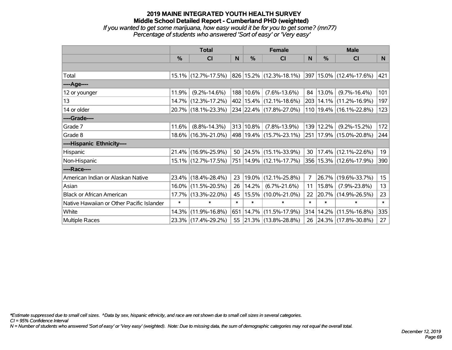# **2019 MAINE INTEGRATED YOUTH HEALTH SURVEY Middle School Detailed Report - Cumberland PHD (weighted)** *If you wanted to get some marijuana, how easy would it be for you to get some? (mn77)*

*Percentage of students who answered 'Sort of easy' or 'Very easy'*

|                                           | <b>Total</b>  |                        |        | <b>Female</b> | <b>Male</b>                 |              |        |                                  |        |
|-------------------------------------------|---------------|------------------------|--------|---------------|-----------------------------|--------------|--------|----------------------------------|--------|
|                                           | $\frac{0}{0}$ | <b>CI</b>              | N      | $\frac{0}{0}$ | <b>CI</b>                   | <sub>N</sub> | %      | <b>CI</b>                        | N      |
|                                           |               |                        |        |               |                             |              |        |                                  |        |
| Total                                     |               | $15.1\%$ (12.7%-17.5%) |        |               | 826 15.2% (12.3%-18.1%)     |              |        | $ 397 15.0\%  (12.4\% - 17.6\%)$ | 421    |
| ----Age----                               |               |                        |        |               |                             |              |        |                                  |        |
| 12 or younger                             | 11.9%         | $(9.2\% - 14.6\%)$     |        | 188 10.6%     | $(7.6\% - 13.6\%)$          | 84           | 13.0%  | $(9.7\% - 16.4\%)$               | 101    |
| 13                                        |               | 14.7% (12.3%-17.2%)    |        |               | 402 15.4% (12.1%-18.6%)     | 203          |        | $14.1\%$ (11.2%-16.9%)           | 197    |
| 14 or older                               |               | 20.7% (18.1%-23.3%)    |        |               | 234 22.4% (17.8%-27.0%)     |              |        | 110 19.4% (16.1%-22.8%)          | 123    |
| ----Grade----                             |               |                        |        |               |                             |              |        |                                  |        |
| Grade 7                                   | 11.6%         | $(8.8\% - 14.3\%)$     |        | 313 10.8%     | $(7.8\% - 13.9\%)$          | 139          | 12.2%  | $(9.2\% - 15.2\%)$               | 172    |
| Grade 8                                   |               | 18.6% (16.3%-21.0%)    |        |               | 498 19.4% (15.7%-23.1%)     |              |        | 251   17.9%   (15.0%-20.8%)      | 244    |
| ----Hispanic Ethnicity----                |               |                        |        |               |                             |              |        |                                  |        |
| Hispanic                                  |               | 21.4% (16.9%-25.9%)    | 50     |               | $ 24.5\% $ (15.1%-33.9%)    | 30           |        | $17.4\%$ (12.1%-22.6%)           | 19     |
| Non-Hispanic                              |               | 15.1% (12.7%-17.5%)    |        |               | 751   14.9%   (12.1%-17.7%) |              |        | 356   15.3%   (12.6%-17.9%)      | 390    |
| ----Race----                              |               |                        |        |               |                             |              |        |                                  |        |
| American Indian or Alaskan Native         |               | 23.4% (18.4%-28.4%)    | 23     | $19.0\%$      | $(12.1\% - 25.8\%)$         | 7            | 26.7%  | $(19.6\% - 33.7\%)$              | 15     |
| Asian                                     |               | 16.0% (11.5%-20.5%)    | 26     | 14.2%         | $(6.7\% - 21.6\%)$          | 11           | 15.8%  | $(7.9\% - 23.8\%)$               | 13     |
| <b>Black or African American</b>          |               | 17.7% (13.3%-22.0%)    | 45     |               | 15.5%  (10.0%-21.0%)        | 22           | 20.7%  | $(14.9\% - 26.5\%)$              | 23     |
| Native Hawaiian or Other Pacific Islander | $\ast$        | $\ast$                 | $\ast$ | $\ast$        | $\ast$                      | $\ast$       | $\ast$ | $\ast$                           | $\ast$ |
| White                                     | 14.3%         | $(11.9\% - 16.8\%)$    | 651    |               | $ 14.7\% $ (11.5%-17.9%)    | 314          | 14.2%  | $(11.5\% - 16.8\%)$              | 335    |
| Multiple Races                            |               | 23.3% (17.4%-29.2%)    |        |               | 55 21.3% (13.8%-28.8%)      | 26           |        | 24.3% (17.8%-30.8%)              | 27     |

*\*Estimate suppressed due to small cell sizes. ^Data by sex, hispanic ethnicity, and race are not shown due to small cell sizes in several categories.*

*CI = 95% Confidence Interval*

*N = Number of students who answered 'Sort of easy' or 'Very easy' (weighted). Note: Due to missing data, the sum of demographic categories may not equal the overall total.*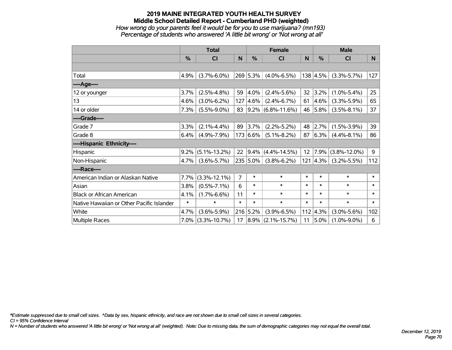# **2019 MAINE INTEGRATED YOUTH HEALTH SURVEY Middle School Detailed Report - Cumberland PHD (weighted)** *How wrong do your parents feel it would be for you to use marijuana? (mn193) Percentage of students who answered 'A little bit wrong' or 'Not wrong at all'*

|                                           | <b>Total</b> |                    |                | <b>Female</b> |                        |        | <b>Male</b>      |                    |        |
|-------------------------------------------|--------------|--------------------|----------------|---------------|------------------------|--------|------------------|--------------------|--------|
|                                           | $\%$         | <b>CI</b>          | N              | %             | <b>CI</b>              | N      | $\frac{0}{0}$    | <b>CI</b>          | N      |
|                                           |              |                    |                |               |                        |        |                  |                    |        |
| Total                                     | 4.9%         | $(3.7\% - 6.0\%)$  |                | 269 5.3%      | $(4.0\% - 6.5\%)$      |        | 138 4.5%         | $(3.3\% - 5.7\%)$  | 127    |
| ---- Age----                              |              |                    |                |               |                        |        |                  |                    |        |
| 12 or younger                             | 3.7%         | $(2.5\% - 4.8\%)$  | 59             | 4.0%          | $(2.4\% - 5.6\%)$      | 32     | 3.2%             | $(1.0\% - 5.4\%)$  | 25     |
| 13                                        | 4.6%         | $(3.0\% - 6.2\%)$  | 127            | $ 4.6\% $     | $(2.4\% - 6.7\%)$      | 61     | 4.6%             | $(3.3\% - 5.9\%)$  | 65     |
| 14 or older                               | 7.3%         | $(5.5\% - 9.0\%)$  | 83             |               | $ 9.2\% $ (6.8%-11.6%) |        | 46 5.8%          | $(3.5\% - 8.1\%)$  | 37     |
| ----Grade----                             |              |                    |                |               |                        |        |                  |                    |        |
| Grade 7                                   | 3.3%         | $(2.1\% - 4.4\%)$  | 89             | 3.7%          | $(2.2\% - 5.2\%)$      | 48     | 2.7%             | $(1.5\% - 3.9\%)$  | 39     |
| Grade 8                                   | 6.4%         | $(4.9\% - 7.9\%)$  |                | 173 6.6%      | $(5.1\% - 8.2\%)$      | 87     | 6.3%             | $(4.4\% - 8.1\%)$  | 86     |
| ----Hispanic Ethnicity----                |              |                    |                |               |                        |        |                  |                    |        |
| Hispanic                                  | 9.2%         | $(5.1\% - 13.2\%)$ | 22             | 9.4%          | $(4.4\% - 14.5\%)$     | 12     | 7.9%             | $(3.8\% - 12.0\%)$ | 9      |
| Non-Hispanic                              | 4.7%         | $(3.6\% - 5.7\%)$  |                | 235 5.0%      | $(3.8\% - 6.2\%)$      |        | $121 \,   4.3\%$ | $(3.2\% - 5.5\%)$  | 112    |
| ----Race----                              |              |                    |                |               |                        |        |                  |                    |        |
| American Indian or Alaskan Native         | 7.7%         | $(3.3\% - 12.1\%)$ | $\overline{7}$ | $\ast$        | $\ast$                 | $\ast$ | $\ast$           | $\ast$             | $\ast$ |
| Asian                                     | 3.8%         | $(0.5\% - 7.1\%)$  | 6              | $\ast$        | $\ast$                 | $\ast$ | $\ast$           | $\ast$             | $\ast$ |
| <b>Black or African American</b>          | 4.1%         | $(1.7\% - 6.6\%)$  | 11             | $\ast$        | $\ast$                 | $\ast$ | $\ast$           | $\ast$             | $\ast$ |
| Native Hawaiian or Other Pacific Islander | $\ast$       | $\ast$             | $\ast$         | $\ast$        | $\ast$                 | $\ast$ | $\ast$           | $\ast$             | $\ast$ |
| White                                     | 4.7%         | $(3.6\% - 5.9\%)$  |                | 216 5.2%      | $(3.9\% - 6.5\%)$      | 112    | 4.3%             | $(3.0\% - 5.6\%)$  | 102    |
| Multiple Races                            | 7.0%         | $(3.3\% - 10.7\%)$ | 17             | $ 8.9\% $     | $(2.1\% - 15.7\%)$     | 11     | 5.0%             | $(1.0\% - 9.0\%)$  | 6      |

*\*Estimate suppressed due to small cell sizes. ^Data by sex, hispanic ethnicity, and race are not shown due to small cell sizes in several categories.*

*CI = 95% Confidence Interval*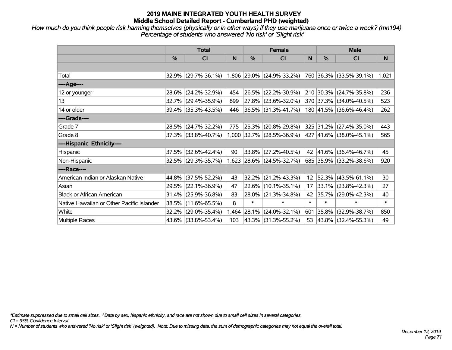*How much do you think people risk harming themselves (physically or in other ways) if they use marijuana once or twice a week? (mn194) Percentage of students who answered 'No risk' or 'Slight risk'*

|                                           | <b>Total</b> |                        |       |        | <b>Female</b>               |                   | <b>Male</b>   |                              |        |  |
|-------------------------------------------|--------------|------------------------|-------|--------|-----------------------------|-------------------|---------------|------------------------------|--------|--|
|                                           | %            | CI                     | N     | %      | CI                          | N                 | $\frac{0}{0}$ | C <sub>l</sub>               | N      |  |
|                                           |              |                        |       |        |                             |                   |               |                              |        |  |
| Total                                     | 32.9%        | $(29.7\% - 36.1\%)$    |       |        | $1,806$ 29.0% (24.9%-33.2%) |                   |               | 760 36.3% (33.5%-39.1%)      | 1,021  |  |
| ----Age----                               |              |                        |       |        |                             |                   |               |                              |        |  |
| 12 or younger                             | 28.6%        | $(24.2\% - 32.9\%)$    | 454   | 26.5%  | $(22.2\% - 30.9\%)$         |                   |               | 210 30.3% (24.7%-35.8%)      | 236    |  |
| 13                                        | 32.7%        | $(29.4\% - 35.9\%)$    | 899   |        | 27.8% (23.6%-32.0%)         |                   |               | 370 37.3% (34.0%-40.5%)      | 523    |  |
| 14 or older                               |              | 39.4% (35.3%-43.5%)    | 446   |        | $36.5\%$ (31.3%-41.7%)      |                   |               | 180 41.5% (36.6%-46.4%)      | 262    |  |
| ----Grade----                             |              |                        |       |        |                             |                   |               |                              |        |  |
| Grade 7                                   | 28.5%        | $(24.7\% - 32.2\%)$    | 775   | 25.3%  | $(20.8\% - 29.8\%)$         |                   |               | 325 31.2% (27.4%-35.0%)      | 443    |  |
| Grade 8                                   |              | $37.3\%$ (33.8%-40.7%) |       |        | $1,000$ 32.7% (28.5%-36.9%) |                   |               | $ 427 41.6\% $ (38.0%-45.1%) | 565    |  |
| ----Hispanic Ethnicity----                |              |                        |       |        |                             |                   |               |                              |        |  |
| Hispanic                                  | 37.5%        | $(32.6\% - 42.4\%)$    | 90    | 33.8%  | $(27.2\% - 40.5\%)$         | 42                | 41.6%         | $(36.4\% - 46.7\%)$          | 45     |  |
| Non-Hispanic                              |              | $32.5\%$ (29.3%-35.7%) |       |        | 1,623 28.6% (24.5%-32.7%)   |                   |               | 685 35.9% (33.2%-38.6%)      | 920    |  |
| ----Race----                              |              |                        |       |        |                             |                   |               |                              |        |  |
| American Indian or Alaskan Native         | 44.8%        | $(37.5\% - 52.2\%)$    | 43    | 32.2%  | $(21.2\% - 43.3\%)$         | $12 \overline{ }$ |               | $52.3\%$ (43.5%-61.1%)       | 30     |  |
| Asian                                     | 29.5%        | $(22.1\% - 36.9\%)$    | 47    |        | 22.6% (10.1%-35.1%)         | 17                |               | $33.1\%$ (23.8%-42.3%)       | 27     |  |
| <b>Black or African American</b>          | 31.4%        | $(25.9\% - 36.8\%)$    | 83    | 28.0%  | $(21.3\% - 34.8\%)$         | 42                |               | 35.7% (29.0%-42.3%)          | 40     |  |
| Native Hawaiian or Other Pacific Islander | 38.5%        | $(11.6\% - 65.5\%)$    | 8     | $\ast$ | $\ast$                      | $\ast$            | $\ast$        | $\ast$                       | $\ast$ |  |
| White                                     | 32.2%        | $(29.0\% - 35.4\%)$    | 1,464 | 28.1%  | $(24.0\% - 32.1\%)$         | 601               | 35.8%         | $(32.9\% - 38.7\%)$          | 850    |  |
| Multiple Races                            | 43.6%        | $(33.8\% - 53.4\%)$    | 103   |        | 43.3% (31.3%-55.2%)         |                   |               | 53 43.8% (32.4%-55.3%)       | 49     |  |

*\*Estimate suppressed due to small cell sizes. ^Data by sex, hispanic ethnicity, and race are not shown due to small cell sizes in several categories.*

*CI = 95% Confidence Interval*

*N = Number of students who answered 'No risk' or 'Slight risk' (weighted). Note: Due to missing data, the sum of demographic categories may not equal the overall total.*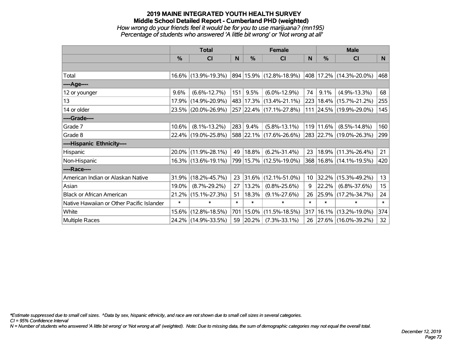## **2019 MAINE INTEGRATED YOUTH HEALTH SURVEY Middle School Detailed Report - Cumberland PHD (weighted)** *How wrong do your friends feel it would be for you to use marijuana? (mn195) Percentage of students who answered 'A little bit wrong' or 'Not wrong at all'*

|                                           | <b>Total</b>  |                     |        | <b>Female</b> | <b>Male</b>             |                 |           |                             |        |
|-------------------------------------------|---------------|---------------------|--------|---------------|-------------------------|-----------------|-----------|-----------------------------|--------|
|                                           | $\frac{0}{0}$ | CI                  | N      | %             | <b>CI</b>               | N               | %         | <b>CI</b>                   | N.     |
|                                           |               |                     |        |               |                         |                 |           |                             |        |
| Total                                     |               | 16.6% (13.9%-19.3%) |        |               | 894 15.9% (12.8%-18.9%) |                 |           | 408   17.2%   (14.3%-20.0%) | 468    |
| ----Age----                               |               |                     |        |               |                         |                 |           |                             |        |
| 12 or younger                             | 9.6%          | $(6.6\% - 12.7\%)$  | 151    | 9.5%          | $(6.0\% - 12.9\%)$      | 74              | 9.1%      | $(4.9\% - 13.3\%)$          | 68     |
| 13                                        | 17.9%         | $(14.9\% - 20.9\%)$ |        |               | 483 17.3% (13.4%-21.1%) |                 |           | 223   18.4%   (15.7%-21.2%) | 255    |
| 14 or older                               |               | 23.5% (20.0%-26.9%) |        |               | 257 22.4% (17.1%-27.8%) |                 |           | 111 24.5% (19.9%-29.0%)     | 145    |
| ----Grade----                             |               |                     |        |               |                         |                 |           |                             |        |
| Grade 7                                   | 10.6%         | $(8.1\% - 13.2\%)$  | 283    | 9.4%          | $(5.8\% - 13.1\%)$      |                 | 119 11.6% | $(8.5\% - 14.8\%)$          | 160    |
| Grade 8                                   |               | 22.4% (19.0%-25.8%) |        |               | 588 22.1% (17.6%-26.6%) |                 |           | 283 22.7% (19.0%-26.3%)     | 299    |
| ----Hispanic Ethnicity----                |               |                     |        |               |                         |                 |           |                             |        |
| Hispanic                                  |               | 20.0% (11.9%-28.1%) | 49     | $ 18.8\% $    | $(6.2\% - 31.4\%)$      | 23              | 18.9%     | $(11.3\% - 26.4\%)$         | 21     |
| Non-Hispanic                              |               | 16.3% (13.6%-19.1%) |        |               | 799 15.7% (12.5%-19.0%) |                 |           | 368 16.8% (14.1%-19.5%)     | 420    |
| ----Race----                              |               |                     |        |               |                         |                 |           |                             |        |
| American Indian or Alaskan Native         | 31.9%         | $(18.2\% - 45.7\%)$ | 23     | 31.6%         | $(12.1\% - 51.0\%)$     | 10 <sup>°</sup> | 32.2%     | $(15.3\% - 49.2\%)$         | 13     |
| Asian                                     | 19.0%         | $(8.7\% - 29.2\%)$  | 27     | 13.2%         | $(0.8\% - 25.6\%)$      | 9               | 22.2%     | $(6.8\% - 37.6\%)$          | 15     |
| <b>Black or African American</b>          | 21.2%         | $(15.1\% - 27.3\%)$ | 51     | 18.3%         | $(9.1\% - 27.6\%)$      | 26              | 25.9%     | $(17.2\% - 34.7\%)$         | 24     |
| Native Hawaiian or Other Pacific Islander | $\ast$        | $\ast$              | $\ast$ | $\ast$        | $\ast$                  | $\ast$          | $\ast$    | $\ast$                      | $\ast$ |
| White                                     | 15.6%         | $(12.8\% - 18.5\%)$ | 701    | $15.0\%$      | $(11.5\% - 18.5\%)$     | 317             |           | 16.1% (13.2%-19.0%)         | 374    |
| <b>Multiple Races</b>                     |               | 24.2% (14.9%-33.5%) | 59     | $ 20.2\% $    | $(7.3\% - 33.1\%)$      | 26              |           | 27.6% (16.0%-39.2%)         | 32     |

*\*Estimate suppressed due to small cell sizes. ^Data by sex, hispanic ethnicity, and race are not shown due to small cell sizes in several categories.*

*CI = 95% Confidence Interval*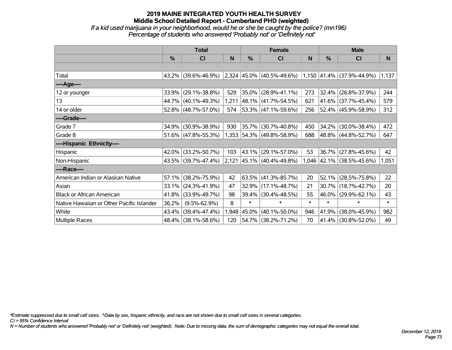### **2019 MAINE INTEGRATED YOUTH HEALTH SURVEY Middle School Detailed Report - Cumberland PHD (weighted)** *If a kid used marijuana in your neighborhood, would he or she be caught by the police? (mn196) Percentage of students who answered 'Probably not' or 'Definitely not'*

|                                           | <b>Total</b> |                     |       | <b>Female</b> |                                                                                                     | <b>Male</b> |               |                           |        |
|-------------------------------------------|--------------|---------------------|-------|---------------|-----------------------------------------------------------------------------------------------------|-------------|---------------|---------------------------|--------|
|                                           | $\%$         | <b>CI</b>           | N     | $\%$          | <b>CI</b>                                                                                           | N           | $\frac{0}{0}$ | <b>CI</b>                 | N      |
|                                           |              |                     |       |               |                                                                                                     |             |               |                           |        |
| Total                                     |              | 43.2% (39.6%-46.9%) |       |               | $\vert 2,324 \vert 45.0\% \vert (40.5\% - 49.6\%) \vert 1,150 \vert 41.4\% \vert (37.9\% - 44.9\%)$ |             |               |                           | 1,137  |
| ----Age----                               |              |                     |       |               |                                                                                                     |             |               |                           |        |
| 12 or younger                             | 33.9%        | $(29.1\% - 38.8\%)$ | 529   | 35.0%         | $(28.9\% - 41.1\%)$                                                                                 | 273         | $32.4\%$      | $(26.8\% - 37.9\%)$       | 244    |
| 13                                        |              | 44.7% (40.1%-49.3%) | 1,211 |               | 48.1% (41.7%-54.5%)                                                                                 | 621         |               | 41.6% (37.7%-45.4%)       | 579    |
| 14 or older                               |              | 52.8% (48.7%-57.0%) | 574   |               | 53.3% (47.1%-59.6%)                                                                                 | 256         |               | 52.4% (45.9%-58.9%)       | 312    |
| ----Grade----                             |              |                     |       |               |                                                                                                     |             |               |                           |        |
| Grade 7                                   | 34.9%        | $(30.9\% - 38.9\%)$ | 930   | 35.7%         | $(30.7\% - 40.8\%)$                                                                                 | 450         | $34.2\%$      | $(30.0\% - 38.4\%)$       | 472    |
| Grade 8                                   |              | 51.6% (47.8%-55.3%) |       |               | 1,353 54.3% (49.8%-58.9%)                                                                           | 688         |               | 48.8% (44.8%-52.7%)       | 647    |
| ----Hispanic Ethnicity----                |              |                     |       |               |                                                                                                     |             |               |                           |        |
| Hispanic                                  | 42.0%        | $(33.2\% - 50.7\%)$ | 103   | 43.1%         | $(29.1\% - 57.0\%)$                                                                                 | 53          | $36.7\%$      | $(27.8\% - 45.6\%)$       | 42     |
| Non-Hispanic                              |              | 43.5% (39.7%-47.4%) | 2,121 |               | $ 45.1\% $ (40.4%-49.8%)                                                                            |             |               | 1,046 42.1% (38.5%-45.6%) | 1,051  |
| ----Race----                              |              |                     |       |               |                                                                                                     |             |               |                           |        |
| American Indian or Alaskan Native         | 57.1%        | $(38.2\% - 75.9\%)$ | 42    |               | $63.5\%$ (41.3%-85.7%)                                                                              | 20          | 52.1%         | $(28.5\% - 75.8\%)$       | 22     |
| Asian                                     | 33.1%        | $(24.3\% - 41.9\%)$ | 47    | 32.9%         | $(17.1\% - 48.7\%)$                                                                                 | 21          | $30.7\%$      | $(18.7\% - 42.7\%)$       | 20     |
| <b>Black or African American</b>          | 41.8%        | $(33.9\% - 49.7\%)$ | 98    | 39.4%         | $(30.4\% - 48.5\%)$                                                                                 | 55          | 46.0%         | $(29.9\% - 62.1\%)$       | 43     |
| Native Hawaiian or Other Pacific Islander | 36.2%        | $(9.5\% - 62.9\%)$  | 8     | $\ast$        | $\ast$                                                                                              | $\ast$      | $\ast$        | $\ast$                    | $\ast$ |
| White                                     | 43.4%        | $(39.4\% - 47.4\%)$ | 1,948 | $ 45.0\% $    | $(40.1\% - 50.0\%)$                                                                                 | 946         | 41.9%         | $(38.0\% - 45.9\%)$       | 982    |
| Multiple Races                            |              | 48.4% (38.1%-58.6%) | 120   |               | 54.7% (38.2%-71.2%)                                                                                 | 70          | $ 41.4\% $    | $(30.8\% - 52.0\%)$       | 49     |

*\*Estimate suppressed due to small cell sizes. ^Data by sex, hispanic ethnicity, and race are not shown due to small cell sizes in several categories.*

*CI = 95% Confidence Interval*

*N = Number of students who answered 'Probably not' or 'Definitely not' (weighted). Note: Due to missing data, the sum of demographic categories may not equal the overall total.*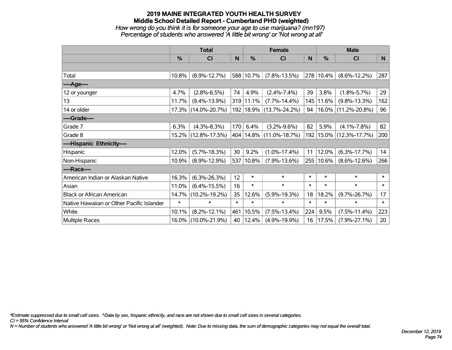### **2019 MAINE INTEGRATED YOUTH HEALTH SURVEY Middle School Detailed Report - Cumberland PHD (weighted)** *How wrong do you think it is for someone your age to use marijuana? (mn197) Percentage of students who answered 'A little bit wrong' or 'Not wrong at all'*

|                                           | <b>Total</b> |                     |        |               | <b>Female</b>               | <b>Male</b>  |           |                        |                 |
|-------------------------------------------|--------------|---------------------|--------|---------------|-----------------------------|--------------|-----------|------------------------|-----------------|
|                                           | %            | <b>CI</b>           | N      | $\frac{0}{0}$ | <b>CI</b>                   | <sub>N</sub> | %         | <b>CI</b>              | N <sub>1</sub>  |
|                                           |              |                     |        |               |                             |              |           |                        |                 |
| Total                                     | 10.8%        | $(8.9\% - 12.7\%)$  |        | 588 10.7%     | $(7.8\% - 13.5\%)$          |              | 278 10.4% | $(8.6\% - 12.2\%)$     | 287             |
| ----Age----                               |              |                     |        |               |                             |              |           |                        |                 |
| 12 or younger                             | 4.7%         | $(2.8\% - 6.5\%)$   | 74     | 4.9%          | $(2.4\% - 7.4\%)$           | 39           | 3.8%      | $(1.8\% - 5.7\%)$      | 29              |
| 13                                        | 11.7%        | $(9.4\% - 13.9\%)$  |        | 319 11.1%     | $(7.7\% - 14.4\%)$          | 145          | 11.6%     | $(9.8\% - 13.3\%)$     | 162             |
| 14 or older                               | 17.3%        | $(14.0\% - 20.7\%)$ |        |               | 192   18.9%   (13.7%-24.2%) | 94           | $16.0\%$  | $(11.2\% - 20.8\%)$    | 96              |
| ----Grade----                             |              |                     |        |               |                             |              |           |                        |                 |
| Grade 7                                   | 6.3%         | $(4.3\% - 8.3\%)$   | 170    | 6.4%          | $(3.2\% - 9.6\%)$           | 82           | 5.9%      | $(4.1\% - 7.8\%)$      | 82              |
| Grade 8                                   |              | 15.2% (12.8%-17.5%) |        |               | 404 14.8% (11.0%-18.7%)     | 192          |           | $15.0\%$ (12.3%-17.7%) | 200             |
| ----Hispanic Ethnicity----                |              |                     |        |               |                             |              |           |                        |                 |
| Hispanic                                  | 12.0%        | $(5.7\% - 18.3\%)$  | 30     | 9.2%          | $(1.0\% - 17.4\%)$          | 11           | 12.0%     | $(6.3\% - 17.7\%)$     | 14              |
| Non-Hispanic                              | 10.9%        | $(8.9\% - 12.9\%)$  |        | 537 10.8%     | $(7.9\% - 13.6\%)$          | 255          | 10.6%     | $(8.6\% - 12.6\%)$     | 266             |
| ----Race----                              |              |                     |        |               |                             |              |           |                        |                 |
| American Indian or Alaskan Native         | 16.3%        | $(6.3\% - 26.3\%)$  | 12     | $\ast$        | $\pmb{\ast}$                | $\ast$       | $\ast$    | $\ast$                 | $\ast$          |
| Asian                                     | 11.0%        | $(6.4\% - 15.5\%)$  | 16     | $\ast$        | $\ast$                      | $\ast$       | $\ast$    | $\ast$                 | $\ast$          |
| <b>Black or African American</b>          | 14.7%        | $(10.2\% - 19.2\%)$ | 35     | 12.6%         | $(5.9\% - 19.3\%)$          | 18           | 18.2%     | $(9.7\% - 26.7\%)$     | 17              |
| Native Hawaiian or Other Pacific Islander | $\ast$       | $\ast$              | $\ast$ | $\ast$        | $\ast$                      | $\ast$       | $\ast$    | $\ast$                 | $\ast$          |
| White                                     | 10.1%        | $(8.2\% - 12.1\%)$  | 461    | 10.5%         | $(7.5\% - 13.4\%)$          | 224          | 9.5%      | $(7.5\% - 11.4\%)$     | 223             |
| Multiple Races                            | 16.0%        | $(10.0\% - 21.9\%)$ | 40     | 12.4%         | $(4.9\% - 19.9\%)$          | 16           | 17.5%     | $(7.9\% - 27.1\%)$     | 20 <sub>2</sub> |

*\*Estimate suppressed due to small cell sizes. ^Data by sex, hispanic ethnicity, and race are not shown due to small cell sizes in several categories.*

*CI = 95% Confidence Interval*

*N = Number of students who answered 'A little bit wrong' or 'Not wrong at all' (weighted). Note: Due to missing data, the sum of demographic categories may not equal the overall total.*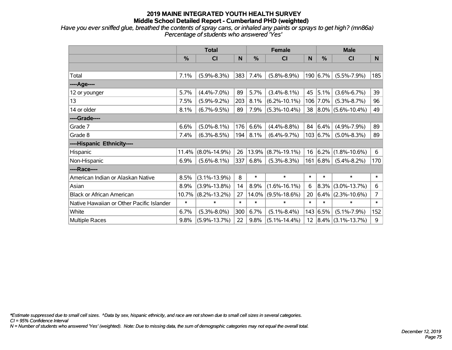*Have you ever sniffed glue, breathed the contents of spray cans, or inhaled any paints or sprays to get high? (mn86a) Percentage of students who answered 'Yes'*

|                                           | <b>Total</b>  |                    |        | <b>Female</b> |                    |        | <b>Male</b> |                                 |                |  |
|-------------------------------------------|---------------|--------------------|--------|---------------|--------------------|--------|-------------|---------------------------------|----------------|--|
|                                           | $\frac{0}{0}$ | <b>CI</b>          | N      | $\%$          | <b>CI</b>          | N      | $\%$        | <b>CI</b>                       | N <sub>1</sub> |  |
|                                           |               |                    |        |               |                    |        |             |                                 |                |  |
| Total                                     | 7.1%          | $(5.9\% - 8.3\%)$  | 383    | 7.4%          | $(5.8\% - 8.9\%)$  |        | 190 6.7%    | $(5.5\% - 7.9\%)$               | 185            |  |
| ----Age----                               |               |                    |        |               |                    |        |             |                                 |                |  |
| 12 or younger                             | 5.7%          | $(4.4\% - 7.0\%)$  | 89     | 5.7%          | $(3.4\% - 8.1\%)$  | 45     | 5.1%        | $(3.6\% - 6.7\%)$               | 39             |  |
| 13                                        | 7.5%          | $(5.9\% - 9.2\%)$  | 203    | 8.1%          | $(6.2\% - 10.1\%)$ |        | 106 7.0%    | $(5.3\% - 8.7\%)$               | 96             |  |
| 14 or older                               | 8.1%          | $(6.7\% - 9.5\%)$  | 89     | 7.9%          | $(5.3\% - 10.4\%)$ |        |             | 38 8.0% (5.6%-10.4%)            | 49             |  |
| ----Grade----                             |               |                    |        |               |                    |        |             |                                 |                |  |
| Grade 7                                   | 6.6%          | $(5.0\% - 8.1\%)$  | 176    | 6.6%          | $(4.4\% - 8.8\%)$  |        | 84 6.4%     | $(4.9\% - 7.9\%)$               | 89             |  |
| Grade 8                                   | 7.4%          | $(6.3\% - 8.5\%)$  | 194    | 8.1%          | $(6.4\% - 9.7\%)$  |        | 103   6.7%  | $(5.0\% - 8.3\%)$               | 89             |  |
| ----Hispanic Ethnicity----                |               |                    |        |               |                    |        |             |                                 |                |  |
| Hispanic                                  | 11.4%         | $(8.0\% - 14.9\%)$ | 26     | 13.9%         | $(8.7\% - 19.1\%)$ | 16     | 6.2%        | $(1.8\% - 10.6\%)$              | 6              |  |
| Non-Hispanic                              | 6.9%          | $(5.6\% - 8.1\%)$  | 337    | 6.8%          | $(5.3\% - 8.3\%)$  |        | 161   6.8%  | $(5.4\% - 8.2\%)$               | 170            |  |
| ----Race----                              |               |                    |        |               |                    |        |             |                                 |                |  |
| American Indian or Alaskan Native         | 8.5%          | $(3.1\% - 13.9\%)$ | 8      | $\ast$        | $\ast$             | $\ast$ | $\ast$      | $\ast$                          | $\ast$         |  |
| Asian                                     | 8.9%          | $(3.9\% - 13.8\%)$ | 14     | 8.9%          | $(1.6\% - 16.1\%)$ | 6      | 8.3%        | $(3.0\% - 13.7\%)$              | 6              |  |
| <b>Black or African American</b>          | 10.7%         | $(8.2\% - 13.2\%)$ | 27     | 14.0%         | $(9.5\% - 18.6\%)$ | 20     |             | $ 6.4\% $ (2.3%-10.6%)          | $\overline{7}$ |  |
| Native Hawaiian or Other Pacific Islander | $\ast$        | $\ast$             | $\ast$ | $\ast$        | $\ast$             | $\ast$ | $\ast$      | $\ast$                          | $\ast$         |  |
| White                                     | 6.7%          | $(5.3\% - 8.0\%)$  | 300    | 6.7%          | $(5.1\% - 8.4\%)$  |        | 143 6.5%    | $(5.1\% - 7.9\%)$               | 152            |  |
| <b>Multiple Races</b>                     | 9.8%          | $(5.9\% - 13.7\%)$ | 22     | 9.8%          | $(5.1\% - 14.4\%)$ |        |             | $12   8.4\%   (3.1\% - 13.7\%)$ | 9              |  |

*\*Estimate suppressed due to small cell sizes. ^Data by sex, hispanic ethnicity, and race are not shown due to small cell sizes in several categories.*

*CI = 95% Confidence Interval*

*N = Number of students who answered 'Yes' (weighted). Note: Due to missing data, the sum of demographic categories may not equal the overall total.*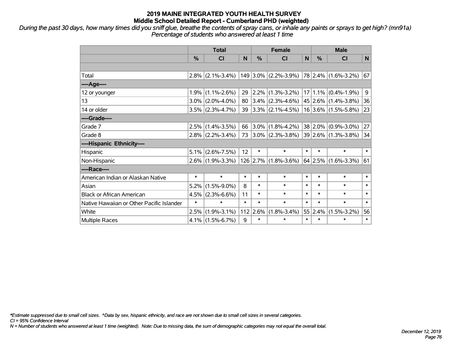*During the past 30 days, how many times did you sniff glue, breathe the contents of spray cans, or inhale any paints or sprays to get high? (mn91a) Percentage of students who answered at least 1 time*

|                                           | <b>Total</b> |                     |        | <b>Female</b> |                                                                       |        | <b>Male</b>   |                         |              |  |
|-------------------------------------------|--------------|---------------------|--------|---------------|-----------------------------------------------------------------------|--------|---------------|-------------------------|--------------|--|
|                                           | $\%$         | <b>CI</b>           | N      | $\%$          | <b>CI</b>                                                             | N      | $\frac{0}{0}$ | <b>CI</b>               | N            |  |
|                                           |              |                     |        |               |                                                                       |        |               |                         |              |  |
| Total                                     |              |                     |        |               | 2.8% (2.1%-3.4%)   149   3.0%   (2.2%-3.9%)   78   2.4%   (1.6%-3.2%) |        |               |                         | 67           |  |
| ----Age----                               |              |                     |        |               |                                                                       |        |               |                         |              |  |
| 12 or younger                             | 1.9%         | $(1.1\% - 2.6\%)$   | 29     | $2.2\%$       | $(1.3\% - 3.2\%)$                                                     |        |               | $17 1.1\% $ (0.4%-1.9%) | 9            |  |
| 13                                        |              | $3.0\%$ (2.0%-4.0%) | 80     |               | $ 3.4\% $ (2.3%-4.6%)                                                 |        |               | 45 2.6% (1.4%-3.8%)     | 36           |  |
| 14 or older                               |              | $3.5\%$ (2.3%-4.7%) |        |               | 39 3.3% $(2.1\% - 4.5\%)$                                             |        |               | $16$ 3.6% (1.5%-5.8%)   | 23           |  |
| ----Grade----                             |              |                     |        |               |                                                                       |        |               |                         |              |  |
| Grade 7                                   | 2.5%         | $(1.4\% - 3.5\%)$   | 66     | $ 3.0\% $     | $(1.8\% - 4.2\%)$                                                     |        | $38 2.0\% $   | $(0.9\% - 3.0\%)$       | 27           |  |
| Grade 8                                   |              | $2.8\%$ (2.2%-3.4%) | 73     |               | $ 3.0\% $ (2.3%-3.8%) $ 39 2.6\% $ (1.3%-3.8%)                        |        |               |                         | 34           |  |
| ----Hispanic Ethnicity----                |              |                     |        |               |                                                                       |        |               |                         |              |  |
| Hispanic                                  | $5.1\%$      | $(2.6\% - 7.5\%)$   | 12     | $\ast$        | $\ast$                                                                | $\ast$ | $\ast$        | $\ast$                  | $\ast$       |  |
| Non-Hispanic                              |              | $2.6\%$ (1.9%-3.3%) |        | 126 2.7%      | $(1.8\% - 3.6\%)$                                                     |        | $64$ 2.5%     | $(1.6\% - 3.3\%)$       | 61           |  |
| ----Race----                              |              |                     |        |               |                                                                       |        |               |                         |              |  |
| American Indian or Alaskan Native         | $\ast$       | $\ast$              | $\ast$ | $\ast$        | $\ast$                                                                | $\ast$ | $\ast$        | $\ast$                  | $\pmb{\ast}$ |  |
| Asian                                     | 5.2%         | $(1.5\% - 9.0\%)$   | 8      | $\ast$        | $\ast$                                                                | $\ast$ | $\ast$        | $\ast$                  | $\ast$       |  |
| <b>Black or African American</b>          | 4.5%         | $(2.3\% - 6.6\%)$   | 11     | $\ast$        | $\ast$                                                                | $\ast$ | $\ast$        | $\ast$                  | $\ast$       |  |
| Native Hawaiian or Other Pacific Islander | $\ast$       | $\ast$              | $\ast$ | $\ast$        | $\ast$                                                                | $\ast$ | $\ast$        | $\ast$                  | $\ast$       |  |
| White                                     | 2.5%         | $(1.9\% - 3.1\%)$   | 112    | 2.6%          | $(1.8\% - 3.4\%)$                                                     |        | 55 2.4%       | $(1.5\% - 3.2\%)$       | 56           |  |
| Multiple Races                            |              | $4.1\%$ (1.5%-6.7%) | 9      | $\ast$        | $\ast$                                                                | $\ast$ | $\ast$        | $\ast$                  | $\pmb{\ast}$ |  |

*\*Estimate suppressed due to small cell sizes. ^Data by sex, hispanic ethnicity, and race are not shown due to small cell sizes in several categories.*

*CI = 95% Confidence Interval*

*N = Number of students who answered at least 1 time (weighted). Note: Due to missing data, the sum of demographic categories may not equal the overall total.*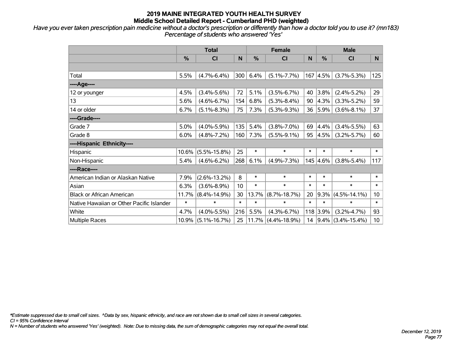*Have you ever taken prescription pain medicine without a doctor's prescription or differently than how a doctor told you to use it? (mn183) Percentage of students who answered 'Yes'*

|                                           | <b>Total</b> |                    |        |        | <b>Female</b>         |        |          | <b>Male</b>            |                 |  |
|-------------------------------------------|--------------|--------------------|--------|--------|-----------------------|--------|----------|------------------------|-----------------|--|
|                                           | %            | <b>CI</b>          | N      | %      | <b>CI</b>             | N      | %        | <b>CI</b>              | N               |  |
|                                           |              |                    |        |        |                       |        |          |                        |                 |  |
| Total                                     | 5.5%         | $(4.7\% - 6.4\%)$  | 300    | 6.4%   | $(5.1\% - 7.7\%)$     |        | 167 4.5% | $(3.7\% - 5.3\%)$      | 125             |  |
| ---- Age----                              |              |                    |        |        |                       |        |          |                        |                 |  |
| 12 or younger                             | 4.5%         | $(3.4\% - 5.6\%)$  | 72     | 5.1%   | $(3.5\% - 6.7\%)$     | 40     | 3.8%     | $(2.4\% - 5.2\%)$      | 29              |  |
| 13                                        | 5.6%         | $(4.6\% - 6.7\%)$  | 154    | 6.8%   | $(5.3\% - 8.4\%)$     | 90     | 4.3%     | $(3.3\% - 5.2\%)$      | 59              |  |
| 14 or older                               | 6.7%         | $(5.1\% - 8.3\%)$  | 75     | 7.3%   | $(5.3\% - 9.3\%)$     | 36     | 5.9%     | $(3.6\% - 8.1\%)$      | 37              |  |
| ----Grade----                             |              |                    |        |        |                       |        |          |                        |                 |  |
| Grade 7                                   | 5.0%         | $(4.0\% - 5.9\%)$  | 135    | 5.4%   | $(3.8\% - 7.0\%)$     | 69     | 4.4%     | $(3.4\% - 5.5\%)$      | 63              |  |
| Grade 8                                   | 6.0%         | $(4.8\% - 7.2\%)$  | 160    | 7.3%   | $(5.5\% - 9.1\%)$     | 95     | 4.5%     | $(3.2\% - 5.7\%)$      | 60              |  |
| ----Hispanic Ethnicity----                |              |                    |        |        |                       |        |          |                        |                 |  |
| Hispanic                                  | 10.6%        | $(5.5\% - 15.8\%)$ | 25     | $\ast$ | $\ast$                | $\ast$ | $\ast$   | $\ast$                 | $\ast$          |  |
| Non-Hispanic                              | 5.4%         | $(4.6\% - 6.2\%)$  | 268    | 6.1%   | $(4.9\% - 7.3\%)$     |        | 145 4.6% | $(3.8\% - 5.4\%)$      | 117             |  |
| ----Race----                              |              |                    |        |        |                       |        |          |                        |                 |  |
| American Indian or Alaskan Native         | 7.9%         | $(2.6\% - 13.2\%)$ | 8      | $\ast$ | $\ast$                | $\ast$ | $\ast$   | $\ast$                 | $\ast$          |  |
| Asian                                     | 6.3%         | $(3.6\% - 8.9\%)$  | 10     | $\ast$ | $\ast$                | $\ast$ | $\ast$   | $\ast$                 | $\ast$          |  |
| <b>Black or African American</b>          | 11.7%        | $(8.4\% - 14.9\%)$ | 30     | 13.7%  | $(8.7\% - 18.7\%)$    | 20     | 9.3%     | $(4.5\% - 14.1\%)$     | 10 <sup>°</sup> |  |
| Native Hawaiian or Other Pacific Islander | $\ast$       | $\ast$             | $\ast$ | $\ast$ | $\ast$                | $\ast$ | $\ast$   | $\ast$                 | $\ast$          |  |
| White                                     | 4.7%         | $(4.0\% - 5.5\%)$  | 216    | 5.5%   | $(4.3\% - 6.7\%)$     |        | 118 3.9% | $(3.2\% - 4.7\%)$      | 93              |  |
| Multiple Races                            | 10.9%        | $(5.1\% - 16.7\%)$ | 25     |        | $11.7\%$ (4.4%-18.9%) | 14     |          | $ 9.4\% $ (3.4%-15.4%) | 10 <sup>°</sup> |  |

*\*Estimate suppressed due to small cell sizes. ^Data by sex, hispanic ethnicity, and race are not shown due to small cell sizes in several categories.*

*CI = 95% Confidence Interval*

*N = Number of students who answered 'Yes' (weighted). Note: Due to missing data, the sum of demographic categories may not equal the overall total.*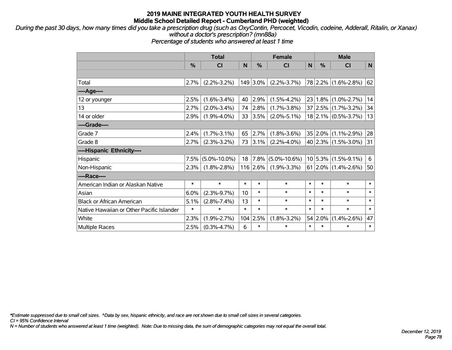*During the past 30 days, how many times did you take a prescription drug (such as OxyContin, Percocet, Vicodin, codeine, Adderall, Ritalin, or Xanax) without a doctor's prescription? (mn88a)*

*Percentage of students who answered at least 1 time*

|                                           | <b>Total</b> |                    |        |            | <b>Female</b>      |        | <b>Male</b> |                            |        |  |
|-------------------------------------------|--------------|--------------------|--------|------------|--------------------|--------|-------------|----------------------------|--------|--|
|                                           | %            | CI                 | N      | %          | <b>CI</b>          | N      | %           | <b>CI</b>                  | N      |  |
|                                           |              |                    |        |            |                    |        |             |                            |        |  |
| Total                                     | 2.7%         | $(2.2\% - 3.2\%)$  |        | 149 3.0%   | $(2.2\% - 3.7\%)$  |        |             | 78 2.2% (1.6%-2.8%)        | 62     |  |
| ---- Age----                              |              |                    |        |            |                    |        |             |                            |        |  |
| 12 or younger                             | 2.5%         | $(1.6\% - 3.4\%)$  | 40     | 2.9%       | $(1.5\% - 4.2\%)$  | 23     |             | $1.8\%$ (1.0%-2.7%)        | 14     |  |
| 13                                        | 2.7%         | $(2.0\% - 3.4\%)$  | 74     | 2.8%       | $(1.7\% - 3.8\%)$  |        |             | $37 2.5\% $ (1.7%-3.2%)    | 34     |  |
| 14 or older                               | 2.9%         | $(1.9\% - 4.0\%)$  | 33     | $ 3.5\% $  | $(2.0\% - 5.1\%)$  |        |             | $18$ 2.1% (0.5%-3.7%)      | 13     |  |
| ----Grade----                             |              |                    |        |            |                    |        |             |                            |        |  |
| Grade 7                                   | 2.4%         | $(1.7\% - 3.1\%)$  | 65     | 2.7%       | $(1.8\% - 3.6\%)$  |        |             | $35 2.0\% (1.1\% - 2.9\%)$ | 28     |  |
| Grade 8                                   | 2.7%         | $(2.3\% - 3.2\%)$  | 73     | $ 3.1\% $  | $(2.2\% - 4.0\%)$  |        |             | 40 2.3% (1.5%-3.0%)        | 31     |  |
| ----Hispanic Ethnicity----                |              |                    |        |            |                    |        |             |                            |        |  |
| Hispanic                                  | 7.5%         | $(5.0\% - 10.0\%)$ | 18     | $ 7.8\% $  | $(5.0\% - 10.6\%)$ |        |             | $10 5.3\% $ (1.5%-9.1%)    | 6      |  |
| Non-Hispanic                              | 2.3%         | $(1.8\% - 2.8\%)$  |        | $116$ 2.6% | $(1.9\% - 3.3\%)$  |        |             | $61$   2.0%   (1.4%-2.6%)  | 50     |  |
| ----Race----                              |              |                    |        |            |                    |        |             |                            |        |  |
| American Indian or Alaskan Native         | $\ast$       | $\ast$             | $\ast$ | $\ast$     | $\ast$             | $\ast$ | $\ast$      | $\ast$                     | $\ast$ |  |
| Asian                                     | 6.0%         | $(2.3\% - 9.7\%)$  | 10     | $\ast$     | $\ast$             | $\ast$ | $\ast$      | $\ast$                     | $\ast$ |  |
| <b>Black or African American</b>          | 5.1%         | $(2.8\% - 7.4\%)$  | 13     | $\ast$     | $\ast$             | $\ast$ | $\ast$      | $\ast$                     | $\ast$ |  |
| Native Hawaiian or Other Pacific Islander | $\ast$       | $\ast$             | $\ast$ | $\ast$     | $\ast$             | $\ast$ | $\ast$      | $\ast$                     | $\ast$ |  |
| White                                     | 2.3%         | $(1.9\% - 2.7\%)$  |        | $104$ 2.5% | $(1.8\% - 3.2\%)$  | 54     | 2.0%        | $(1.4\% - 2.6\%)$          | 47     |  |
| Multiple Races                            | 2.5%         | $(0.3\% - 4.7\%)$  | 6      | $\ast$     | $\ast$             | $\ast$ | $\ast$      | $\ast$                     | $\ast$ |  |

*\*Estimate suppressed due to small cell sizes. ^Data by sex, hispanic ethnicity, and race are not shown due to small cell sizes in several categories.*

*CI = 95% Confidence Interval*

*N = Number of students who answered at least 1 time (weighted). Note: Due to missing data, the sum of demographic categories may not equal the overall total.*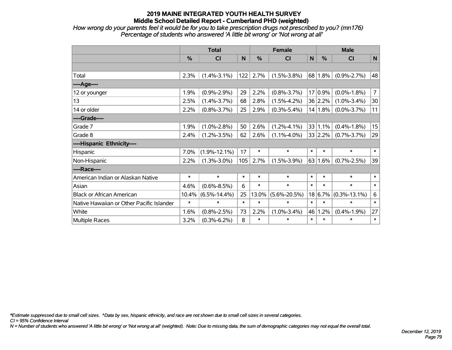*How wrong do your parents feel it would be for you to take prescription drugs not prescribed to you? (mn176) Percentage of students who answered 'A little bit wrong' or 'Not wrong at all'*

|                                           | <b>Total</b> |                    |        |        | <b>Female</b>      |                 | <b>Male</b> |                    |                |  |
|-------------------------------------------|--------------|--------------------|--------|--------|--------------------|-----------------|-------------|--------------------|----------------|--|
|                                           | %            | CI                 | N      | %      | <b>CI</b>          | $\mathsf{N}$    | %           | <b>CI</b>          | N              |  |
|                                           |              |                    |        |        |                    |                 |             |                    |                |  |
| Total                                     | 2.3%         | $(1.4\% - 3.1\%)$  | 122    | 2.7%   | $(1.5\% - 3.8\%)$  |                 | 68 1.8%     | $(0.9\% - 2.7\%)$  | 48             |  |
| ----Age----                               |              |                    |        |        |                    |                 |             |                    |                |  |
| 12 or younger                             | 1.9%         | $(0.9\% - 2.9\%)$  | 29     | 2.2%   | $(0.8\% - 3.7\%)$  | 17 <sup>1</sup> | 0.9%        | $(0.0\% - 1.8\%)$  | $\overline{7}$ |  |
| 13                                        | 2.5%         | $(1.4\% - 3.7\%)$  | 68     | 2.8%   | $(1.5\% - 4.2\%)$  |                 | 36 2.2%     | $(1.0\% - 3.4\%)$  | 30             |  |
| 14 or older                               | 2.2%         | $(0.8\% - 3.7\%)$  | 25     | 2.9%   | $(0.3\% - 5.4\%)$  |                 | 14 1.8%     | $(0.0\% - 3.7\%)$  | 11             |  |
| ----Grade----                             |              |                    |        |        |                    |                 |             |                    |                |  |
| Grade 7                                   | 1.9%         | $(1.0\% - 2.8\%)$  | 50     | 2.6%   | $(1.2\% - 4.1\%)$  |                 | 33 1.1%     | $(0.4\% - 1.8\%)$  | 15             |  |
| Grade 8                                   | 2.4%         | $(1.2\% - 3.5\%)$  | 62     | 2.6%   | $(1.1\% - 4.0\%)$  |                 | 33 2.2%     | $(0.7\% - 3.7\%)$  | 29             |  |
| ----Hispanic Ethnicity----                |              |                    |        |        |                    |                 |             |                    |                |  |
| Hispanic                                  | 7.0%         | $(1.9\% - 12.1\%)$ | 17     | $\ast$ | $\ast$             | $\ast$          | $\ast$      | $\ast$             | $\ast$         |  |
| Non-Hispanic                              | 2.2%         | $(1.3\% - 3.0\%)$  | 105    | 2.7%   | $(1.5\% - 3.9\%)$  |                 | 63 1.6%     | $(0.7\% - 2.5\%)$  | 39             |  |
| ----Race----                              |              |                    |        |        |                    |                 |             |                    |                |  |
| American Indian or Alaskan Native         | $\ast$       | $\ast$             | $\ast$ | $\ast$ | $\ast$             | $\ast$          | $\ast$      | $\ast$             | $\ast$         |  |
| Asian                                     | 4.6%         | $(0.6\% - 8.5\%)$  | 6      | $\ast$ | $\ast$             | $\ast$          | $\ast$      | $\ast$             | $\ast$         |  |
| <b>Black or African American</b>          | 10.4%        | $(6.5\% - 14.4\%)$ | 25     | 13.0%  | $(5.6\% - 20.5\%)$ | 18              | 6.7%        | $(0.3\% - 13.1\%)$ | 6              |  |
| Native Hawaiian or Other Pacific Islander | $\ast$       | $\ast$             | $\ast$ | $\ast$ | $\ast$             | $\ast$          | $\ast$      | $\ast$             | $\pmb{\ast}$   |  |
| White                                     | 1.6%         | $(0.8\% - 2.5\%)$  | 73     | 2.2%   | $(1.0\% - 3.4\%)$  | 46              | 1.2%        | $(0.4\% - 1.9\%)$  | 27             |  |
| <b>Multiple Races</b>                     | 3.2%         | $(0.3\% - 6.2\%)$  | 8      | $\ast$ | $\ast$             | $\ast$          | $\ast$      | $\ast$             | $\ast$         |  |

*\*Estimate suppressed due to small cell sizes. ^Data by sex, hispanic ethnicity, and race are not shown due to small cell sizes in several categories.*

*CI = 95% Confidence Interval*

*N = Number of students who answered 'A little bit wrong' or 'Not wrong at all' (weighted). Note: Due to missing data, the sum of demographic categories may not equal the overall total.*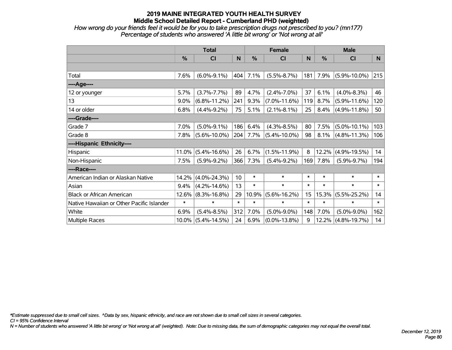*How wrong do your friends feel it would be for you to take prescription drugs not prescribed to you? (mn177) Percentage of students who answered 'A little bit wrong' or 'Not wrong at all'*

|                                           | <b>Total</b> |                    |        |               | <b>Female</b>      |        | <b>Male</b>   |                    |        |  |
|-------------------------------------------|--------------|--------------------|--------|---------------|--------------------|--------|---------------|--------------------|--------|--|
|                                           | %            | <b>CI</b>          | N      | $\frac{0}{0}$ | <b>CI</b>          | N      | $\frac{0}{0}$ | <b>CI</b>          | N      |  |
|                                           |              |                    |        |               |                    |        |               |                    |        |  |
| Total                                     | 7.6%         | $(6.0\% - 9.1\%)$  | 404    | 7.1%          | $(5.5\% - 8.7\%)$  | 181    | 7.9%          | $(5.9\% - 10.0\%)$ | 215    |  |
| ----Age----                               |              |                    |        |               |                    |        |               |                    |        |  |
| 12 or younger                             | 5.7%         | $(3.7\% - 7.7\%)$  | 89     | 4.7%          | $(2.4\% - 7.0\%)$  | 37     | 6.1%          | $(4.0\% - 8.3\%)$  | 46     |  |
| 13                                        | 9.0%         | $(6.8\% - 11.2\%)$ | 241    | 9.3%          | $(7.0\% - 11.6\%)$ | 119    | 8.7%          | $(5.9\% - 11.6\%)$ | 120    |  |
| 14 or older                               | 6.8%         | $(4.4\% - 9.2\%)$  | 75     | 5.1%          | $(2.1\% - 8.1\%)$  | 25     | 8.4%          | $(4.9\% - 11.8\%)$ | 50     |  |
| ----Grade----                             |              |                    |        |               |                    |        |               |                    |        |  |
| Grade 7                                   | 7.0%         | $(5.0\% - 9.1\%)$  | 186    | 6.4%          | $(4.3\% - 8.5\%)$  | 80     | 7.5%          | $(5.0\% - 10.1\%)$ | 103    |  |
| Grade 8                                   | 7.8%         | $(5.6\% - 10.0\%)$ | 204    | 7.7%          | $(5.4\% - 10.0\%)$ | 98     | 8.1%          | $(4.8\% - 11.3\%)$ | 106    |  |
| ----Hispanic Ethnicity----                |              |                    |        |               |                    |        |               |                    |        |  |
| Hispanic                                  | 11.0%        | $(5.4\% - 16.6\%)$ | 26     | 6.7%          | $(1.5\% - 11.9\%)$ | 8      | 12.2%         | $(4.9\% - 19.5\%)$ | 14     |  |
| Non-Hispanic                              | 7.5%         | $(5.9\% - 9.2\%)$  | 366    | 7.3%          | $(5.4\% - 9.2\%)$  | 169    | 7.8%          | $(5.9\% - 9.7\%)$  | 194    |  |
| ----Race----                              |              |                    |        |               |                    |        |               |                    |        |  |
| American Indian or Alaskan Native         | 14.2%        | $(4.0\% - 24.3\%)$ | 10     | $\ast$        | $\ast$             | $\ast$ | $\ast$        | $\ast$             | $\ast$ |  |
| Asian                                     | 9.4%         | $(4.2\% - 14.6\%)$ | 13     | $\ast$        | $\ast$             | $\ast$ | $\ast$        | $\ast$             | $\ast$ |  |
| <b>Black or African American</b>          | 12.6%        | $(8.3\% - 16.8\%)$ | 29     | 10.9%         | $(5.6\% - 16.2\%)$ | 15     | 15.3%         | $(5.5\% - 25.2\%)$ | 14     |  |
| Native Hawaiian or Other Pacific Islander | $\ast$       | $\ast$             | $\ast$ | $\ast$        | $\ast$             | $\ast$ | $\ast$        | $\ast$             | $\ast$ |  |
| White                                     | 6.9%         | $(5.4\% - 8.5\%)$  | 312    | 7.0%          | $(5.0\% - 9.0\%)$  | 148    | 7.0%          | $(5.0\% - 9.0\%)$  | 162    |  |
| <b>Multiple Races</b>                     | $10.0\%$     | $(5.4\% - 14.5\%)$ | 24     | 6.9%          | $(0.0\% - 13.8\%)$ | 9      | 12.2%         | $(4.8\% - 19.7\%)$ | 14     |  |

*\*Estimate suppressed due to small cell sizes. ^Data by sex, hispanic ethnicity, and race are not shown due to small cell sizes in several categories.*

*CI = 95% Confidence Interval*

*N = Number of students who answered 'A little bit wrong' or 'Not wrong at all' (weighted). Note: Due to missing data, the sum of demographic categories may not equal the overall total.*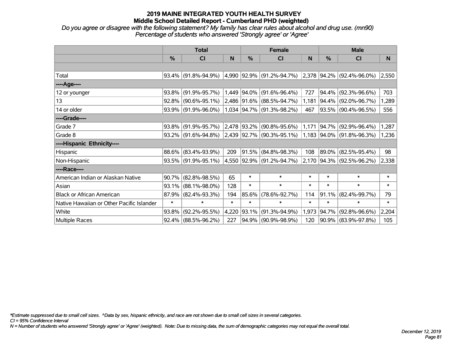*Do you agree or disagree with the following statement? My family has clear rules about alcohol and drug use. (mn90) Percentage of students who answered 'Strongly agree' or 'Agree'*

|                                           | <b>Total</b> |                        |        | <b>Female</b>    |                                                               | <b>Male</b> |            |                                    |        |
|-------------------------------------------|--------------|------------------------|--------|------------------|---------------------------------------------------------------|-------------|------------|------------------------------------|--------|
|                                           | $\%$         | <b>CI</b>              | N      | %                | <b>CI</b>                                                     | N           | %          | <b>CI</b>                          | N      |
|                                           |              |                        |        |                  |                                                               |             |            |                                    |        |
| Total                                     | $93.4\%$     | $(91.8\% - 94.9\%)$    |        |                  | 4,990 92.9% (91.2%-94.7%)                                     |             |            | $ 2,378 94.2\%  (92.4\% - 96.0\%)$ | 2,550  |
| ----Age----                               |              |                        |        |                  |                                                               |             |            |                                    |        |
| 12 or younger                             | 93.8%        | $(91.9\% - 95.7\%)$    |        |                  | 1,449 94.0% (91.6%-96.4%)                                     | 727         | $94.4\%$   | $(92.3\% - 96.6\%)$                | 703    |
| 13                                        | 92.8%        | $(90.6\% - 95.1\%)$    |        |                  | 2,486 91.6% (88.5%-94.7%)                                     | 1,181       |            | 94.4% (92.0%-96.7%)                | 1,289  |
| 14 or older                               |              | 93.9% (91.9%-96.0%)    |        |                  | 1,034 94.7% (91.3%-98.2%)                                     | 467         |            | 93.5% (90.4%-96.5%)                | 556    |
| ----Grade----                             |              |                        |        |                  |                                                               |             |            |                                    |        |
| Grade 7                                   | 93.8%        | $(91.9\% - 95.7\%)$    |        | $ 2,478 93.2\% $ | $(90.8\% - 95.6\%)$                                           | 1,171       | $ 94.7\% $ | $(92.9\% - 96.4\%)$                | 1,287  |
| Grade 8                                   |              | $93.2\%$ (91.6%-94.8%) |        |                  | $ 2,439 92.7\% $ (90.3%-95.1%) $ 1,183 94.0\% $ (91.8%-96.3%) |             |            |                                    | 1,236  |
| ----Hispanic Ethnicity----                |              |                        |        |                  |                                                               |             |            |                                    |        |
| Hispanic                                  | 88.6%        | $(83.4\% - 93.9\%)$    | 209    | 91.5%            | $(84.8\% - 98.3\%)$                                           | 108         | $ 89.0\% $ | $(82.5\% - 95.4\%)$                | 98     |
| Non-Hispanic                              |              | 93.5% (91.9%-95.1%)    |        |                  | 4,550 92.9% (91.2%-94.7%)                                     |             |            | 2,170 94.3% (92.5%-96.2%)          | 2,338  |
| ----Race----                              |              |                        |        |                  |                                                               |             |            |                                    |        |
| American Indian or Alaskan Native         | 90.7%        | $(82.8\% - 98.5\%)$    | 65     | $\ast$           | $\ast$                                                        | $\ast$      | $\ast$     | $\ast$                             | $\ast$ |
| Asian                                     | 93.1%        | $(88.1\% - 98.0\%)$    | 128    | $\ast$           | $\ast$                                                        | $\ast$      | $\ast$     | $\ast$                             | $\ast$ |
| <b>Black or African American</b>          | 87.9%        | $(82.4\% - 93.3\%)$    | 194    | 85.6%            | $(78.6\% - 92.7\%)$                                           | 114         | 91.1%      | $(82.4\% - 99.7\%)$                | 79     |
| Native Hawaiian or Other Pacific Islander | $\ast$       | $\ast$                 | $\ast$ | $\ast$           | $\ast$                                                        | $\ast$      | $\ast$     | $\ast$                             | $\ast$ |
| White                                     | 93.8%        | $(92.2\% - 95.5\%)$    | 4,220  | 93.1%            | $(91.3\% - 94.9\%)$                                           | 1,973       | $94.7\%$   | $(92.8\% - 96.6\%)$                | 2,204  |
| Multiple Races                            |              | $92.4\%$ (88.5%-96.2%) | 227    |                  | 94.9% (90.9%-98.9%)                                           | 120         |            | 90.9% (83.9%-97.8%)                | 105    |

*\*Estimate suppressed due to small cell sizes. ^Data by sex, hispanic ethnicity, and race are not shown due to small cell sizes in several categories.*

*CI = 95% Confidence Interval*

*N = Number of students who answered 'Strongly agree' or 'Agree' (weighted). Note: Due to missing data, the sum of demographic categories may not equal the overall total.*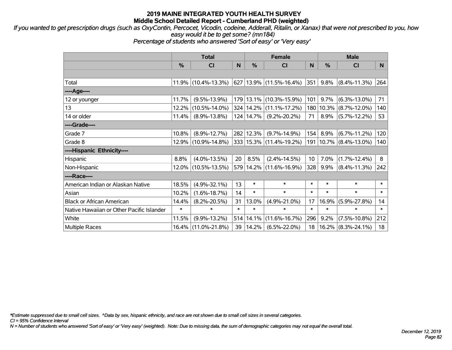*If you wanted to get prescription drugs (such as OxyContin, Percocet, Vicodin, codeine, Adderall, Ritalin, or Xanax) that were not prescribed to you, how easy would it be to get some? (mn184)*

*Percentage of students who answered 'Sort of easy' or 'Very easy'*

|                                           | <b>Total</b> |                     |        | <b>Female</b> |                             | <b>Male</b> |         |                       |        |
|-------------------------------------------|--------------|---------------------|--------|---------------|-----------------------------|-------------|---------|-----------------------|--------|
|                                           | %            | <b>CI</b>           | N      | %             | <b>CI</b>                   | N.          | %       | <b>CI</b>             | N.     |
|                                           |              |                     |        |               |                             |             |         |                       |        |
| Total                                     |              | 11.9% (10.4%-13.3%) |        |               | 627 13.9% (11.5%-16.4%)     | 351         | 9.8%    | $(8.4\% - 11.3\%)$    | 264    |
| ----Age----                               |              |                     |        |               |                             |             |         |                       |        |
| 12 or younger                             | 11.7%        | $(9.5\% - 13.9\%)$  |        |               | 179 13.1% (10.3%-15.9%)     | 101         | 9.7%    | $(6.3\% - 13.0\%)$    | 71     |
| 13                                        | 12.2%        | $(10.5\% - 14.0\%)$ |        |               | 324   14.2%   (11.1%-17.2%) | 180         |         | $10.3\%$ (8.7%-12.0%) | 140    |
| 14 or older                               | 11.4%        | $(8.9\% - 13.8\%)$  |        | 124 14.7%     | $(9.2\% - 20.2\%)$          | 71          |         | $8.9\%$ (5.7%-12.2%)  | 53     |
| ----Grade----                             |              |                     |        |               |                             |             |         |                       |        |
| Grade 7                                   | 10.8%        | $(8.9\% - 12.7\%)$  |        | 282 12.3%     | $(9.7\% - 14.9\%)$          | 154         | 8.9%    | $(6.7\% - 11.2\%)$    | 120    |
| Grade 8                                   |              | 12.9% (10.9%-14.8%) |        |               | 333   15.3%   (11.4%-19.2%) | 191         |         | $10.7\%$ (8.4%-13.0%) | 140    |
| ----Hispanic Ethnicity----                |              |                     |        |               |                             |             |         |                       |        |
| Hispanic                                  | 8.8%         | $(4.0\% - 13.5\%)$  | 20     | 8.5%          | $(2.4\% - 14.5\%)$          | 10          | 7.0%    | $(1.7\% - 12.4\%)$    | 8      |
| Non-Hispanic                              |              | 12.0% (10.5%-13.5%) |        |               | 579 14.2% (11.6%-16.9%)     | 328         | $9.9\%$ | $(8.4\% - 11.3\%)$    | 242    |
| ----Race----                              |              |                     |        |               |                             |             |         |                       |        |
| American Indian or Alaskan Native         | 18.5%        | $(4.9\% - 32.1\%)$  | 13     | $\ast$        | $\ast$                      | $\ast$      | $\ast$  | $\ast$                | $\ast$ |
| Asian                                     | 10.2%        | $(1.6\% - 18.7\%)$  | 14     | $\ast$        | $\ast$                      | $\ast$      | $\ast$  | $\ast$                | $\ast$ |
| <b>Black or African American</b>          | 14.4%        | $(8.2\% - 20.5\%)$  | 31     | 13.0%         | $(4.9\% - 21.0\%)$          | 17          | 16.9%   | $(5.9\% - 27.8\%)$    | 14     |
| Native Hawaiian or Other Pacific Islander | $\ast$       | $\ast$              | $\ast$ | $\ast$        | $\ast$                      | $\ast$      | $\ast$  | $\ast$                | $\ast$ |
| White                                     | 11.5%        | $(9.9\% - 13.2\%)$  | 514    | 14.1%         | $(11.6\% - 16.7\%)$         | 296         | $9.2\%$ | $(7.5\% - 10.8\%)$    | 212    |
| <b>Multiple Races</b>                     | $16.4\%$     | $(11.0\% - 21.8\%)$ | 39     | 14.2%         | $(6.5\% - 22.0\%)$          | 18          |         | $16.2\%$ (8.3%-24.1%) | 18     |

*\*Estimate suppressed due to small cell sizes. ^Data by sex, hispanic ethnicity, and race are not shown due to small cell sizes in several categories.*

*CI = 95% Confidence Interval*

*N = Number of students who answered 'Sort of easy' or 'Very easy' (weighted). Note: Due to missing data, the sum of demographic categories may not equal the overall total.*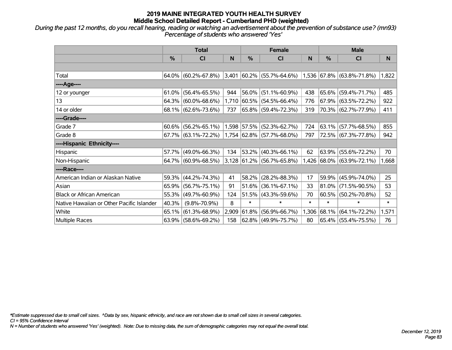*During the past 12 months, do you recall hearing, reading or watching an advertisement about the prevention of substance use? (mn93) Percentage of students who answered 'Yes'*

|                                           | <b>Total</b>  |                        |       | <b>Female</b> |                                   | <b>Male</b> |             |                           |        |
|-------------------------------------------|---------------|------------------------|-------|---------------|-----------------------------------|-------------|-------------|---------------------------|--------|
|                                           | $\frac{0}{0}$ | C <sub>l</sub>         | N     | $\frac{0}{0}$ | CI                                | N           | %           | <b>CI</b>                 | N      |
|                                           |               |                        |       |               |                                   |             |             |                           |        |
| Total                                     |               | $64.0\%$ (60.2%-67.8%) |       |               | $3,401$ 60.2% (55.7%-64.6%)       |             |             | 1,536 67.8% (63.8%-71.8%) | 1,822  |
| ----Age----                               |               |                        |       |               |                                   |             |             |                           |        |
| 12 or younger                             | 61.0%         | $(56.4\% - 65.5\%)$    | 944   |               | 56.0% (51.1%-60.9%)               | 438         | 65.6%       | $(59.4\% - 71.7\%)$       | 485    |
| 13                                        |               | $64.3\%$ (60.0%-68.6%) |       |               | $1,710$ 60.5% (54.5%-66.4%)       | 776         |             | $67.9\%$ (63.5%-72.2%)    | 922    |
| 14 or older                               |               | $68.1\%$ (62.6%-73.6%) | 737   |               | 65.8%   (59.4%-72.3%)             | 319         |             | 70.3% (62.7%-77.9%)       | 411    |
| ----Grade----                             |               |                        |       |               |                                   |             |             |                           |        |
| Grade 7                                   | $60.6\%$      | $(56.2\% - 65.1\%)$    |       |               | $1,598$ 57.5% (52.3%-62.7%)       | 724         | 63.1%       | $(57.7\% - 68.5\%)$       | 855    |
| Grade 8                                   |               | $67.7\%$ (63.1%-72.2%) |       |               | $1,754$ 62.8% (57.7%-68.0%)       | 797         |             | 72.5% (67.3%-77.8%)       | 942    |
| ----Hispanic Ethnicity----                |               |                        |       |               |                                   |             |             |                           |        |
| Hispanic                                  |               | 57.7% (49.0%-66.3%)    | 134   | 53.2%         | $(40.3\% - 66.1\%)$               | 62          | 63.9%       | $(55.6\% - 72.2\%)$       | 70     |
| Non-Hispanic                              |               | 64.7% (60.9%-68.5%)    |       |               | $ 3,128 61.2\% (56.7\% - 65.8\%)$ |             |             | 1,426 68.0% (63.9%-72.1%) | 1,668  |
| ----Race----                              |               |                        |       |               |                                   |             |             |                           |        |
| American Indian or Alaskan Native         |               | 59.3% (44.2%-74.3%)    | 41    | 58.2%         | $(28.2\% - 88.3\%)$               | 17          | 59.9%       | $(45.9\% - 74.0\%)$       | 25     |
| Asian                                     |               | 65.9% (56.7%-75.1%)    | 91    | 51.6%         | $(36.1\% - 67.1\%)$               | 33          | $ 81.0\% $  | $(71.5\% - 90.5\%)$       | 53     |
| <b>Black or African American</b>          |               | 55.3% (49.7%-60.9%)    | 124   |               | 51.5% (43.3%-59.6%)               | 70          | 60.5%       | $(50.2\% - 70.8\%)$       | 52     |
| Native Hawaiian or Other Pacific Islander | 40.3%         | $(9.8\% - 70.9\%)$     | 8     | $\ast$        | $\ast$                            | $\ast$      | $\ast$      | $\ast$                    | $\ast$ |
| White                                     |               | $65.1\%$ (61.3%-68.9%) | 2,909 | 61.8%         | $(56.9\% - 66.7\%)$               |             | 1,306 68.1% | $(64.1\% - 72.2\%)$       | 1,571  |
| Multiple Races                            |               | $63.9\%$ (58.6%-69.2%) | 158   |               | 62.8% (49.9%-75.7%)               | 80          |             | 65.4% (55.4%-75.5%)       | 76     |

*\*Estimate suppressed due to small cell sizes. ^Data by sex, hispanic ethnicity, and race are not shown due to small cell sizes in several categories.*

*CI = 95% Confidence Interval*

*N = Number of students who answered 'Yes' (weighted). Note: Due to missing data, the sum of demographic categories may not equal the overall total.*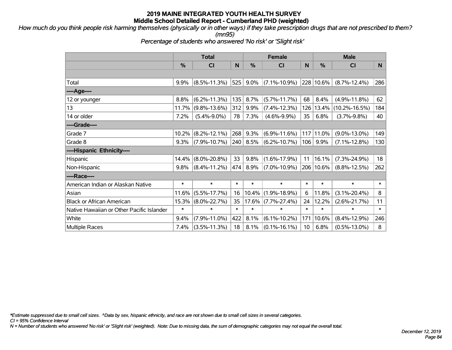*How much do you think people risk harming themselves (physically or in other ways) if they take prescription drugs that are not prescribed to them? (mn95)*

*Percentage of students who answered 'No risk' or 'Slight risk'*

|                                           | <b>Total</b> |                    |        |               | <b>Female</b>      |        | <b>Male</b>   |                     |        |  |
|-------------------------------------------|--------------|--------------------|--------|---------------|--------------------|--------|---------------|---------------------|--------|--|
|                                           | %            | <b>CI</b>          | N      | $\frac{0}{0}$ | <b>CI</b>          | N      | %             | <b>CI</b>           | N      |  |
|                                           |              |                    |        |               |                    |        |               |                     |        |  |
| Total                                     | 9.9%         | $(8.5\% - 11.3\%)$ | 525    | $9.0\%$       | $(7.1\% - 10.9\%)$ |        | $ 228 10.6\%$ | $(8.7\% - 12.4\%)$  | 286    |  |
| ---- Age----                              |              |                    |        |               |                    |        |               |                     |        |  |
| 12 or younger                             | 8.8%         | $(6.2\% - 11.3\%)$ | 135    | 8.7%          | $(5.7\% - 11.7\%)$ | 68     | 8.4%          | $(4.9\% - 11.8\%)$  | 62     |  |
| 13                                        | 11.7%        | $(9.8\% - 13.6\%)$ | 312    | 9.9%          | $(7.4\% - 12.3\%)$ | 126    | 13.4%         | $(10.2\% - 16.5\%)$ | 184    |  |
| 14 or older                               | 7.2%         | $(5.4\% - 9.0\%)$  | 78     | 7.3%          | $(4.6\% - 9.9\%)$  | 35     | 6.8%          | $(3.7\% - 9.8\%)$   | 40     |  |
| ----Grade----                             |              |                    |        |               |                    |        |               |                     |        |  |
| Grade 7                                   | 10.2%        | $(8.2\% - 12.1\%)$ | 268    | 9.3%          | $(6.9\% - 11.6\%)$ | 117    | $ 11.0\%$     | $(9.0\% - 13.0\%)$  | 149    |  |
| Grade 8                                   | 9.3%         | $(7.9\% - 10.7\%)$ | 240    | 8.5%          | $(6.2\% - 10.7\%)$ | 106    | 9.9%          | $(7.1\% - 12.8\%)$  | 130    |  |
| ----Hispanic Ethnicity----                |              |                    |        |               |                    |        |               |                     |        |  |
| Hispanic                                  | 14.4%        | $(8.0\% - 20.8\%)$ | 33     | 9.8%          | $(1.6\% - 17.9\%)$ | 11     | 16.1%         | $(7.3\% - 24.9\%)$  | 18     |  |
| Non-Hispanic                              | 9.8%         | $(8.4\% - 11.2\%)$ | 474    | 8.9%          | $(7.0\% - 10.9\%)$ |        | 206 10.6%     | $(8.8\% - 12.5\%)$  | 262    |  |
| ----Race----                              |              |                    |        |               |                    |        |               |                     |        |  |
| American Indian or Alaskan Native         | $\ast$       | $\ast$             | $\ast$ | $\ast$        | $\ast$             | $\ast$ | $\ast$        | $\ast$              | $\ast$ |  |
| Asian                                     | 11.6%        | $(5.5\% - 17.7\%)$ | 16     | 10.4%         | $(1.9\% - 18.9\%)$ | 6      | 11.8%         | $(3.1\% - 20.4\%)$  | 8      |  |
| <b>Black or African American</b>          |              | 15.3% (8.0%-22.7%) | 35     | 17.6%         | $(7.7\% - 27.4\%)$ | 24     | 12.2%         | $(2.6\% - 21.7\%)$  | 11     |  |
| Native Hawaiian or Other Pacific Islander | $\ast$       | $\ast$             | $\ast$ | $\ast$        | $\ast$             | $\ast$ | $\ast$        | $\ast$              | $\ast$ |  |
| White                                     | 9.4%         | $(7.9\% - 11.0\%)$ | 422    | 8.1%          | $(6.1\% - 10.2\%)$ | 171    | 10.6%         | $(8.4\% - 12.9\%)$  | 246    |  |
| <b>Multiple Races</b>                     | $7.4\%$      | $(3.5\% - 11.3\%)$ | 18     | 8.1%          | $(0.1\% - 16.1\%)$ | 10     | 6.8%          | $(0.5\% - 13.0\%)$  | 8      |  |

*\*Estimate suppressed due to small cell sizes. ^Data by sex, hispanic ethnicity, and race are not shown due to small cell sizes in several categories.*

*CI = 95% Confidence Interval*

*N = Number of students who answered 'No risk' or 'Slight risk' (weighted). Note: Due to missing data, the sum of demographic categories may not equal the overall total.*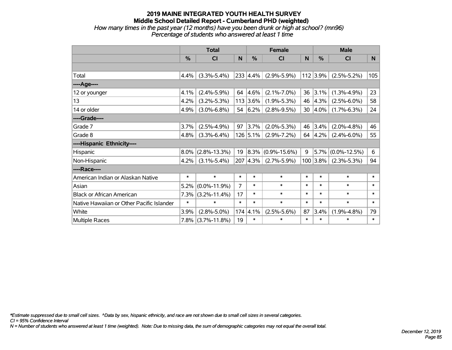#### **2019 MAINE INTEGRATED YOUTH HEALTH SURVEY Middle School Detailed Report - Cumberland PHD (weighted)** *How many times in the past year (12 months) have you been drunk or high at school? (mn96) Percentage of students who answered at least 1 time*

|                                           | <b>Total</b> |                    | <b>Female</b> |               |                    | <b>Male</b> |               |                    |        |
|-------------------------------------------|--------------|--------------------|---------------|---------------|--------------------|-------------|---------------|--------------------|--------|
|                                           | %            | CI                 | N             | $\frac{0}{0}$ | <b>CI</b>          | N           | $\frac{0}{0}$ | <b>CI</b>          | N      |
|                                           |              |                    |               |               |                    |             |               |                    |        |
| Total                                     | 4.4%         | $(3.3\% - 5.4\%)$  |               | 233 4.4%      | $(2.9\% - 5.9\%)$  |             | $112$ 3.9%    | $(2.5\% - 5.2\%)$  | 105    |
| ---- Age----                              |              |                    |               |               |                    |             |               |                    |        |
| 12 or younger                             | 4.1%         | $(2.4\% - 5.9\%)$  | 64            | 4.6%          | $(2.1\% - 7.0\%)$  | 36          | 3.1%          | $(1.3\% - 4.9\%)$  | 23     |
| 13                                        | 4.2%         | $(3.2\% - 5.3\%)$  |               | 113 3.6%      | $(1.9\% - 5.3\%)$  | 46          | 4.3%          | $(2.5\% - 6.0\%)$  | 58     |
| 14 or older                               | 4.9%         | $(3.0\% - 6.8\%)$  |               | 54 $ 6.2\% $  | $(2.8\% - 9.5\%)$  | 30          | $ 4.0\%$      | $(1.7\% - 6.3\%)$  | 24     |
| ----Grade----                             |              |                    |               |               |                    |             |               |                    |        |
| Grade 7                                   | 3.7%         | $(2.5\% - 4.9\%)$  | 97            | 3.7%          | $(2.0\% - 5.3\%)$  | 46          | 3.4%          | $(2.0\% - 4.8\%)$  | 46     |
| Grade 8                                   | 4.8%         | $(3.3\% - 6.4\%)$  |               | 126 5.1%      | $(2.9\% - 7.2\%)$  |             | 64 4.2%       | $(2.4\% - 6.0\%)$  | 55     |
| ----Hispanic Ethnicity----                |              |                    |               |               |                    |             |               |                    |        |
| Hispanic                                  | 8.0%         | $(2.8\% - 13.3\%)$ | 19            | 8.3%          | $(0.9\% - 15.6\%)$ | 9           | 5.7%          | $(0.0\% - 12.5\%)$ | 6      |
| Non-Hispanic                              | 4.2%         | $(3.1\% - 5.4\%)$  |               | 207 4.3%      | $(2.7\% - 5.9\%)$  |             | $100$ 3.8%    | $(2.3\% - 5.3\%)$  | 94     |
| ----Race----                              |              |                    |               |               |                    |             |               |                    |        |
| American Indian or Alaskan Native         | $\ast$       | $\ast$             | $\ast$        | $\ast$        | $\ast$             | $\ast$      | $\ast$        | $\ast$             | $\ast$ |
| Asian                                     | 5.2%         | $(0.0\% - 11.9\%)$ | 7             | $\ast$        | $\ast$             | $\ast$      | $\ast$        | $\ast$             | $\ast$ |
| <b>Black or African American</b>          | 7.3%         | $(3.2\% - 11.4\%)$ | 17            | $\ast$        | $\ast$             | $\ast$      | $\ast$        | $\ast$             | $\ast$ |
| Native Hawaiian or Other Pacific Islander | $\ast$       | $\ast$             | $\ast$        | $\ast$        | $\ast$             | $\ast$      | $\ast$        | $\ast$             | $\ast$ |
| White                                     | 3.9%         | $(2.8\% - 5.0\%)$  | 174           | 4.1%          | $(2.5\% - 5.6\%)$  | 87          | 3.4%          | $(1.9\% - 4.8\%)$  | 79     |
| <b>Multiple Races</b>                     | 7.8%         | $(3.7\% - 11.8\%)$ | 19            | $\ast$        | $\ast$             | $\ast$      | $\ast$        | $\ast$             | $\ast$ |

*\*Estimate suppressed due to small cell sizes. ^Data by sex, hispanic ethnicity, and race are not shown due to small cell sizes in several categories.*

*CI = 95% Confidence Interval*

*N = Number of students who answered at least 1 time (weighted). Note: Due to missing data, the sum of demographic categories may not equal the overall total.*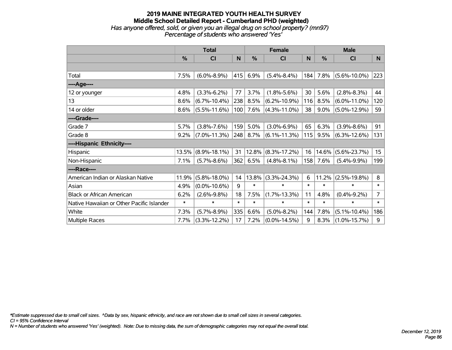### **2019 MAINE INTEGRATED YOUTH HEALTH SURVEY Middle School Detailed Report - Cumberland PHD (weighted)** *Has anyone offered, sold, or given you an illegal drug on school property? (mn97) Percentage of students who answered 'Yes'*

|                                           | <b>Total</b> |                    | <b>Female</b> |        |                    | <b>Male</b> |               |                    |        |
|-------------------------------------------|--------------|--------------------|---------------|--------|--------------------|-------------|---------------|--------------------|--------|
|                                           | $\%$         | <b>CI</b>          | N             | %      | <b>CI</b>          | N           | $\frac{0}{0}$ | <b>CI</b>          | N      |
|                                           |              |                    |               |        |                    |             |               |                    |        |
| Total                                     | 7.5%         | $(6.0\% - 8.9\%)$  | 415           | 6.9%   | $(5.4\% - 8.4\%)$  | 184         | 7.8%          | $(5.6\% - 10.0\%)$ | 223    |
| ----Age----                               |              |                    |               |        |                    |             |               |                    |        |
| 12 or younger                             | 4.8%         | $(3.3\% - 6.2\%)$  | 77            | 3.7%   | $(1.8\% - 5.6\%)$  | 30          | 5.6%          | $(2.8\% - 8.3\%)$  | 44     |
| 13                                        | 8.6%         | $(6.7\% - 10.4\%)$ | 238           | 8.5%   | $(6.2\% - 10.9\%)$ | 116         | 8.5%          | $(6.0\% - 11.0\%)$ | 120    |
| 14 or older                               | 8.6%         | $(5.5\% - 11.6\%)$ | 100           | 7.6%   | $(4.3\% - 11.0\%)$ | 38          | 9.0%          | $(5.0\% - 12.9\%)$ | 59     |
| ----Grade----                             |              |                    |               |        |                    |             |               |                    |        |
| Grade 7                                   | 5.7%         | $(3.8\% - 7.6\%)$  | 159           | 5.0%   | $(3.0\% - 6.9\%)$  | 65          | 6.3%          | $(3.9\% - 8.6\%)$  | 91     |
| Grade 8                                   | 9.2%         | $(7.0\% - 11.3\%)$ | 248           | 8.7%   | $(6.1\% - 11.3\%)$ | 115         | 9.5%          | $(6.3\% - 12.6\%)$ | 131    |
| ----Hispanic Ethnicity----                |              |                    |               |        |                    |             |               |                    |        |
| Hispanic                                  | 13.5%        | $(8.9\% - 18.1\%)$ | 31            | 12.8%  | $(8.3\% - 17.2\%)$ | 16          | 14.6%         | $(5.6\% - 23.7\%)$ | 15     |
| Non-Hispanic                              | 7.1%         | $(5.7\% - 8.6\%)$  | 362           | 6.5%   | $(4.8\% - 8.1\%)$  | 158         | 7.6%          | $(5.4\% - 9.9\%)$  | 199    |
| ----Race----                              |              |                    |               |        |                    |             |               |                    |        |
| American Indian or Alaskan Native         | 11.9%        | $(5.8\% - 18.0\%)$ | 14            | 13.8%  | $(3.3\% - 24.3\%)$ | 6           | 11.2%         | $(2.5\% - 19.8\%)$ | 8      |
| Asian                                     | 4.9%         | $(0.0\% - 10.6\%)$ | 9             | $\ast$ | $\ast$             | $\ast$      | $\ast$        | $\ast$             | $\ast$ |
| <b>Black or African American</b>          | 6.2%         | $(2.6\% - 9.8\%)$  | 18            | 7.5%   | $(1.7\% - 13.3\%)$ | 11          | 4.8%          | $(0.4\% - 9.2\%)$  | 7      |
| Native Hawaiian or Other Pacific Islander | $\ast$       | $\ast$             | $\ast$        | $\ast$ | $\ast$             | $\ast$      | $\ast$        | $\ast$             | $\ast$ |
| White                                     | 7.3%         | $(5.7\% - 8.9\%)$  | 335           | 6.6%   | $(5.0\% - 8.2\%)$  | 144         | 7.8%          | $(5.1\% - 10.4\%)$ | 186    |
| Multiple Races                            | 7.7%         | $(3.3\% - 12.2\%)$ | 17            | 7.2%   | $(0.0\% - 14.5\%)$ | 9           | 8.3%          | $(1.0\% - 15.7\%)$ | 9      |

*\*Estimate suppressed due to small cell sizes. ^Data by sex, hispanic ethnicity, and race are not shown due to small cell sizes in several categories.*

*CI = 95% Confidence Interval*

*N = Number of students who answered 'Yes' (weighted). Note: Due to missing data, the sum of demographic categories may not equal the overall total.*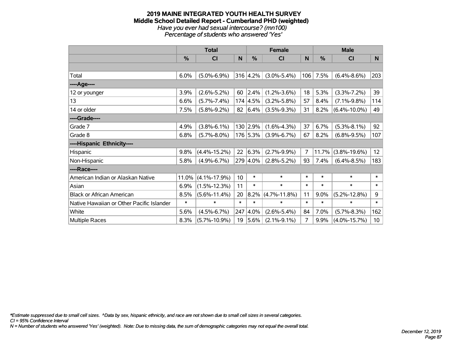#### **2019 MAINE INTEGRATED YOUTH HEALTH SURVEY Middle School Detailed Report - Cumberland PHD (weighted)** *Have you ever had sexual intercourse? (mn100) Percentage of students who answered 'Yes'*

|                                           | <b>Total</b>  |                    | <b>Female</b>   |               |                    | <b>Male</b> |               |                    |                 |
|-------------------------------------------|---------------|--------------------|-----------------|---------------|--------------------|-------------|---------------|--------------------|-----------------|
|                                           | $\frac{9}{6}$ | C <sub>1</sub>     | N               | $\frac{9}{6}$ | C <sub>1</sub>     | N           | $\frac{9}{6}$ | <b>CI</b>          | N               |
|                                           |               |                    |                 |               |                    |             |               |                    |                 |
| Total                                     | 6.0%          | $(5.0\% - 6.9\%)$  |                 | 316 4.2%      | $(3.0\% - 5.4\%)$  | 106         | 7.5%          | $(6.4\% - 8.6\%)$  | 203             |
| ----Age----                               |               |                    |                 |               |                    |             |               |                    |                 |
| 12 or younger                             | 3.9%          | $(2.6\% - 5.2\%)$  | 60              | 2.4%          | $(1.2\% - 3.6\%)$  | 18          | 5.3%          | $(3.3\% - 7.2\%)$  | 39              |
| 13                                        | 6.6%          | $(5.7\% - 7.4\%)$  |                 | 174 4.5%      | $(3.2\% - 5.8\%)$  | 57          | 8.4%          | $(7.1\% - 9.8\%)$  | 114             |
| 14 or older                               | 7.5%          | $(5.8\% - 9.2\%)$  |                 | 82 6.4%       | $(3.5\% - 9.3\%)$  | 31          | 8.2%          | $(6.4\% - 10.0\%)$ | 49              |
| ----Grade----                             |               |                    |                 |               |                    |             |               |                    |                 |
| Grade 7                                   | 4.9%          | $(3.8\% - 6.1\%)$  |                 | 130 2.9%      | $(1.6\% - 4.3\%)$  | 37          | 6.7%          | $(5.3\% - 8.1\%)$  | 92              |
| Grade 8                                   | 6.8%          | $(5.7\% - 8.0\%)$  |                 | 176 5.3%      | $(3.9\% - 6.7\%)$  | 67          | 8.2%          | $(6.8\% - 9.5\%)$  | 107             |
| ----Hispanic Ethnicity----                |               |                    |                 |               |                    |             |               |                    |                 |
| Hispanic                                  | 9.8%          | $(4.4\% - 15.2\%)$ | 22              | 6.3%          | $(2.7\% - 9.9\%)$  | 7           | 11.7%         | $(3.8\% - 19.6\%)$ | 12              |
| Non-Hispanic                              | 5.8%          | $(4.9\% - 6.7\%)$  |                 | 279 4.0%      | $(2.8\% - 5.2\%)$  | 93          | 7.4%          | $(6.4\% - 8.5\%)$  | 183             |
| ----Race----                              |               |                    |                 |               |                    |             |               |                    |                 |
| American Indian or Alaskan Native         | 11.0%         | $(4.1\% - 17.9\%)$ | 10 <sup>1</sup> | $\ast$        | $\ast$             | $\ast$      | $\ast$        | $\ast$             | $\ast$          |
| Asian                                     | 6.9%          | $(1.5\% - 12.3\%)$ | 11              | $\ast$        | $\ast$             | $\ast$      | $\ast$        | $\ast$             | $\ast$          |
| <b>Black or African American</b>          | 8.5%          | $(5.6\% - 11.4\%)$ | 20              | 8.2%          | $(4.7\% - 11.8\%)$ | 11          | 9.0%          | $(5.2\% - 12.8\%)$ | 9               |
| Native Hawaiian or Other Pacific Islander | $\ast$        | $\ast$             | $\ast$          | $\ast$        | $\ast$             | $\ast$      | $\ast$        | $\ast$             | $\ast$          |
| White                                     | 5.6%          | $(4.5\% - 6.7\%)$  | 247             | 4.0%          | $(2.6\% - 5.4\%)$  | 84          | 7.0%          | $(5.7\% - 8.3\%)$  | 162             |
| <b>Multiple Races</b>                     | 8.3%          | $(5.7\% - 10.9\%)$ | 19              | 5.6%          | $(2.1\% - 9.1\%)$  | 7           | 9.9%          | $(4.0\% - 15.7\%)$ | 10 <sup>°</sup> |

*\*Estimate suppressed due to small cell sizes. ^Data by sex, hispanic ethnicity, and race are not shown due to small cell sizes in several categories.*

*CI = 95% Confidence Interval*

*N = Number of students who answered 'Yes' (weighted). Note: Due to missing data, the sum of demographic categories may not equal the overall total.*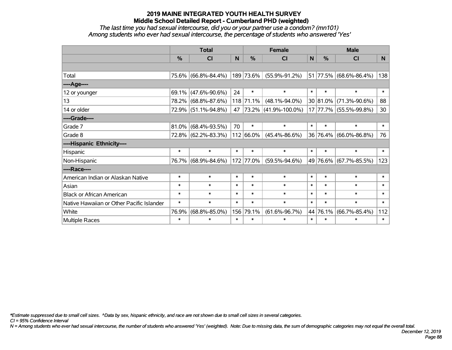*The last time you had sexual intercourse, did you or your partner use a condom? (mn101) Among students who ever had sexual intercourse, the percentage of students who answered 'Yes'*

|                                           | <b>Total</b>  |                     |                | <b>Female</b> | <b>Male</b>               |        |          |                          |                |
|-------------------------------------------|---------------|---------------------|----------------|---------------|---------------------------|--------|----------|--------------------------|----------------|
|                                           | $\frac{0}{0}$ | CI                  | N <sub>1</sub> | $\frac{0}{0}$ | <b>CI</b>                 | N      | %        | <b>CI</b>                | N <sub>1</sub> |
|                                           |               |                     |                |               |                           |        |          |                          |                |
| Total                                     |               | 75.6% (66.8%-84.4%) |                | 189 73.6%     | $(55.9\% - 91.2\%)$       |        |          | $51$ 77.5% (68.6%-86.4%) | 138            |
| ----Age----                               |               |                     |                |               |                           |        |          |                          |                |
| 12 or younger                             | 69.1%         | $(47.6\% - 90.6\%)$ | 24             | $\ast$        | $\ast$                    | $\ast$ | $\ast$   | $\ast$                   | $\ast$         |
| 13                                        |               | 78.2% (68.8%-87.6%) |                | 118 71.1%     | $(48.1\% - 94.0\%)$       |        | 30 81.0% | $(71.3\% - 90.6\%)$      | 88             |
| 14 or older                               |               | 72.9% (51.1%-94.8%) | 47             |               | $ 73.2\% $ (41.9%-100.0%) |        |          | 17 77.7% (55.5%-99.8%)   | 30             |
| ----Grade----                             |               |                     |                |               |                           |        |          |                          |                |
| Grade 7                                   | 81.0%         | $(68.4\% - 93.5\%)$ | 70             | $\ast$        | $\ast$                    | $\ast$ | $\ast$   | $\ast$                   | $\ast$         |
| Grade 8                                   |               | 72.8% (62.2%-83.3%) |                | 112 66.0%     | $(45.4\% - 86.6\%)$       |        | 36 76.4% | $(66.0\% - 86.8\%)$      | 76             |
| ----Hispanic Ethnicity----                |               |                     |                |               |                           |        |          |                          |                |
| Hispanic                                  | $\ast$        | $\ast$              | $\ast$         | $\ast$        | $\ast$                    | $\ast$ | $\ast$   | $\ast$                   | $\ast$         |
| Non-Hispanic                              |               | 76.7% (68.9%-84.6%) |                | 172 77.0%     | $(59.5\% - 94.6\%)$       |        |          | 49 76.6% (67.7%-85.5%)   | 123            |
| ----Race----                              |               |                     |                |               |                           |        |          |                          |                |
| American Indian or Alaskan Native         | $\ast$        | $\ast$              | $\ast$         | $\ast$        | $\ast$                    | $\ast$ | $\ast$   | $\ast$                   | $\ast$         |
| Asian                                     | $\ast$        | $\ast$              | $\ast$         | $\ast$        | $\ast$                    | $\ast$ | $\ast$   | $\ast$                   | $\ast$         |
| <b>Black or African American</b>          | $\ast$        | $\ast$              | $\ast$         | $\ast$        | $\ast$                    | $\ast$ | $\ast$   | $\ast$                   | $\ast$         |
| Native Hawaiian or Other Pacific Islander | $\ast$        | $\ast$              | $\ast$         | $\ast$        | $\ast$                    | $\ast$ | $\ast$   | $\ast$                   | $\ast$         |
| White                                     | 76.9%         | $(68.8\% - 85.0\%)$ |                | 156 79.1%     | $(61.6\% - 96.7\%)$       | 44     | 76.1%    | $(66.7\% - 85.4\%)$      | 112            |
| <b>Multiple Races</b>                     | $\ast$        | $\ast$              | $\ast$         | $\ast$        | $\ast$                    | $\ast$ | $\ast$   | $\ast$                   | $\ast$         |

*\*Estimate suppressed due to small cell sizes. ^Data by sex, hispanic ethnicity, and race are not shown due to small cell sizes in several categories.*

*CI = 95% Confidence Interval*

*N = Among students who ever had sexual intercourse, the number of students who answered 'Yes' (weighted). Note: Due to missing data, the sum of demographic categories may not equal the overall total.*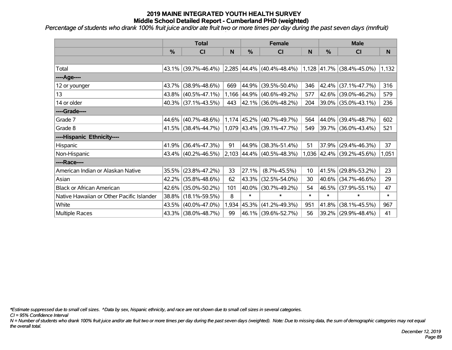*Percentage of students who drank 100% fruit juice and/or ate fruit two or more times per day during the past seven days (mnfruit)*

|                                           | <b>Total</b> |                        |       | <b>Female</b> |                              | <b>Male</b> |            |                             |        |
|-------------------------------------------|--------------|------------------------|-------|---------------|------------------------------|-------------|------------|-----------------------------|--------|
|                                           | $\%$         | CI                     | N     | $\%$          | <b>CI</b>                    | N           | %          | CI                          | N      |
|                                           |              |                        |       |               |                              |             |            |                             |        |
| Total                                     |              | 43.1% (39.7%-46.4%)    |       |               | $2,285$ 44.4% (40.4%-48.4%)  |             |            | $1,128$ 41.7% (38.4%-45.0%) | 1,132  |
| ----Age----                               |              |                        |       |               |                              |             |            |                             |        |
| 12 or younger                             | 43.7%        | $(38.9\% - 48.6\%)$    | 669   | 44.9%         | $(39.5\% - 50.4\%)$          | 346         | 42.4%      | $(37.1\% - 47.7\%)$         | 316    |
| 13                                        |              | $43.8\%$ (40.5%-47.1%) |       | 1,166 44.9%   | $(40.6\% - 49.2\%)$          | 577         | $42.6\%$   | $(39.0\% - 46.2\%)$         | 579    |
| 14 or older                               |              | 40.3% (37.1%-43.5%)    | 443   |               | $ 42.1\% $ (36.0%-48.2%)     | 204         |            | 39.0% (35.0%-43.1%)         | 236    |
| ----Grade----                             |              |                        |       |               |                              |             |            |                             |        |
| Grade 7                                   | 44.6%        | $(40.7\% - 48.6\%)$    |       |               | $1,174$ 45.2% (40.7%-49.7%)  | 564         | 44.0%      | $(39.4\% - 48.7\%)$         | 602    |
| Grade 8                                   |              | 41.5% (38.4%-44.7%)    |       |               | $1,079$  43.4% (39.1%-47.7%) | 549         |            | 39.7% (36.0%-43.4%)         | 521    |
| ----Hispanic Ethnicity----                |              |                        |       |               |                              |             |            |                             |        |
| <b>Hispanic</b>                           | 41.9%        | $(36.4\% - 47.3\%)$    | 91    | 44.9%         | $(38.3\% - 51.4\%)$          | 51          | 37.9%      | $(29.4\% - 46.3\%)$         | 37     |
| Non-Hispanic                              |              | 43.4% (40.2%-46.5%)    |       |               | 2,103 44.4% (40.5%-48.3%)    |             |            | 1,036 42.4% (39.2%-45.6%)   | 1,051  |
| ----Race----                              |              |                        |       |               |                              |             |            |                             |        |
| American Indian or Alaskan Native         | 35.5%        | $(23.8\% - 47.2\%)$    | 33    | 27.1%         | $(8.7\% - 45.5\%)$           | 10          | $ 41.5\% $ | $(29.8\% - 53.2\%)$         | 23     |
| Asian                                     | 42.2%        | $(35.8\% - 48.6\%)$    | 62    | 43.3%         | $(32.5\% - 54.0\%)$          | 30          | $40.6\%$   | $(34.7\% - 46.6\%)$         | 29     |
| <b>Black or African American</b>          | 42.6%        | $(35.0\% - 50.2\%)$    | 101   | 40.0%         | $(30.7\% - 49.2\%)$          | 54          | 46.5%      | $(37.9\% - 55.1\%)$         | 47     |
| Native Hawaiian or Other Pacific Islander | 38.8%        | $(18.1\% - 59.5\%)$    | 8     | $\ast$        | $\ast$                       | $\ast$      | $\ast$     | $\ast$                      | $\ast$ |
| White                                     | 43.5%        | $(40.0\% - 47.0\%)$    | 1,934 | 45.3%         | $(41.2\% - 49.3\%)$          | 951         | 41.8%      | $(38.1\% - 45.5\%)$         | 967    |
| Multiple Races                            |              | 43.3% (38.0%-48.7%)    | 99    |               | 46.1% (39.6%-52.7%)          | 56          |            | 39.2% (29.9%-48.4%)         | 41     |

*\*Estimate suppressed due to small cell sizes. ^Data by sex, hispanic ethnicity, and race are not shown due to small cell sizes in several categories.*

*CI = 95% Confidence Interval*

*N = Number of students who drank 100% fruit juice and/or ate fruit two or more times per day during the past seven days (weighted). Note: Due to missing data, the sum of demographic categories may not equal the overall total.*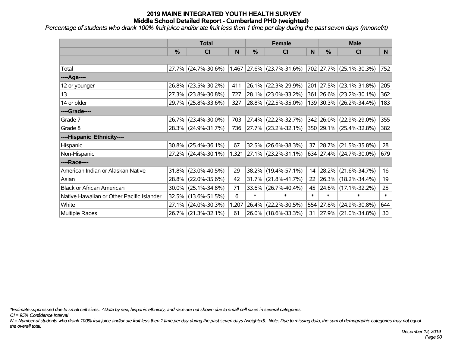*Percentage of students who drank 100% fruit juice and/or ate fruit less then 1 time per day during the past seven days (mnonefrt)*

|                                           | <b>Total</b>  |                     |       | <b>Female</b> |                             | <b>Male</b> |               |                         |          |
|-------------------------------------------|---------------|---------------------|-------|---------------|-----------------------------|-------------|---------------|-------------------------|----------|
|                                           | $\frac{0}{0}$ | CI                  | N     | $\frac{0}{0}$ | <b>CI</b>                   | N           | $\frac{0}{0}$ | <b>CI</b>               | <b>N</b> |
|                                           |               |                     |       |               |                             |             |               |                         |          |
| Total                                     |               | 27.7% (24.7%-30.6%) |       |               | $1,467$ 27.6% (23.7%-31.6%) |             |               | 702 27.7% (25.1%-30.3%) | 752      |
| ----Age----                               |               |                     |       |               |                             |             |               |                         |          |
| 12 or younger                             | 26.8%         | $(23.5\% - 30.2\%)$ | 411   | 26.1%         | $(22.3\% - 29.9\%)$         | 201         | 27.5%         | $(23.1\% - 31.8\%)$     | 205      |
| 13                                        | 27.3%         | $(23.8\% - 30.8\%)$ | 727   | 28.1%         | $(23.0\% - 33.2\%)$         |             |               | 361 26.6% (23.2%-30.1%) | 362      |
| 14 or older                               |               | 29.7% (25.8%-33.6%) | 327   |               | 28.8% (22.5%-35.0%)         |             |               | 139 30.3% (26.2%-34.4%) | 183      |
| ----Grade----                             |               |                     |       |               |                             |             |               |                         |          |
| Grade 7                                   | 26.7%         | $(23.4\% - 30.0\%)$ | 703   | 27.4%         | $(22.2\% - 32.7\%)$         |             |               | 342 26.0% (22.9%-29.0%) | 355      |
| Grade 8                                   |               | 28.3% (24.9%-31.7%) | 736   |               | $ 27.7\% $ (23.2%-32.1%)    |             |               | 350 29.1% (25.4%-32.8%) | 382      |
| ----Hispanic Ethnicity----                |               |                     |       |               |                             |             |               |                         |          |
| Hispanic                                  | 30.8%         | $(25.4\% - 36.1\%)$ | 67    | 32.5%         | $(26.6\% - 38.3\%)$         | 37          | $ 28.7\% $    | $(21.5\% - 35.8\%)$     | 28       |
| Non-Hispanic                              |               | 27.2% (24.4%-30.1%) |       |               | 1,321 27.1% (23.2%-31.1%)   |             |               | 634 27.4% (24.7%-30.0%) | 679      |
| ----Race----                              |               |                     |       |               |                             |             |               |                         |          |
| American Indian or Alaskan Native         | 31.8%         | $(23.0\% - 40.5\%)$ | 29    | 38.2%         | $(19.4\% - 57.1\%)$         | 14          | $ 28.2\% $    | $(21.6\% - 34.7\%)$     | 16       |
| Asian                                     | 28.8%         | $(22.0\% - 35.6\%)$ | 42    | 31.7%         | $(21.8\% - 41.7\%)$         | 22          |               | 26.3% (18.2%-34.4%)     | 19       |
| <b>Black or African American</b>          | 30.0%         | $(25.1\% - 34.8\%)$ | 71    | 33.6%         | $(26.7\% - 40.4\%)$         | 45          |               | 24.6% (17.1%-32.2%)     | 25       |
| Native Hawaiian or Other Pacific Islander | 32.5%         | $(13.6\% - 51.5\%)$ | 6     | $\ast$        | $\ast$                      | $\ast$      | $\ast$        | $\ast$                  | $\ast$   |
| White                                     | 27.1%         | $(24.0\% - 30.3\%)$ | 1,207 | 26.4%         | $(22.2\% - 30.5\%)$         |             | 554 27.8%     | $(24.9\% - 30.8\%)$     | 644      |
| <b>Multiple Races</b>                     |               | 26.7% (21.3%-32.1%) | 61    |               | 26.0% (18.6%-33.3%)         | 31          |               | 27.9% (21.0%-34.8%)     | 30       |

*\*Estimate suppressed due to small cell sizes. ^Data by sex, hispanic ethnicity, and race are not shown due to small cell sizes in several categories.*

*CI = 95% Confidence Interval*

*N = Number of students who drank 100% fruit juice and/or ate fruit less then 1 time per day during the past seven days (weighted). Note: Due to missing data, the sum of demographic categories may not equal the overall total.*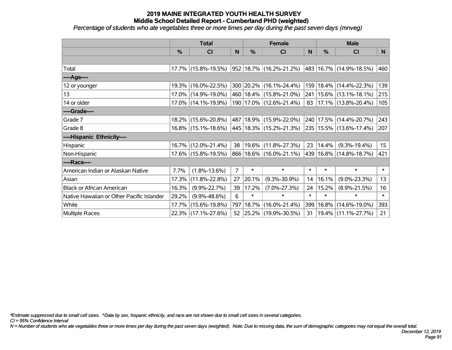*Percentage of students who ate vegetables three or more times per day during the past seven days (mnveg)*

|                                           | <b>Total</b>  |                     | <b>Female</b>  |        |                             | <b>Male</b> |        |                             |        |
|-------------------------------------------|---------------|---------------------|----------------|--------|-----------------------------|-------------|--------|-----------------------------|--------|
|                                           | $\frac{0}{0}$ | CI                  | N              | %      | <b>CI</b>                   | N           | %      | <b>CI</b>                   | N.     |
|                                           |               |                     |                |        |                             |             |        |                             |        |
| Total                                     |               | 17.7% (15.8%-19.5%) |                |        | 952 18.7% (16.2%-21.2%)     | 483         |        | 16.7% (14.9%-18.5%)         | 460    |
| ----Age----                               |               |                     |                |        |                             |             |        |                             |        |
| 12 or younger                             | $19.3\%$      | $(16.0\% - 22.5\%)$ |                |        | 300 20.2% (16.1%-24.4%)     | 159         | 18.4%  | $(14.4\% - 22.3\%)$         | 139    |
| 13                                        |               | 17.0% (14.9%-19.0%) |                |        | 460   18.4%   (15.8%-21.0%) | 241         |        | $15.6\%$ (13.1%-18.1%)      | 215    |
| 14 or older                               |               | 17.0% (14.1%-19.9%) |                |        | 190   17.0%   (12.6%-21.4%) | 83          |        | 17.1% (13.8%-20.4%)         | 105    |
| ----Grade----                             |               |                     |                |        |                             |             |        |                             |        |
| Grade 7                                   |               | 18.2% (15.6%-20.8%) |                |        | 487   18.9%   (15.9%-22.0%) | 240         | 17.5%  | $(14.4\% - 20.7\%)$         | 243    |
| Grade 8                                   |               | 16.8% (15.1%-18.6%) |                |        | 445   18.3%   (15.2%-21.3%) |             |        | 235   15.5%   (13.6%-17.4%) | 207    |
| ----Hispanic Ethnicity----                |               |                     |                |        |                             |             |        |                             |        |
| Hispanic                                  |               | 16.7% (12.0%-21.4%) | 38             |        | 19.6%   (11.8%-27.3%)       | 23          | 14.4%  | $(9.3\% - 19.4\%)$          | 15     |
| Non-Hispanic                              |               | 17.6% (15.8%-19.5%) |                |        | 866   18.6%   (16.0%-21.1%) |             |        | 439 16.8% (14.8%-18.7%)     | 421    |
| ----Race----                              |               |                     |                |        |                             |             |        |                             |        |
| American Indian or Alaskan Native         | 7.7%          | $(1.8\% - 13.6\%)$  | $\overline{7}$ | $\ast$ | $\ast$                      | $\ast$      | $\ast$ | $\ast$                      | $\ast$ |
| Asian                                     | 17.3%         | $(11.8\% - 22.8\%)$ | 27             | 20.1%  | $(9.3\% - 30.9\%)$          | 14          | 16.1%  | $(9.0\% - 23.3\%)$          | 13     |
| <b>Black or African American</b>          | 16.3%         | $(9.9\% - 22.7\%)$  | 39             | 17.2%  | $(7.0\% - 27.3\%)$          | 24          | 15.2%  | $(8.9\% - 21.5\%)$          | 16     |
| Native Hawaiian or Other Pacific Islander | 29.2%         | $(9.9\% - 48.6\%)$  | 6              | $\ast$ | $\ast$                      | $\ast$      | $\ast$ | $\ast$                      | $\ast$ |
| White                                     | 17.7%         | $(15.6\% - 19.8\%)$ | 797            | 18.7%  | $(16.0\% - 21.4\%)$         | 399         | 16.8%  | $(14.6\% - 19.0\%)$         | 393    |
| Multiple Races                            |               | 22.3% (17.1%-27.6%) |                |        | 52 25.2% (19.9%-30.5%)      | 31          |        | 19.4% (11.1%-27.7%)         | 21     |

*\*Estimate suppressed due to small cell sizes. ^Data by sex, hispanic ethnicity, and race are not shown due to small cell sizes in several categories.*

*CI = 95% Confidence Interval*

*N = Number of students who ate vegetables three or more times per day during the past seven days (weighted). Note: Due to missing data, the sum of demographic categories may not equal the overall total.*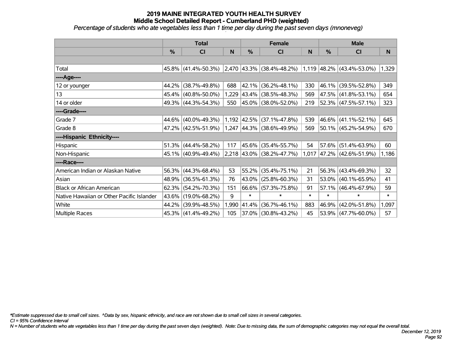*Percentage of students who ate vegetables less than 1 time per day during the past seven days (mnoneveg)*

|                                           | <b>Total</b> |                        |       | <b>Female</b> |                                                       | <b>Male</b> |               |                             |        |
|-------------------------------------------|--------------|------------------------|-------|---------------|-------------------------------------------------------|-------------|---------------|-----------------------------|--------|
|                                           | $\%$         | C <sub>l</sub>         | N     | $\frac{0}{0}$ | CI                                                    | N           | $\frac{0}{0}$ | C <sub>1</sub>              | N      |
|                                           |              |                        |       |               |                                                       |             |               |                             |        |
| Total                                     |              | 45.8% (41.4%-50.3%)    |       |               | $2,470$ 43.3% (38.4%-48.2%) 1,119 48.2% (43.4%-53.0%) |             |               |                             | 1,329  |
| ----Age----                               |              |                        |       |               |                                                       |             |               |                             |        |
| 12 or younger                             | 44.2%        | $(38.7\% - 49.8\%)$    | 688   | 42.1%         | $(36.2\% - 48.1\%)$                                   | 330         |               | 46.1% (39.5%-52.8%)         | 349    |
| 13                                        |              | 45.4% (40.8%-50.0%)    | 1,229 |               | $ 43.4\% $ (38.5%-48.3%)                              | 569         |               | 47.5% (41.8%-53.1%)         | 654    |
| 14 or older                               |              | 49.3% (44.3%-54.3%)    | 550   |               | 45.0% (38.0%-52.0%)                                   | 219         |               | 52.3% (47.5%-57.1%)         | 323    |
| ----Grade----                             |              |                        |       |               |                                                       |             |               |                             |        |
| Grade 7                                   | 44.6%        | $(40.0\% - 49.3\%)$    |       |               | 1,192 42.5% (37.1%-47.8%)                             | 539         |               | 46.6% (41.1%-52.1%)         | 645    |
| Grade 8                                   |              | 47.2% (42.5%-51.9%)    |       |               | 1,247 44.3% (38.6%-49.9%)                             | 569         |               | 50.1% (45.2%-54.9%)         | 670    |
| ----Hispanic Ethnicity----                |              |                        |       |               |                                                       |             |               |                             |        |
| Hispanic                                  | 51.3%        | $(44.4\% - 58.2\%)$    | 117   | 45.6%         | $(35.4\% - 55.7\%)$                                   | 54          |               | $57.6\%$ (51.4%-63.9%)      | 60     |
| Non-Hispanic                              |              | 45.1% (40.9%-49.4%)    |       |               | 2,218 43.0% (38.2%-47.7%)                             |             |               | $1,017$ 47.2% (42.6%-51.9%) | 1,186  |
| ----Race----                              |              |                        |       |               |                                                       |             |               |                             |        |
| American Indian or Alaskan Native         |              | $56.3\%$ (44.3%-68.4%) | 53    | 55.2%         | $(35.4\% - 75.1\%)$                                   | 21          |               | $56.3\%$ (43.4%-69.3%)      | 32     |
| Asian                                     | 48.9%        | $(36.5\% - 61.3\%)$    | 76    | 43.0%         | $(25.8\% - 60.3\%)$                                   | 31          |               | 53.0% (40.1%-65.9%)         | 41     |
| <b>Black or African American</b>          | 62.3%        | $(54.2\% - 70.3\%)$    | 151   |               | 66.6% (57.3%-75.8%)                                   | 91          |               | $57.1\%$ (46.4%-67.9%)      | 59     |
| Native Hawaiian or Other Pacific Islander | 43.6%        | $(19.0\% - 68.2\%)$    | 9     | $\ast$        | $\ast$                                                | $\ast$      | $\ast$        | $\ast$                      | $\ast$ |
| White                                     | 44.2%        | $(39.9\% - 48.5\%)$    | 1,990 | $ 41.4\% $    | $(36.7\% - 46.1\%)$                                   | 883         | 46.9%         | $(42.0\% - 51.8\%)$         | 1,097  |
| <b>Multiple Races</b>                     |              | 45.3% (41.4%-49.2%)    | 105   |               | 37.0% (30.8%-43.2%)                                   | 45          |               | $53.9\%$ (47.7%-60.0%)      | 57     |

*\*Estimate suppressed due to small cell sizes. ^Data by sex, hispanic ethnicity, and race are not shown due to small cell sizes in several categories.*

*CI = 95% Confidence Interval*

*N = Number of students who ate vegetables less than 1 time per day during the past seven days (weighted). Note: Due to missing data, the sum of demographic categories may not equal the overall total.*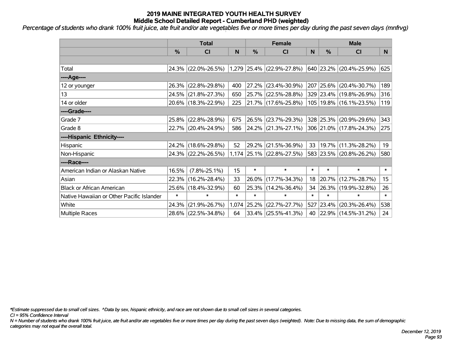*Percentage of students who drank 100% fruit juice, ate fruit and/or ate vegetables five or more times per day during the past seven days (mnfrvg)*

|                                           | <b>Total</b> |                     |        |        | <b>Female</b>             |        | <b>Male</b> |                             |        |  |
|-------------------------------------------|--------------|---------------------|--------|--------|---------------------------|--------|-------------|-----------------------------|--------|--|
|                                           | %            | CI                  | N      | %      | CI                        | N      | %           | <b>CI</b>                   | N      |  |
|                                           |              |                     |        |        |                           |        |             |                             |        |  |
| Total                                     |              | 24.3% (22.0%-26.5%) |        |        | 1,279 25.4% (22.9%-27.8%) |        |             | 640 23.2% (20.4%-25.9%)     | 625    |  |
| ----Age----                               |              |                     |        |        |                           |        |             |                             |        |  |
| 12 or younger                             |              | 26.3% (22.8%-29.8%) | 400    | 27.2%  | $(23.4\% - 30.9\%)$       | 207    | 25.6%       | $(20.4\% - 30.7\%)$         | 189    |  |
| 13                                        |              | 24.5% (21.8%-27.3%) | 650    |        | $25.7\%$ (22.5%-28.8%)    |        |             | 329 23.4% (19.8%-26.9%)     | 316    |  |
| 14 or older                               |              | 20.6% (18.3%-22.9%) | 225    |        | 21.7% (17.6%-25.8%)       |        |             | 105   19.8%   (16.1%-23.5%) | 119    |  |
| ----Grade----                             |              |                     |        |        |                           |        |             |                             |        |  |
| Grade 7                                   | 25.8%        | $(22.8\% - 28.9\%)$ | 675    | 26.5%  | $(23.7\% - 29.3\%)$       |        | 328 25.3%   | $(20.9\% - 29.6\%)$         | 343    |  |
| Grade 8                                   |              | 22.7% (20.4%-24.9%) | 586    |        | 24.2% (21.3%-27.1%)       |        |             | 306 21.0% (17.8%-24.3%)     | 275    |  |
| ----Hispanic Ethnicity----                |              |                     |        |        |                           |        |             |                             |        |  |
| Hispanic                                  | 24.2%        | $(18.6\% - 29.8\%)$ | 52     | 29.2%  | $(21.5\% - 36.9\%)$       | 33     | 19.7%       | $(11.3\% - 28.2\%)$         | 19     |  |
| Non-Hispanic                              |              | 24.3% (22.2%-26.5%) |        |        | 1,174 25.1% (22.8%-27.5%) |        |             | 583 23.5% (20.8%-26.2%)     | 580    |  |
| ----Race----                              |              |                     |        |        |                           |        |             |                             |        |  |
| American Indian or Alaskan Native         | 16.5%        | $(7.8\% - 25.1\%)$  | 15     | $\ast$ | $\ast$                    | $\ast$ | $\ast$      | $\ast$                      | $\ast$ |  |
| Asian                                     | 22.3%        | $(16.2\% - 28.4\%)$ | 33     | 26.0%  | $(17.7\% - 34.3\%)$       | 18     | 20.7%       | $(12.7\% - 28.7\%)$         | 15     |  |
| <b>Black or African American</b>          | 25.6%        | $(18.4\% - 32.9\%)$ | 60     | 25.3%  | $(14.2\% - 36.4\%)$       | 34     | 26.3%       | $(19.9\% - 32.8\%)$         | 26     |  |
| Native Hawaiian or Other Pacific Islander | $\ast$       | $\ast$              | $\ast$ | $\ast$ | $\ast$                    | $\ast$ | $\ast$      | $\ast$                      | $\ast$ |  |
| White                                     | 24.3%        | $(21.9\% - 26.7\%)$ | 1,074  | 25.2%  | $(22.7\% - 27.7\%)$       | 527    | 23.4%       | $(20.3\% - 26.4\%)$         | 538    |  |
| <b>Multiple Races</b>                     |              | 28.6% (22.5%-34.8%) | 64     |        | $ 33.4\% $ (25.5%-41.3%)  | 40     |             | 22.9% (14.5%-31.2%)         | 24     |  |

*\*Estimate suppressed due to small cell sizes. ^Data by sex, hispanic ethnicity, and race are not shown due to small cell sizes in several categories.*

*CI = 95% Confidence Interval*

*N = Number of students who drank 100% fruit juice, ate fruit and/or ate vegetables five or more times per day during the past seven days (weighted). Note: Due to missing data, the sum of demographic categories may not equal the overall total.*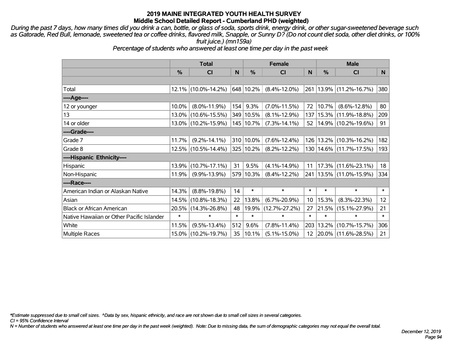*During the past 7 days, how many times did you drink a can, bottle, or glass of soda, sports drink, energy drink, or other sugar-sweetened beverage such as Gatorade, Red Bull, lemonade, sweetened tea or coffee drinks, flavored milk, Snapple, or Sunny D? (Do not count diet soda, other diet drinks, or 100% fruit juice.) (mn159a)*

*Percentage of students who answered at least one time per day in the past week*

|                                           | <b>Total</b>  |                     |        | <b>Female</b> | <b>Male</b>         |                 |          |                             |                 |
|-------------------------------------------|---------------|---------------------|--------|---------------|---------------------|-----------------|----------|-----------------------------|-----------------|
|                                           | $\frac{0}{0}$ | <b>CI</b>           | N      | %             | <b>CI</b>           | N               | %        | <b>CI</b>                   | N.              |
|                                           |               |                     |        |               |                     |                 |          |                             |                 |
| Total                                     |               | 12.1% (10.0%-14.2%) |        | 648 10.2%     | $(8.4\% - 12.0\%)$  | 261             |          | $13.9\%$ (11.2%-16.7%)      | 380             |
| ----Age----                               |               |                     |        |               |                     |                 |          |                             |                 |
| 12 or younger                             | 10.0%         | $(8.0\% - 11.9\%)$  | 154    | 9.3%          | $(7.0\% - 11.5\%)$  | 72              | 10.7%    | $(8.6\% - 12.8\%)$          | 80              |
| 13                                        | $13.0\%$      | $(10.6\% - 15.5\%)$ |        | 349 10.5%     | $(8.1\% - 12.9\%)$  | 137             | 15.3%    | $(11.9\% - 18.8\%)$         | 209             |
| 14 or older                               |               | 13.0% (10.2%-15.9%) |        | 145   10.7%   | $(7.3\% - 14.1\%)$  | 52              |          | $14.9\%$ (10.2%-19.6%)      | 91              |
| ----Grade----                             |               |                     |        |               |                     |                 |          |                             |                 |
| Grade 7                                   | 11.7%         | $(9.2\% - 14.1\%)$  |        | 310 10.0%     | $(7.6\% - 12.4\%)$  | 126             | 13.2%    | $(10.3\% - 16.2\%)$         | 182             |
| Grade 8                                   |               | 12.5% (10.5%-14.4%) |        | 325 10.2%     | $(8.2\% - 12.2\%)$  |                 |          | 130   14.6%   (11.7%-17.5%) | 193             |
| ----Hispanic Ethnicity----                |               |                     |        |               |                     |                 |          |                             |                 |
| Hispanic                                  | 13.9%         | $(10.7\% - 17.1\%)$ | 31     | 9.5%          | $(4.1\% - 14.9\%)$  | 11              | 17.3%    | $(11.6\% - 23.1\%)$         | 18              |
| Non-Hispanic                              | 11.9%         | $(9.9\% - 13.9\%)$  |        | 579 10.3%     | $(8.4\% - 12.2\%)$  |                 |          | 241   13.5%   (11.0%-15.9%) | 334             |
| ----Race----                              |               |                     |        |               |                     |                 |          |                             |                 |
| American Indian or Alaskan Native         | 14.3%         | $(8.8\% - 19.8\%)$  | 14     | $\ast$        | $\ast$              | $\ast$          | $\ast$   | $\ast$                      | $\ast$          |
| Asian                                     | 14.5%         | $(10.8\% - 18.3\%)$ | 22     | 13.8%         | $(6.7\% - 20.9\%)$  | 10 <sup>°</sup> | 15.3%    | $(8.3\% - 22.3\%)$          | 12 <sub>2</sub> |
| <b>Black or African American</b>          | 20.5%         | $(14.3\% - 26.8\%)$ | 48     |               | 19.9% (12.7%-27.2%) | 27              | 21.5%    | $(15.1\% - 27.9\%)$         | $21 \mid$       |
| Native Hawaiian or Other Pacific Islander | $\ast$        | $\ast$              | $\ast$ | $\ast$        | $\ast$              | $\ast$          | $\ast$   | $\ast$                      | $\ast$          |
| White                                     | 11.5%         | $(9.5\% - 13.4\%)$  | 512    | 9.6%          | $(7.8\% - 11.4\%)$  | 203             | 13.2%    | $(10.7\% - 15.7\%)$         | 306             |
| <b>Multiple Races</b>                     | $15.0\%$      | $(10.2\% - 19.7\%)$ | 35     | 10.1%         | $(5.1\% - 15.0\%)$  |                 | 12 20.0% | $(11.6\% - 28.5\%)$         | $21 \mid$       |

*\*Estimate suppressed due to small cell sizes. ^Data by sex, hispanic ethnicity, and race are not shown due to small cell sizes in several categories.*

*CI = 95% Confidence Interval*

*N = Number of students who answered at least one time per day in the past week (weighted). Note: Due to missing data, the sum of demographic categories may not equal the overall total.*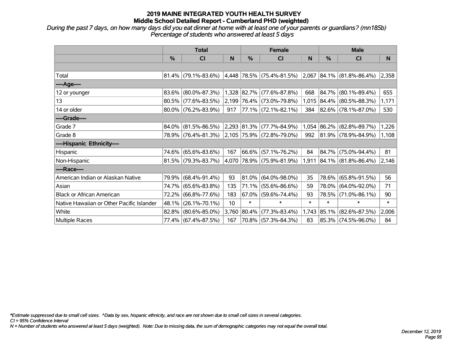*During the past 7 days, on how many days did you eat dinner at home with at least one of your parents or guardians? (mn185b) Percentage of students who answered at least 5 days*

|                                           | <b>Total</b> |                                               |       | <b>Female</b> |                           | <b>Male</b> |            |                           |        |
|-------------------------------------------|--------------|-----------------------------------------------|-------|---------------|---------------------------|-------------|------------|---------------------------|--------|
|                                           | $\%$         | <b>CI</b>                                     | N     | $\%$          | <b>CI</b>                 | N           | %          | <b>CI</b>                 | N      |
|                                           |              |                                               |       |               |                           |             |            |                           |        |
| Total                                     |              | $81.4\%$ (79.1%-83.6%)                        |       |               | 4,448 78.5% (75.4%-81.5%) | 2,067       |            | $ 84.1\% $ (81.8%-86.4%)  | 2,358  |
| ----Age----                               |              |                                               |       |               |                           |             |            |                           |        |
| 12 or younger                             | 83.6%        | $(80.0\% - 87.3\%)$                           |       |               | 1,328 82.7% (77.6%-87.8%) | 668         | 84.7%      | $(80.1\% - 89.4\%)$       | 655    |
| 13                                        |              | 80.5% (77.6%-83.5%)                           |       |               | 2,199 76.4% (73.0%-79.8%) |             |            | 1,015 84.4% (80.5%-88.3%) | 1,171  |
| 14 or older                               |              | $80.0\%$ (76.2%-83.9%)                        | 917   |               | 77.1% (72.1%-82.1%)       | 384         |            | $ 82.6\% $ (78.1%-87.0%)  | 530    |
| ----Grade----                             |              |                                               |       |               |                           |             |            |                           |        |
| Grade 7                                   | 84.0%        | $(81.5\% - 86.5\%)$                           |       |               | 2,293 81.3% (77.7%-84.9%) | 1,054       | $ 86.2\% $ | $(82.8\% - 89.7\%)$       | 1,226  |
| Grade 8                                   |              | 78.9% (76.4%-81.3%) 2,105 75.9% (72.8%-79.0%) |       |               |                           | 992         |            | $ 81.9\% $ (78.9%-84.9%)  | 1,108  |
| ----Hispanic Ethnicity----                |              |                                               |       |               |                           |             |            |                           |        |
| Hispanic                                  | 74.6%        | $(65.6\% - 83.6\%)$                           | 167   | 66.6%         | $(57.1\% - 76.2\%)$       | 84          | $84.7\%$   | $(75.0\% - 94.4\%)$       | 81     |
| Non-Hispanic                              |              | $81.5\%$ (79.3%-83.7%)                        |       |               | 4,070 78.9% (75.9%-81.9%) | 1,911       |            | $ 84.1\% $ (81.8%-86.4%)  | 2,146  |
| ----Race----                              |              |                                               |       |               |                           |             |            |                           |        |
| American Indian or Alaskan Native         |              | 79.9% (68.4%-91.4%)                           | 93    | $ 81.0\% $    | $(64.0\% - 98.0\%)$       | 35          | 78.6%      | $(65.8\% - 91.5\%)$       | 56     |
| Asian                                     | 74.7%        | $(65.6\% - 83.8\%)$                           | 135   | $ 71.1\% $    | $(55.6\% - 86.6\%)$       | 59          | 78.0%      | $(64.0\% - 92.0\%)$       | 71     |
| <b>Black or African American</b>          | 72.2%        | $(66.8\% - 77.6\%)$                           | 183   | $67.0\%$      | $(59.6\% - 74.4\%)$       | 93          | 78.5%      | $(71.0\% - 86.1\%)$       | 90     |
| Native Hawaiian or Other Pacific Islander | 48.1%        | $(26.1\% - 70.1\%)$                           | 10    | $\ast$        | $\ast$                    | $\ast$      | $\ast$     | $\ast$                    | $\ast$ |
| White                                     | $82.8\%$     | $(80.6\% - 85.0\%)$                           | 3,760 | 80.4%         | $(77.3\% - 83.4\%)$       | 1,743       | $ 85.1\% $ | $(82.6\% - 87.5\%)$       | 2,006  |
| <b>Multiple Races</b>                     |              | 77.4% (67.4%-87.5%)                           | 167   |               | 70.8% (57.3%-84.3%)       | 83          |            | 85.3% (74.5%-96.0%)       | 84     |

*\*Estimate suppressed due to small cell sizes. ^Data by sex, hispanic ethnicity, and race are not shown due to small cell sizes in several categories.*

*CI = 95% Confidence Interval*

*N = Number of students who answered at least 5 days (weighted). Note: Due to missing data, the sum of demographic categories may not equal the overall total.*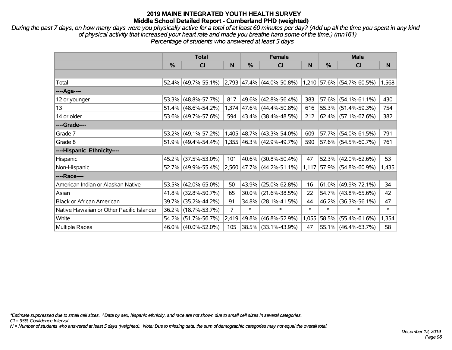*During the past 7 days, on how many days were you physically active for a total of at least 60 minutes per day? (Add up all the time you spent in any kind of physical activity that increased your heart rate and made you breathe hard some of the time.) (mn161) Percentage of students who answered at least 5 days*

|                                           | <b>Total</b> |                        |                |             | <b>Female</b>                  |        | <b>Male</b> |                             |        |  |
|-------------------------------------------|--------------|------------------------|----------------|-------------|--------------------------------|--------|-------------|-----------------------------|--------|--|
|                                           | %            | CI                     | N              | %           | CI                             | N      | %           | <b>CI</b>                   | N.     |  |
|                                           |              |                        |                |             |                                |        |             |                             |        |  |
| Total                                     |              | $52.4\%$ (49.7%-55.1%) |                |             | $ 2,793 47.4\% $ (44.0%-50.8%) |        |             | $1,210$ 57.6% (54.7%-60.5%) | 1,568  |  |
| ----Age----                               |              |                        |                |             |                                |        |             |                             |        |  |
| 12 or younger                             | 53.3%        | $(48.8\% - 57.7\%)$    | 817            | $ 49.6\% $  | $(42.8\% - 56.4\%)$            | 383    |             | $57.6\%$ (54.1%-61.1%)      | 430    |  |
| 13                                        | 51.4%        | $(48.6\% - 54.2\%)$    |                |             | 1,374 47.6% (44.4%-50.8%)      | 616    |             | 55.3% (51.4%-59.3%)         | 754    |  |
| 14 or older                               |              | 53.6% (49.7%-57.6%)    | 594            |             | $ 43.4\% $ (38.4%-48.5%)       | 212    |             | 62.4% (57.1%-67.6%)         | 382    |  |
| ----Grade----                             |              |                        |                |             |                                |        |             |                             |        |  |
| Grade 7                                   | 53.2%        | $(49.1\% - 57.2\%)$    |                | 1,405 48.7% | $(43.3\% - 54.0\%)$            | 609    | 57.7%       | $(54.0\% - 61.5\%)$         | 791    |  |
| Grade 8                                   |              | $51.9\%$ (49.4%-54.4%) |                |             | $1,355$ 46.3% (42.9%-49.7%)    | 590    |             | $57.6\%$ (54.5%-60.7%)      | 761    |  |
| ----Hispanic Ethnicity----                |              |                        |                |             |                                |        |             |                             |        |  |
| Hispanic                                  | 45.2%        | $(37.5\% - 53.0\%)$    | 101            | $ 40.6\% $  | $(30.8\% - 50.4\%)$            | 47     | 52.3%       | $(42.0\% - 62.6\%)$         | 53     |  |
| Non-Hispanic                              |              | 52.7% (49.9%-55.4%)    |                |             | 2,560 47.7% (44.2%-51.1%)      | 1,117  |             | 57.9% (54.8%-60.9%)         | 1,435  |  |
| ----Race----                              |              |                        |                |             |                                |        |             |                             |        |  |
| American Indian or Alaskan Native         | 53.5%        | $(42.0\% - 65.0\%)$    | 50             | $ 43.9\% $  | $(25.0\% - 62.8\%)$            | 16     |             | $61.0\%$ (49.9%-72.1%)      | 34     |  |
| Asian                                     | 41.8%        | $(32.8\% - 50.7\%)$    | 65             | $30.0\%$    | $(21.6\% - 38.5\%)$            | 22     |             | $54.7\%$ (43.8%-65.6%)      | 42     |  |
| <b>Black or African American</b>          | 39.7%        | $(35.2\% - 44.2\%)$    | 91             | $34.8\%$    | $(28.1\% - 41.5\%)$            | 44     | $46.2\%$    | $(36.3\% - 56.1\%)$         | 47     |  |
| Native Hawaiian or Other Pacific Islander | 36.2%        | $(18.7\% - 53.7\%)$    | $\overline{7}$ | $\ast$      | $\ast$                         | $\ast$ | $\ast$      | $\ast$                      | $\ast$ |  |
| White                                     | 54.2%        | $(51.7\% - 56.7\%)$    | 2,419          | $ 49.8\% $  | $(46.8\% - 52.9\%)$            | 1,055  | 58.5%       | $(55.4\% - 61.6\%)$         | 1,354  |  |
| Multiple Races                            |              | 46.0% (40.0%-52.0%)    | 105            |             | 38.5% (33.1%-43.9%)            | 47     |             | 55.1% (46.4%-63.7%)         | 58     |  |

*\*Estimate suppressed due to small cell sizes. ^Data by sex, hispanic ethnicity, and race are not shown due to small cell sizes in several categories.*

*CI = 95% Confidence Interval*

*N = Number of students who answered at least 5 days (weighted). Note: Due to missing data, the sum of demographic categories may not equal the overall total.*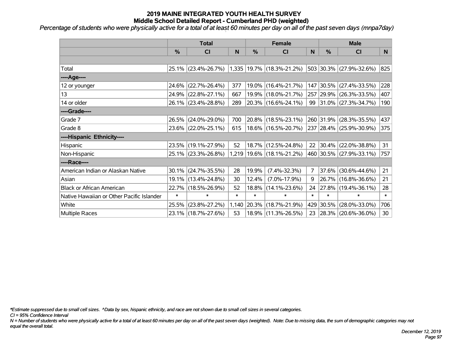*Percentage of students who were physically active for a total of at least 60 minutes per day on all of the past seven days (mnpa7day)*

|                                           | <b>Total</b>  |                     | <b>Female</b> |        |                               | <b>Male</b>    |               |                              |        |
|-------------------------------------------|---------------|---------------------|---------------|--------|-------------------------------|----------------|---------------|------------------------------|--------|
|                                           | $\frac{0}{0}$ | <b>CI</b>           | N             | %      | CI                            | N              | $\frac{0}{0}$ | <b>CI</b>                    | N      |
|                                           |               |                     |               |        |                               |                |               |                              |        |
| Total                                     |               | 25.1% (23.4%-26.7%) |               |        | 1,335 19.7% (18.3%-21.2%)     |                |               | 503 30.3% (27.9%-32.6%)      | 825    |
| ----Age----                               |               |                     |               |        |                               |                |               |                              |        |
| 12 or younger                             | 24.6%         | $(22.7\% - 26.4\%)$ | 377           | 19.0%  | $(16.4\% - 21.7\%)$           |                | 147 30.5%     | $(27.4\% - 33.5\%)$          | 228    |
| 13                                        |               | 24.9% (22.8%-27.1%) | 667           |        | 19.9% (18.0%-21.7%)           |                |               | 257 29.9% (26.3%-33.5%)      | 407    |
| 14 or older                               |               | 26.1% (23.4%-28.8%) | 289           |        | $ 20.3\% $ (16.6%-24.1%)      |                |               | 99 31.0% $(27.3\% - 34.7\%)$ | 190    |
| ----Grade----                             |               |                     |               |        |                               |                |               |                              |        |
| Grade 7                                   |               | 26.5% (24.0%-29.0%) | 700           | 20.8%  | $(18.5\% - 23.1\%)$           |                | 260 31.9%     | $(28.3\% - 35.5\%)$          | 437    |
| Grade 8                                   |               | 23.6% (22.0%-25.1%) | 615           |        | 18.6% (16.5%-20.7%)           |                |               | 237 28.4% (25.9%-30.9%)      | 375    |
| ----Hispanic Ethnicity----                |               |                     |               |        |                               |                |               |                              |        |
| Hispanic                                  |               | 23.5% (19.1%-27.9%) | 52            | 18.7%  | $(12.5\% - 24.8\%)$           | 22             | $ 30.4\% $    | $(22.0\% - 38.8\%)$          | 31     |
| Non-Hispanic                              |               | 25.1% (23.3%-26.8%) |               |        | 1,219   19.6%   (18.1%-21.2%) |                |               | 460 30.5% (27.9%-33.1%)      | 757    |
| ----Race----                              |               |                     |               |        |                               |                |               |                              |        |
| American Indian or Alaskan Native         |               | 30.1% (24.7%-35.5%) | 28            | 19.9%  | $(7.4\% - 32.3\%)$            | $\overline{7}$ | 37.6%         | $(30.6\% - 44.6\%)$          | 21     |
| Asian                                     |               | 19.1% (13.4%-24.8%) | 30            | 12.4%  | $(7.0\% - 17.9\%)$            | 9              |               | 26.7% (16.8%-36.6%)          | 21     |
| <b>Black or African American</b>          | 22.7%         | $(18.5\% - 26.9\%)$ | 52            | 18.8%  | $(14.1\% - 23.6\%)$           | 24             |               | $ 27.8\% $ (19.4%-36.1%)     | 28     |
| Native Hawaiian or Other Pacific Islander | $\ast$        | $\ast$              | $\ast$        | $\ast$ | $\ast$                        | $\ast$         | $\ast$        | $\ast$                       | $\ast$ |
| White                                     | 25.5%         | $(23.8\% - 27.2\%)$ | 1,140         | 20.3%  | $(18.7\% - 21.9\%)$           |                | 429 30.5%     | $(28.0\% - 33.0\%)$          | 706    |
| <b>Multiple Races</b>                     |               | 23.1% (18.7%-27.6%) | 53            |        | 18.9% (11.3%-26.5%)           | 23             |               | $ 28.3\% $ (20.6%-36.0%)     | 30     |

*\*Estimate suppressed due to small cell sizes. ^Data by sex, hispanic ethnicity, and race are not shown due to small cell sizes in several categories.*

*CI = 95% Confidence Interval*

*N = Number of students who were physically active for a total of at least 60 minutes per day on all of the past seven days (weighted). Note: Due to missing data, the sum of demographic categories may not equal the overall total.*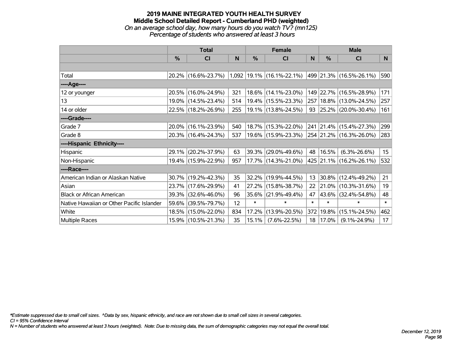### **2019 MAINE INTEGRATED YOUTH HEALTH SURVEY Middle School Detailed Report - Cumberland PHD (weighted)** *On an average school day, how many hours do you watch TV? (mn125) Percentage of students who answered at least 3 hours*

|                                           | <b>Total</b>  |                     |     |               | <b>Female</b>                   |        | <b>Male</b>   |                             |        |  |
|-------------------------------------------|---------------|---------------------|-----|---------------|---------------------------------|--------|---------------|-----------------------------|--------|--|
|                                           | $\frac{0}{0}$ | CI                  | N   | $\frac{0}{0}$ | <b>CI</b>                       | N      | $\frac{0}{0}$ | <b>CI</b>                   | N      |  |
|                                           |               |                     |     |               |                                 |        |               |                             |        |  |
| Total                                     |               | 20.2% (16.6%-23.7%) |     |               | $1,092$   19.1%   (16.1%-22.1%) |        |               | 499 21.3% (16.5%-26.1%)     | 590    |  |
| ----Age----                               |               |                     |     |               |                                 |        |               |                             |        |  |
| 12 or younger                             |               | 20.5% (16.0%-24.9%) | 321 |               | 18.6% (14.1%-23.0%)             |        |               | 149 22.7% (16.5%-28.9%)     | 171    |  |
| 13                                        |               | 19.0% (14.5%-23.4%) | 514 |               | 19.4% (15.5%-23.3%)             |        |               | 257   18.8%   (13.0%-24.5%) | 257    |  |
| 14 or older                               |               | 22.5% (18.2%-26.9%) | 255 |               | 19.1% (13.8%-24.5%)             |        |               | 93 25.2% (20.0%-30.4%)      | 161    |  |
| ----Grade----                             |               |                     |     |               |                                 |        |               |                             |        |  |
| Grade 7                                   | 20.0%         | $(16.1\% - 23.9\%)$ | 540 |               | 18.7% (15.3%-22.0%)             |        |               | 241 21.4% (15.4%-27.3%)     | 299    |  |
| Grade 8                                   |               | 20.3% (16.4%-24.3%) | 537 |               | 19.6% (15.9%-23.3%)             |        |               | 254 21.2% (16.3%-26.0%)     | 283    |  |
| ----Hispanic Ethnicity----                |               |                     |     |               |                                 |        |               |                             |        |  |
| Hispanic                                  |               | 29.1% (20.2%-37.9%) | 63  | 39.3%         | $(29.0\% - 49.6\%)$             | 48     | 16.5%         | $(6.3\% - 26.6\%)$          | 15     |  |
| Non-Hispanic                              |               | 19.4% (15.9%-22.9%) | 957 |               | 17.7% (14.3%-21.0%)             |        |               | 425 21.1% (16.2%-26.1%)     | 532    |  |
| ----Race----                              |               |                     |     |               |                                 |        |               |                             |        |  |
| American Indian or Alaskan Native         |               | 30.7% (19.2%-42.3%) | 35  | 32.2%         | $(19.9\% - 44.5\%)$             | 13     |               | $30.8\%$ (12.4%-49.2%)      | 21     |  |
| Asian                                     | 23.7%         | $(17.6\% - 29.9\%)$ | 41  | 27.2%         | $(15.8\% - 38.7\%)$             | 22     | 21.0%         | $(10.3\% - 31.6\%)$         | 19     |  |
| <b>Black or African American</b>          | 39.3%         | $(32.6\% - 46.0\%)$ | 96  | 35.6%         | $(21.9\% - 49.4\%)$             | 47     | 43.6%         | $(32.4\% - 54.8\%)$         | 48     |  |
| Native Hawaiian or Other Pacific Islander | 59.6%         | $(39.5\% - 79.7\%)$ | 12  | $\ast$        | $\ast$                          | $\ast$ | $\ast$        | $\ast$                      | $\ast$ |  |
| White                                     |               | 18.5% (15.0%-22.0%) | 834 | 17.2%         | $(13.9\% - 20.5\%)$             | 372    | 19.8%         | $(15.1\% - 24.5\%)$         | 462    |  |
| <b>Multiple Races</b>                     |               | 15.9% (10.5%-21.3%) | 35  | 15.1%         | $(7.6\% - 22.5\%)$              | 18     | 17.0%         | $(9.1\% - 24.9\%)$          | 17     |  |

*\*Estimate suppressed due to small cell sizes. ^Data by sex, hispanic ethnicity, and race are not shown due to small cell sizes in several categories.*

*CI = 95% Confidence Interval*

*N = Number of students who answered at least 3 hours (weighted). Note: Due to missing data, the sum of demographic categories may not equal the overall total.*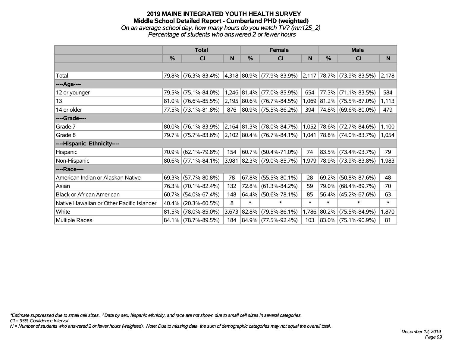### **2019 MAINE INTEGRATED YOUTH HEALTH SURVEY Middle School Detailed Report - Cumberland PHD (weighted)** *On an average school day, how many hours do you watch TV? (mn125\_2) Percentage of students who answered 2 or fewer hours*

|                                           | <b>Total</b> |                                               |       | <b>Female</b> |                                                          | <b>Male</b> |            |                           |        |
|-------------------------------------------|--------------|-----------------------------------------------|-------|---------------|----------------------------------------------------------|-------------|------------|---------------------------|--------|
|                                           | $\%$         | <b>CI</b>                                     | N     | %             | <b>CI</b>                                                | N           | %          | <b>CI</b>                 | N      |
|                                           |              |                                               |       |               |                                                          |             |            |                           |        |
| Total                                     |              | 79.8% (76.3%-83.4%)                           |       |               | $ 4,318 80.9\% $ (77.9%-83.9%) 2,117 78.7% (73.9%-83.5%) |             |            |                           | 2,178  |
| ----Age----                               |              |                                               |       |               |                                                          |             |            |                           |        |
| 12 or younger                             | 79.5%        | $(75.1\% - 84.0\%)$                           |       |               | 1,246 81.4% (77.0%-85.9%)                                | 654         | 77.3%      | $(71.1\% - 83.5\%)$       | 584    |
| 13                                        |              | $81.0\%$ (76.6%-85.5%)                        |       |               | 2,195 80.6% (76.7%-84.5%)                                | 1,069       |            | $ 81.2\% $ (75.5%-87.0%)  | 1,113  |
| 14 or older                               |              | 77.5% (73.1%-81.8%)                           | 876   |               | $ 80.9\% $ (75.5%-86.2%)                                 | 394         |            | 74.8% (69.6%-80.0%)       | 479    |
| ----Grade----                             |              |                                               |       |               |                                                          |             |            |                           |        |
| Grade 7                                   | 80.0%        | $(76.1\% - 83.9\%)$                           |       |               | $ 2,164 81.3\% $ (78.0%-84.7%)                           | 1,052       |            | 78.6% (72.7%-84.6%)       | 1,100  |
| Grade 8                                   |              | 79.7% (75.7%-83.6%) 2.102 80.4% (76.7%-84.1%) |       |               |                                                          |             |            | 1,041 78.8% (74.0%-83.7%) | 1,054  |
| ----Hispanic Ethnicity----                |              |                                               |       |               |                                                          |             |            |                           |        |
| Hispanic                                  | 70.9%        | $(62.1\% - 79.8\%)$                           | 154   | $60.7\%$      | $(50.4\% - 71.0\%)$                                      | 74          | 83.5%      | $(73.4\% - 93.7\%)$       | 79     |
| Non-Hispanic                              |              | 80.6% (77.1%-84.1%)                           |       |               | 3,981 82.3% (79.0%-85.7%)                                |             |            | 1,979 78.9% (73.9%-83.8%) | 1,983  |
| ----Race----                              |              |                                               |       |               |                                                          |             |            |                           |        |
| American Indian or Alaskan Native         |              | $69.3\%$ (57.7%-80.8%)                        | 78    |               | $67.8\%$ (55.5%-80.1%)                                   | 28          | 69.2%      | $(50.8\% - 87.6\%)$       | 48     |
| Asian                                     |              | 76.3% (70.1%-82.4%)                           | 132   |               | 72.8% (61.3%-84.2%)                                      | 59          | 79.0%      | $(68.4\% - 89.7\%)$       | 70     |
| <b>Black or African American</b>          | 60.7%        | $(54.0\% - 67.4\%)$                           | 148   |               | $ 64.4\% $ (50.6%-78.1%)                                 | 85          |            | 56.4% (45.2%-67.6%)       | 63     |
| Native Hawaiian or Other Pacific Islander | 40.4%        | $(20.3\% - 60.5\%)$                           | 8     | $\ast$        | $\ast$                                                   | $\ast$      | $\ast$     | $\ast$                    | $\ast$ |
| White                                     | 81.5%        | $(78.0\% - 85.0\%)$                           | 3,673 | 82.8%         | $(79.5\% - 86.1\%)$                                      | 1,786       | $ 80.2\% $ | $(75.5\% - 84.9\%)$       | 1,870  |
| Multiple Races                            |              | 84.1% (78.7%-89.5%)                           | 184   |               | $ 84.9\% $ (77.5%-92.4%)                                 | 103         |            | 83.0% (75.1%-90.9%)       | 81     |

*\*Estimate suppressed due to small cell sizes. ^Data by sex, hispanic ethnicity, and race are not shown due to small cell sizes in several categories.*

*CI = 95% Confidence Interval*

*N = Number of students who answered 2 or fewer hours (weighted). Note: Due to missing data, the sum of demographic categories may not equal the overall total.*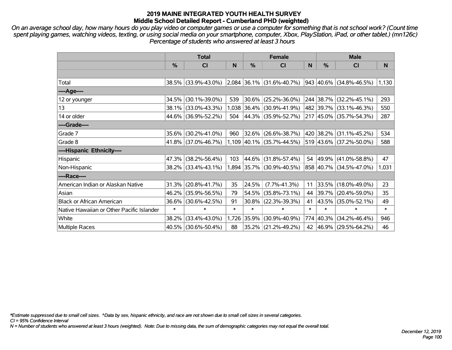*On an average school day, how many hours do you play video or computer games or use a computer for something that is not school work? (Count time spent playing games, watching videos, texting, or using social media on your smartphone, computer, Xbox, PlayStation, iPad, or other tablet.) (mn126c) Percentage of students who answered at least 3 hours*

|                                           | <b>Total</b> |                     |        | <b>Female</b> |                             |        | <b>Male</b> |                         |        |  |
|-------------------------------------------|--------------|---------------------|--------|---------------|-----------------------------|--------|-------------|-------------------------|--------|--|
|                                           | %            | <b>CI</b>           | N      | %             | <b>CI</b>                   | N      | %           | <b>CI</b>               | N      |  |
|                                           |              |                     |        |               |                             |        |             |                         |        |  |
| Total                                     |              | 38.5% (33.9%-43.0%) |        |               | $2,084$ 36.1% (31.6%-40.7%) |        |             | 943 40.6% (34.8%-46.5%) | 1,130  |  |
| ----Age----                               |              |                     |        |               |                             |        |             |                         |        |  |
| 12 or younger                             | 34.5%        | $(30.1\% - 39.0\%)$ | 539    |               | $30.6\%$ (25.2%-36.0%)      |        |             | 244 38.7% (32.2%-45.1%) | 293    |  |
| 13                                        | 38.1%        | $(33.0\% - 43.3\%)$ |        |               | 1,038 36.4% (30.9%-41.9%)   |        |             | 482 39.7% (33.1%-46.3%) | 550    |  |
| 14 or older                               | 44.6%        | $(36.9\% - 52.2\%)$ | 504    |               | 44.3% (35.9%-52.7%)         |        |             | 217 45.0% (35.7%-54.3%) | 287    |  |
| ----Grade----                             |              |                     |        |               |                             |        |             |                         |        |  |
| Grade 7                                   | 35.6%        | $(30.2\% - 41.0\%)$ | 960    |               | 32.6% (26.6%-38.7%)         |        |             | 420 38.2% (31.1%-45.2%) | 534    |  |
| Grade 8                                   |              | 41.8% (37.0%-46.7%) |        |               | 1,109 40.1% (35.7%-44.5%)   |        |             | 519 43.6% (37.2%-50.0%) | 588    |  |
| ----Hispanic Ethnicity----                |              |                     |        |               |                             |        |             |                         |        |  |
| Hispanic                                  | 47.3%        | $(38.2\% - 56.4\%)$ | 103    | 44.6%         | $(31.8\% - 57.4\%)$         |        | 54 49.9%    | $(41.0\% - 58.8\%)$     | 47     |  |
| Non-Hispanic                              |              | 38.2% (33.4%-43.1%) |        |               | 1,894 35.7% (30.9%-40.5%)   |        |             | 858 40.7% (34.5%-47.0%) | 1,031  |  |
| ----Race----                              |              |                     |        |               |                             |        |             |                         |        |  |
| American Indian or Alaskan Native         | 31.3%        | $(20.8\% - 41.7\%)$ | 35     | 24.5%         | $(7.7\% - 41.3\%)$          | 11     |             | 33.5% (18.0%-49.0%)     | 23     |  |
| Asian                                     | 46.2%        | $(35.9\% - 56.5\%)$ | 79     |               | 54.5% (35.8%-73.1%)         | 44     | 39.7%       | $(20.4\% - 59.0\%)$     | 35     |  |
| <b>Black or African American</b>          | 36.6%        | $(30.6\% - 42.5\%)$ | 91     | 30.8%         | $(22.3\% - 39.3\%)$         | 41     |             | 43.5% (35.0%-52.1%)     | 49     |  |
| Native Hawaiian or Other Pacific Islander | $\ast$       | $\ast$              | $\ast$ | $\ast$        | $\ast$                      | $\ast$ | $\ast$      | $\ast$                  | $\ast$ |  |
| White                                     | 38.2%        | $(33.4\% - 43.0\%)$ | 1,726  | 35.9%         | $(30.9\% - 40.9\%)$         |        | 774 40.3%   | $(34.2\% - 46.4\%)$     | 946    |  |
| <b>Multiple Races</b>                     |              | 40.5% (30.6%-50.4%) | 88     |               | 35.2% (21.2%-49.2%)         |        |             | 42 46.9% (29.5%-64.2%)  | 46     |  |

*\*Estimate suppressed due to small cell sizes. ^Data by sex, hispanic ethnicity, and race are not shown due to small cell sizes in several categories.*

*CI = 95% Confidence Interval*

*N = Number of students who answered at least 3 hours (weighted). Note: Due to missing data, the sum of demographic categories may not equal the overall total.*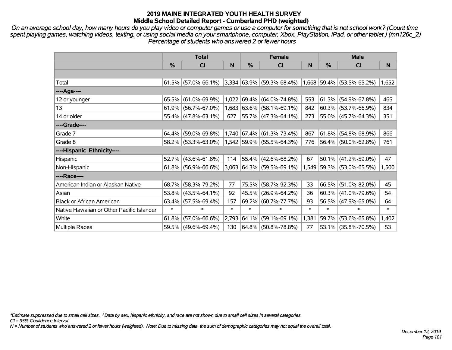*On an average school day, how many hours do you play video or computer games or use a computer for something that is not school work? (Count time spent playing games, watching videos, texting, or using social media on your smartphone, computer, Xbox, PlayStation, iPad, or other tablet.) (mn126c\_2) Percentage of students who answered 2 or fewer hours*

|                                           | <b>Total</b>  |                        |              |               | <b>Female</b>                                                              |        | <b>Male</b> |                           |          |  |
|-------------------------------------------|---------------|------------------------|--------------|---------------|----------------------------------------------------------------------------|--------|-------------|---------------------------|----------|--|
|                                           | $\frac{9}{6}$ | C <sub>l</sub>         | <sub>N</sub> | $\frac{0}{0}$ | C <sub>l</sub>                                                             | N      | $\%$        | <b>CI</b>                 | <b>N</b> |  |
|                                           |               |                        |              |               |                                                                            |        |             |                           |          |  |
| Total                                     |               |                        |              |               | $61.5\%$ (57.0%-66.1%) 3,334 63.9% (59.3%-68.4%) 1,668 59.4% (53.5%-65.2%) |        |             |                           | 1,652    |  |
| ----Age----                               |               |                        |              |               |                                                                            |        |             |                           |          |  |
| 12 or younger                             |               | 65.5% (61.0%-69.9%)    |              |               | $1,022$ 69.4% (64.0%-74.8%)                                                | 553    |             | $61.3\%$ (54.9%-67.8%)    | 465      |  |
| 13                                        |               | $61.9\%$ (56.7%-67.0%) |              |               | $1,683$ 63.6% (58.1%-69.1%)                                                | 842    |             | $60.3\%$ (53.7%-66.9%)    | 834      |  |
| 14 or older                               |               | $55.4\%$ (47.8%-63.1%) | 627          |               | 55.7% (47.3%-64.1%)                                                        | 273    |             | 55.0% (45.7%-64.3%)       | 351      |  |
| ----Grade----                             |               |                        |              |               |                                                                            |        |             |                           |          |  |
| Grade 7                                   |               | $64.4\%$ (59.0%-69.8%) |              |               | $1,740$ 67.4% (61.3%-73.4%)                                                | 867    |             | $61.8\%$ (54.8%-68.9%)    | 866      |  |
| Grade 8                                   |               | $58.2\%$ (53.3%-63.0%) |              |               | $ 1,542 59.9\% $ (55.5%-64.3%)                                             | 776    |             | 56.4% (50.0%-62.8%)       | 761      |  |
| ----Hispanic Ethnicity----                |               |                        |              |               |                                                                            |        |             |                           |          |  |
| Hispanic                                  |               | $52.7\%$ (43.6%-61.8%) | 114          |               | 55.4% (42.6%-68.2%)                                                        | 67     |             | $50.1\%$ (41.2%-59.0%)    | 47       |  |
| Non-Hispanic                              |               | $61.8\%$ (56.9%-66.6%) |              |               | $3,063$ 64.3% (59.5%-69.1%)                                                |        |             | 1,549 59.3% (53.0%-65.5%) | 1,500    |  |
| ----Race----                              |               |                        |              |               |                                                                            |        |             |                           |          |  |
| American Indian or Alaskan Native         | 68.7%         | $(58.3\% - 79.2\%)$    | 77           |               | 75.5% (58.7%-92.3%)                                                        | 33     |             | 66.5% (51.0%-82.0%)       | 45       |  |
| Asian                                     |               | $53.8\%$ (43.5%-64.1%) | 92           |               | 45.5% (26.9%-64.2%)                                                        | 36     |             | $60.3\%$ (41.0%-79.6%)    | 54       |  |
| <b>Black or African American</b>          |               | 63.4% (57.5%-69.4%)    | 157          |               | 69.2% (60.7%-77.7%)                                                        | 93     |             | 56.5% (47.9%-65.0%)       | 64       |  |
| Native Hawaiian or Other Pacific Islander | $\ast$        | $\ast$                 | $\ast$       | $\ast$        | $\ast$                                                                     | $\ast$ | $\ast$      | $\ast$                    | $\ast$   |  |
| White                                     | 61.8%         | $(57.0\% - 66.6\%)$    | 2,793        |               | $ 64.1\% $ (59.1%-69.1%)                                                   | 1,381  |             | 59.7% (53.6%-65.8%)       | 1,402    |  |
| Multiple Races                            |               | 59.5% (49.6%-69.4%)    | 130          |               | 64.8% (50.8%-78.8%)                                                        | 77     |             | 53.1% (35.8%-70.5%)       | 53       |  |

*\*Estimate suppressed due to small cell sizes. ^Data by sex, hispanic ethnicity, and race are not shown due to small cell sizes in several categories.*

*CI = 95% Confidence Interval*

*N = Number of students who answered 2 or fewer hours (weighted). Note: Due to missing data, the sum of demographic categories may not equal the overall total.*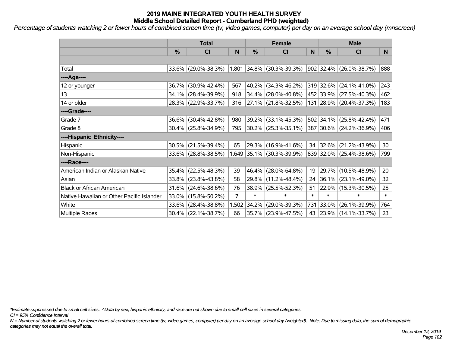*Percentage of students watching 2 or fewer hours of combined screen time (tv, video games, computer) per day on an average school day (mnscreen)*

|                                           | <b>Total</b> |                        |                |             | <b>Female</b>             | <b>Male</b> |               |                         |        |
|-------------------------------------------|--------------|------------------------|----------------|-------------|---------------------------|-------------|---------------|-------------------------|--------|
|                                           | %            | CI                     | N              | %           | <b>CI</b>                 | N           | $\frac{0}{0}$ | <b>CI</b>               | N.     |
|                                           |              |                        |                |             |                           |             |               |                         |        |
| Total                                     |              | 33.6% (29.0%-38.3%)    |                | 1,801 34.8% | $(30.3\% - 39.3\%)$       |             |               | 902 32.4% (26.0%-38.7%) | 888    |
| ----Age----                               |              |                        |                |             |                           |             |               |                         |        |
| 12 or younger                             | 36.7%        | $(30.9\% - 42.4\%)$    | 567            | 40.2%       | $(34.3\% - 46.2\%)$       |             |               | 319 32.6% (24.1%-41.0%) | 243    |
| 13                                        | 34.1%        | $(28.4\% - 39.9\%)$    | 918            | 34.4%       | $(28.0\% - 40.8\%)$       |             |               | 452 33.9% (27.5%-40.3%) | 462    |
| 14 or older                               |              | 28.3% (22.9%-33.7%)    | 316            |             | 27.1% (21.8%-32.5%)       |             |               | 131 28.9% (20.4%-37.3%) | 183    |
| ----Grade----                             |              |                        |                |             |                           |             |               |                         |        |
| Grade 7                                   | 36.6%        | $(30.4\% - 42.8\%)$    | 980            | 39.2%       | $(33.1\% - 45.3\%)$       |             |               | 502 34.1% (25.8%-42.4%) | 471    |
| Grade 8                                   |              | $30.4\%$ (25.8%-34.9%) | 795            |             | $30.2\%$ (25.3%-35.1%)    |             |               | 387 30.6% (24.2%-36.9%) | 406    |
| ----Hispanic Ethnicity----                |              |                        |                |             |                           |             |               |                         |        |
| Hispanic                                  | 30.5%        | $(21.5\% - 39.4\%)$    | 65             | 29.3%       | $(16.9\% - 41.6\%)$       | 34          |               | 32.6% (21.2%-43.9%)     | 30     |
| Non-Hispanic                              |              | 33.6% (28.8%-38.5%)    |                |             | 1,649 35.1% (30.3%-39.9%) |             |               | 839 32.0% (25.4%-38.6%) | 799    |
| ----Race----                              |              |                        |                |             |                           |             |               |                         |        |
| American Indian or Alaskan Native         | 35.4%        | $(22.5\% - 48.3\%)$    | 39             | 46.4%       | $(28.0\% - 64.8\%)$       | 19          |               | 29.7% (10.5%-48.9%)     | 20     |
| Asian                                     | 33.8%        | $(23.8\% - 43.8\%)$    | 58             | 29.8%       | $(11.2\% - 48.4\%)$       | 24          |               | $36.1\%$ (23.1%-49.0%)  | 32     |
| <b>Black or African American</b>          | 31.6%        | $(24.6\% - 38.6\%)$    | 76             | 38.9%       | $(25.5\% - 52.3\%)$       | 51          |               | 22.9% (15.3%-30.5%)     | 25     |
| Native Hawaiian or Other Pacific Islander | 33.0%        | $(15.8\% - 50.2\%)$    | $\overline{7}$ | $\ast$      | $\ast$                    | $\ast$      | $\ast$        | $\ast$                  | $\ast$ |
| White                                     | 33.6%        | $(28.4\% - 38.8\%)$    | 1,502          | 34.2%       | $(29.0\% - 39.3\%)$       | 731         | 33.0%         | $(26.1\% - 39.9\%)$     | 764    |
| <b>Multiple Races</b>                     |              | 30.4% (22.1%-38.7%)    | 66             |             | 35.7% (23.9%-47.5%)       | 43          |               | 23.9% (14.1%-33.7%)     | 23     |

*\*Estimate suppressed due to small cell sizes. ^Data by sex, hispanic ethnicity, and race are not shown due to small cell sizes in several categories.*

*CI = 95% Confidence Interval*

*N = Number of students watching 2 or fewer hours of combined screen time (tv, video games, computer) per day on an average school day (weighted). Note: Due to missing data, the sum of demographic categories may not equal the overall total.*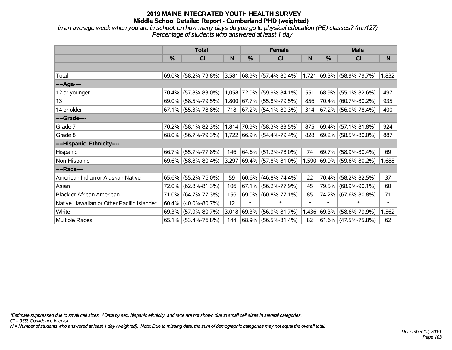*In an average week when you are in school, on how many days do you go to physical education (PE) classes? (mn127) Percentage of students who answered at least 1 day*

|                                           | <b>Total</b> |                        |       |             | <b>Female</b>               |        | <b>Male</b> |                           |        |  |
|-------------------------------------------|--------------|------------------------|-------|-------------|-----------------------------|--------|-------------|---------------------------|--------|--|
|                                           | $\%$         | <b>CI</b>              | N     | %           | <b>CI</b>                   | N      | %           | <b>CI</b>                 | N.     |  |
|                                           |              |                        |       |             |                             |        |             |                           |        |  |
| Total                                     |              | 69.0% (58.2%-79.8%)    |       |             | $3,581$ 68.9% (57.4%-80.4%) | 1,721  |             | $ 69.3\% $ (58.9%-79.7%)  | 1,832  |  |
| ----Age----                               |              |                        |       |             |                             |        |             |                           |        |  |
| 12 or younger                             | 70.4%        | $(57.8\% - 83.0\%)$    |       | 1,058 72.0% | $(59.9\% - 84.1\%)$         | 551    | 68.9%       | $(55.1\% - 82.6\%)$       | 497    |  |
| 13                                        |              | 69.0% (58.5%-79.5%)    |       |             | 1,800 67.7% (55.8%-79.5%)   | 856    |             | 70.4% (60.7%-80.2%)       | 935    |  |
| 14 or older                               |              | $67.1\%$ (55.3%-78.8%) | 718   |             | $ 67.2\% $ (54.1%-80.3%)    | 314    |             | 67.2% (56.0%-78.4%)       | 400    |  |
| ----Grade----                             |              |                        |       |             |                             |        |             |                           |        |  |
| Grade 7                                   | 70.2%        | $(58.1\% - 82.3\%)$    |       | 1,814 70.9% | $(58.3\% - 83.5\%)$         | 875    | 69.4%       | $(57.1\% - 81.8\%)$       | 924    |  |
| Grade 8                                   |              | 68.0% (56.7%-79.3%)    |       |             | 1,722 66.9% (54.4%-79.4%)   | 828    |             | 69.2% (58.5%-80.0%)       | 887    |  |
| ----Hispanic Ethnicity----                |              |                        |       |             |                             |        |             |                           |        |  |
| Hispanic                                  | 66.7%        | $(55.7\% - 77.8\%)$    | 146   | 64.6%       | $(51.2\% - 78.0\%)$         | 74     | 69.7%       | $(58.9\% - 80.4\%)$       | 69     |  |
| Non-Hispanic                              |              | 69.6% (58.8%-80.4%)    | 3,297 |             | $ 69.4\% $ (57.8%-81.0%)    |        |             | 1,590 69.9% (59.6%-80.2%) | 1,688  |  |
| ----Race----                              |              |                        |       |             |                             |        |             |                           |        |  |
| American Indian or Alaskan Native         |              | 65.6% (55.2%-76.0%)    | 59    |             | $ 60.6\% $ (46.8%-74.4%)    | 22     | 70.4%       | $(58.2\% - 82.5\%)$       | 37     |  |
| Asian                                     | 72.0%        | $(62.8\% - 81.3\%)$    | 106   | 67.1%       | $(56.2\% - 77.9\%)$         | 45     | 79.5%       | $(68.9\% - 90.1\%)$       | 60     |  |
| <b>Black or African American</b>          | 71.0%        | $(64.7\% - 77.3\%)$    | 156   |             | 69.0% (60.8%-77.1%)         | 85     | 74.2%       | $(67.6\% - 80.8\%)$       | 71     |  |
| Native Hawaiian or Other Pacific Islander | 60.4%        | $(40.0\% - 80.7\%)$    | 12    | $\ast$      | $\ast$                      | $\ast$ | $\ast$      | $\ast$                    | $\ast$ |  |
| White                                     | 69.3%        | $(57.9\% - 80.7\%)$    | 3,018 | 69.3%       | $(56.9\% - 81.7\%)$         | 1,436  | $ 69.3\% $  | $(58.6\% - 79.9\%)$       | 1,562  |  |
| Multiple Races                            |              | 65.1% (53.4%-76.8%)    | 144   |             | 68.9% (56.5%-81.4%)         | 82     |             | $ 61.6\% $ (47.5%-75.8%)  | 62     |  |

*\*Estimate suppressed due to small cell sizes. ^Data by sex, hispanic ethnicity, and race are not shown due to small cell sizes in several categories.*

*CI = 95% Confidence Interval*

*N = Number of students who answered at least 1 day (weighted). Note: Due to missing data, the sum of demographic categories may not equal the overall total.*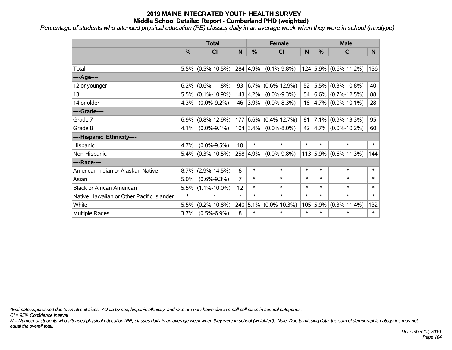*Percentage of students who attended physical education (PE) classes daily in an average week when they were in school (mndlype)*

|                                           | <b>Total</b> |                      |                 | <b>Female</b> |                          |        | <b>Male</b>   |                                       |        |
|-------------------------------------------|--------------|----------------------|-----------------|---------------|--------------------------|--------|---------------|---------------------------------------|--------|
|                                           | %            | <b>CI</b>            | N               | %             | <b>CI</b>                | N      | $\frac{0}{0}$ | <b>CI</b>                             | N.     |
|                                           |              |                      |                 |               |                          |        |               |                                       |        |
| Total                                     |              | $5.5\%$ (0.5%-10.5%) |                 | 284 4.9%      | $(0.1\% - 9.8\%)$        |        |               | 124 5.9% (0.6%-11.2%)                 | 156    |
| ---- Age----                              |              |                      |                 |               |                          |        |               |                                       |        |
| 12 or younger                             | 6.2%         | $(0.6\% - 11.8\%)$   | 93              | $6.7\%$       | $(0.6\% - 12.9\%)$       | 52     | 5.5%          | $(0.3\% - 10.8\%)$                    | 40     |
| 13                                        | 5.5%         | $(0.1\% - 10.9\%)$   |                 | 143   4.2%    | $(0.0\% - 9.3\%)$        |        |               | 54 $ 6.6\% $ (0.7%-12.5%)             | 88     |
| 14 or older                               | 4.3%         | $(0.0\% - 9.2\%)$    |                 | 46 3.9%       | $(0.0\% - 8.3\%)$        |        |               | $18 \mid 4.7\% \mid (0.0\% - 10.1\%)$ | 28     |
| ----Grade----                             |              |                      |                 |               |                          |        |               |                                       |        |
| Grade 7                                   | 6.9%         | $(0.8\% - 12.9\%)$   | 177             | $6.6\%$       | $(0.4\% - 12.7\%)$       | 81     | $7.1\%$       | $(0.9\% - 13.3\%)$                    | 95     |
| Grade 8                                   | 4.1%         | $(0.0\% - 9.1\%)$    |                 |               | $104 3.4\% $ (0.0%-8.0%) |        |               | 42 $ 4.7\% $ (0.0%-10.2%)             | 60     |
| ----Hispanic Ethnicity----                |              |                      |                 |               |                          |        |               |                                       |        |
| Hispanic                                  | 4.7%         | $(0.0\% - 9.5\%)$    | 10 <sup>°</sup> | $\ast$        | $\ast$                   | $\ast$ | $\ast$        | $\ast$                                | $\ast$ |
| Non-Hispanic                              | 5.4%         | $(0.3\% - 10.5\%)$   |                 | 258 4.9%      | $(0.0\% - 9.8\%)$        |        | $113$ 5.9%    | $(0.6\% - 11.3\%)$                    | 144    |
| ----Race----                              |              |                      |                 |               |                          |        |               |                                       |        |
| American Indian or Alaskan Native         | 8.7%         | $(2.9\% - 14.5\%)$   | 8               | $\ast$        | $\ast$                   | $\ast$ | $\ast$        | $\ast$                                | $\ast$ |
| Asian                                     | 5.0%         | $(0.6\% - 9.3\%)$    | $\overline{7}$  | $\ast$        | $\ast$                   | $\ast$ | $\ast$        | $\ast$                                | $\ast$ |
| <b>Black or African American</b>          | 5.5%         | $(1.1\% - 10.0\%)$   | 12              | $\ast$        | $\ast$                   | $\ast$ | $\ast$        | $\ast$                                | $\ast$ |
| Native Hawaiian or Other Pacific Islander | $\ast$       | $\ast$               | $\ast$          | $\ast$        | $\ast$                   | $\ast$ | $\ast$        | $\ast$                                | $\ast$ |
| White                                     | 5.5%         | $(0.2\% - 10.8\%)$   |                 | 240 5.1%      | $(0.0\% - 10.3\%)$       | 105    | 5.9%          | $(0.3\% - 11.4\%)$                    | 132    |
| Multiple Races                            | 3.7%         | $(0.5\% - 6.9\%)$    | 8               | $\ast$        | $\ast$                   | $\ast$ | $\ast$        | $\ast$                                | $\ast$ |

*\*Estimate suppressed due to small cell sizes. ^Data by sex, hispanic ethnicity, and race are not shown due to small cell sizes in several categories.*

*CI = 95% Confidence Interval*

*N = Number of students who attended physical education (PE) classes daily in an average week when they were in school (weighted). Note: Due to missing data, the sum of demographic categories may not equal the overall total.*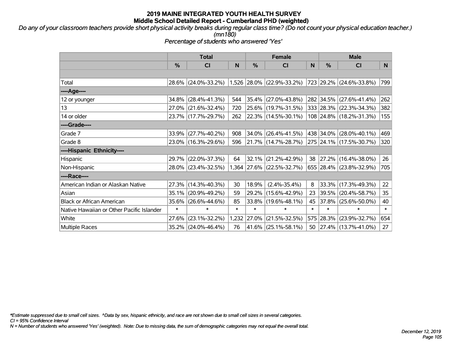*Do any of your classroom teachers provide short physical activity breaks during regular class time? (Do not count your physical education teacher.) (mn180)*

*Percentage of students who answered 'Yes'*

|                                           | <b>Total</b>  |                                               |        | <b>Female</b> |                           |        | <b>Male</b> |                          |        |
|-------------------------------------------|---------------|-----------------------------------------------|--------|---------------|---------------------------|--------|-------------|--------------------------|--------|
|                                           | $\frac{9}{6}$ | CI                                            | N      | %             | CI                        | N      | %           | <b>CI</b>                | N      |
|                                           |               |                                               |        |               |                           |        |             |                          |        |
| Total                                     |               | 28.6% (24.0%-33.2%) 1,526 28.0% (22.9%-33.2%) |        |               |                           |        |             | 723 29.2% (24.6%-33.8%)  | 799    |
| ----Age----                               |               |                                               |        |               |                           |        |             |                          |        |
| 12 or younger                             | 34.8%         | $(28.4\% - 41.3\%)$                           | 544    |               | 35.4% (27.0%-43.8%)       |        |             | 282 34.5% (27.6%-41.4%)  | 262    |
| 13                                        |               | 27.0% (21.6%-32.4%)                           | 720    |               | 25.6% (19.7%-31.5%)       |        |             | 333 28.3% (22.3%-34.3%)  | 382    |
| 14 or older                               |               | 23.7% (17.7%-29.7%)                           | 262    |               | $ 22.3\% $ (14.5%-30.1%)  |        |             | 108 24.8% (18.2%-31.3%)  | 155    |
| ----Grade----                             |               |                                               |        |               |                           |        |             |                          |        |
| Grade 7                                   | 33.9%         | $(27.7\% - 40.2\%)$                           | 908    |               | $34.0\%$ (26.4%-41.5%)    |        |             | 438 34.0% (28.0%-40.1%)  | 469    |
| Grade 8                                   |               | 23.0% (16.3%-29.6%)                           | 596    |               | $ 21.7\% $ (14.7%-28.7%)  |        |             | 275 24.1% (17.5%-30.7%)  | 320    |
| ----Hispanic Ethnicity----                |               |                                               |        |               |                           |        |             |                          |        |
| Hispanic                                  | 29.7%         | $(22.0\% - 37.3\%)$                           | 64     | 32.1%         | $(21.2\% - 42.9\%)$       | 38     |             | $ 27.2\% $ (16.4%-38.0%) | 26     |
| Non-Hispanic                              |               | 28.0% (23.4%-32.5%)                           |        |               | 1,364 27.6% (22.5%-32.7%) |        |             | 655 28.4% (23.8%-32.9%)  | 705    |
| ----Race----                              |               |                                               |        |               |                           |        |             |                          |        |
| American Indian or Alaskan Native         | 27.3%         | $(14.3\% - 40.3\%)$                           | 30     | 18.9%         | $(2.4\% - 35.4\%)$        | 8      |             | 33.3% (17.3%-49.3%)      | 22     |
| Asian                                     | 35.1%         | $(20.9\% - 49.2\%)$                           | 59     | 29.2%         | $(15.6\% - 42.9\%)$       | 23     |             | 39.5% (20.4%-58.7%)      | 35     |
| <b>Black or African American</b>          | 35.6%         | $(26.6\% - 44.6\%)$                           | 85     | 33.8%         | $(19.6\% - 48.1\%)$       | 45     |             | 37.8% (25.6%-50.0%)      | 40     |
| Native Hawaiian or Other Pacific Islander | $\ast$        | $\ast$                                        | $\ast$ | $\ast$        | $\ast$                    | $\ast$ | $\ast$      | $\ast$                   | $\ast$ |
| White                                     | 27.6%         | $(23.1\% - 32.2\%)$                           | 1,232  | 27.0%         | $(21.5\% - 32.5\%)$       |        | 575 28.3%   | $(23.9\% - 32.7\%)$      | 654    |
| <b>Multiple Races</b>                     | 35.2%         | $(24.0\% - 46.4\%)$                           | 76     |               | 41.6% (25.1%-58.1%)       | 50     |             | $ 27.4\% $ (13.7%-41.0%) | 27     |

*\*Estimate suppressed due to small cell sizes. ^Data by sex, hispanic ethnicity, and race are not shown due to small cell sizes in several categories.*

*CI = 95% Confidence Interval*

*N = Number of students who answered 'Yes' (weighted). Note: Due to missing data, the sum of demographic categories may not equal the overall total.*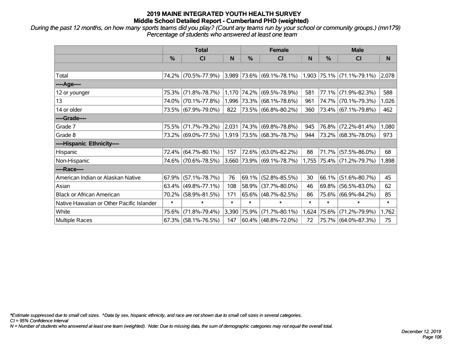*During the past 12 months, on how many sports teams did you play? (Count any teams run by your school or community groups.) (mn179) Percentage of students who answered at least one team*

|                                           | <b>Total</b> |                                               |        | <b>Female</b> |                                    | <b>Male</b> |               |                             |        |
|-------------------------------------------|--------------|-----------------------------------------------|--------|---------------|------------------------------------|-------------|---------------|-----------------------------|--------|
|                                           | $\%$         | <b>CI</b>                                     | N      | $\%$          | <b>CI</b>                          | N           | $\frac{0}{0}$ | <b>CI</b>                   | N      |
|                                           |              |                                               |        |               |                                    |             |               |                             |        |
| Total                                     |              | 74.2% (70.5%-77.9%)                           |        |               | $ 3,989 73.6\%  (69.1\% - 78.1\%)$ |             |               | $1,903$ 75.1% (71.1%-79.1%) | 2,078  |
| ----Age----                               |              |                                               |        |               |                                    |             |               |                             |        |
| 12 or younger                             | 75.3%        | $(71.8\% - 78.7\%)$                           |        | 1,170 74.2%   | $(69.5\% - 78.9\%)$                | 581         | 77.1%         | $(71.9\% - 82.3\%)$         | 588    |
| 13                                        |              | 74.0% (70.1%-77.8%)                           |        |               | 1,996 73.3% (68.1%-78.6%)          | 961         |               | 74.7% (70.1%-79.3%)         | 1,026  |
| 14 or older                               |              | 73.5% (67.9%-79.0%)                           | 822    |               | $ 73.5\% $ (66.8%-80.2%)           | 360         |               | $73.4\%$ (67.1%-79.8%)      | 462    |
| ----Grade----                             |              |                                               |        |               |                                    |             |               |                             |        |
| Grade 7                                   | 75.5%        | $(71.7\% - 79.2\%)$                           | 2,031  |               | $ 74.3\% $ (69.8%-78.8%)           | 945         | 76.8%         | $(72.2\% - 81.4\%)$         | 1,080  |
| Grade 8                                   |              | 73.2% (69.0%-77.5%) 1,919 73.5% (68.3%-78.7%) |        |               |                                    | 944         |               | 73.2% (68.3%-78.0%)         | 973    |
| ----Hispanic Ethnicity----                |              |                                               |        |               |                                    |             |               |                             |        |
| Hispanic                                  |              | 72.4% (64.7%-80.1%)                           | 157    | 72.6%         | $(63.0\% - 82.2\%)$                | 88          | 71.7%         | $(57.5\% - 86.0\%)$         | 68     |
| Non-Hispanic                              |              | 74.6% (70.6%-78.5%)                           |        |               | 3,660 73.9% (69.1%-78.7%)          |             |               | 1,755 75.4% (71.2%-79.7%)   | 1,898  |
| ----Race----                              |              |                                               |        |               |                                    |             |               |                             |        |
| American Indian or Alaskan Native         | 67.9%        | $(57.1\% - 78.7\%)$                           | 76     |               | 69.1% (52.8%-85.5%)                | 30          | 66.1%         | $(51.6\% - 80.7\%)$         | 45     |
| Asian                                     |              | $63.4\%$ (49.8%-77.1%)                        | 108    | 58.9%         | $(37.7\% - 80.0\%)$                | 46          | 69.8%         | $(56.5\% - 83.0\%)$         | 62     |
| <b>Black or African American</b>          | 70.2%        | $(58.9\% - 81.5\%)$                           | 171    |               | 65.6% (48.7%-82.5%)                | 86          | 75.6%         | $(66.9\% - 84.2\%)$         | 85     |
| Native Hawaiian or Other Pacific Islander | $\ast$       | $\ast$                                        | $\ast$ | $\ast$        | $\ast$                             | $\ast$      | $\ast$        | $\ast$                      | $\ast$ |
| White                                     | 75.6%        | $(71.8\% - 79.4\%)$                           |        | 3,390 75.9%   | $(71.7\% - 80.1\%)$                | 1,624       | 75.6%         | $(71.2\% - 79.9\%)$         | 1,762  |
| <b>Multiple Races</b>                     |              | $67.3\%$ (58.1%-76.5%)                        | 147    |               | $60.4\%$ (48.8%-72.0%)             | 72          |               | 75.7% (64.0%-87.3%)         | 75     |

*\*Estimate suppressed due to small cell sizes. ^Data by sex, hispanic ethnicity, and race are not shown due to small cell sizes in several categories.*

*CI = 95% Confidence Interval*

*N = Number of students who answered at least one team (weighted). Note: Due to missing data, the sum of demographic categories may not equal the overall total.*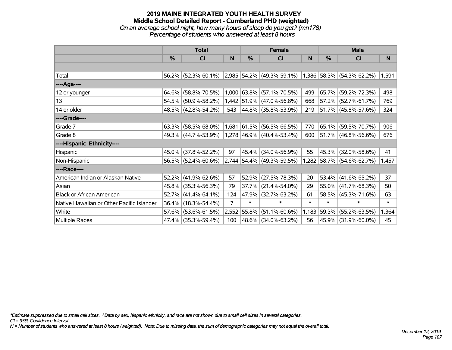### **2019 MAINE INTEGRATED YOUTH HEALTH SURVEY Middle School Detailed Report - Cumberland PHD (weighted)** *On an average school night, how many hours of sleep do you get? (mn178) Percentage of students who answered at least 8 hours*

|                                           | <b>Total</b> |                                               |       | <b>Female</b> |                             | <b>Male</b> |        |                           |        |
|-------------------------------------------|--------------|-----------------------------------------------|-------|---------------|-----------------------------|-------------|--------|---------------------------|--------|
|                                           | $\%$         | C <sub>l</sub>                                | N     | $\%$          | <b>CI</b>                   | N           | %      | <b>CI</b>                 | N      |
|                                           |              |                                               |       |               |                             |             |        |                           |        |
| Total                                     |              | 56.2% (52.3%-60.1%) 2,985 54.2% (49.3%-59.1%) |       |               |                             |             |        | 1,386 58.3% (54.3%-62.2%) | 1,591  |
| ----Age----                               |              |                                               |       |               |                             |             |        |                           |        |
| 12 or younger                             | 64.6%        | $(58.8\% - 70.5\%)$                           |       |               | 1,000 63.8% (57.1%-70.5%)   | 499         | 65.7%  | $(59.2\% - 72.3\%)$       | 498    |
| 13                                        |              | 54.5% (50.9%-58.2%)                           |       |               | 1,442 51.9% (47.0%-56.8%)   | 668         |        | $57.2\%$ (52.7%-61.7%)    | 769    |
| 14 or older                               |              | 48.5% (42.8%-54.2%)                           | 543   |               | $ 44.8\% $ (35.8%-53.9%)    | 219         |        | 51.7% (45.8%-57.6%)       | 324    |
| ----Grade----                             |              |                                               |       |               |                             |             |        |                           |        |
| Grade 7                                   | 63.3%        | $(58.5\% - 68.0\%)$                           | 1,681 | $ 61.5\% $    | $(56.5\% - 66.5\%)$         | 770         |        | 65.1% (59.5%-70.7%)       | 906    |
| Grade 8                                   |              | 49.3% (44.7%-53.9%)                           |       |               | $1,278$ 46.9% (40.4%-53.4%) | 600         |        | 51.7% (46.8%-56.6%)       | 676    |
| ----Hispanic Ethnicity----                |              |                                               |       |               |                             |             |        |                           |        |
| Hispanic                                  | 45.0%        | $(37.8\% - 52.2\%)$                           | 97    | 45.4%         | $(34.0\% - 56.9\%)$         | 55          | 45.3%  | $(32.0\% - 58.6\%)$       | 41     |
| Non-Hispanic                              |              | 56.5% (52.4%-60.6%)                           |       |               | 2,744 54.4% (49.3%-59.5%)   |             |        | 1,282 58.7% (54.6%-62.7%) | 1,457  |
| ----Race----                              |              |                                               |       |               |                             |             |        |                           |        |
| American Indian or Alaskan Native         | 52.2%        | $(41.9\% - 62.6\%)$                           | 57    |               | $52.9\%$ (27.5%-78.3%)      | 20          | 53.4%  | $(41.6\% - 65.2\%)$       | 37     |
| Asian                                     | 45.8%        | $(35.3\% - 56.3\%)$                           | 79    | 37.7%         | $(21.4\% - 54.0\%)$         | 29          | 55.0%  | $(41.7\% - 68.3\%)$       | 50     |
| <b>Black or African American</b>          |              | $52.7\%$ (41.4%-64.1%)                        | 124   |               | 47.9% (32.7%-63.2%)         | 61          |        | 58.5% (45.3%-71.6%)       | 63     |
| Native Hawaiian or Other Pacific Islander |              | 36.4% (18.3%-54.4%)                           | 7     | $\ast$        | $\ast$                      | $\ast$      | $\ast$ | $\ast$                    | $\ast$ |
| White                                     | 57.6%        | $(53.6\% - 61.5\%)$                           | 2,552 | 55.8%         | $(51.1\% - 60.6\%)$         | 1,183       | 59.3%  | $(55.2\% - 63.5\%)$       | 1,364  |
| Multiple Races                            |              | 47.4% (35.3%-59.4%)                           | 100   |               | 48.6% (34.0%-63.2%)         | 56          |        | 45.9% (31.9%-60.0%)       | 45     |

*\*Estimate suppressed due to small cell sizes. ^Data by sex, hispanic ethnicity, and race are not shown due to small cell sizes in several categories.*

*CI = 95% Confidence Interval*

*N = Number of students who answered at least 8 hours (weighted). Note: Due to missing data, the sum of demographic categories may not equal the overall total.*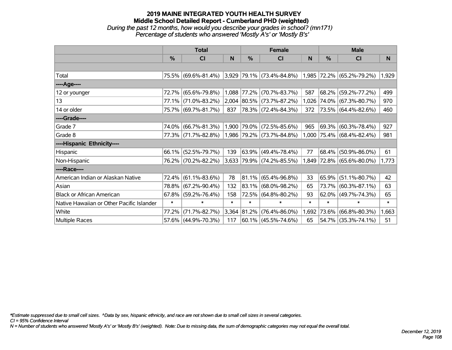### **2019 MAINE INTEGRATED YOUTH HEALTH SURVEY Middle School Detailed Report - Cumberland PHD (weighted)** *During the past 12 months, how would you describe your grades in school? (mn171) Percentage of students who answered 'Mostly A's' or 'Mostly B's'*

|                                           | <b>Total</b>  |                     |        |             | <b>Female</b>             |        | <b>Male</b>   |                           |        |  |
|-------------------------------------------|---------------|---------------------|--------|-------------|---------------------------|--------|---------------|---------------------------|--------|--|
|                                           | $\frac{0}{0}$ | C <sub>l</sub>      | N      | %           | <b>CI</b>                 | N      | $\frac{0}{0}$ | <b>CI</b>                 | N      |  |
|                                           |               |                     |        |             |                           |        |               |                           |        |  |
| Total                                     |               | 75.5% (69.6%-81.4%) |        |             | 3,929 79.1% (73.4%-84.8%) | 1,985  |               | 72.2% (65.2%-79.2%)       | 1,929  |  |
| ----Age----                               |               |                     |        |             |                           |        |               |                           |        |  |
| 12 or younger                             | 72.7%         | $(65.6\% - 79.8\%)$ |        | 1,088 77.2% | $(70.7\% - 83.7\%)$       | 587    | 68.2%         | $(59.2\% - 77.2\%)$       | 499    |  |
| 13                                        |               | 77.1% (71.0%-83.2%) |        |             | 2,004 80.5% (73.7%-87.2%) | 1,026  |               | 74.0% (67.3%-80.7%)       | 970    |  |
| 14 or older                               |               | 75.7% (69.7%-81.7%) | 837    |             | 78.3% (72.4%-84.3%)       | 372    |               | 73.5% (64.4%-82.6%)       | 460    |  |
| ----Grade----                             |               |                     |        |             |                           |        |               |                           |        |  |
| Grade 7                                   | 74.0%         | $(66.7\% - 81.3\%)$ |        | 1,900 79.0% | $(72.5\% - 85.6\%)$       | 965    |               | 69.3% (60.3%-78.4%)       | 927    |  |
| Grade 8                                   |               | 77.3% (71.7%-82.8%) |        |             | 1,986 79.2% (73.7%-84.8%) |        |               | 1,000 75.4% (68.4%-82.4%) | 981    |  |
| ----Hispanic Ethnicity----                |               |                     |        |             |                           |        |               |                           |        |  |
| Hispanic                                  | 66.1%         | $(52.5\% - 79.7\%)$ | 139    | 63.9%       | $(49.4\% - 78.4\%)$       | 77     | 68.4%         | $(50.9\% - 86.0\%)$       | 61     |  |
| Non-Hispanic                              |               | 76.2% (70.2%-82.2%) |        |             | 3,633 79.9% (74.2%-85.5%) | 1,849  |               | $ 72.8\% $ (65.6%-80.0%)  | 1,773  |  |
| ----Race----                              |               |                     |        |             |                           |        |               |                           |        |  |
| American Indian or Alaskan Native         | 72.4%         | $(61.1\% - 83.6\%)$ | 78     | $ 81.1\% $  | $(65.4\% - 96.8\%)$       | 33     | 65.9%         | $(51.1\% - 80.7\%)$       | 42     |  |
| Asian                                     | 78.8%         | $(67.2\% - 90.4\%)$ | 132    | 83.1%       | $(68.0\% - 98.2\%)$       | 65     | 73.7%         | $(60.3\% - 87.1\%)$       | 63     |  |
| <b>Black or African American</b>          | 67.8%         | $(59.2\% - 76.4\%)$ | 158    |             | 72.5% (64.8%-80.2%)       | 93     |               | $62.0\%$ (49.7%-74.3%)    | 65     |  |
| Native Hawaiian or Other Pacific Islander | $\ast$        | $\ast$              | $\ast$ | $\ast$      | $\ast$                    | $\ast$ | $\ast$        | $\ast$                    | $\ast$ |  |
| White                                     | 77.2%         | $(71.7\% - 82.7\%)$ |        | 3,364 81.2% | $(76.4\% - 86.0\%)$       | 1,692  | 73.6%         | $(66.8\% - 80.3\%)$       | 1,663  |  |
| Multiple Races                            |               | 57.6% (44.9%-70.3%) | 117    |             | $ 60.1\% $ (45.5%-74.6%)  | 65     |               | 54.7% (35.3%-74.1%)       | 51     |  |

*\*Estimate suppressed due to small cell sizes. ^Data by sex, hispanic ethnicity, and race are not shown due to small cell sizes in several categories.*

*CI = 95% Confidence Interval*

*N = Number of students who answered 'Mostly A's' or 'Mostly B's' (weighted). Note: Due to missing data, the sum of demographic categories may not equal the overall total.*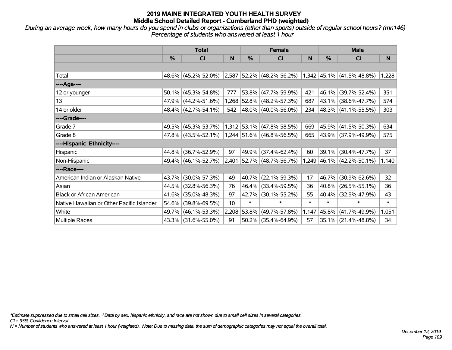*During an average week, how many hours do you spend in clubs or organizations (other than sports) outside of regular school hours? (mn146) Percentage of students who answered at least 1 hour*

|                                           | <b>Total</b> |                     |       |        | <b>Female</b>               |        | <b>Male</b> |                             |        |
|-------------------------------------------|--------------|---------------------|-------|--------|-----------------------------|--------|-------------|-----------------------------|--------|
|                                           | $\%$         | <b>CI</b>           | N     | $\%$   | <b>CI</b>                   | N      | %           | <b>CI</b>                   | N      |
|                                           |              |                     |       |        |                             |        |             |                             |        |
| Total                                     |              | 48.6% (45.2%-52.0%) | 2,587 |        | $ 52.2\% $ (48.2%-56.2%)    |        |             | $1,342$ 45.1% (41.5%-48.8%) | 1,228  |
| ----Age----                               |              |                     |       |        |                             |        |             |                             |        |
| 12 or younger                             | 50.1%        | $(45.3\% - 54.8\%)$ | 777   |        | 53.8% (47.7%-59.9%)         | 421    | 46.1%       | $(39.7\% - 52.4\%)$         | 351    |
| 13                                        |              | 47.9% (44.2%-51.6%) |       |        | 1,268 52.8% (48.2%-57.3%)   | 687    |             | 43.1% (38.6%-47.7%)         | 574    |
| 14 or older                               |              | 48.4% (42.7%-54.1%) | 542   |        | $ 48.0\% $ (40.0%-56.0%)    | 234    |             | $ 48.3\% $ (41.1%-55.5%)    | 303    |
| ----Grade----                             |              |                     |       |        |                             |        |             |                             |        |
| Grade 7                                   | 49.5%        | $(45.3\% - 53.7\%)$ |       |        | $1,312$ 53.1% (47.8%-58.5%) | 669    | 45.9%       | $(41.5\% - 50.3\%)$         | 634    |
| Grade 8                                   |              | 47.8% (43.5%-52.1%) |       |        | $1,244$ 51.6% (46.8%-56.5%) | 665    |             | 43.9% (37.9%-49.9%)         | 575    |
| ----Hispanic Ethnicity----                |              |                     |       |        |                             |        |             |                             |        |
| Hispanic                                  | 44.8%        | $(36.7\% - 52.9\%)$ | 97    | 49.9%  | $(37.4\% - 62.4\%)$         | 60     | 39.1%       | $(30.4\% - 47.7\%)$         | 37     |
| Non-Hispanic                              |              | 49.4% (46.1%-52.7%) | 2,401 |        | $ 52.7\% $ (48.7%-56.7%)    |        |             | 1,249 46.1% (42.2%-50.1%)   | 1,140  |
| ----Race----                              |              |                     |       |        |                             |        |             |                             |        |
| American Indian or Alaskan Native         | 43.7%        | $(30.0\% - 57.3\%)$ | 49    | 40.7%  | $(22.1\% - 59.3\%)$         | 17     | 46.7%       | $(30.9\% - 62.6\%)$         | 32     |
| Asian                                     | 44.5%        | $(32.8\% - 56.3\%)$ | 76    |        | 46.4% (33.4%-59.5%)         | 36     | 40.8%       | $(26.5\% - 55.1\%)$         | 36     |
| <b>Black or African American</b>          | 41.6%        | $(35.0\% - 48.3\%)$ | 97    | 42.7%  | $(30.1\% - 55.2\%)$         | 55     | 40.4%       | $(32.9\% - 47.9\%)$         | 43     |
| Native Hawaiian or Other Pacific Islander | 54.6%        | $(39.8\% - 69.5\%)$ | 10    | $\ast$ | $\ast$                      | $\ast$ | $\ast$      | $\ast$                      | $\ast$ |
| White                                     | 49.7%        | $(46.1\% - 53.3\%)$ | 2,208 | 53.8%  | $(49.7\% - 57.8\%)$         | 1,147  | 45.8%       | $(41.7\% - 49.9\%)$         | 1,051  |
| Multiple Races                            |              | 43.3% (31.6%-55.0%) | 91    |        | $50.2\%$ (35.4%-64.9%)      | 57     |             | 35.1% (21.4%-48.8%)         | 34     |

*\*Estimate suppressed due to small cell sizes. ^Data by sex, hispanic ethnicity, and race are not shown due to small cell sizes in several categories.*

*CI = 95% Confidence Interval*

*N = Number of students who answered at least 1 hour (weighted). Note: Due to missing data, the sum of demographic categories may not equal the overall total.*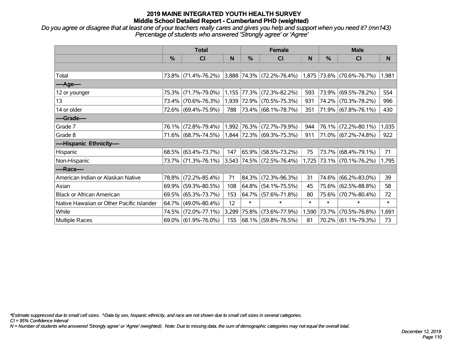*Do you agree or disagree that at least one of your teachers really cares and gives you help and support when you need it? (mn143) Percentage of students who answered 'Strongly agree' or 'Agree'*

|                                           | <b>Total</b> |                     |       |             | <b>Female</b>               |        | <b>Male</b> |                           |        |
|-------------------------------------------|--------------|---------------------|-------|-------------|-----------------------------|--------|-------------|---------------------------|--------|
|                                           | $\%$         | <b>CI</b>           | N     | $\%$        | <b>CI</b>                   | N      | %           | <b>CI</b>                 | N      |
|                                           |              |                     |       |             |                             |        |             |                           |        |
| Total                                     |              | 73.8% (71.4%-76.2%) |       |             | $3,888$ 74.3% (72.2%-76.4%) |        |             | 1,875 73.6% (70.6%-76.7%) | 1,981  |
| ----Age----                               |              |                     |       |             |                             |        |             |                           |        |
| 12 or younger                             | 75.3%        | $(71.7\% - 79.0\%)$ |       | 1,155 77.3% | $(72.3\% - 82.2\%)$         | 593    | 73.9%       | $(69.5\% - 78.2\%)$       | 554    |
| 13                                        |              | 73.4% (70.6%-76.3%) |       |             | 1,939 72.9% (70.5%-75.3%)   | 931    |             | 74.2% (70.3%-78.2%)       | 996    |
| 14 or older                               |              | 72.6% (69.4%-75.9%) | 788   |             | 73.4% (68.1%-78.7%)         | 351    |             | 71.9% (67.8%-76.1%)       | 430    |
| ----Grade----                             |              |                     |       |             |                             |        |             |                           |        |
| Grade 7                                   | 76.1%        | $(72.8\% - 79.4\%)$ |       |             | 1,992 76.3% (72.7%-79.9%)   | 944    | 76.1%       | $(72.2\% - 80.1\%)$       | 1,035  |
| Grade 8                                   |              | 71.6% (68.7%-74.5%) |       |             | 1,844 72.3% (69.3%-75.3%)   | 911    |             | 71.0% (67.2%-74.8%)       | 922    |
| ----Hispanic Ethnicity----                |              |                     |       |             |                             |        |             |                           |        |
| Hispanic                                  |              | 68.5% (63.4%-73.7%) | 147   | 65.9%       | $(58.5\% - 73.2\%)$         | 75     | 73.7%       | $(68.4\% - 79.1\%)$       | 71     |
| Non-Hispanic                              |              | 73.7% (71.3%-76.1%) |       |             | 3,543 74.5% (72.5%-76.4%)   | 1,725  |             | $ 73.1\% $ (70.1%-76.2%)  | 1,795  |
| ----Race----                              |              |                     |       |             |                             |        |             |                           |        |
| American Indian or Alaskan Native         | 78.8%        | $(72.2\% - 85.4\%)$ | 71    | 84.3%       | $(72.3\% - 96.3\%)$         | 31     | 74.6%       | $(66.2\% - 83.0\%)$       | 39     |
| Asian                                     | 69.9%        | $(59.3\% - 80.5\%)$ | 108   | 64.8%       | $(54.1\% - 75.5\%)$         | 45     | 75.6%       | $(62.5\% - 88.8\%)$       | 58     |
| <b>Black or African American</b>          | 69.5%        | $(65.3\% - 73.7\%)$ | 153   |             | $64.7\%$ (57.6%-71.8%)      | 80     | 75.6%       | $(70.7\% - 80.4\%)$       | 72     |
| Native Hawaiian or Other Pacific Islander | 64.7%        | $(49.0\% - 80.4\%)$ | 12    | $\ast$      | $\ast$                      | $\ast$ | $\ast$      | $\ast$                    | $\ast$ |
| White                                     | 74.5%        | $(72.0\% - 77.1\%)$ | 3,299 | 75.8%       | $(73.6\% - 77.9\%)$         | 1,590  | 73.7%       | $(70.5\% - 76.8\%)$       | 1,691  |
| Multiple Races                            |              | 69.0% (61.9%-76.0%) | 155   |             | 68.1% (59.8%-76.5%)         | 81     |             | 70.2% (61.1%-79.3%)       | 73     |

*\*Estimate suppressed due to small cell sizes. ^Data by sex, hispanic ethnicity, and race are not shown due to small cell sizes in several categories.*

*CI = 95% Confidence Interval*

*N = Number of students who answered 'Strongly agree' or 'Agree' (weighted). Note: Due to missing data, the sum of demographic categories may not equal the overall total.*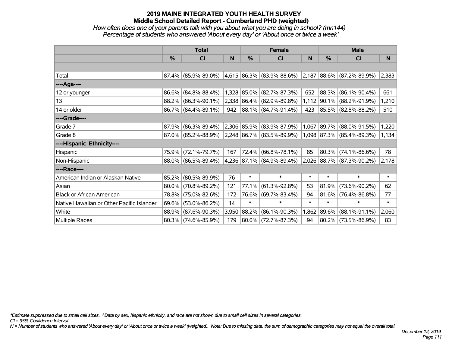## *How often does one of your parents talk with you about what you are doing in school? (mn144) Percentage of students who answered 'About every day' or 'About once or twice a week'*

|                                           | <b>Total</b> |                        |       |            | <b>Female</b>                  |        | <b>Male</b>   |                                    |        |
|-------------------------------------------|--------------|------------------------|-------|------------|--------------------------------|--------|---------------|------------------------------------|--------|
|                                           | %            | CI                     | N     | %          | <b>CI</b>                      | N      | $\frac{0}{0}$ | <b>CI</b>                          | N      |
|                                           |              |                        |       |            |                                |        |               |                                    |        |
| Total                                     |              | $87.4\%$ (85.9%-89.0%) |       |            | $ 4,615 86.3\% 83.9\%$ -88.6%) |        |               | $ 2,187 88.6\%  (87.2\% - 89.9\%)$ | 2,383  |
| ----Age----                               |              |                        |       |            |                                |        |               |                                    |        |
| 12 or younger                             | 86.6%        | $(84.8\% - 88.4\%)$    |       |            | 1,328 85.0% (82.7%-87.3%)      | 652    |               | 88.3% (86.1%-90.4%)                | 661    |
| 13                                        |              | 88.2% (86.3%-90.1%)    |       |            | 2,338 86.4% (82.9%-89.8%)      |        |               | 1,112 90.1% (88.2%-91.9%)          | 1,210  |
| 14 or older                               |              | 86.7% (84.4%-89.1%)    | 942   |            | 88.1% (84.7%-91.4%)            | 423    |               | 85.5% (82.8%-88.2%)                | 510    |
| ----Grade----                             |              |                        |       |            |                                |        |               |                                    |        |
| Grade 7                                   | 87.9%        | $(86.3\% - 89.4\%)$    |       |            | 2,306 85.9% (83.9%-87.9%)      | 1,067  |               | 89.7% (88.0%-91.5%)                | 1,220  |
| Grade 8                                   |              | $87.0\%$ (85.2%-88.9%) |       |            | $ 2,248 86.7\% 83.5\% 89.9\% $ |        |               | $1,098$ 87.3% (85.4%-89.3%)        | 1,134  |
| ----Hispanic Ethnicity----                |              |                        |       |            |                                |        |               |                                    |        |
| Hispanic                                  | 75.9%        | $(72.1\% - 79.7\%)$    | 167   |            | $72.4\%$ (66.8%-78.1%)         | 85     |               | $80.3\%$ (74.1%-86.6%)             | 78     |
| Non-Hispanic                              |              | 88.0% (86.5%-89.4%)    |       |            | 4,236 87.1% (84.9%-89.4%)      | 2,026  |               | 88.7% (87.3%-90.2%)                | 2,178  |
| ----Race----                              |              |                        |       |            |                                |        |               |                                    |        |
| American Indian or Alaskan Native         | 85.2%        | $(80.5\% - 89.9\%)$    | 76    | $\ast$     | $\ast$                         | $\ast$ | $\ast$        | $\ast$                             | $\ast$ |
| Asian                                     | 80.0%        | $(70.8\% - 89.2\%)$    | 121   | 77.1%      | $(61.3\% - 92.8\%)$            | 53     | 81.9%         | $(73.6\% - 90.2\%)$                | 62     |
| <b>Black or African American</b>          | 78.8%        | $(75.0\% - 82.6\%)$    | 172   |            | 76.6% (69.7%-83.4%)            | 94     |               | $81.6\%$ (76.4%-86.8%)             | 77     |
| Native Hawaiian or Other Pacific Islander | 69.6%        | $(53.0\% - 86.2\%)$    | 14    | $\ast$     | $\ast$                         | $\ast$ | $\ast$        | $\ast$                             | $\ast$ |
| White                                     |              | 88.9% (87.6%-90.3%)    | 3,950 | $ 88.2\% $ | $(86.1\% - 90.3\%)$            | 1,862  | 89.6%         | $(88.1\% - 91.1\%)$                | 2,060  |
| <b>Multiple Races</b>                     |              | 80.3% (74.6%-85.9%)    | 179   |            | 80.0% (72.7%-87.3%)            | 94     |               | 80.2% (73.5%-86.9%)                | 83     |

*\*Estimate suppressed due to small cell sizes. ^Data by sex, hispanic ethnicity, and race are not shown due to small cell sizes in several categories.*

*CI = 95% Confidence Interval*

*N = Number of students who answered 'About every day' or 'About once or twice a week' (weighted). Note: Due to missing data, the sum of demographic categories may not equal the overall total.*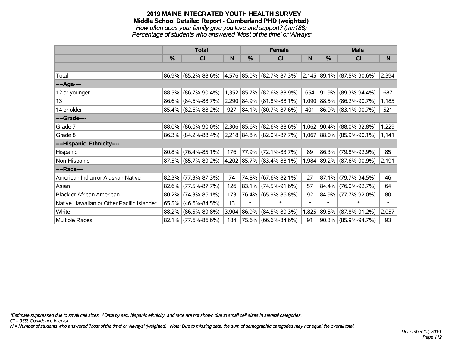#### **2019 MAINE INTEGRATED YOUTH HEALTH SURVEY Middle School Detailed Report - Cumberland PHD (weighted)** *How often does your family give you love and support? (mn188) Percentage of students who answered 'Most of the time' or 'Always'*

|                                           | <b>Total</b> |                                               |       |        | <b>Female</b>                                                           |        | <b>Male</b> |                           |        |
|-------------------------------------------|--------------|-----------------------------------------------|-------|--------|-------------------------------------------------------------------------|--------|-------------|---------------------------|--------|
|                                           | $\%$         | <b>CI</b>                                     | N     | $\%$   | <b>CI</b>                                                               | N      | %           | <b>CI</b>                 | N      |
|                                           |              |                                               |       |        |                                                                         |        |             |                           |        |
| Total                                     |              |                                               |       |        | 86.9% (85.2%-88.6%) 4,576 85.0% (82.7%-87.3%) 2,145 89.1% (87.5%-90.6%) |        |             |                           | 2,394  |
| ----Age----                               |              |                                               |       |        |                                                                         |        |             |                           |        |
| 12 or younger                             | 88.5%        | $(86.7\% - 90.4\%)$                           |       |        | 1,352 85.7% (82.6%-88.9%)                                               | 654    | $ 91.9\% $  | $(89.3\% - 94.4\%)$       | 687    |
| 13                                        |              | 86.6% (84.6%-88.7%)                           |       |        | 2,290 84.9% (81.8%-88.1%)                                               | 1,090  |             | 88.5% (86.2%-90.7%)       | 1,185  |
| 14 or older                               |              | 85.4% (82.6%-88.2%)                           | 927   |        | 84.1% (80.7%-87.6%)                                                     | 401    |             | 86.9% (83.1%-90.7%)       | 521    |
| ----Grade----                             |              |                                               |       |        |                                                                         |        |             |                           |        |
| Grade 7                                   | 88.0%        | $(86.0\% - 90.0\%)$                           |       |        | $ 2,306 85.6\% 82.6\% 88.6\% $                                          |        |             | 1,062 90.4% (88.0%-92.8%) | 1,229  |
| Grade 8                                   |              | 86.3% (84.2%-88.4%) 2,218 84.8% (82.0%-87.7%) |       |        |                                                                         |        |             | 1,067 88.0% (85.9%-90.1%) | 1,141  |
| ----Hispanic Ethnicity----                |              |                                               |       |        |                                                                         |        |             |                           |        |
| Hispanic                                  | 80.8%        | $(76.4\% - 85.1\%)$                           | 176   | 77.9%  | $(72.1\% - 83.7\%)$                                                     | 89     | 86.3%       | $(79.8\% - 92.9\%)$       | 85     |
| Non-Hispanic                              |              | 87.5% (85.7%-89.2%)                           |       |        | 4,202 85.7% (83.4%-88.1%)                                               |        |             | 1,984 89.2% (87.6%-90.9%) | 2,191  |
| ----Race----                              |              |                                               |       |        |                                                                         |        |             |                           |        |
| American Indian or Alaskan Native         | 82.3%        | $(77.3\% - 87.3\%)$                           | 74    |        | 74.8% (67.6%-82.1%)                                                     | 27     | 87.1%       | $(79.7\% - 94.5\%)$       | 46     |
| Asian                                     | 82.6%        | $(77.5\% - 87.7\%)$                           | 126   |        | 83.1% (74.5%-91.6%)                                                     | 57     | $ 84.4\% $  | $(76.0\% - 92.7\%)$       | 64     |
| <b>Black or African American</b>          | 80.2%        | $(74.3\% - 86.1\%)$                           | 173   |        | 76.4% (65.9%-86.8%)                                                     | 92     | 84.9%       | $(77.7\% - 92.0\%)$       | 80     |
| Native Hawaiian or Other Pacific Islander | 65.5%        | $(46.6\% - 84.5\%)$                           | 13    | $\ast$ | $\ast$                                                                  | $\ast$ | $\ast$      | $\ast$                    | $\ast$ |
| White                                     | 88.2%        | $(86.5\% - 89.8\%)$                           | 3,904 | 86.9%  | $(84.5\% - 89.3\%)$                                                     | 1,825  | 89.5%       | $(87.8\% - 91.2\%)$       | 2,057  |
| Multiple Races                            |              | $82.1\%$ (77.6%-86.6%)                        | 184   |        | 75.6% (66.6%-84.6%)                                                     | 91     |             | 90.3% (85.9%-94.7%)       | 93     |

*\*Estimate suppressed due to small cell sizes. ^Data by sex, hispanic ethnicity, and race are not shown due to small cell sizes in several categories.*

*CI = 95% Confidence Interval*

*N = Number of students who answered 'Most of the time' or 'Always' (weighted). Note: Due to missing data, the sum of demographic categories may not equal the overall total.*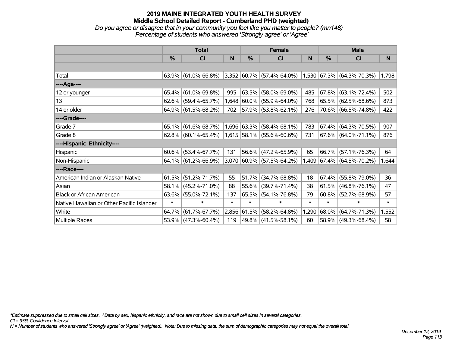### **2019 MAINE INTEGRATED YOUTH HEALTH SURVEY Middle School Detailed Report - Cumberland PHD (weighted)** *Do you agree or disagree that in your community you feel like you matter to people? (mn148) Percentage of students who answered 'Strongly agree' or 'Agree'*

|                                           | <b>Total</b>  |                        |        |             | <b>Female</b>               |        | <b>Male</b> |                              |        |
|-------------------------------------------|---------------|------------------------|--------|-------------|-----------------------------|--------|-------------|------------------------------|--------|
|                                           | $\frac{0}{0}$ | <b>CI</b>              | N      | %           | <b>CI</b>                   | N      | %           | <b>CI</b>                    | N      |
|                                           |               |                        |        |             |                             |        |             |                              |        |
| Total                                     |               | $63.9\%$ (61.0%-66.8%) |        |             | $3,352$ 60.7% (57.4%-64.0%) |        |             | $1,530$ 67.3% (64.3%-70.3%)  | 1,798  |
| ----Age----                               |               |                        |        |             |                             |        |             |                              |        |
| 12 or younger                             | 65.4%         | $(61.0\% - 69.8\%)$    | 995    | 63.5%       | $(58.0\% - 69.0\%)$         | 485    | $ 67.8\% $  | $(63.1\% - 72.4\%)$          | 502    |
| 13                                        | $62.6\%$      | $(59.4\% - 65.7\%)$    |        |             | 1,648 60.0% (55.9%-64.0%)   | 768    |             | 65.5% (62.5%-68.6%)          | 873    |
| 14 or older                               |               | 64.9% (61.5%-68.2%)    | 702    |             | 57.9% (53.8%-62.1%)         | 276    |             | 70.6% (66.5%-74.8%)          | 422    |
| ----Grade----                             |               |                        |        |             |                             |        |             |                              |        |
| Grade 7                                   | 65.1%         | $(61.6\% - 68.7\%)$    |        | 1,696 63.3% | $(58.4\% - 68.1\%)$         | 783    | $ 67.4\% $  | $(64.3\% - 70.5\%)$          | 907    |
| Grade 8                                   |               | $62.8\%$ (60.1%-65.4%) |        |             | $1,615$ 58.1% (55.6%-60.6%) | 731    |             | $ 67.6\%  (64.0\% - 71.1\%)$ | 876    |
| ----Hispanic Ethnicity----                |               |                        |        |             |                             |        |             |                              |        |
| Hispanic                                  | 60.6%         | $(53.4\% - 67.7\%)$    | 131    | 56.6%       | $(47.2\% - 65.9\%)$         | 65     | $ 66.7\% $  | $(57.1\% - 76.3\%)$          | 64     |
| Non-Hispanic                              |               | 64.1% (61.2%-66.9%)    |        |             | $3,070$ 60.9% (57.5%-64.2%) | 1,409  |             | $ 67.4\%  (64.5\% - 70.2\%)$ | 1,644  |
| ----Race----                              |               |                        |        |             |                             |        |             |                              |        |
| American Indian or Alaskan Native         | 61.5%         | $(51.2\% - 71.7\%)$    | 55     | 51.7%       | $(34.7\% - 68.8\%)$         | 18     | $ 67.4\% $  | $(55.8\% - 79.0\%)$          | 36     |
| Asian                                     | 58.1%         | $(45.2\% - 71.0\%)$    | 88     | 55.6%       | $(39.7\% - 71.4\%)$         | 38     | 61.5%       | $(46.8\% - 76.1\%)$          | 47     |
| <b>Black or African American</b>          | 63.6%         | $(55.0\% - 72.1\%)$    | 137    | 65.5%       | $(54.1\% - 76.8\%)$         | 79     | $60.8\%$    | $(52.7\% - 68.9\%)$          | 57     |
| Native Hawaiian or Other Pacific Islander | $\ast$        | $\ast$                 | $\ast$ | $\ast$      | $\ast$                      | $\ast$ | $\ast$      | $\ast$                       | $\ast$ |
| White                                     | 64.7%         | $(61.7\% - 67.7\%)$    | 2,856  | $ 61.5\% $  | $(58.2\% - 64.8\%)$         | 1,290  | $ 68.0\% $  | $(64.7\% - 71.3\%)$          | 1,552  |
| Multiple Races                            | 53.9%         | $(47.3\% - 60.4\%)$    | 119    |             | 49.8% (41.5%-58.1%)         | 60     |             | 58.9% (49.3%-68.4%)          | 58     |

*\*Estimate suppressed due to small cell sizes. ^Data by sex, hispanic ethnicity, and race are not shown due to small cell sizes in several categories.*

*CI = 95% Confidence Interval*

*N = Number of students who answered 'Strongly agree' or 'Agree' (weighted). Note: Due to missing data, the sum of demographic categories may not equal the overall total.*